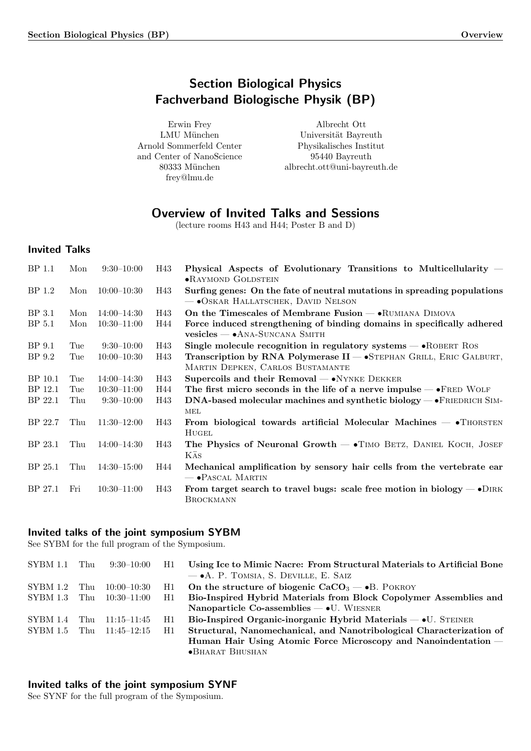# <span id="page-0-0"></span>Section Biological Physics Fachverband Biologische Physik (BP)

Erwin Frey LMU München Arnold Sommerfeld Center and Center of NanoScience 80333 München frey@lmu.de

Albrecht Ott Universität Bayreuth Physikalisches Institut 95440 Bayreuth albrecht.ott@uni-bayreuth.de

# Overview of Invited Talks and Sessions

(lecture rooms H43 and H44; Poster B and D)

# Invited Talks

| BP 1.1  | Mon | $9:30-10:00$    | H43 | Physical Aspects of Evolutionary Transitions to Multicellularity –<br><b>.RAYMOND GOLDSTEIN</b>                        |
|---------|-----|-----------------|-----|------------------------------------------------------------------------------------------------------------------------|
| BP 1.2  | Mon | $10:00 - 10:30$ | H43 | Surfing genes: On the fate of neutral mutations in spreading populations<br><b>← • OSKAR HALLATSCHEK, DAVID NELSON</b> |
| BP 3.1  | Mon | $14:00 - 14:30$ | H43 | On the Timescales of Membrane Fusion $-\bullet$ RUMIANA DIMOVA                                                         |
| BP 5.1  | Mon | $10:30 - 11:00$ | H44 | Force induced strengthening of binding domains in specifically adhered<br>$vesicles - \bullet ANA-SUNCANA SMITH$       |
| BP 9.1  | Tue | $9:30-10:00$    | H43 | Single molecule recognition in regulatory systems $ \bullet$ ROBERT ROS                                                |
| BP 9.2  | Tue | $10:00 - 10:30$ | H43 | Transcription by RNA Polymerase II - STEPHAN GRILL, ERIC GALBURT,<br>MARTIN DEPKEN, CARLOS BUSTAMANTE                  |
| BP 10.1 | Tue | $14:00 - 14:30$ | H43 | Supercoils and their Removal $ \bullet$ NYNKE DEKKER                                                                   |
| BP 12.1 | Tue | $10:30 - 11:00$ | H44 | The first micro seconds in the life of a nerve impulse $-$ • FRED WOLF                                                 |
| BP 22.1 | Thu | $9:30-10:00$    | H43 | $DNA$ -based molecular machines and synthetic biology $- \bullet$ FRIEDRICH SIM-<br><b>MEL</b>                         |
| BP 22.7 | Thu | $11:30-12:00$   | H43 | From biological towards artificial Molecular Machines $-$ •ThORSTEN<br><b>HUGEL</b>                                    |
| BP 23.1 | Thu | $14:00 - 14:30$ | H43 | The Physics of Neuronal Growth - TIMO BETZ, DANIEL KOCH, JOSEF<br>KÄS                                                  |
| BP 25.1 | Thu | $14:30 - 15:00$ | H44 | Mechanical amplification by sensory hair cells from the vertebrate ear<br>$ \bullet$ Pascal Martin                     |
| BP 27.1 | Fri | $10:30 - 11:00$ | H43 | From target search to travel bugs: scale free motion in biology $-\bullet$ DIRK<br><b>BROCKMANN</b>                    |

# Invited talks of the joint symposium SYBM

See SYBM for the full program of the Symposium.

| SYBM 1.1 | Thu   | 9:30–10:00      | H1  | Using Ice to Mimic Nacre: From Structural Materials to Artificial Bone |
|----------|-------|-----------------|-----|------------------------------------------------------------------------|
|          |       |                 |     | $ \bullet$ A. P. TOMSIA, S. DEVILLE, E. SAIZ                           |
| SYBM 1.2 | Thu   | $10:00 - 10:30$ | H1. | On the structure of biogenic $CaCO3$ $ \bullet$ B. POKROY              |
| SYBM 1.3 | Thu   | 10:30–11:00     | H1  | Bio-Inspired Hybrid Materials from Block Copolymer Assemblies and      |
|          |       |                 |     | Nanoparticle Co-assemblies $ \bullet$ U. WIESNER                       |
| SYBM 1.4 | Thu   | 11:15–11:45     | H1  | Bio-Inspired Organic-inorganic Hybrid Materials $-\bullet U$ . STEINER |
| SYBM 1.5 | - Thu | $11:45 - 12:15$ | H1  | Structural, Nanomechanical, and Nanotribological Characterization of   |
|          |       |                 |     | Human Hair Using Atomic Force Microscopy and Nanoindentation —         |
|          |       |                 |     | •BHARAT BHUSHAN                                                        |

# Invited talks of the joint symposium SYNF

See SYNF for the full program of the Symposium.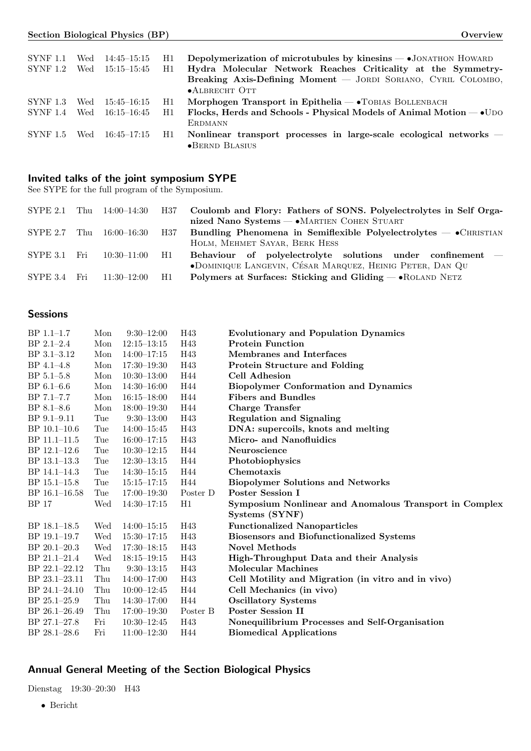| <b>SYNF 1.1</b> | Wed | 14:45–15:15     | H1 | Depolymerization of microtubules by kinesins $-$ •JONATHON HOWARD    |
|-----------------|-----|-----------------|----|----------------------------------------------------------------------|
| <b>SYNF 1.2</b> | Wed | $15:15 - 15:45$ | H1 | Hydra Molecular Network Reaches Criticality at the Symmetry-         |
|                 |     |                 |    | Breaking Axis-Defining Moment — JORDI SORIANO, CYRIL COLOMBO,        |
|                 |     |                 |    | $\bullet$ ALBRECHT OTT                                               |
| <b>SYNF 1.3</b> | Wed | - 15:45–16:15   | H1 | Morphogen Transport in Epithelia $ \bullet$ TOBIAS BOLLENBACH        |
| SYNF 1.4        | Wed | 16:15–16:45     | H1 | Flocks, Herds and Schools - Physical Models of Animal Motion — • UDO |
|                 |     |                 |    | <b>ERDMANN</b>                                                       |
| SYNF 1.5        | Wed | 16:45–17:15     | H1 | Nonlinear transport processes in large-scale ecological networks $-$ |
|                 |     |                 |    | •BERND BLASIUS                                                       |

# Invited talks of the joint symposium SYPE

See SYPE for the full program of the Symposium.

|                        | SYPE 2.1 Thu 14:00-14:30 H37 | Coulomb and Flory: Fathers of SONS. Polyelectrolytes in Self Orga-  |  |  |  |
|------------------------|------------------------------|---------------------------------------------------------------------|--|--|--|
|                        |                              | nized Nano Systems $-$ • MARTIEN COHEN STUART                       |  |  |  |
|                        | SYPE 2.7 Thu 16:00-16:30 H37 | Bundling Phenomena in Semiflexible Polyelectrolytes $-$ • CHRISTIAN |  |  |  |
|                        |                              | HOLM, MEHMET SAYAR, BERK HESS                                       |  |  |  |
| $\text{SYPE } 3.1$ Fri | $10:30-11:00$ H1             | Behaviour of polyelectrolyte solutions under confinement –          |  |  |  |
|                        |                              | •DOMINIQUE LANGEVIN, CÉSAR MARQUEZ, HEINIG PETER, DAN QU            |  |  |  |
| $\text{SYPE } 3.4$ Fri | $11:30-12:00$ H1             | <b>Polymers at Surfaces: Sticking and Gliding — • ROLAND NETZ</b>   |  |  |  |
|                        |                              |                                                                     |  |  |  |

# Sessions

| $BP$ 1.1–1.7      | Mon | $9:30-12:00$    | H43             | <b>Evolutionary and Population Dynamics</b>            |
|-------------------|-----|-----------------|-----------------|--------------------------------------------------------|
| $BP 2.1 - 2.4$    | Mon | $12:15 - 13:15$ | H43             | <b>Protein Function</b>                                |
| BP 3.1-3.12       | Mon | $14:00-17:15$   | H43             | Membranes and Interfaces                               |
| $BP\,4.1-4.8$     | Mon | $17:30 - 19:30$ | H43             | Protein Structure and Folding                          |
| $BP 5.1 - 5.8$    | Mon | $10:30 - 13:00$ | H44             | Cell Adhesion                                          |
| $BP 6.1 - 6.6$    | Mon | $14:30 - 16:00$ | H44             | <b>Biopolymer Conformation and Dynamics</b>            |
| BP 7.1-7.7        | Mon | $16:15 - 18:00$ | H44             | <b>Fibers and Bundles</b>                              |
| $BP 8.1 - 8.6$    | Mon | $18:00 - 19:30$ | H44             | <b>Charge Transfer</b>                                 |
| $BP$ 9.1–9.11     | Tue | $9:30-13:00$    | H43             | <b>Regulation and Signaling</b>                        |
| $BP$ 10.1-10.6    | Tue | $14:00 - 15:45$ | H43             | DNA: supercoils, knots and melting                     |
| BP 11.1-11.5      | Tue | $16:00-17:15$   | H <sub>43</sub> | Micro- and Nanofluidics                                |
| BP 12.1-12.6      | Tue | $10:30 - 12:15$ | H44             | Neuroscience                                           |
| $BP$ 13.1–13.3    | Tue | $12:30-13:15$   | H44             | Photobiophysics                                        |
| BP 14.1-14.3      | Tue | $14:30 - 15:15$ | H44             | Chemotaxis                                             |
| $BP$ 15.1-15.8    | Tue | $15:15 - 17:15$ | H44             | <b>Biopolymer Solutions and Networks</b>               |
| $BP$ 16.1–16.58   | Tue | $17:00 - 19:30$ | Poster D        | Poster Session I                                       |
| BP 17             | Wed | $14:30 - 17:15$ | H1              | Symposium Nonlinear and Anomalous Transport in Complex |
|                   |     |                 |                 | Systems (SYNF)                                         |
| BP 18.1-18.5      | Wed | $14:00 - 15:15$ | H43             | <b>Functionalized Nanoparticles</b>                    |
| $BP$ 19.1–19.7    | Wed | $15:30 - 17:15$ | H43             | <b>Biosensors and Biofunctionalized Systems</b>        |
| $BP 20.1 - 20.3$  | Wed | $17:30 - 18:15$ | H43             | <b>Novel Methods</b>                                   |
| BP 21.1-21.4      | Wed | $18:15 - 19:15$ | H43             | High-Throughput Data and their Analysis                |
| BP 22.1-22.12     | Thu | $9:30-13:15$    | H43             | <b>Molecular Machines</b>                              |
| BP 23.1-23.11     | Thu | $14:00 - 17:00$ | H43             | Cell Motility and Migration (in vitro and in vivo)     |
| $BP 24.1 - 24.10$ | Thu | $10:00-12:45$   | H44             | Cell Mechanics (in vivo)                               |
| $BP 25.1 - 25.9$  | Thu | $14:30 - 17:00$ | H44             | <b>Oscillatory Systems</b>                             |
| BP 26.1-26.49     | Thu | $17:00 - 19:30$ | Poster B        | <b>Poster Session II</b>                               |
| BP 27.1-27.8      | Fri | $10:30-12:45$   | H43             | Nonequilibrium Processes and Self-Organisation         |
| $BP$ 28.1–28.6    | Fri | $11:00-12:30$   | H44             | <b>Biomedical Applications</b>                         |

# Annual General Meeting of the Section Biological Physics

Dienstag 19:30–20:30 H43

• Bericht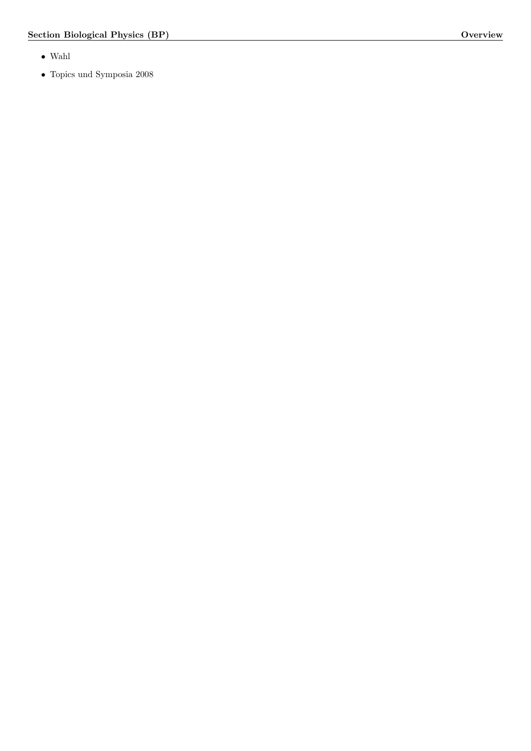- Wahl
- Topics und Symposia 2008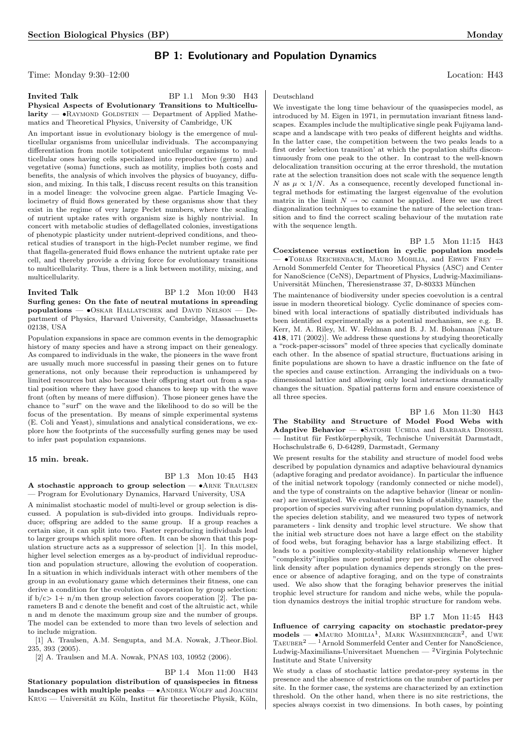# BP 1: Evolutionary and Population Dynamics

Time: Monday 9:30–12:00 Location: H43

Invited Talk BP 1.1 Mon 9:30 H43 Physical Aspects of Evolutionary Transitions to Multicellu $larity$   $\bullet$  RAYMOND GOLDSTEIN  $-$  Department of Applied Mathematics and Theoretical Physics, University of Cambridge, UK

An important issue in evolutionary biology is the emergence of multicellular organisms from unicellular individuals. The accompanying differentiation from motile totipotent unicellular organisms to multicellular ones having cells specialized into reproductive (germ) and vegetative (soma) functions, such as motility, implies both costs and benefits, the analysis of which involves the physics of buoyancy, diffusion, and mixing. In this talk, I discuss recent results on this transition in a model lineage: the volvocine green algae. Particle Imaging Velocimetry of fluid flows generated by these organisms show that they exist in the regime of very large Peclet numbers, where the scaling of nutrient uptake rates with organism size is highly nontrivial. In concert with metabolic studies of deflagellated colonies, investigations of phenotypic plasticity under nutrient-deprived conditions, and theoretical studies of transport in the high-Peclet number regime, we find that flagella-generated fluid flows enhance the nutrient uptake rate per cell, and thereby provide a driving force for evolutionary transitions to multicellularity. Thus, there is a link between motility, mixing, and multicellularity.

**Invited Talk** BP 1.2 Mon 10:00 H43 Surfing genes: On the fate of neutral mutations in spreading populations — •Oskar Hallatschek and David Nelson — Department of Physics, Harvard University, Cambridge, Massachusetts 02138, USA

Population expansions in space are common events in the demographic history of many species and have a strong impact on their genealogy. As compared to individuals in the wake, the pioneers in the wave front are usually much more successful in passing their genes on to future generations, not only because their reproduction is unhampered by limited resources but also because their offspring start out from a spatial position where they have good chances to keep up with the wave front (often by means of mere diffusion). Those pioneer genes have the chance to "surf" on the wave and the likelihood to do so will be the focus of the presentation. By means of simple experimental systems (E. Coli and Yeast), simulations and analytical considerations, we explore how the footprints of the successfully surfing genes may be used to infer past population expansions.

## 15 min. break.

BP 1.3 Mon 10:45 H43 A stochastic approach to group selection  $- \cdot$  ARNE TRAULSEN

— Program for Evolutionary Dynamics, Harvard University, USA A minimalist stochastic model of multi-level or group selection is discussed. A population is sub-divided into groups. Individuals reproduce; offspring are added to the same group. If a group reaches a certain size, it can split into two. Faster reproducing individuals lead to larger groups which split more often. It can be shown that this population structure acts as a suppressor of selection [1]. In this model, higher level selection emerges as a by-product of individual reproduction and population structure, allowing the evolution of cooperation. In a situation in which individuals interact with other members of the group in an evolutionary game which determines their fitness, one can derive a condition for the evolution of cooperation by group selection: if  $b/c > 1 + n/m$  then group selection favors cooperation [2]. The parameters B and c denote the benefit and cost of the altruistic act, while n and m denote the maximum group size and the number of groups. The model can be extended to more than two levels of selection and to include migration.

[1] A. Traulsen, A.M. Sengupta, and M.A. Nowak, J.Theor.Biol. 235, 393 (2005).

[2] A. Traulsen and M.A. Nowak, PNAS 103, 10952 (2006).

BP 1.4 Mon 11:00 H43 Stationary population distribution of quasispecies in fitness  $landscapes$  with multiple peaks  $\bullet$ ANDREA WOLFF and JOACHIM  $KRUG$  — Universität zu Köln, Institut für theoretische Physik, Köln,

<span id="page-3-0"></span>Deutschland

We investigate the long time behaviour of the quasispecies model, as introduced by M. Eigen in 1971, in permutation invariant fitness landscapes. Examples include the multiplicative single peak Fujiyama landscape and a landscape with two peaks of different heights and widths. In the latter case, the competition between the two peaks leads to a first order 'selection transition' at which the population shifts discontinuously from one peak to the other. In contrast to the well-known delocalization transition occuring at the error threshold, the mutation rate at the selection transition does not scale with the sequence length N as  $\mu \propto 1/N$ . As a consequence, recently developed functional integral methods for estimating the largest eigenvalue of the evolution matrix in the limit  $N \to \infty$  cannot be applied. Here we use direct diagonalization techniques to examine the nature of the selection transition and to find the correct scaling behaviour of the mutation rate with the sequence length.

BP 1.5 Mon 11:15 H43 Coexistence versus extinction in cyclic population models — •Tobias Reichenbach, Mauro Mobilia, and Erwin Frey — Arnold Sommerfeld Center for Theoretical Physics (ASC) and Center for NanoScience (CeNS), Department of Physics, Ludwig-Maximilians-Universität München, Theresienstrasse 37, D-80333 München

<span id="page-3-1"></span>The maintenance of biodiversity under species coevolution is a central issue in modern theoretical biology. Cyclic dominance of species combined with local interactions of spatially distributed individuals has been identified experimentally as a potential mechanism, see e.g. B. Kerr, M. A. Riley, M. W. Feldman and B. J. M. Bohannan [Nature 418, 171 (2002)]. We address these questions by studying theoretically a "rock-paper-scissors" model of three species that cyclically dominate each other. In the absence of spatial structure, fluctuations arising in finite populations are shown to have a drastic influence on the fate of the species and cause extinction. Arranging the individuals on a twodimensional lattice and allowing only local interactions dramatically changes the situation. Spatial patterns form and ensure coexistence of all three species.

BP 1.6 Mon 11:30 H43 The Stability and Structure of Model Food Webs with Adaptive Behavior -  $\bullet$ SATOSHI UCHIDA and BARBARA DROSSEL – Institut für Festkörperphysik, Technische Universität Darmstadt, Hochschulstraße 6, D-64289, Darmstadt, Germany

<span id="page-3-3"></span>We present results for the stability and structure of model food webs described by population dynamics and adaptive behavioural dynamics (adaptive foraging and predator avoidance). In particular the influence of the initial network topology (randomly connected or niche model), and the type of constraints on the adaptive behavior (linear or nonlinear) are investigated. We evaluated two kinds of stability, namely the proportion of species surviving after running population dynamics, and the species deletion stability, and we measured two types of network parameters - link density and trophic level structure. We show that the initial web structure does not have a large effect on the stability of food webs, but foraging behavior has a large stabilizing effect. It leads to a positive complexity-stability relationship whenever higher "complexity"implies more potential prey per species. The observed link density after population dynamics depends strongly on the presence or absence of adaptive foraging, and on the type of constraints used. We also show that the foraging behavior preserves the initial trophic level structure for random and niche webs, while the population dynamics destroys the initial trophic structure for random webs.

## <span id="page-3-2"></span>BP 1.7 Mon 11:45 H43

Influence of carrying capacity on stochastic predator-prey  $models$   $\longrightarrow$  Mauro Mobilla<sup>1</sup>, Mark Washenberger<sup>2</sup>, and Uwe  $\mbox{{\sc Triber}}^2$  —  $^1\mbox{{\sc Arnold}}$  Sommerfeld Center and Center for NanoScience, Ludwig-Maximilians-Universitaet Muenchen — <sup>2</sup>Virginia Polytechnic Institute and State University

<span id="page-3-4"></span>We study a class of stochastic lattice predator-prey systems in the presence and the absence of restrictions on the number of particles per site. In the former case, the systems are characterized by an extinction threshold. On the other hand, when there is no site restrictions, the species always coexist in two dimensions. In both cases, by pointing

<span id="page-3-5"></span>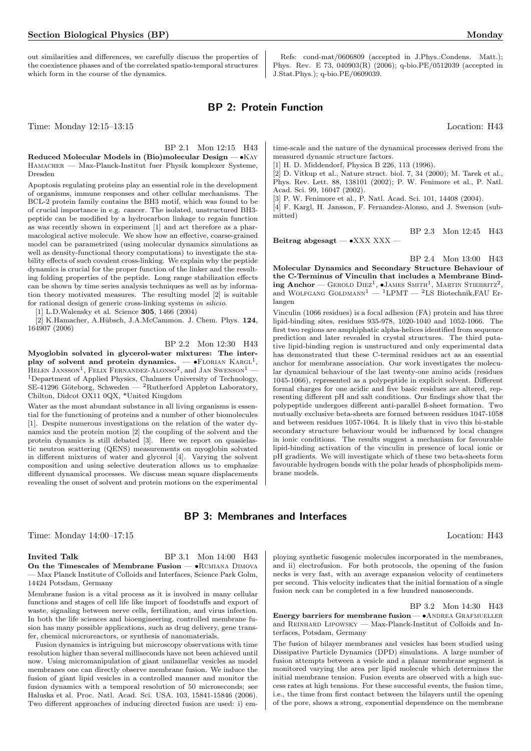out similarities and differences, we carefully discuss the properties of the coexistence phases and of the correlated spatio-temporal structures which form in the course of the dynamics.

Refs: cond-mat/0606809 (accepted in J.Phys.:Condens. Matt.); Phys. Rev. E 73, 040903(R) (2006); q-bio.PE/0512039 (accepted in J.Stat.Phys.); q-bio.PE/0609039.

# BP 2: Protein Function

Time: Monday 12:15–13:15 **Location: H43** Location: H43

# BP 2.1 Mon 12:15 H43

Reduced Molecular Models in (Bio)molecular Design — •Kay Hamacher — Max-Planck-Institut fuer Physik komplexer Systeme, Dresden

Apoptosis regulating proteins play an essential role in the development of organisms, immune responses and other cellular mechanisms. The BCL-2 protein family contains the BH3 motif, which was found to be of crucial importance in e.g. cancer. The isolated, unstructured BH3 peptide can be modified by a hydrocarbon linkage to regain function as was recently shown in experiment [1] and act therefore as a pharmacological active molecule. We show how an effective, coarse-grained model can be parametrized (using molecular dynamics simulations as well as density-functional theory computations) to investigate the stability effects of such covalent cross-linking. We explain why the peptide dynamics is crucial for the proper function of the linker and the resulting folding properties of the peptide. Long range stabilization effects can be shown by time series analysis techniques as well as by information theory motivated measures. The resulting model [2] is suitable for rational design of generic cross-linking systems in silicio.

[1] L.D.Walensky et al. Science 305, 1466 (2004)

[2] K.Hamacher, A.Hübsch, J.A.McCammon. J. Chem. Phys. 124, 164907 (2006)

BP 2.2 Mon 12:30 H43

Myoglobin solvated in glycerol-water mixtures: The interplay of solvent and protein dynamics.  $\bullet$ FLORIAN KARGL<sup>1</sup>, HELEN JANSSON<sup>1</sup>, FELIX FERNANDEZ-ALONSO<sup>2</sup>, and JAN SWENSON<sup>1</sup> — <sup>1</sup>Department of Applied Physics, Chalmers University of Technology,  $SE-41296$  Göteborg, Schweden — <sup>2</sup>Rutherford Appleton Laboratory, Chilton, Didcot OX11 0QX, \*United Kingdom

Water as the most abundant substance in all living organisms is essential for the functioning of proteins and a number of other biomolecules [1]. Despite numerous investigations on the relation of the water dynamics and the protein motion [2] the coupling of the solvent and the protein dynamics is still debated [3]. Here we report on quasielastic neutron scattering (QENS) measurements on myoglobin solvated in different mixtures of water and glycerol [4]. Varying the solvent composition and using selective deuteration allows us to emphasize different dynamical processes. We discuss mean square displacements revealing the onset of solvent and protein motions on the experimental

time-scale and the nature of the dynamical processes derived from the measured dynamic structure factors.

[1] H. D. Middendorf, Physica B 226, 113 (1996).

[2] D. Vitkup et al., Nature struct. biol. 7, 34 (2000); M. Tarek et al., Phys. Rev. Lett. 88, 138101 (2002); P. W. Fenimore et al., P. Natl. Acad. Sci. 99, 16047 (2002).

[3] P. W. Fenimore et al., P. Natl. Acad. Sci. 101, 14408 (2004).

[4] F. Kargl, H. Jansson, F. Fernandez-Alonso, and J. Swenson (submitted)

BP 2.3 Mon 12:45 H43

Beitrag abgesagt —  $\bullet$ XXX XXX —

BP 2.4 Mon 13:00 H43

Molecular Dynamics and Secondary Structure Behaviour of the C-Terminus of Vinculin that includes a Membrane Binding Anchor — GEROLD DIEZ<sup>1</sup>,  $\bullet$ JAMES SMITH<sup>1</sup>, MARTIN STIEBRITZ<sup>2</sup>, and WOLFGANG GOLDMANN<sup>1</sup> — <sup>1</sup>LPMT — <sup>2</sup>LS Biotechnik, FAU Erlangen

Vinculin (1066 residues) is a focal adhesion (FA) protein and has three lipid-binding sites, residues 935-978, 1020-1040 and 1052-1066. The first two regions are amphiphatic alpha-helices identified from sequence prediction and later revealed in crystal structures. The third putative lipid-binding region is unstructured and only experimental data has demonstrated that these C-terminal residues act as an essential anchor for membrane association. Our work investigates the molecular dynamical behaviour of the last twenty-one amino acids (residues 1045-1066), represented as a polypeptide in explicit solvent. Different formal charges for one acidic and five basic residues are altered, representing different pH and salt conditions. Our findings show that the polypeptide undergoes different anti-parallel ß-sheet formation. Two mutually exclusive beta-sheets are formed between residues 1047-1058 and between residues 1057-1064. It is likely that in vivo this bi-stable secondary structure behaviour would be influenced by local changes in ionic conditions. The results suggest a mechanism for favourable lipid-binding activation of the vinculin in presence of local ionic or pH gradients. We will investigate which of these two beta-sheets form favourable hydrogen bonds with the polar heads of phospholipids membrane models.

# BP 3: Membranes and Interfaces

Time: Monday 14:00–17:15 Location: H43

Invited Talk BP 3.1 Mon 14:00 H43 On the Timescales of Membrane Fusion — •Rumiana Dimova — Max Planck Institute of Colloids and Interfaces, Science Park Golm, 14424 Potsdam, Germany

Membrane fusion is a vital process as it is involved in many cellular functions and stages of cell life like import of foodstuffs and export of waste, signaling between nerve cells, fertilization, and virus infection. In both the life sciences and bioengineering, controlled membrane fusion has many possible applications, such as drug delivery, gene transfer, chemical microreactors, or synthesis of nanomaterials.

Fusion dynamics is intriguing but microscopy observations with time resolution higher than several milliseconds have not been achieved until now. Using micromanipulation of giant unilamellar vesicles as model membranes one can directly observe membrane fusion. We induce the fusion of giant lipid vesicles in a controlled manner and monitor the fusion dynamics with a temporal resolution of 50 microseconds; see Haluska et al. Proc. Natl. Acad. Sci. USA. 103, 15841-15846 (2006). Two different approaches of inducing directed fusion are used: i) em-

ploying synthetic fusogenic molecules incorporated in the membranes, and ii) electrofusion. For both protocols, the opening of the fusion necks is very fast, with an average expansion velocity of centimeters per second. This velocity indicates that the initial formation of a single fusion neck can be completed in a few hundred nanoseconds.

BP 3.2 Mon 14:30 H43

Energy barriers for membrane fusion -  $\bullet$  ANDREA GRAFMUELLER and Reinhard Lipowsky — Max-Planck-Institut of Colloids and Interfaces, Potsdam, Germany

The fusion of bilayer membranes and vesicles has been studied using Dissipative Particle Dynamics (DPD) simulations. A large number of fusion attempts between a vesicle and a planar membrane segment is monitored varying the area per lipid molecule which determines the initial membrane tension. Fusion events are observed with a high success rates at high tensions. For these successful events, the fusion time, i.e., the time from first contact between the bilayers until the opening of the pore, shows a strong, exponential dependence on the membrane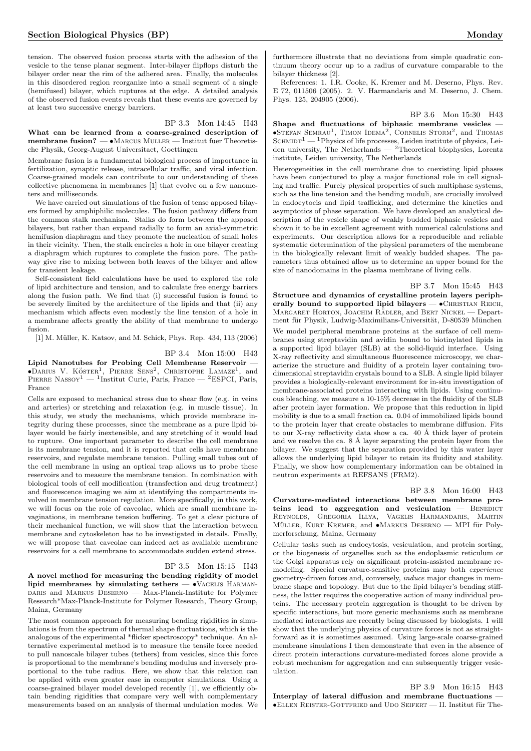tension. The observed fusion process starts with the adhesion of the vesicle to the tense planar segment. Inter-bilayer flipflops disturb the bilayer order near the rim of the adhered area. Finally, the molecules in this disordered region reorganize into a small segment of a single (hemifused) bilayer, which ruptures at the edge. A detailed analysis of the observed fusion events reveals that these events are governed by at least two successive energy barriers.

# BP 3.3 Mon 14:45 H43

What can be learned from a coarse-grained description of  $membrane fusion? — \bullet \text{MARCUS MULTER} — Institute$ che Physik, Georg-August Universitaet, Goettingen

Membrane fusion is a fundamental biological process of importance in fertilization, synaptic release, intracellular traffic, and viral infection. Coarse-grained models can contribute to our understanding of these collective phenomena in membranes [1] that evolve on a few nanometers and milliseconds.

We have carried out simulations of the fusion of tense apposed bilayers formed by amphiphilic molecules. The fusion pathway differs from the common stalk mechanism. Stalks do form between the apposed bilayers, but rather than expand radially to form an axial-symmetric hemifusion diaphragm and they promote the nucleation of small holes in their vicinity. Then, the stalk encircles a hole in one bilayer creating a diaphragm which ruptures to complete the fusion pore. The pathway give rise to mixing between both leaves of the bilayer and allow for transient leakage.

Self-consistent field calculations have be used to explored the role of lipid architecture and tension, and to calculate free energy barriers along the fusion path. We find that (i) successful fusion is found to be severely limited by the architecture of the lipids and that (ii) any mechanism which affects even modestly the line tension of a hole in a membrane affects greatly the ability of that membrane to undergo fusion.

[1] M. Müller, K. Katsov, and M. Schick, Phys. Rep. 434, 113 (2006)

BP 3.4 Mon 15:00 H43

Lipid Nanotubes for Probing Cell Membrane Reservoir —  $\bullet$ Darius V. Köster<sup>1</sup>, Pierre Sens<sup>2</sup>, Christophe Lamaze<sup>1</sup>, and Pierre Nassov<sup>1</sup> — <sup>1</sup>Institut Curie, Paris, France — <sup>2</sup>ESPCI, Paris, France

Cells are exposed to mechanical stress due to shear flow (e.g. in veins and arteries) or stretching and relaxation (e.g. in muscle tissue). In this study, we study the mechanisms, which provide membrane integrity during these processes, since the membrane as a pure lipid bilayer would be fairly inextensible, and any stretching of it would lead to rupture. One important parameter to describe the cell membrane is its membrane tension, and it is reported that cells have membrane reservoirs, and regulate membrane tension. Pulling small tubes out of the cell membrane in using an optical trap allows us to probe these reservoirs and to measure the membrane tension. In combination with biological tools of cell modification (transfection and drug treatment) and fluorescence imaging we aim at identifying the compartments involved in membrane tension regulation. More specifically, in this work, we will focus on the role of caveolae, which are small membrane invaginations, in membrane tension buffering. To get a clear picture of their mechanical function, we will show that the interaction between membrane and cytoskeleton has to be investigated in details. Finally, we will propose that caveolae can indeed act as available membrane reservoirs for a cell membrane to accommodate sudden extend stress.

# BP 3.5 Mon 15:15 H43

A novel method for measuring the bending rigidity of model lipid membranes by simulating tethers  $- \bullet$  VAGELIS HARMAN-DARIS and MARKUS DESERNO — Max-Planck-Institute for Polymer Research\*Max-Planck-Institute for Polymer Research, Theory Group, Mainz, Germany

The most common approach for measuring bending rigidities in simulations is from the spectrum of thermal shape fluctuations, which is the analogous of the experimental \*flicker spectroscopy\* technique. An alternative experimental method is to measure the tensile force needed to pull nanoscale bilayer tubes (tethers) from vesicles, since this force is proportional to the membrane's bending modulus and inversely proportional to the tube radius. Here, we show that this relation can be applied with even greater ease in computer simulations. Using a coarse-grained bilayer model developed recently [1], we efficiently obtain bending rigidities that compare very well with complementary measurements based on an analysis of thermal undulation modes. We

furthermore illustrate that no deviations from simple quadratic continuum theory occur up to a radius of curvature comparable to the bilayer thickness [2].

References: 1. I.R. Cooke, K. Kremer and M. Deserno, Phys. Rev. E 72, 011506 (2005). 2. V. Harmandaris and M. Deserno, J. Chem. Phys. 125, 204905 (2006).

#### BP 3.6 Mon 15:30 H43

Shape and fluctuations of biphasic membrane vesicles —  $\bullet$ STEFAN SEMRAU<sup>1</sup>, TIMON IDEMA<sup>2</sup>, CORNELIS STORM<sup>2</sup>, and THOMAS  $SCHMIDT<sup>1</sup>$  — <sup>1</sup>Physics of life processes, Leiden institute of physics, Leiden university, The Netherlands  $-$  <sup>2</sup>Theoretical biophysics, Lorentz institute, Leiden university, The Netherlands

Heterogeneities in the cell membrane due to coexisting lipid phases have been conjectured to play a major functional role in cell signaling and traffic. Purely physical properties of such multiphase systems, such as the line tension and the bending moduli, are crucially involved in endocytocis and lipid trafficking, and determine the kinetics and asymptotics of phase separation. We have developed an analytical description of the vesicle shape of weakly budded biphasic vesicles and shown it to be in excellent agreement with numerical calculations and experiments. Our description allows for a reproducible and reliable systematic determination of the physical parameters of the membrane in the biologically relevant limit of weakly budded shapes. The parameters thus obtained allow us to determine an upper bound for the size of nanodomains in the plasma membrane of living cells.

#### BP 3.7 Mon 15:45 H43

Structure and dynamics of crystalline protein layers peripherally bound to supported lipid bilayers -  $\bullet$ CHRISTIAN REICH, MARGARET HORTON, JOACHIM RÄDLER, and BERT NICKEL — Department für Physik, Ludwig-Maximilians-Universität, D-80539 München We model peripheral membrane proteins at the surface of cell membranes using streptavidin and avidin bound to biotinylated lipids in a supported lipid bilayer (SLB) at the solid-liquid interface. Using X-ray reflectivity and simultaneous fluorescence microscopy, we characterize the structure and fluidity of a protein layer containing twodimensional streptavidin crystals bound to a SLB. A single lipid bilayer provides a biologically-relevant environment for in-situ investigation of membrane-associated proteins interacting with lipids. Using continuous bleaching, we measure a 10-15% decrease in the fluidity of the SLB after protein layer formation. We propose that this reduction in lipid mobility is due to a small fraction ca. 0.04 of immobilized lipids bound to the protein layer that create obstacles to membrane diffusion. Fits to our X-ray reflectivity data show a ca.  $40 \text{ Å}$  thick layer of protein and we resolve the ca.  $8\text{ Å}$  layer separating the protein layer from the bilayer. We suggest that the separation provided by this water layer allows the underlying lipid bilayer to retain its fluidity and stability. Finally, we show how complementary information can be obtained in neutron experiments at REFSANS (FRM2).

## BP 3.8 Mon 16:00 H43

Curvature-mediated interactions between membrane proteins lead to aggregation and vesiculation  $-$  BENEDICT Reynolds, Gregoria Illya, Vagelis Harmandaris, Martin MÜLLER, KURT KREMER, and  $\bullet$ MARKUS DESERNO — MPI für Polymerforschung, Mainz, Germany

Cellular tasks such as endocytosis, vesiculation, and protein sorting, or the biogenesis of organelles such as the endoplasmic reticulum or the Golgi apparatus rely on significant protein-assisted membrane remodeling. Special curvature-sensitive proteins may both experience geometry-driven forces and, conversely, induce major changes in membrane shape and topology. But due to the lipid bilayer's bending stiffness, the latter requires the cooperative action of many individual proteins. The necessary protein aggregation is thought to be driven by specific interactions, but more generic mechanisms such as membrane mediated interactions are recently being discussed by biologists. I will show that the underlying physics of curvature forces is not as straightforward as it is sometimes assumed. Using large-scale coarse-grained membrane simulations I then demonstrate that even in the absence of direct protein interactions curvature-mediated forces alone provide a robust mechanism for aggregation and can subsequently trigger vesiculation.

#### BP 3.9 Mon 16:15 H43

Interplay of lateral diffusion and membrane fluctuations —  $\bullet$ ELLEN REISTER-GOTTFRIED and UDO SEIFERT — II. Institut für The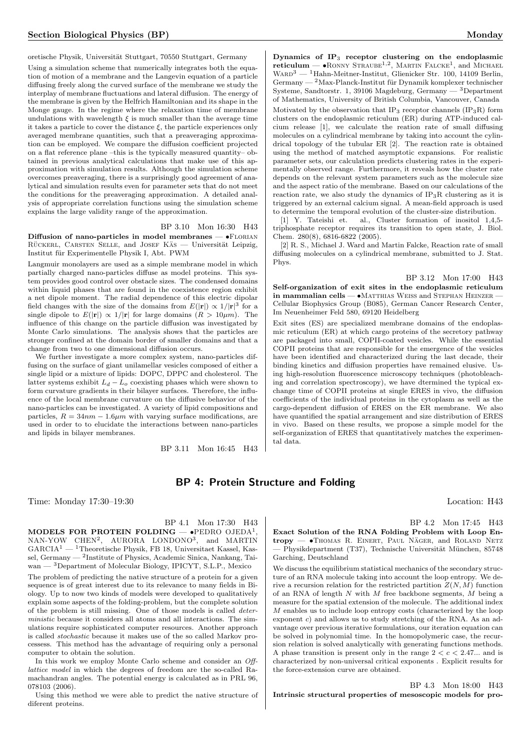oretische Physik, Universität Stuttgart, 70550 Stuttgart, Germany

Using a simulation scheme that numerically integrates both the equation of motion of a membrane and the Langevin equation of a particle diffusing freely along the curved surface of the membrane we study the interplay of membrane fluctuations and lateral diffusion. The energy of the membrane is given by the Helfrich Hamiltonian and its shape in the Monge gauge. In the regime where the relaxation time of membrane undulations with wavelength  $\xi$  is much smaller than the average time it takes a particle to cover the distance  $\xi$ , the particle experiences only averaged membrane quantities, such that a preaveraging approximation can be employed. We compare the diffusion coefficient projected on a flat reference plane –this is the typically measured quantity– obtained in previous analytical calculations that make use of this approximation with simulation results. Although the simulation scheme overcomes preaveraging, there is a surprisingly good agreement of analytical and simulation results even for parameter sets that do not meet the conditions for the preaveraging approximation. A detailed analysis of appropriate correlation functions using the simulation scheme explains the large validity range of the approximation.

BP 3.10 Mon 16:30 H43 Diffusion of nano-particles in model membranes  $\bullet$ FLORIAN RÜCKERL, CARSTEN SELLE, and JOSEF KÄS — Universität Leipzig, Institut für Experimentelle Physik I, Abt. PWM

Langmuir monolayers are used as a simple membrane model in which partially charged nano-particles diffuse as model proteins. This system provides good control over obstacle sizes. The condensed domains within liquid phases that are found in the coexistence region exhibit a net dipole moment. The radial dependence of this electric dipolar field changes with the size of the domains from  $E(|\mathbf{r}|) \propto 1/|\mathbf{r}|^3$  for a single dipole to  $E(|\mathbf{r}|) \propto 1/|\mathbf{r}|$  for large domains  $(R > 10 \mu m)$ . The influence of this change on the particle diffusion was investigated by Monte Carlo simulations. The analysis shows that the particles are stronger confined at the domain border of smaller domains and that a change from two to one dimensional diffusion occurs.

We further investigate a more complex system, nano-particles diffusing on the surface of giant unilamellar vesicles composed of either a single lipid or a mixture of lipids: DOPC, DPPC and cholesterol. The latter systems exhibit  $L_d - L_o$  coexisting phases which were shown to form curvature gradients in their bilayer surfaces. Therefore, the influence of the local membrane curvature on the diffusive behavior of the nano-particles can be investigated. A variety of lipid compositions and particles,  $R = 34nm - 1.6\mu m$  with varying surface modifications, are used in order to to elucidate the interactions between nano-particles and lipids in bilayer membranes.

BP 3.11 Mon 16:45 H43

Dynamics of  $IP_3$  receptor clustering on the endoplasmic reticulum —  $\bullet$  RONNY STRAUBE<sup>1,2</sup>, MARTIN FALCKE<sup>1</sup>, and MICHAEL  $\rm WARD^3$  —  $\rm ^1Hahn\text{-}Meitner\text{-}Institut, Glienicker Str.$  100, 14109 Berlin, Germany —  $^2\rm{Max-Planck-Institut}$  für Dynamik komplexer technischer Systeme, Sandtorstr. 1, 39106 Magdeburg, Germany — <sup>3</sup>Department of Mathematics, University of British Columbia, Vancouver, Canada Motivated by the observation that  $IP_3$  receptor channels  $(IP_3R)$  form clusters on the endoplasmic reticulum (ER) during ATP-induced calcium release [1], we calculate the reation rate of small diffusing molecules on a cylindrical membrane by taking into account the cylindrical topology of the tubular ER [2]. The reaction rate is obtained using the method of matched asymptotic expansions. For realistic parameter sets, our calculation predicts clustering rates in the experimentally observed range. Furthermore, it reveals how the cluster rate depends on the relevant system parameters such as the molecule size and the aspect ratio of the membrane. Based on our calculations of the reaction rate, we also study the dynamics of  $IP_3R$  clustering as it is triggered by an external calcium signal. A mean-field approach is used to determine the temporal evolution of the cluster-size distribution.

[1] Y. Tateishi et. al., Cluster formation of inositol 1,4,5 triphosphate receptor requires its transition to open state, J. Biol. Chem. 280(8), 6816-6822 (2005).

[2] R. S., Michael J. Ward and Martin Falcke, Reaction rate of small diffusing molecules on a cylindrical membrane, submitted to J. Stat. Phys.

BP 3.12 Mon 17:00 H43 Self-organization of exit sites in the endoplasmic reticulum in mammalian cells  $- \bullet$  Matthias Weiss and Stephan Heinzer  $-$ Cellular Biophysics Group (B085), German Cancer Research Center, Im Neuenheimer Feld 580, 69120 Heidelberg

Exit sites (ES) are specialized membrane domains of the endoplasmic reticulum (ER) at which cargo proteins of the secretory pathway are packaged into small, COPII-coated vesicles. While the essential COPII proteins that are responsible for the emergence of the vesicles have been identified and characterized during the last decade, their binding kinetics and diffusion properties have remained elusive. Using high-resolution fluorescence microscopy techniques (photobleaching and correlation spectroscopy), we have dtermined the typical exchange time of COPII proteins at single ERES in vivo, the diffusion coefficients of the individual proteins in the cytoplasm as well as the cargo-dependent diffusion of ERES on the ER membrane. We also have quantified the spatial arrangement and size distribution of ERES in vivo. Based on these results, we propose a simple model for the self-organization of ERES that quantitatively matches the experimental data.

# BP 4: Protein Structure and Folding

Time: Monday 17:30–19:30 Location: H43

BP 4.1 Mon 17:30 H43

MODELS FOR PROTEIN FOLDING —  $\bullet$ PEDRO OJEDA<sup>1</sup>, NAN-YOW CHEN2 , AURORA LONDONO<sup>3</sup> , and MARTIN  $\mathsf{GARCH}^1$  —  $^1\mathsf{Theoretische Physik, FB}$ 18, Universitaet Kassel, Kassel, Germany — <sup>2</sup>Institute of Physics, Academic Sinica, Nankang, Taiwan — <sup>3</sup>Department of Molecular Biology, IPICYT, S.L.P., Mexico

The problem of predicting the native structure of a protein for a given sequence is of great interest due to its relevance to many fields in Biology. Up to now two kinds of models were developed to qualitatively explain some aspects of the folding-problem, but the complete solution of the problem is still missing. One of those models is called deterministic because it considers all atoms and all interactions. The simulations require sophisticated computer resources. Another approach is called stochastic because it makes use of the so called Markov processess. This method has the advantage of requiring only a personal computer to obtain the solution.

In this work we employ Monte Carlo scheme and consider an Offlattice model in which the degrees of freedom are the so-called Ramachandran angles. The potential energy is calculated as in PRL 96, 078103 (2006).

Using this method we were able to predict the native structure of diferent proteins.

BP 4.2 Mon 17:45 H43

Exact Solution of the RNA Folding Problem with Loop En $tropy$   $\bullet$  Thomas R. Einert, Paul NAGER, and ROLAND NETZ  $-$  Physikdepartment (T37), Technische Universität München, 85748 Garching, Deutschland

We discuss the equilibrium statistical mechanics of the secondary structure of an RNA molecule taking into account the loop entropy. We derive a recursion relation for the restricted partition  $Z(N, M)$  function of an RNA of length  $N$  with  $M$  free backbone segments,  $M$  being a measure for the spatial extension of the molecule. The additional index M enables us to include loop entropy costs (characterized by the loop exponent c) and allows us to study stretching of the RNA. As an advantage over previous iterative formulations, our iteration equation can be solved in polynomial time. In the homopolymeric case, the recursion relation is solved analytically with generating functions methods. A phase transition is present only in the range  $2 < c < 2.47...$  and is characterized by non-universal critical exponents . Explicit results for the force-extension curve are obtained.

BP 4.3 Mon 18:00 H43 Intrinsic structural properties of mesoscopic models for pro-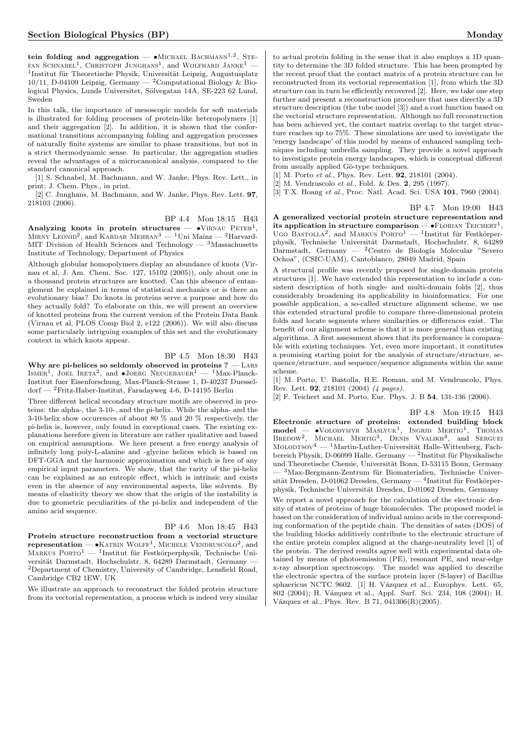tein folding and aggregation —  $\bullet$ MICHAEL BACHMANN<sup>1,2</sup>, STE-FAN SCHNABEL<sup>1</sup>, CHRISTOPH JUNGHANS<sup>1</sup>, and WOLFHARD JANKE<sup>1</sup> -<sup>1</sup>Institut für Theoretische Physik, Universität Leipzig, Augustusplatz 10/11, D-04109 Leipzig, Germany — <sup>2</sup>Computational Biology & Biological Physics, Lunds Universitet, Sölvegatan 14A, SE-223 62 Lund, Sweden

In this talk, the importance of mesoscopic models for soft materials is illustrated for folding processes of protein-like heteropolymers [1] and their aggregation [2]. In addition, it is shown that the conformational transitions accompanying folding and aggregation processes of naturally finite systems are similar to phase transitions, but not in a strict thermodynamic sense. In particular, the aggregation studies reveal the advantages of a microcanonical analysis, compared to the standard canonical approach.

[1] S. Schnabel, M. Bachmann, and W. Janke, Phys. Rev. Lett., in print; J. Chem. Phys., in print.

[2] C. Junghans, M. Bachmann, and W. Janke, Phys. Rev. Lett. 97, 218103 (2006).

BP 4.4 Mon 18:15 H43

Analyzing knots in protein structures  $\bullet$  VIRNAU PETER<sup>1</sup>, MIRNY LEONID<sup>2</sup>, and KARDAR MEHRAN<sup>3</sup> — <sup>1</sup>Uni Mainz — <sup>2</sup>Harvard-MIT Division of Health Sciences and Technology  $-$  <sup>3</sup>Massachusetts Institute of Technology, Department of Physics

Although globular homopolymers display an abundance of knots (Virnau et al, J. Am. Chem. Soc. 127, 15102 (2005)), only about one in a thousand protein structures are knotted. Can this absence of entanglement be explained in terms of statistical mechanics or is there an evolutionary bias? Do knots in proteins serve a purpose and how do they actually fold? To elaborate on this, we will present an overview of knotted proteins from the current version of the Protein Data Bank (Virnau et al, PLOS Comp Biol 2, e122 (2006)). We will also discuss some particularly intriguing examples of this set and the evolutionary context in which knots appear.

BP 4.5 Mon 18:30 H43

Why are pi-helices so seldomly observed in proteins ? - LARS ISMER<sup>1</sup>, JOEL IRETA<sup>2</sup>, and  $\bullet$ JOERG NEUGEBAUER<sup>1</sup> - <sup>1</sup>Max-Planck-Institut fuer Eisenforschung, Max-Planck-Strasse 1, D-40237 Duesseldorf — <sup>2</sup>Fritz-Haber-Institut, Faradayweg 4-6, D-14195 Berlin

Three different helical secondary structure motifs are observed in proteins: the alpha-, the 3-10-, and the pi-helix. While the alpha- and the 3-10-helix show occurences of about 80 % and 20 % respectively, the pi-helix is, however, only found in exceptional cases. The existing explanations herefore given in literature are rather qualitative and based on empirical assumptions. We here present a free energy analysis of infinitely long poly-L-alanine and -glycine helices which is based on DFT-GGA and the harmonic approximation and which is free of any empirical input parameters. We show, that the rarity of the pi-helix can be explained as an entropic effect, which is intrinsic and exists even in the absence of any environmental aspects, like solvents. By means of elasticity theory we show that the origin of the instability is due to geometric peculiarities of the pi-helix and independent of the amino acid sequence.

## BP 4.6 Mon 18:45 H43

Protein structure reconstruction from a vectorial structure **representation** —  $\bullet$  KATRIN WOLFF<sup>1</sup>, MICHELE VENDRUSCOLO<sup>2</sup>, and  $M$ ARKUS PORTO $1 - 1$ Institut für Festkörperphysik, Technische Universität Darmstadt, Hochschulstr. 8, 64289 Darmstadt, Germany - $^2$  Department of Chemistry, University of Cambridge, Lensfield Road, Cambridge CB2 1EW, UK

We illustrate an approach to reconstruct the folded protein structure from its vectorial representation, a process which is indeed very similar

to actual protein folding in the sense that it also employs a 1D quantity to determine the 3D folded structure. This has been prompted by the recent proof that the contact matrix of a protein structure can be reconstructed from its vectorial representation [1], from which the 3D structure can in turn be efficiently recovered [2]. Here, we take one step further and present a reconstruction procedure that uses directly a 3D structure description (the tube model [3]) and a cost function based on the vectorial structure representation. Although no full reconstruction has been achieved yet, the contact matrix overlap to the target structure reaches up to 75%. These simulations are used to investigate the 'energy landscape' of this model by means of enhanced sampling techniques including umbrella sampling. They provide a novel approach to investigate protein energy landscapes, which is conceptual different from usually applied Gō-type techniques.

[1] M. Porto et al., Phys. Rev. Lett. **92**, 218101 (2004).

[2] M. Vendruscolo et al., Fold. & Des. 2, 295 (1997).

[3] T.X. Hoang et al., Proc. Natl. Acad. Sci. USA 101, 7960 (2004).

BP 4.7 Mon 19:00 H43

A generalized vectorial protein structure representation and its application in structure comparison  $\bullet$  FLORIAN TEICHERT<sup>1</sup>, UGO BASTOLLA<sup>2</sup>, and MARKUS PORTO<sup>1</sup> - <sup>1</sup>Institut für Festkörperphysik, Technische Universität Darmstadt, Hochschulstr. 8, 64289 Darmstadt, Germany — <sup>2</sup>Centro de Biología Molecular "Severo" Ochoa", (CSIC-UAM), Cantoblanco, 28049 Madrid, Spain

A structural profile was recently proposed for single-domain protein structures [1]. We have extended this representation to include a consistent description of both single- and multi-domain folds [2], thus considerably broadening its applicability in bioinformatics. For one possible application, a so-called structure alignment scheme, we use this extended structural profile to compare three-dimensional protein folds and locate segments where similarities or differences exist. The benefit of our alignment scheme is that it is more general than existing algorithms. A first assessment shows that its performance is comparable with existing techniques. Yet, even more important, it constitutes a promising starting point for the analysis of structure/structure, sequence/structure, and sequence/sequence alignments within the same scheme.

[1] M. Porto, U. Bastolla, H.E. Roman, and M. Vendruscolo, Phys. Rev. Lett. 92, 218101 (2004) (4 pages).

[2] F. Teichert and M. Porto, Eur. Phys. J. B 54, 131-136 (2006).

BP 4.8 Mon 19:15 H43 Electronic structure of proteins: extended building block model — •VOLODYMYR MASLYUK<sup>1</sup>, INGRID MERTIG<sup>1</sup>, THOMAS BREDOW<sup>2</sup>, MICHAEL MERTIG<sup>3</sup>, DENIS VYALIKH<sup>4</sup>, and SERGUEI  $\text{MoLODTSOV}^4$  —  $^1\text{Martin-Luther-Universität Halle-Wittenberg, Fach$ bereich Physik, D-06099 Halle, Germany —  $^2$ Institut für Physikalische und Theoretische Chemie, Universität Bonn, D-53115 Bonn, Germany  $-3$ Max-Bergmann-Zentrum für Biomaterialien, Technische Universität Dresden, D-01062 Dresden, Germany  $-$ <sup>4</sup>Institut für Festkörperphysik, Technische Universität Dresden, D-01062 Dresden, Germany

We report a novel approach for the calculation of the electronic density of states of proteins of huge biomolecules. The proposed model is based on the consideration of individual amino acids in the corresponding conformation of the peptide chain. The densities of sates (DOS) of the building blocks additively contribute to the electronic structure of the entire protein complex aligned at the charge-neutrality level [1] of the protein. The derived results agree well with experimental data obtained by means of photoemission (PE), resonant PE, and near-edge x-ray absorption spectroscopy. The model was applied to describe the electronic spectra of the surface protein layer (S-layer) of Bacillus sphaericus NCTC 9602. [1] H. Vázquez et al., Europhys. Lett. 65, 802 (2004); H. Vázquez et al., Appl. Surf. Sci. 234, 108 (2004); H. Vázquez et al., Phys. Rev. B 71, 041306(R)(2005).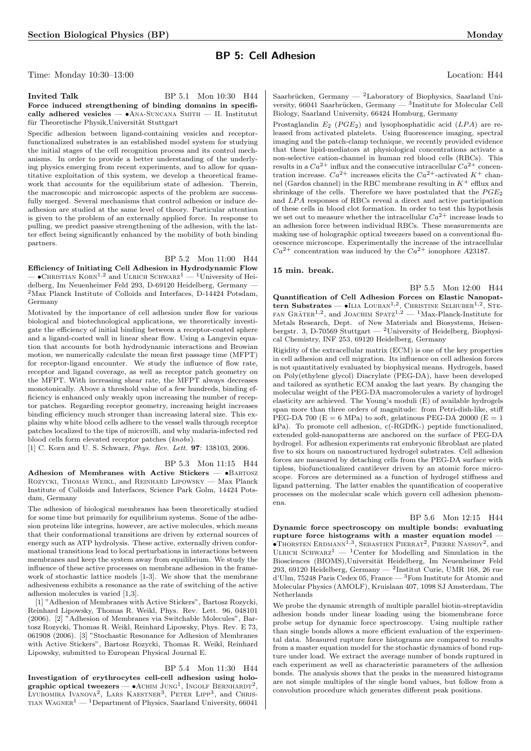# BP 5: Cell Adhesion

Time: Monday 10:30–13:00 Location: H44

#### Invited Talk BP 5.1 Mon 10:30 H44 Force induced strengthening of binding domains in specifically adhered vesicles  $\bullet$ ANA-SUNCANA SMITH  $-$  II. Institutut für Theoretische Physik,Universität Stuttgart

Specific adhesion between ligand-containing vesicles and receptorfunctionalized substrates is an established model system for studying the initial stages of the cell recognition process and its control mechanisms. In order to provide a better understanding of the underlying physics emerging from recent experiments, and to allow for quantitative exploitation of this system, we develop a theoretical framework that accounts for the equilibrium state of adhesion. Therein, the macroscopic and microscopic aspects of the problem are successfully merged. Several mechanisms that control adhesion or induce deadhesion are studied at the same level of theory. Particular attention is given to the problem of an externally applied force. In response to pulling, we predict passive strengthening of the adhesion, with the latter effect being significantly enhanced by the mobility of both binding partners.

# BP 5.2 Mon 11:00 H44

Efficiency of Initiating Cell Adhesion in Hydrodynamic Flow  $\bullet$ CHRISTIAN KORN<sup>1,2</sup> and ULRICH SCHWARZ<sup>1</sup> — <sup>1</sup>University of Heidelberg, Im Neuenheimer Feld 293, D-69120 Heidelberg, Germany — <sup>2</sup>Max Planck Institute of Colloids and Interfaces, D-14424 Potsdam, Germany

Motivated by the importance of cell adhesion under flow for various biological and biotechnological applications, we theoretically investigate the efficiency of initial binding between a receptor-coated sphere and a ligand-coated wall in linear shear flow. Using a Langevin equation that accounts for both hydrodynamic interactions and Browian motion, we numerically calculate the mean first passage time (MFPT) for receptor-ligand encounter. We study the influence of flow rate, receptor and ligand coverage, as well as receptor patch geometry on the MFPT. With increasing shear rate, the MFPT always decreases monotonically. Above a threshold value of a few hundreds, binding efficiency is enhanced only weakly upon increasing the number of receptor patches. Regarding receptor geometry, increasing height increases binding efficiency much stronger than increasing lateral size. This explains why white blood cells adhere to the vessel walls through receptor patches localized to the tips of microvilli, and why malaria-infected red blood cells form elevated receptor patches (knobs).

[1] C. Korn and U. S. Schwarz, *Phys. Rev. Lett.* **97**: 138103, 2006.

#### BP 5.3 Mon 11:15 H44

Adhesion of Membranes with Active Stickers — •Bartosz Rozycki, Thomas Weikl, and Reinhard Lipowsky — Max Planck Institute of Colloids and Interfaces, Science Park Golm, 14424 Potsdam, Germany

The adhesion of biological membranes has been theoretically studied for some time but primarily for equilibrium systems. Some of the adhesion proteins like integrins, however, are active molecules, which means that their conformational transitions are driven by external sources of energy such as ATP hydrolysis. These active, externally driven conformational transitions lead to local perturbations in interactions between membranes and keep the system away from equilibrium. We study the influence of these active processes on membrane adhesion in the framework of stochastic lattice models [1-3]. We show that the membrane adhesiveness exhibits a resonance as the rate of switching of the active adhesion molecules is varied [1,3].

[1] "Adhesion of Membranes with Active Stickers", Bartosz Rozycki, Reinhard Lipowsky, Thomas R. Weikl, Phys. Rev. Lett. 96, 048101 (2006). [2] "Adhesion of Membranes via Switchable Molecules", Bartosz Rozycki, Thomas R. Weikl, Reinhard Lipowsky, Phys. Rev. E 73, 061908 (2006). [3] "Stochastic Resonance for Adhesion of Membranes with Active Stickers", Bartosz Rozycki, Thomas R. Weikl, Reinhard Lipowsky, submitted to European Physical Journal E.

# BP 5.4 Mon 11:30 H44

Investigation of erythrocytes cell-cell adhesion using holographic optical tweezers  $\bullet$  ACHIM JUNG<sup>1</sup>, INGOLF BERNHARDT<sup>2</sup>, LYUBOMIRA IVANOVA<sup>2</sup>, LARS KAESTNER<sup>3</sup>, PETER LIPP<sup>3</sup>, and CHRIS-TIAN WAGNER<sup>1</sup> — <sup>1</sup>Department of Physics, Saarland University, 66041 Saarbrücken, Germany —  $^2$ Laboratory of Biophysics, Saarland University, 66041 Saarbrücken, Germany — 3Institute for Molecular Cell Biology, Saarland University, 66424 Homburg, Germany

Prostaglandin  $E_2$  ( $PGE_2$ ) and lysophosphatidic acid ( $LPA$ ) are released from activated platelets. Using fluorescence imaging, spectral imaging and the patch-clamp technique, we recently provided evidence that these lipid-mediators at physiological concentrations activate a non-selective cation-channel in human red blood cells (RBCs). This results in a  $Ca^{2+}$  influx and the consecutive intracellular  $Ca^{2+}$  concentration increase.  $Ca^{2+}$  increases elicits the  $Ca^{2+}$ -activated  $K^+$  channel (Gardos channel) in the RBC membrane resulting in  $K^+$  efflux and shrinkage of the cells. Therefore we have postulated that the  $PGE_2$ and LPA responses of RBCs reveal a direct and active participation of these cells in blood clot formation. In order to test this hypothesis we set out to measure whether the intracellular  $Ca^{2+}$  increase leads to an adhesion force between individual RBCs. These measurements are making use of holographic optical tweezers based on a conventional fluorescence microscope. Experimentally the increase of the intracellular  $Ca^{2+}$  concentration was induced by the  $Ca^{2+}$  ionophore A23187.

#### 15 min. break.

BP 5.5 Mon 12:00 H44 Quantification of Cell Adhesion Forces on Elastic Nanopattern Substrates —  $\bullet$ LIA LOUBAN<sup>1,2</sup>, CHRISTINE SELHUBER<sup>1,2</sup>, STE-FAN GRÄTER<sup>1,2</sup>, and JOACHIM SPATZ<sup>1,2</sup> - <sup>1</sup>Max-Planck-Institute for Metals Research, Dept. of New Materials and Biosystems, Heisenbergstr. 3, D-70569 Stuttgart — <sup>2</sup>University of Heidelberg, Biophysical Chemistry, INF 253, 69120 Heidelberg, Germany

Rigidity of the extracellular matrix (ECM) is one of the key properties in cell adhesion and cell migration. Its influence on cell adhesion forces is not quantitatively evaluated by biophysical means. Hydrogels, based on Poly(ethylene glycol) Diacrylate (PEG-DA), have been developed and tailored as synthetic ECM analog the last years. By changing the molecular weight of the PEG-DA macromolecules a variety of hydrogel elasticity are achieved. The Young's moduli (E) of available hydrogels span more than three orders of magnitude: from Petri-dish-like, stiff PEG-DA 700 ( $E = 6$  MPa) to soft, gelatinous PEG-DA 20000 ( $E = 1$ ) kPa). To promote cell adhesion, c(-RGDfK-) peptide functionalized, extended gold-nanopatterns are anchored on the surface of PEG-DA hydrogel. For adhesion experiments rat embryonic fibroblast are plated five to six hours on nanostructured hydrogel substrates. Cell adhesion forces are measured by detaching cells from the PEG-DA surface with tipless, biofunctionalized cantilever driven by an atomic force microscope. Forces are determined as a function of hydrogel stiffness and ligand patterning. The latter enables the quantification of cooperative processes on the molecular scale which govern cell adhesion phenomena.

# BP 5.6 Mon 12:15 H44

Dynamic force spectroscopy on multiple bonds: evaluating rupture force histograms with a master equation model —  $\bullet$ Thorsten Erdmann<sup>1,3</sup>, Sebastien Pierrat<sup>2</sup>, Pierre Nassov<sup>2</sup>, and ULRICH SCHWARZ<sup>1</sup> — <sup>1</sup>Center for Modelling and Simulation in the Biosciences (BIOMS),Universität Heidelberg, Im Neuenheimer Feld 293, 69120 Heidelberg, Germany — <sup>2</sup> Institut Curie, UMR 168, 26 rue d'Ulm, 75248 Paris Cedex 05, France — <sup>3</sup>Fom Institute for Atomic and Molecular Physics (AMOLF), Kruislaan 407, 1098 SJ Amsterdam, The Netherlands

We probe the dynamic strength of multiple parallel biotin-streptavidin adhesion bonds under linear loading using the biomembrane force probe setup for dynamic force spectroscopy. Using multiple rather than single bonds allows a more efficient evaluation of the experimental data. Measured rupture force histograms are compared to results from a master equation model for the stochastic dynamics of bond rupture under load. We extract the average number of bonds ruptured in each experiment as well as characteristic parameters of the adhesion bonds. The analysis shows that the peaks in the measured histograms are not simple multiples of the single bond values, but follow from a convolution procedure which generates different peak positions.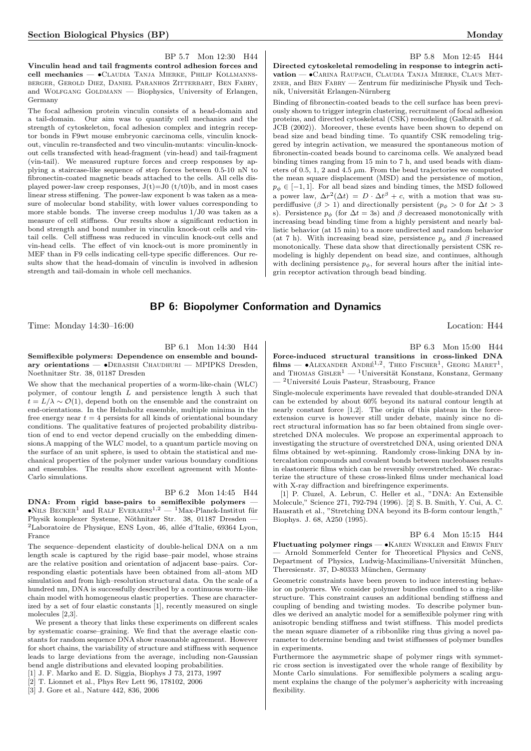BP 5.7 Mon 12:30 H44

Vinculin head and tail fragments control adhesion forces and cell mechanics — •Claudia Tanja Mierke, Philip Kollmannsberger, Gerold Diez, Daniel Paranhos Zitterbart, Ben Fabry, and WOLFGANG GOLDMANN - Biophysics, University of Erlangen, Germany

The focal adhesion protein vinculin consists of a head-domain and a tail-domain. Our aim was to quantify cell mechanics and the strength of cytoskeleton, focal adhesion complex and integrin receptor bonds in F9wt mouse embryonic carcinoma cells, vinculin knockout, vinculin re-transfected and two vinculin-mutants: vinculin-knockout cells transfected with head-fragment (vin-head) and tail-fragment (vin-tail). We measured rupture forces and creep responses by applying a staircase-like sequence of step forces between 0.5-10 nN to fibronectin-coated magnetic beads attached to the cells. All cells displayed power-law creep responses,  $J(t)=J0$   $(t/t0)$ b, and in most cases linear stress stiffening. The power-law exponent b was taken as a measure of molecular bond stability, with lower values corresponding to more stable bonds. The inverse creep modulus 1/J0 was taken as a measure of cell stiffness. Our results show a significant reduction in bond strength and bond number in vinculin knock-out cells and vintail cells. Cell stiffness was reduced in vinculin knock-out cells and vin-head cells. The effect of vin knock-out is more prominently in MEF than in F9 cells indicating cell-type specific differences. Our results show that the head-domain of vinculin is involved in adhesion strength and tail-domain in whole cell mechanics.

# BP 5.8 Mon 12:45 H44 Directed cytoskeletal remodeling in response to integrin acti-

vation — •Carina Raupach, Claudia Tanja Mierke, Claus Met- $ZNER$ , and BEN FABRY — Zentrum für medizinische Physik und Technik, Universität Erlangen-Nürnberg

Binding of fibronectin-coated beads to the cell surface has been previously shown to trigger integrin clustering, recruitment of focal adhesion proteins, and directed cytoskeletal (CSK) remodeling (Galbraith et al. JCB (2002)). Moreover, these events have been shown to depend on bead size and bead binding time. To quantify CSK remodeling triggered by integrin activation, we measured the spontaneous motion of fibronectin-coated beads bound to carcinoma cells. We analyzed bead binding times ranging from 15 min to 7 h, and used beads with diameters of 0.5, 1, 2 and 4.5  $\mu$ m. From the bead trajectories we computed the mean square displacement (MSD) and the persistence of motion,  $p_{\phi} \in [-1, 1]$ . For all bead sizes and binding times, the MSD followed a power law,  $\Delta r^2(\Delta t) = D \cdot \Delta t^{\beta} + c$ , with a motion that was superdiffusive ( $\beta > 1$ ) and directionally persistent ( $p_{\phi} > 0$  for  $\Delta t > 3$ s). Persistence  $p_{\phi}$  (for  $\Delta t = 3$ s) and  $\beta$  decreased monotonically with increasing bead binding time from a highly persistent and nearly ballistic behavior (at 15 min) to a more undirected and random behavior (at 7 h). With increasing bead size, persistence  $p_{\phi}$  and  $\beta$  increased monotonically. These data show that directionally persistent CSK remodeling is highly dependent on bead size, and continues, although with declining persistence  $p_{\phi}$ , for several hours after the initial integrin receptor activation through bead binding.

# BP 6: Biopolymer Conformation and Dynamics

Time: Monday 14:30–16:00 Location: H44

BP 6.1 Mon 14:30 H44

Semiflexible polymers: Dependence on ensemble and boundary orientations — •Debasish Chaudhuri — MPIPKS Dresden, Noethnitzer Str. 38, 01187 Dresden

We show that the mechanical properties of a worm-like-chain (WLC) polymer, of contour length  $L$  and persistence length  $\lambda$  such that  $t = L/\lambda \sim \mathcal{O}(1)$ , depend both on the ensemble and the constraint on end-orientations. In the Helmholtz ensemble, multiple minima in the free energy near  $t = 4$  persists for all kinds of orientational boundary conditions. The qualitative features of projected probability distribution of end to end vector depend crucially on the embedding dimensions.A mapping of the WLC model, to a quantum particle moving on the surface of an unit sphere, is used to obtain the statistical and mechanical properties of the polymer under various boundary conditions and ensembles. The results show excellent agreement with Monte-Carlo simulations.

BP 6.2 Mon 14:45 H44 DNA: From rigid base-pairs to semiflexible polymers •NILS  $BECKER<sup>1</sup>$  and RALF EVERAERS<sup>1,2</sup> — <sup>1</sup>Max-Planck-Institut für Physik komplexer Systeme, Nöthnitzer Str. 38, 01187 Dresden  $2$ Laboratoire de Physique, ENS Lyon, 46, allée d'Italie, 69364 Lyon, France

The sequence–dependent elasticity of double-helical DNA on a nm length scale is captured by the rigid base–pair model, whose strains are the relative position and orientation of adjacent base–pairs. Corresponding elastic potentials have been obtained from all–atom MD simulation and from high–resolution structural data. On the scale of a hundred nm, DNA is successfully described by a continuous worm–like chain model with homogeneous elastic properties. These are characterized by a set of four elastic constants [1], recently measured on single molecules [2,3].

We present a theory that links these experiments on different scales by systematic coarse–graining. We find that the average elastic constants for random sequence DNA show reasonable agreement. However for short chains, the variability of structure and stiffness with sequence leads to large deviations from the average, including non-Gaussian bend angle distributions and elevated looping probabilities.

- [1] J. F. Marko and E. D. Siggia, Biophys J 73, 2173, 1997
- [2] T. Lionnet et al., Phys Rev Lett 96, 178102, 2006
- [3] J. Gore et al., Nature 442, 836, 2006

BP 6.3 Mon 15:00 H44

Force-induced structural transitions in cross-linked DNA films —  $\bullet$ ALEXANDER ANDRÉ<sup>1,2</sup>, THEO FISCHER<sup>1</sup>, GEORG MARET<sup>1</sup>, and Thomas Gisler<sup>1</sup> — <sup>1</sup>Universität Konstanz, Konstanz, Germany <sup>-</sup> <sup>2</sup>Université Louis Pasteur, Strasbourg, France

Single-molecule experiments have revealed that double-stranded DNA can be extended by about 60% beyond its natural contour length at nearly constant force [1,2]. The origin of this plateau in the forceextension curve is however still under debate, mainly since no direct structural information has so far been obtained from single overstretched DNA molecules. We propose an experimental approach to investigating the structure of overstretched DNA, using oriented DNA films obtained by wet-spinning. Randomly cross-linking DNA by intercalation compounds and covalent bonds between nucleobases results in elastomeric films which can be reversibly overstretched. We characterize the structure of these cross-linked films under mechanical load with X-ray diffraction and birefringence experiments.

[1] P. Cluzel, A. Lebrun, C. Heller et al., "DNA: An Extensible Molecule," Science 271, 792-794 (1996). [2] S. B. Smith, Y. Cui, A. C. Hausrath et al., "Stretching DNA beyond its B-form contour length," Biophys. J. 68, A250 (1995).

## BP 6.4 Mon 15:15 H44

Fluctuating polymer rings — •Karen Winkler and Erwin Frey — Arnold Sommerfeld Center for Theoretical Physics and CeNS, Department of Physics, Ludwig-Maximilians-Universität München, Theresienstr. 37, D-80333 München, Germany

Geometric constraints have been proven to induce interesting behavior on polymers. We consider polymer bundles confined to a ring-like structure. This constraint causes an additional bending stiffness and coupling of bending and twisting modes. To describe polymer bundles we derived an analytic model for a semiflexible polymer ring with anisotropic bending stiffness and twist stiffness. This model predicts the mean square diameter of a ribbonlike ring thus giving a novel parameter to determine bending and twist stiffnesses of polymer bundles in experiments.

Furthermore the asymmetric shape of polymer rings with symmetric cross section is investigated over the whole range of flexibility by Monte Carlo simulations. For semiflexible polymers a scaling argument explains the change of the polymer's asphericity with increasing flexibility.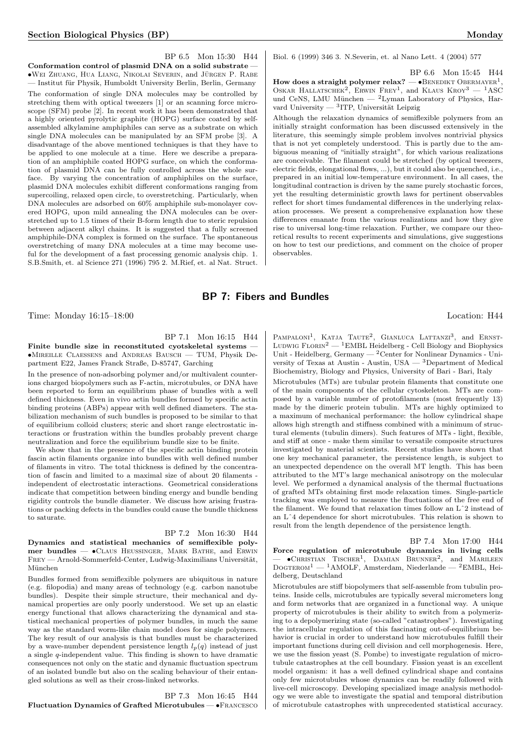BP 6.5 Mon 15:30 H44 Conformation control of plasmid DNA on a solid substrate — •Wei Zhuang, Hua Liang, Nikolai Severin, and Jurgen P. Rabe ¨ — Institut für Physik, Humboldt University Berlin, Berlin, Germany The conformation of single DNA molecules may be controlled by stretching them with optical tweezers [1] or an scanning force microscope (SFM) probe [2]. In recent work it has been demonstrated that a highly oriented pyrolytic graphite (HOPG) surface coated by selfassembled alkylamine amphiphiles can serve as a substrate on which single DNA molecules can be manipulated by an SFM probe [3]. A disadvantage of the above mentioned techniques is that they have to be applied to one molecule at a time. Here we describe a preparation of an amphiphile coated HOPG surface, on which the conformation of plasmid DNA can be fully controlled across the whole surface. By varying the concentration of amphiphiles on the surface, plasmid DNA molecules exhibit different conformations ranging from supercoiling, relaxed open circle, to overstretching. Particularly, when DNA molecules are adsorbed on 60% amphiphile sub-monolayer covered HOPG, upon mild annealing the DNA molecules can be overstretched up to 1.5 times of their B-form length due to steric repulsion between adjacent alkyl chains. It is suggested that a fully screened amphiphile-DNA complex is formed on the surface. The spontaneous overstretching of many DNA molecules at a time may become useful for the development of a fast processing genomic analysis chip. 1. S.B.Smith, et. al Science 271 (1996) 795 2. M.Rief, et. al Nat. Struct. Biol. 6 (1999) 346 3. N.Severin, et. al Nano Lett. 4 (2004) 577

BP 6.6 Mon 15:45 H44 How does a straight polymer relax?  $-\bullet$  BENEDIKT OBERMAYER<sup>1</sup>, OSKAR HALLATSCHEK<sup>2</sup>, ERWIN FREY<sup>1</sup>, and KLAUS KROY<sup>3</sup> - <sup>1</sup>ASC und CeNS, LMU München —  $2$ Lyman Laboratory of Physics, Harvard University —  ${}^{3}$ ITP, Universität Leipzig

Although the relaxation dynamics of semiflexible polymers from an initially straight conformation has been discussed extensively in the literature, this seemingly simple problem involves nontrivial physics that is not yet completely understood. This is partly due to the ambiguous meaning of "initially straight", for which various realizations are conceivable. The filament could be stretched (by optical tweezers, electric fields, elongational flows, ...), but it could also be quenched, i.e., prepared in an initial low-temperature environment. In all cases, the longitudinal contraction is driven by the same purely stochastic forces, yet the resulting deterministic growth laws for pertinent observables reflect for short times fundamental differences in the underlying relaxation processes. We present a comprehensive explanation how these differences emanate from the various realizations and how they give rise to universal long-time relaxation. Further, we compare our theoretical results to recent experiments and simulations, give suggestions on how to test our predictions, and comment on the choice of proper observables.

# BP 7: Fibers and Bundles

Time: Monday 16:15–18:00 Location: H44

## BP 7.1 Mon 16:15 H44

Finite bundle size in reconstituted cyotskeletal systems — •Mireille Claessens and Andreas Bausch — TUM, Physik Department E22, James Franck Straße, D-85747, Garching

In the presence of non-adsorbing polymer and/or multivalent counterions charged biopolymers such as F-actin, microtubules, or DNA have been reported to form an equilibrium phase of bundles with a well defined thickness. Even in vivo actin bundles formed by specific actin binding proteins (ABPs) appear with well defined diameters. The stabilization mechanism of such bundles is proposed to be similar to that of equilibrium colloid clusters; steric and short range electrostatic interactions or frustration within the bundles probably prevent charge neutralization and force the equilibrium bundle size to be finite.

We show that in the presence of the specific actin binding protein fascin actin filaments organize into bundles with well defined number of filaments in vitro. The total thickness is defined by the concentration of fascin and limited to a maximal size of about 20 filaments independent of electrostatic interactions. Geometrical considerations indicate that competition between binding energy and bundle bending rigidity controls the bundle diameter. We discuss how arising frustrations or packing defects in the bundles could cause the bundle thickness to saturate.

# BP 7.2 Mon 16:30 H44

Dynamics and statistical mechanics of semiflexible polymer bundles — •Claus Heussinger, Mark Bathe, and Erwin FREY - Arnold-Sommerfeld-Center, Ludwig-Maximilians Universität, München

Bundles formed from semiflexible polymers are ubiquitous in nature (e.g. filopodia) and many areas of technology (e.g. carbon nanotube bundles). Despite their simple structure, their mechanical and dynamical properties are only poorly understood. We set up an elastic energy functional that allows characterizing the dynamical and statistical mechanical properties of polymer bundles, in much the same way as the standard worm-like chain model does for single polymers. The key result of our analysis is that bundles must be characterized by a wave-number dependent persistence length  $l_p(q)$  instead of just a single q-independent value. This finding is shown to have dramatic consequences not only on the static and dynamic fluctuation spectrum of an isolated bundle but also on the scaling behaviour of their entangled solutions as well as their cross-linked networks.

BP 7.3 Mon 16:45 H44

Fluctuation Dynamics of Grafted Microtubules — •Francesco

PAMPALONI<sup>1</sup>, KATJA TAUTE<sup>2</sup>, GIANLUCA LATTANZI<sup>3</sup>, and ERNST-LUDWIG  $F_{\text{LORIN}}^2$  — <sup>1</sup>EMBL Heidelberg - Cell Biology and Biophysics Unit - Heidelberg, Germany — <sup>2</sup>Center for Nonlinear Dynamics - University of Texas at Austin - Austin, USA  $-$  <sup>3</sup>Department of Medical Biochemistry, Biology and Physics, University of Bari - Bari, Italy

Microtubules (MTs) are tubular protein filaments that constitute one of the main components of the cellular cytoskeleton. MTs are composed by a variable number of protofilaments (most frequently 13) made by the dimeric protein tubulin. MTs are highly optimized to a maximum of mechanical performance: the hollow cylindrical shape allows high strength and stiffness combined with a minimum of structural elements (tubulin dimers). Such features of MTs - light, flexible, and stiff at once - make them similar to versatile composite structures investigated by material scientists. Recent studies have shown that one key mechanical parameter, the persistence length, is subject to an unexpected dependence on the overall MT length. This has been attributed to the MT's large mechanical anisotropy on the molecular level. We performed a dynamical analysis of the thermal fluctuations of grafted MTs obtaining first mode relaxation times. Single-particle tracking was employed to measure the fluctuations of the free end of the filament. We found that relaxation times follow an Lˆ2 instead of an Lˆ4 dependence for short microtubules. This relation is shown to result from the length dependence of the persistence length.

BP 7.4 Mon 17:00 H44 Force regulation of microtubule dynamics in living cells  $-$  •Christian Tischer<sup>1</sup>, Damian Brunner<sup>2</sup>, and Marileen  $Dog^{\text{TEROM1}}$  — <sup>1</sup>AMOLF, Amsterdam, Niederlande — <sup>2</sup>EMBL, Heidelberg, Deutschland

Microtubules are stiff biopolymers that self-assemble from tubulin proteins. Inside cells, microtubules are typically several micrometers long and form networks that are organized in a functional way. A unique property of microtubules is their ability to switch from a polymerizing to a depolymerizing state (so-called "catastrophes"). Investigating the intracellular regulation of this fascinating out-of-equilibrium behavior is crucial in order to understand how microtubules fulfill their important functions during cell division and cell morphogenesis. Here, we use the fission yeast (S. Pombe) to investigate regulation of microtubule catastrophes at the cell boundary. Fission yeast is an excellent model organism: it has a well defined cylindrical shape and contains only few microtubules whose dynamics can be readily followed with live-cell microscopy. Developing specialized image analysis methodology we were able to investigate the spatial and temporal distribution of microtubule catastrophes with unprecedented statistical accuracy.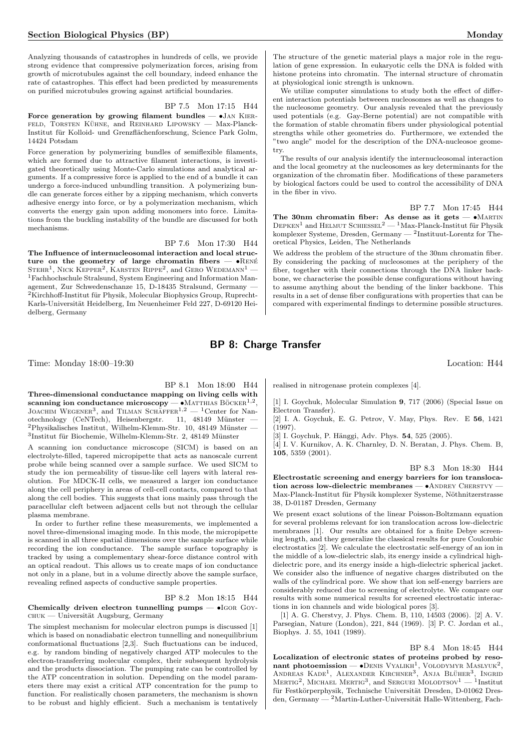Analyzing thousands of catastrophes in hundreds of cells, we provide strong evidence that compressive polymerization forces, arising from growth of microtubules against the cell boundary, indeed enhance the rate of catastrophes. This effect had been predicted by measurements on purified microtubules growing against artificial boundaries.

# BP 7.5 Mon 17:15 H44

Force generation by growing filament bundles  $-$  •JAN KIER-FELD, TORSTEN KÜHNE, and REINHARD LIPOWSKY — Max-Planck-Institut für Kolloid- und Grenzflächenforschung, Science Park Golm, 14424 Potsdam

Force generation by polymerizing bundles of semiflexible filaments, which are formed due to attractive filament interactions, is investigated theoretically using Monte-Carlo simulations and analytical arguments. If a compressive force is applied to the end of a bundle it can undergo a force-induced unbundling transition. A polymerizing bundle can generate forces either by a zipping mechanism, which converts adhesive energy into force, or by a polymerization mechanism, which converts the energy gain upon adding monomers into force. Limitations from the buckling instability of the bundle are discussed for both mechanisms.

## BP 7.6 Mon 17:30 H44

The Influence of internucleosomal interaction and local structure on the geometry of large chromatin fibers  $-$  •RENÉ STEHR<sup>1</sup>, NICK KEPPER<sup>2</sup>, KARSTEN RIPPE<sup>2</sup>, and GERO WEDEMANN<sup>1</sup> — <sup>1</sup>Fachhochschule Stralsund, System Engineering and Information Management, Zur Schwedenschanze 15, D-18435 Stralsund, Germany —  $2$ Kirchhoff-Institut für Physik, Molecular Biophysics Group, Ruprecht-Karls-Universität Heidelberg, Im Neuenheimer Feld 227, D-69120 Heidelberg, Germany

at physiological ionic strength is unknown. We utilize computer simulations to study both the effect of different interaction potentials betweeen nucleosomes as well as changes to the nucleosome geometry. Our analysis revealed that the previously used potentials (e.g. Gay-Berne potential) are not compatible with the formation of stable chromatin fibers under physiological potential strengths while other geometries do. Furthermore, we extended the "two angle" model for the description of the DNA-nucleosoe geometry.

The results of our analysis identify the internucleosomal interaction and the local geometry at the nucleosomes as key determinants for the organization of the chromatin fiber. Modifications of these parameters by biological factors could be used to control the accessibility of DNA in the fiber in vivo.

BP 7.7 Mon 17:45 H44

The 30nm chromatin fiber: As dense as it gets  $- \bullet$  MARTIN  $DEFKEN<sup>1</sup>$  and HELMUT SCHIESSEL<sup>2</sup> — <sup>1</sup>Max-Planck-Institut für Physik komplexer Systeme, Dresden, Germany  $-$  <sup>2</sup>Instituut-Lorentz for Theoretical Physics, Leiden, The Netherlands

We address the problem of the structure of the 30nm chromatin fiber. By considering the packing of nucleosomes at the periphery of the fiber, together with their connections through the DNA linker backbone, we characterise the possible dense configurations without having to assume anything about the bending of the linker backbone. This results in a set of dense fiber configurations with properties that can be compared with experimental findings to determine possible structures.

# BP 8: Charge Transfer

Time: Monday 18:00–19:30 Location: H44

BP 8.1 Mon 18:00 H44 Three-dimensional conductance mapping on living cells with

scanning ion conductance microscopy —  $\bullet$ MATTHIAS BÖCKER<sup>1,2</sup>, JOACHIM WEGENER<sup>3</sup>, and TILMAN SCHAFFER<sup>1,2</sup> - <sup>1</sup>Center for Nanotechnology (CeNTech), Heisenbergstr. 11, 48149 Münster <sup>2</sup>Physikalisches Institut, Wilhelm-Klemm-Str. 10, 48149 Münster - $3$ Institut für Biochemie, Wilhelm-Klemm-Str. 2, 48149 Münster

A scanning ion conductance microscope (SICM) is based on an electrolyte-filled, tapered micropipette that acts as nanoscale current probe while being scanned over a sample surface. We used SICM to study the ion permeability of tissue-like cell layers with lateral resolution. For MDCK-II cells, we measured a larger ion conductance along the cell periphery in areas of cell-cell contacts, compared to that along the cell bodies. This suggests that ions mainly pass through the paracellular cleft between adjacent cells but not through the cellular plasma membrane.

In order to further refine these measurements, we implemented a novel three-dimensional imaging mode. In this mode, the micropipette is scanned in all three spatial dimensions over the sample surface while recording the ion conductance. The sample surface topography is tracked by using a complementary shear-force distance control with an optical readout. This allows us to create maps of ion conductance not only in a plane, but in a volume directly above the sample surface, revealing refined aspects of conductive sample properties.

#### BP 8.2 Mon 18:15 H44

Chemically driven electron tunnelling pumps  $-$  •IGOR GOY-CHUK — Universität Augsburg, Germany

The simplest mechanism for molecular electron pumps is discussed [1] which is based on nonadiabatic electron tunnelling and nonequilibrium conformational fluctuations [2,3]. Such fluctuations can be induced, e.g. by random binding of negatively charged ATP molecules to the electron-transferring molecular complex, their subsequent hydrolysis and the products dissociation. The pumping rate can be controlled by the ATP concentration in solution. Depending on the model parameters there may exist a critical ATP concentration for the pump to function. For realistically chosen parameters, the mechanism is shown to be robust and highly efficient. Such a mechanism is tentatively

realised in nitrogenase protein complexes [4].

[1] I. Goychuk, Molecular Simulation 9, 717 (2006) (Special Issue on Electron Transfer).

[2] I. A. Goychuk, E. G. Petrov, V. May, Phys. Rev. E 56, 1421 (1997).

[3] I. Goychuk, P. Hänggi, Adv. Phys. 54, 525 (2005).

[4] I. V. Kurnikov, A. K. Charnley, D. N. Beratan, J. Phys. Chem. B, 105, 5359 (2001).

#### BP 8.3 Mon 18:30 H44

Electrostatic screening and energy barriers for ion translocation across low-dielectric membranes  $- \bullet$  ANDREY CHERSTVY  $-$ Max-Planck-Institut für Physik komplexer Systeme, Nöthnitzerstrasse 38, D-01187 Dresden, Germany

We present exact solutions of the linear Poisson-Boltzmann equation for several problems relevant for ion translocation across low-dielectric membranes [1]. Our results are obtained for a finite Debye screening length, and they generalize the classical results for pure Coulombic electrostatics [2]. We calculate the electrostatic self-energy of an ion in the middle of a low-dielectric slab, its energy inside a cylindrical highdielectric pore, and its energy inside a high-dielectric spherical jacket. We consider also the influence of negative charges distributed on the walls of the cylindrical pore. We show that ion self-energy barriers are considerably reduced due to screening of electrolyte. We compare our results with some numerical results for screened electrostatic interactions in ion channels and wide biological pores [3].

[1] A. G. Cherstvy, J. Phys. Chem. B, 110, 14503 (2006). [2] A. V. Parsegian, Nature (London), 221, 844 (1969). [3] P. C. Jordan et al., Biophys. J. 55, 1041 (1989).

BP 8.4 Mon 18:45 H44 Localization of electronic states of proteins probed by reso**nant photoemission — •**Denis Vyalikh<sup>1</sup>, Volodymyr Maslyuk<sup>2</sup>, Andreas Kade<sup>1</sup>, Alexander Kirchner<sup>3</sup>, Anja Blüher<sup>3</sup>, Ingrid MERTIG<sup>2</sup>, MICHAEL MERTIG<sup>3</sup>, and SERGUEI MOLODTSOV<sup>1</sup> — <sup>1</sup>Institut für Festkörperphysik, Technische Universität Dresden, D-01062 Dresden, Germany — <sup>2</sup>Martin-Luther-Universität Halle-Wittenberg, Fach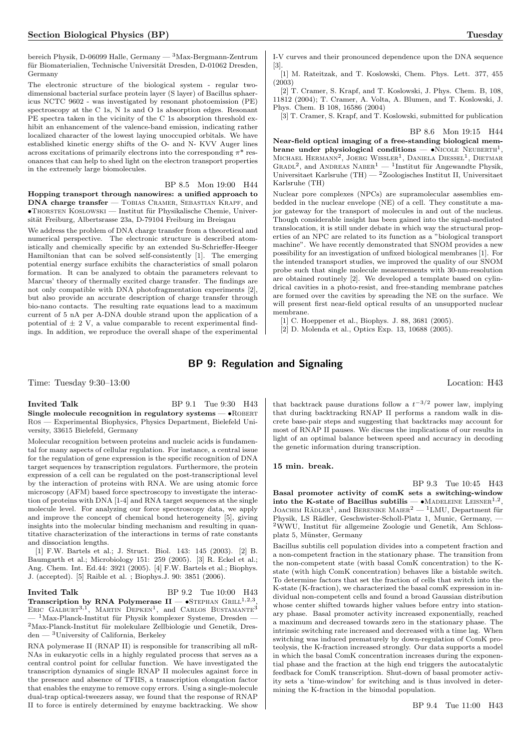bereich Physik, D-06099 Halle, Germany — <sup>3</sup>Max-Bergmann-Zentrum für Biomaterialien, Technische Universität Dresden, D-01062 Dresden, Germany

The electronic structure of the biological system - regular twodimensional bacterial surface protein layer (S layer) of Bacillus sphaericus NCTC 9602 - was investigated by resonant photoemission (PE) spectroscopy at the C 1s, N 1s and O 1s absorption edges. Resonant PE spectra taken in the vicinity of the C 1s absorption threshold exhibit an enhancement of the valence-band emission, indicating rather localized character of the lowest laying unoccupied orbitals. We have established kinetic energy shifts of the O- and N- KVV Auger lines across excitations of primarily electrons into the corresponding  $\pi^*$  resonances that can help to shed light on the electron transport properties in the extremely large biomolecules.

# BP 8.5 Mon 19:00 H44

Hopping transport through nanowires: a unified approach to DNA charge transfer — Tobias Cramer, Sebastian Krapf, and  $\bullet$ Thorsten Koslowski — Institut für Physikalische Chemie, Universität Freiburg, Albertsrasse 23a, D-79104 Freiburg im Breisgau

We address the problem of DNA charge transfer from a theoretical and numerical perspective. The electronic structure is described atomistically and chemically specific by an extended Su-Schrieffer-Heeger Hamiltonian that can be solved self-consistently [1]. The emerging potential energy surface exhibits the characteristics of small polaron formation. It can be analyzed to obtain the parameters relevant to Marcus' theory of thermally excited charge transfer. The findings are not only compatible with DNA photofragmentation experiments [2], but also provide an accurate description of charge transfer through bio-nano contacts. The resulting rate equations lead to a maximum current of 5 nA per A-DNA double strand upon the application of a potential of  $\pm$  2 V, a value comparable to recent experimental findings. In addition, we reproduce the overall shape of the experimental I-V curves and their pronounced dependence upon the DNA sequence [3].

[1] M. Rateitzak, and T. Koslowski, Chem. Phys. Lett. 377, 455 (2003)

[2] T. Cramer, S. Krapf, and T. Koslowski, J. Phys. Chem. B, 108, 11812 (2004); T. Cramer, A. Volta, A. Blumen, and T. Koslowski, J. Phys. Chem. B 108, 16586 (2004)

[3] T. Cramer, S. Krapf, and T. Koslowski, submitted for publication

BP 8.6 Mon 19:15 H44

Near-field optical imaging of a free-standing biological membrane under physiological conditions  $- \cdot$  NICOLE NEUBERTH<sup>1</sup>, MICHAEL HERMANN<sup>2</sup>, JOERG WISSLER<sup>1</sup>, DANIELA DIESSEL<sup>1</sup>, DIETMAR GRADL<sup>2</sup>, and ANDREAS NABER<sup>1</sup> — <sup>1</sup>Institut für Angewandte Physik, Universitaet Karlsruhe (TH) — <sup>2</sup>Zoologisches Institut II, Universitaet Karlsruhe (TH)

Nuclear pore complexes (NPCs) are supramolecular assemblies embedded in the nuclear envelope (NE) of a cell. They constitute a major gateway for the transport of molecules in and out of the nucleus. Though considerable insight has been gained into the signal-mediated translocation, it is still under debate in which way the structural properties of an NPC are related to its function as a "biological transport machine". We have recently demonstrated that SNOM provides a new possibility for an investigation of unfixed biological membranes [1]. For the intended transport studies, we improved the quality of our SNOM probe such that single molecule measurements with 30-nm-resolution are obtained routinely [2]. We developed a template based on cylindrical cavities in a photo-resist, and free-standing membrane patches are formed over the cavities by spreading the NE on the surface. We will present first near-field optical results of an unsupported nuclear membrane.

[1] C. Hoeppener et al., Biophys. J. 88, 3681 (2005).

[2] D. Molenda et al., Optics Exp. 13, 10688 (2005).

# BP 9: Regulation and Signaling

Time: Tuesday 9:30–13:00 Location: H43

Invited Talk BP 9.1 Tue 9:30 H43 Single molecule recognition in regulatory systems -  $\bullet$ ROBERT Ros — Experimental Biophysics, Physics Department, Bielefeld University, 33615 Bielefeld, Germany

Molecular recognition between proteins and nucleic acids is fundamental for many aspects of cellular regulation. For instance, a central issue for the regulation of gene expression is the specific recognition of DNA target sequences by transcription regulators. Furthermore, the protein expression of a cell can be regulated on the post-transcriptional level by the interaction of proteins with RNA. We are using atomic force microscopy (AFM) based force spectroscopy to investigate the interaction of proteins with DNA [1-4] and RNA target sequences at the single molecule level. For analyzing our force spectroscopy data, we apply and improve the concept of chemical bond heterogeneity [5], giving insights into the molecular binding mechanism and resulting in quantitative characterization of the interactions in terms of rate constants and dissociation lengths.

[1] F.W. Bartels et al.; J. Struct. Biol. 143: 145 (2003). [2] B. Baumgarth et al.; Microbiology 151: 259 (2005). [3] R. Eckel et al.; Ang. Chem. Int. Ed.44: 3921 (2005). [4] F.W. Bartels et al.; Biophys. J. (accepted). [5] Raible et al. ; Biophys.J. 90: 3851 (2006).

Invited Talk BP 9.2 Tue 10:00 H43 Transcription by RNA Polymerase  $II - \bullet$ STEPHAN GRILL<sup>1,2,3</sup>, ERIC GALBURT<sup>3,1</sup>, MARTIN DEPKEN<sup>1</sup>, and CARLOS BUSTAMANTE<sup>3</sup>  $1$ Max-Planck-Institut für Physik komplexer Systeme, Dresden - $2$ Max-Planck-Institut für molekulare Zellbiologie und Genetik, Dres $den - 3$ University of California, Berkeley

RNA polymerase II (RNAP II) is responsible for transcribing all mR-NAs in eukaryotic cells in a highly regulated process that serves as a central control point for cellular function. We have investigated the transcription dynamics of single RNAP II molecules against force in the presence and absence of TFIIS, a transcription elongation factor that enables the enzyme to remove copy errors. Using a single-molecule dual-trap optical-tweezers assay, we found that the response of RNAP II to force is entirely determined by enzyme backtracking. We show

that backtrack pause durations follow a  $t^{-3/2}$  power law, implying that during backtracking RNAP II performs a random walk in discrete base-pair steps and suggesting that backtracks may account for most of RNAP II pauses. We discuss the implications of our results in light of an optimal balance between speed and accuracy in decoding the genetic information during transcription.

#### 15 min. break.

BP 9.3 Tue 10:45 H43 Basal promoter activity of comK sets a switching-window into the K-state of Bacillus subtilis —  $\bullet$ MADELEINE LEISNER<sup>1,2</sup>, JOACHIM RÄDLER<sup>1</sup>, and BERENIKE MAIER<sup>2</sup> — <sup>1</sup>LMU, Department für Physik, LS Rädler, Geschwister-Scholl-Platz 1, Munic, Germany,  $=$  $2WWU$ , Institut für allgemeine Zoologie und Genetik, Am Schlossplatz 5, Münster, Germany

Bacillus subtilis cell population divides into a competent fraction and a non-competent fraction in the stationary phase. The transition from the non-competent state (with basal ComK concentration) to the Kstate (with high ComK concentration) behaves like a bistable switch. To determine factors that set the fraction of cells that switch into the K-state (K-fraction), we characterized the basal comK expression in individual non-competent cells and found a broad Gaussian distribution whose center shifted towards higher values before entry into stationary phase. Basal promoter activity increased exponentially, reached a maximum and decreased towards zero in the stationary phase. The intrinsic switching rate increased and decreased with a time lag. When switching was induced prematurely by down-regulation of ComK proteolysis, the K-fraction increased strongly. Our data supports a model in which the basal ComK concentration increases during the exponential phase and the fraction at the high end triggers the autocatalytic feedback for ComK transcription. Shut-down of basal promoter activity sets a 'time-window' for switching and is thus involved in determining the K-fraction in the bimodal population.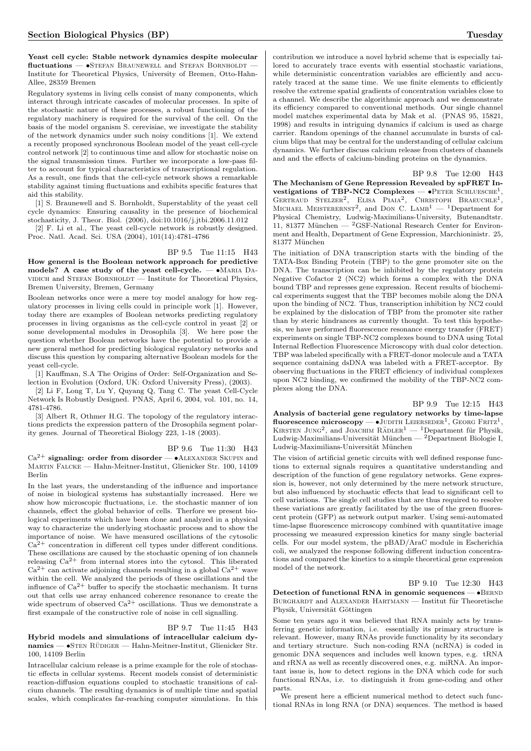Yeast cell cycle: Stable network dynamics despite molecular fluctuations — •STEFAN BRAUNEWELL and STEFAN BORNHOLDT -Institute for Theoretical Physics, University of Bremen, Otto-Hahn-Allee, 28359 Bremen

Regulatory systems in living cells consist of many components, which interact through intricate cascades of molecular processes. In spite of the stochastic nature of these processes, a robust functioning of the regulatory machinery is required for the survival of the cell. On the basis of the model organism S. cerevisiae, we investigate the stability of the network dynamics under such noisy conditions [1]. We extend a recently proposed synchronous Boolean model of the yeast cell-cycle control network [2] to continuous time and allow for stochastic noise on the signal transmission times. Further we incorporate a low-pass filter to account for typical characteristics of transcriptional regulation. As a result, one finds that the cell-cycle network shows a remarkable stability against timing fluctuations and exhibits specific features that aid this stability.

[1] S. Braunewell and S. Bornholdt, Superstablity of the yeast cell cycle dynamics: Ensuring causality in the presence of biochemical stochasticity, J. Theor. Biol. (2006), doi:10.1016/j.jtbi.2006.11.012

[2] F. Li et al., The yeast cell-cycle network is robustly designed. Proc. Natl. Acad. Sci. USA (2004), 101(14):4781-4786

BP 9.5 Tue 11:15 H43

How general is the Boolean network approach for predictive models? A case study of the yeast cell-cycle.  $-\bullet$ MARIA DAvidich and Stefan Bornholdt — Institute for Theoretical Physics, Bremen University, Bremen, Germany

Boolean networks once were a mere toy model analogy for how regulatory processes in living cells could in principle work [1]. However, today there are examples of Boolean networks predicting regulatory processes in living organisms as the cell-cycle control in yeast [2] or some developmental modules in Drosophila [3]. We here pose the question whether Boolean networks have the potential to provide a new general method for predicting biological regulatory networks and discuss this question by comparing alternative Boolean models for the yeast cell-cycle.

[1] Kauffman, S.A The Origins of Order: Self-Organization and Selection in Evolution (Oxford, UK: Oxford University Press), (2003).

[2] Li F, Long T, Lu Y, Quyang Q, Tang C. The yeast Cell-Cycle Network Is Robustly Designed. PNAS, April 6, 2004, vol. 101, no. 14, 4781-4786.

[3] Albert R, Othmer H.G. The topology of the regulatory interactions predicts the expression pattern of the Drosophila segment polarity genes. Journal of Theoretical Biology 223, 1-18 (2003).

BP 9.6 Tue 11:30 H43

 $Ca<sup>2+</sup>$  signaling: order from disorder — • ALEXANDER SKUPIN and Martin Falcke — Hahn-Meitner-Institut, Glienicker Str. 100, 14109 Berlin

In the last years, the understanding of the influence and importance of noise in biological systems has substantially increased. Here we show how microscopic fluctuations, i.e. the stochastic manner of ion channels, effect the global behavior of cells. Therfore we present biological experiments which have been done and analyzed in a physical way to characterize the underlying stochastic process and to show the importance of noise. We have measured oscillations of the cytosolic  $Ca<sup>2+</sup>$  concentration in different cell types under different conditions. These oscillations are caused by the stochastic opening of ion channels releasing  $Ca^{2+}$  from internal stores into the cytosol. This liberated  $Ca^{2+}$  can activate adjoining channels resulting in a global  $Ca^{2+}$  wave within the cell. We analyzed the periods of these oscillations and the influence of  $Ca^{2+}$  buffer to specify the stochastic mechanism. It turns out that cells use array enhanced coherence resonance to create the wide spectrum of observed  $Ca^{2+}$  oscillations. Thus we demonstrate a first exampale of the constructive role of noise in cell signalling.

# BP 9.7 Tue 11:45 H43

Hybrid models and simulations of intracellular calcium dy- $\mathbf{n}$ amics — •STEN RÜDIGER — Hahn-Meitner-Institut, Glienicker Str. 100, 14109 Berlin

Intracellular calcium release is a prime example for the role of stochastic effects in cellular systems. Recent models consist of deterministic reaction-diffusion equations coupled to stochastic transitions of calcium channels. The resulting dynamics is of multiple time and spatial scales, which complicates far-reaching computer simulations. In this

contribution we introduce a novel hybrid scheme that is especially tailored to accurately trace events with essential stochastic variations, while deterministic concentration variables are efficiently and accurately traced at the same time. We use finite elements to efficiently resolve the extreme spatial gradients of concentration variables close to a channel. We describe the algorithmic approach and we demonstrate its efficiency compared to conventional methods. Our single channel model matches experimental data by Mak et al. (PNAS 95, 15821, 1998) and results in intriguing dynamics if calcium is used as charge carrier. Random openings of the channel accumulate in bursts of calcium blips that may be central for the understanding of cellular calcium dynamics. We further discuss calcium release from clusters of channels and and the effects of calcium-binding proteins on the dynamics.

#### BP 9.8 Tue 12:00 H43

The Mechanism of Gene Repression Revealed by spFRET Investigations of TBP-NC2 Complexes  $\bullet$ Peter Schluesche<sup>1</sup>, GERTRAUD STELZER<sup>2</sup>, ELISA PIAIA<sup>2</sup>, CHRISTOPH BRAEUCHLE<sup>1</sup>, MICHAEL MEISTERERNST<sup>2</sup>, and DON C. LAMB<sup>1</sup> — <sup>1</sup>Department for Physical Chemistry, Ludwig-Maximilians-University, Butenandtstr. 11, 81377 München — <sup>2</sup>GSF-National Research Center for Environment and Health, Department of Gene Expression, Marchioninistr. 25, 81377 München

The initiation of DNA transcription starts with the binding of the TATA-Box Binding Protein (TBP) to the gene promoter site on the DNA. The transcription can be inhibited by the regulatory protein Negative Cofactor 2 (NC2) which forms a complex with the DNA bound TBP and represses gene expression. Recent results of biochemical experiments suggest that the TBP becomes mobile along the DNA upon the binding of NC2. Thus, transcription inhibition by NC2 could be explained by the dislocation of TBP from the promoter site rather than by steric hindrances as currently thought. To test this hypothesis, we have performed fluorescence resonance energy transfer (FRET) experiments on single TBP-NC2 complexes bound to DNA using Total Internal Reflection Fluorescence Microscopy with dual color detection. TBP was labeled specifically with a FRET-donor molecule and a TATA sequence containing dsDNA was labeled with a FRET-acceptor. By observing fluctuations in the FRET efficiency of individual complexes upon NC2 binding, we confirmed the mobility of the TBP-NC2 complexes along the DNA.

#### BP 9.9 Tue 12:15 H43

Analysis of bacterial gene regulatory networks by time-lapse fluorescence microscopy —  $\bullet$ JUDITH LEIERSEDER<sup>1</sup>, GEORG FRITZ<sup>1</sup>, KIRSTEN JUNG<sup>2</sup>, and JOACHIM RÄDLER<sup>1</sup> — <sup>1</sup>Department für Physik, Ludwig-Maximilians-Universität München — <sup>2</sup>Department Biologie I, Ludwig-Maximilians-Universität München

The vision of artificial genetic circuits with well defined response functions to external signals requires a quantitative understanding and description of the function of gene regulatory networks. Gene expression is, however, not only determined by the mere network structure, but also influenced by stochastic effects that lead to significant cell to cell variations. The single cell studies that are thus required to resolve these variations are greatly facilitated by the use of the green fluorescent protein (GFP) as network output marker. Using semi-automated time-lapse fluorescence microscopy combined with quantitative image processing we measured expression kinetics for many single bacterial cells. For our model system, the pBAD/AraC module in Escherichia coli, we analyzed the response following different induction concentrations and compared the kinetics to a simple theoretical gene expression model of the network.

BP 9.10 Tue 12:30 H43

Detection of functional RNA in genomic sequences — • BERND BURGHARDT and ALEXANDER HARTMANN — Institut für Theoretische Physik, Universität Göttingen

Some ten years ago it was believed that RNA mainly acts by transferring genetic information, i.e. essentially its primary structure is relevant. However, many RNAs provide functionality by its secondary and tertiary structure. Such non-coding RNA (ncRNA) is coded in genomic DNA sequences and includes well known types, e.g. tRNA and rRNA as well as recently discovered ones, e.g. miRNA. An important issue is, how to detect regions in the DNA which code for such functional RNAs, i.e. to distinguish it from gene-coding and other parts.

We present here a efficient numerical method to detect such functional RNAs in long RNA (or DNA) sequences. The method is based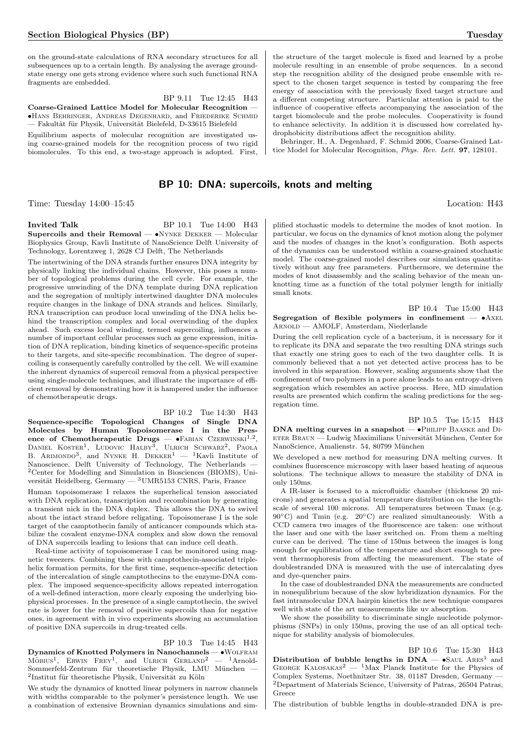on the ground-state calculations of RNA secondary structures for all subsequences up to a certain length. By analysing the average groundstate energy one gets strong evidence where such such functional RNA fragments are embedded.

BP 9.11 Tue 12:45 H43 Coarse-Grained Lattice Model for Molecular Recognition — •Hans Behringer, Andreas Degenhard, and Friederike Schmid — Fakultät für Physik, Universität Bielefeld, D-33615 Bielefeld

Equilibrium aspects of molecular recognition are investigated using coarse-grained models for the recognition process of two rigid biomolecules. To this end, a two-stage approach is adopted. First,

# BP 10: DNA: supercoils, knots and melting

Time: Tuesday 14:00–15:45 Location: H43

**Invited Talk** BP 10.1 Tue 14:00 H43 Supercoils and their Removal  $- \bullet$ NYNKE DEKKER  $-$  Molecular Biophysics Group, Kavli Institute of NanoScience Delft University of Technology, Lorentzweg 1, 2628 CJ Delft, The Netherlands

The intertwining of the DNA strands further ensures DNA integrity by physically linking the individual chains. However, this poses a number of topological problems during the cell cycle. For example, the progressive unwinding of the DNA template during DNA replication and the segregation of multiply intertwined daughter DNA molecules require changes in the linkage of DNA strands and helices. Similarly, RNA transcription can produce local unwinding of the DNA helix behind the transcription complex and local overwinding of the duplex ahead. Such excess local winding, termed supercoiling, influences a number of important cellular processes such as gene expression, initiation of DNA replication, binding kinetics of sequence-specific proteins to their targets, and site-specific recombination. The degree of supercoiling is consequently carefully controlled by the cell. We will examine the inherent dynamics of supercoil removal from a physical perspective using single-molecule techniques, and illustrate the importance of efficient removal by demonstrating how it is hampered under the influence of chemotherapeutic drugs.

BP 10.2 Tue 14:30 H43 Sequence-specific Topological Changes of Single DNA Molecules by Human Topoisomerase I in the Presence of Chemotherapeutic Drugs -  $\bullet$ FABIAN CZERWINSKI<sup>1,2</sup>, DANIEL KOSTER<sup>1</sup>, LUDOVIC HALBY<sup>3</sup>, ULRICH SCHWARZ<sup>2</sup>, PAOLA B. ARIMONDO<sup>3</sup>, and NYNKE H. DEKKER<sup>1</sup>  $-$  <sup>1</sup>Kavli Institute of Nanoscience, Delft University of Technology, The Netherlands — <sup>2</sup>Center for Modelling and Simulation in Biosciences (BIOMS), Universität Heidelberg, Germany —  $3$ UMR5153 CNRS, Paris, France

Human topoisomerase I relaxes the superhelical tension associated with DNA replication, transcription and recombination by generating a transient nick in the DNA duplex. This allows the DNA to swivel about the intact strand before religating. Topoisomerase I is the sole target of the camptothecin family of anticancer compounds which stabilize the covalent enzyme-DNA complex and slow down the removal of DNA supercoils leading to lesions that can induce cell death.

Real-time activity of topoisomerase I can be monitored using magnetic tweezers. Combining these with camptothecin-associated triplehelix formation permits, for the first time, sequence-specific detection of the intercalation of single camptothecins to the enzyme-DNA complex. The imposed sequence-specificity allows repeated interrogation of a well-defined interaction, more clearly exposing the underlying biophysical processes. In the presence of a single camptothecin, the swivel rate is lower for the removal of positive supercoils than for negative ones, in agreement with in vivo experiments showing an accumulation of positive DNA supercoils in drug-treated cells.

BP 10.3 Tue 14:45 H43 Dynamics of Knotted Polymers in Nanochannels — •Wolfram  $\widetilde{\text{MOBIUS}}^1$ , ERWIN FREY<sup>1</sup>, and ULRICH GERLAND<sup>2</sup> - <sup>1</sup>Arnold-Sommerfeld-Zentrum für theoretische Physik, LMU München -<sup>2</sup>Institut für theoretische Physik, Universität zu Köln

We study the dynamics of knotted linear polymers in narrow channels with widths comparable to the polymer's persistence length. We use a combination of extensive Brownian dynamics simulations and sim-

plified stochastic models to determine the modes of knot motion. In particular, we focus on the dynamics of knot motion along the polymer and the modes of changes in the knot's configuration. Both aspects of the dynamics can be understood within a coarse-grained stochastic model. The coarse-grained model describes our simulations quantitatively without any free parameters. Furthermore, we determine the modes of knot disassembly and the scaling behavior of the mean unknotting time as a function of the total polymer length for initially small knots.

the structure of the target molecule is fixed and learned by a probe molecule resulting in an ensemble of probe sequences. In a second step the recognition ability of the designed probe ensemble with respect to the chosen target sequence is tested by comparing the free energy of association with the previously fixed target structure and a different competing structure. Particular attention is paid to the influence of cooperative effects accompanying the association of the target biomolecule and the probe molecules. Cooperativity is found to enhance selectivity. In addition it is discussed how correlated hy-

BP 10.4 Tue 15:00 H43 Segregation of flexible polymers in confinement  $- \cdot$  AXEL Arnold — AMOLF, Amsterdam, Niederlande

During the cell replication cycle of a bacterium, it is necessary for it to replicate its DNA and separate the two resulting DNA strings such that exactly one string goes to each of the two daughter cells. It is commonly believed that a not yet detected active process has to be involved in this separation. However, scaling arguments show that the confinement of two polymers in a pore alone leads to an entropy-driven segregation which resembles an active process. Here, MD simulation results are presented which confirm the scaling predictions for the segregation time.

BP 10.5 Tue 15:15 H43

DNA melting curves in a snapshot — •Philipp Baaske and Di-ETER BRAUN — Ludwig Maximilians Universität München, Center for NanoScience, Amalienstr. 54, 80799 München

We developed a new method for measuring DNA melting curves. It combines fluorescence microscopy with laser based heating of aqueous solutions. The technique allows to measure the stability of DNA in only 150ms.

A IR-laser is focused to a microfluidic chamber (thickness 20 microns) and generates a spatial temperature distribution on the lengthscale of several 100 microns. All temperatures between Tmax (e.g. 90°C) and Tmin (e.g. 20°C) are realized simultaneously. With a CCD camera two images of the fluorescence are taken: one without the laser and one with the laser switched on. From them a melting curve can be derived. The time of 150ms between the images is long enough for equilibration of the temperature and short enough to prevent thermophoresis from affecting the measurement. The state of doublestranded DNA is measured with the use of intercalating dyes and dye-quencher pairs.

In the case of doublestranded DNA the measurements are conducted in nonequlibrium because of the slow hybridization dynamics. For the fast intramolecular DNA hairpin kinetics the new technique compares well with state of the art measurements like uv absorption.

We show the possibility to discriminate single nucleotide polymorphisms (SNPs) in only 150ms, proving the use of an all optical technique for stability analysis of biomolecules.

BP 10.6 Tue 15:30 H43 Distribution of bubble lengths in  $\text{DNA} - \bullet \text{SAUL}$   $\text{ARES}^1$  and GEORGE KALOSAKAS<sup>2</sup> — <sup>1</sup>Max Planck Institute for the Physics of Complex Systems, Noethnitzer Str. 38, 01187 Dresden, Germany — <sup>2</sup>Department of Materials Science, University of Patras, 26504 Patras, Greece

The distribution of bubble lengths in double-stranded DNA is pre-

drophobicity distributions affect the recognition ability. Behringer, H., A. Degenhard, F. Schmid 2006, Coarse-Grained Lattice Model for Molecular Recognition, Phys. Rev. Lett. 97, 128101.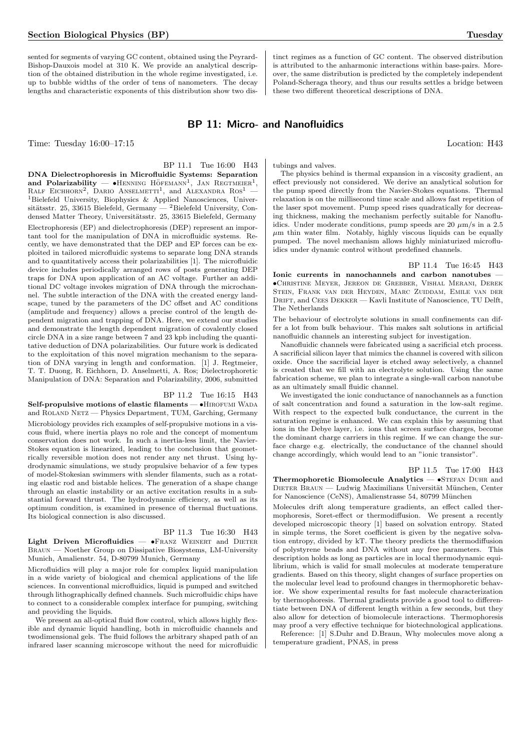sented for segments of varying GC content, obtained using the Peyrard-Bishop-Dauxois model at 310 K. We provide an analytical description of the obtained distribution in the whole regime investigated, i.e. up to bubble widths of the order of tens of nanometers. The decay lengths and characteristic exponents of this distribution show two dis-

tinct regimes as a function of GC content. The observed distribution is attributed to the anharmonic interactions within base-pairs. Moreover, the same distribution is predicted by the completely independent Poland-Scheraga theory, and thus our results settles a bridge between these two different theoretical descriptions of DNA.

# BP 11: Micro- and Nanofluidics

BP 11.1 Tue 16:00 H43 DNA Dielectrophoresis in Microfluidic Systems: Separation and Polarizability —  $\bullet$ HENNING HÖFEMANN<sup>1</sup>, JAN REGTMEIER<sup>1</sup>, RALF EICHHORN<sup>2</sup>, DARIO ANSELMETTI<sup>1</sup>, and ALEXANDRA ROS<sup>1</sup> – <sup>1</sup>Bielefeld University, Biophysics & Applied Nanosciences, Universitätsstr. 25, 33615 Bielefeld, Germany — <sup>2</sup>Bielefeld University, Condensed Matter Theory, Universitätsstr. 25, 33615 Bielefeld, Germany Electrophoresis (EP) and dielectrophoresis (DEP) represent an important tool for the manipulation of DNA in microfluidic systems. Recently, we have demonstrated that the DEP and EP forces can be exploited in tailored microfluidic systems to separate long DNA strands and to quantitatively access their polarizabilities [1]. The microfluidic device includes periodically arranged rows of posts generating DEP traps for DNA upon application of an AC voltage. Further an additional DC voltage invokes migration of DNA through the microchannel. The subtle interaction of the DNA with the created energy landscape, tuned by the parameters of the DC offset and AC conditions (amplitude and frequency) allows a precise control of the length dependent migration and trapping of DNA. Here, we extend our studies and demonstrate the length dependent migration of covalently closed circle DNA in a size range between 7 and 23 kpb including the quantitative deduction of DNA polarizabilities. Our future work is dedicated to the exploitation of this novel migration mechanism to the separation of DNA varying in length and conformation. [1] J. Regtmeier, T. T. Duong, R. Eichhorn, D. Anselmetti, A. Ros; Dielectrophoretic Manipulation of DNA: Separation and Polarizability, 2006, submitted

# BP 11.2 Tue 16:15 H43

Self-propulsive motions of elastic filaments — • HIROFUMI WADA and Roland Netz — Physics Department, TUM, Garching, Germany Microbiology provides rich examples of self-propulsive motions in a viscous fluid, where inertia plays no role and the concept of momentum conservation does not work. In such a inertia-less limit, the Navier-Stokes equation is linearized, leading to the conclusion that geometrically reversible motion does not render any net thrust. Using hydrodynamic simulations, we study propulsive behavior of a few types of model-Stokesian swimmers with slender filaments, such as a rotating elastic rod and bistable helices. The generation of a shape change through an elastic instability or an active excitation results in a substantial forward thrust. The hydrodynamic efficiency, as well as its optimum condition, is examined in presence of thermal fluctuations. Its biological connection is also discussed.

# BP 11.3 Tue 16:30 H43

Light Driven Microfluidics  $\bullet$ Franz Weinert and Dieter Braun — Noether Group on Dissipative Biosystems, LM-University Munich, Amalienstr. 54, D-80799 Munich, Germany

Microfluidics will play a major role for complex liquid manipulation in a wide variety of biological and chemical applications of the life sciences. In conventional microfluidics, liquid is pumped and switched through lithographically defined channels. Such microfluidic chips have to connect to a considerable complex interface for pumping, switching and providing the liquids.

We present an all-optical fluid flow control, which allows highly flexible and dynamic liquid handling, both in microfluidic channels and twodimensional gels. The fluid follows the arbitrary shaped path of an infrared laser scanning microscope without the need for microfluidic

Time: Tuesday 16:00–17:15 Location: H43 tubings and valves. The physics behind is thermal expansion in a viscosity gradient, an effect previously not considered. We derive an analytical solution for the pump speed directly from the Navier-Stokes equations. Thermal relaxation is on the millisecond time scale and allows fast repetition of the laser spot movement. Pump speed rises quadratically for decreasing thickness, making the mechanism perfectly suitable for Nanofluidics. Under moderate conditions, pump speeds are  $20 \mu m/s$  in a  $2.5$  $\mu$ m thin water film. Notably, highly viscous liquids can be equally

#### BP 11.4 Tue 16:45 H43

Ionic currents in nanochannels and carbon nanotubes — •Christine Meyer, Jereon de Grebber, Vishal Merani, Derek Stein, Frank van der Heyden, Marc Zuiddam, Emile van der DRIFT, and CEES DEKKER — Kavli Institute of Nanoscience, TU Delft, The Netherlands

pumped. The novel mechanism allows highly miniaturized microflu-

idics under dynamic control without predefined channels.

The behaviour of electrolyte solutions in small confinements can differ a lot from bulk behaviour. This makes salt solutions in artificial nanofluidic channels an interesting subject for investigation.

Nanofluidic channels were fabricated using a sacrificial etch process. A sacrificial silicon layer that mimics the channel is covered with silicon oxide. Once the sacrificial layer is etched away selectively, a channel is created that we fill with an electrolyte solution. Using the same fabrication scheme, we plan to integrate a single-wall carbon nanotube as an ultimately small fluidic channel.

We investigated the ionic conductance of nanochannels as a function of salt concentration and found a saturation in the low-salt regime. With respect to the expected bulk conductance, the current in the saturation regime is enhanced. We can explain this by assuming that ions in the Debye layer, i.e. ions that screen surface charges, become the dominant charge carriers in this regime. If we can change the surface charge e.g. electrically, the conductance of the channel should change accordingly, which would lead to an "ionic transistor".

BP 11.5 Tue 17:00 H43

Thermophoretic Biomolecule Analytics — •STEFAN DUHR and DIETER BRAUN — Ludwig Maximilians Universität München, Center for Nanoscience (CeNS), Amalienstrasse 54, 80799 München

Molecules drift along temperature gradients, an effect called thermophoresis, Soret-effect or thermodiffusion. We present a recently developed microscopic theory [1] based on solvation entropy. Stated in simple terms, the Soret coefficient is given by the negative solvation entropy, divided by kT. The theory predicts the thermodiffusion of polystyrene beads and DNA without any free parameters. This description holds as long as particles are in local thermodynamic equilibrium, which is valid for small molecules at moderate temperature gradients. Based on this theory, slight changes of surface properties on the molecular level lead to profound changes in thermophoretic behavior. We show experimental results for fast molecule characterization by thermophoresis. Thermal gradients provide a good tool to differentiate between DNA of different length within a few seconds, but they also allow for detection of biomolecule interactions. Thermophoresis may proof a very effective technique for biotechnological applications.

Reference: [1] S.Duhr and D.Braun, Why molecules move along a temperature gradient, PNAS, in press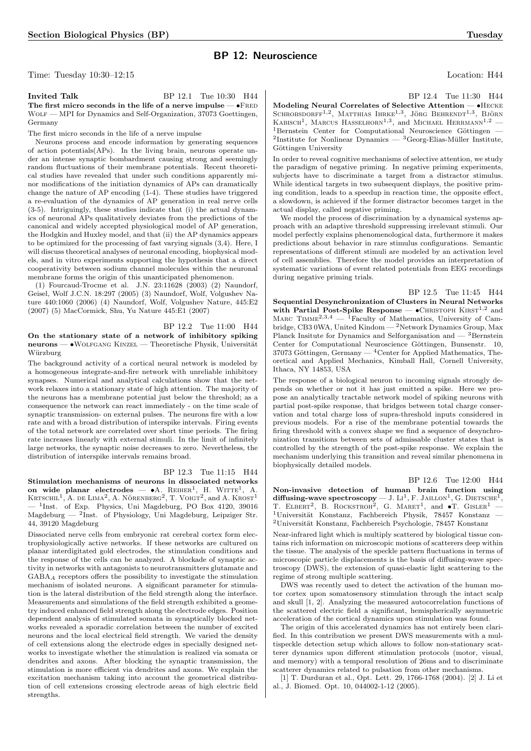# BP 12: Neuroscience

Time: Tuesday  $10:30-12:15$  Location: H44

**Invited Talk** BP 12.1 Tue 10:30 H44 The first micro seconds in the life of a nerve impulse  $-\bullet$  FRED Wolf — MPI for Dynamics and Self-Organization, 37073 Goettingen, Germany

The first micro seconds in the life of a nerve impulse

Neurons process and encode information by generating sequences of action potentials(APs). In the living brain, neurons operate under an intense synaptic bombardment causing strong and seemingly random fluctuations of their membrane potentials. Recent theoretical studies have revealed that under such conditions apparently minor modifications of the initiation dynamics of APs can dramatically change the nature of AP encoding (1-4). These studies have triggered a re-evaluation of the dynamics of AP generation in real nerve cells (3-5). Intriguingly, these studies indicate that (i) the actual dynamics of neuronal APs qualitatively deviates from the predictions of the canonical and widely accepted physiological model of AP generation, the Hodgkin and Huxley model, and that (ii) the AP dynamics appears to be optimized for the processing of fast varying signals (3,4). Here, I will discuss theoretical analyses of neuronal encoding, biophysical models, and in vitro experiments supporting the hypothesis that a direct cooperativity between sodium channel molecules within the neuronal membrane forms the origin of this unanticipated phenomenon.

(1) Fourcaud-Trocme et al. J.N. 23:11628 (2003) (2) Naundorf, Geisel, Wolf J.C.N. 18:297 (2005) (3) Naundorf, Wolf, Volgushev Nature 440:1060 (2006) (4) Naundorf, Wolf, Volgushev Nature, 445:E2 (2007) (5) MacCormick, Shu, Yu Nature 445:E1 (2007)

BP 12.2 Tue 11:00 H44

On the stationary state of a network of inhibitory spiking  $neurons - oWOLFGANG KNZEL - Theoretische Physik, Universität$ Würzburg

The background activity of a cortical neural network is modeled by a homogeneous integrate-and-fire network with unreliable inhibitory synapses. Numerical and analytical calculations show that the network relaxes into a stationary state of high attention. The majority of the neurons has a membrane potential just below the threshold; as a consequence the network can react immediately - on the time scale of synaptic transmission- on external pulses. The neurons fire with a low rate and with a broad distribution of interspike intervals. Firing events of the total network are correlated over short time periods. The firing rate increases linearly with external stimuli. In the limit of infinitely large networks, the synaptic noise decreases to zero. Nevertheless, the distribution of interspike intervals remains broad.

BP 12.3 Tue 11:15 H44

Stimulation mechanisms of neurons in dissociated networks on wide planar electrodes  $\bullet$  A. REIHER<sup>1</sup>, H. WITTE<sup>1</sup>, A. KRTSCHIL<sup>1</sup>, A. DE LIMA<sup>2</sup>, A. NÖRENBERG<sup>2</sup>, T. VOIGT<sup>2</sup>, and A. KROST<sup>1</sup>  $-$ <sup>1</sup>Inst. of Exp. Physics, Uni Magdeburg, PO Box 4120, 39016 Magdeburg  $-$  <sup>2</sup>Inst. of Physiology, Uni Magdeburg, Leipziger Str. 44, 39120 Magdeburg

Dissociated nerve cells from embryonic rat cerebral cortex form electrophysiologically active networks. If these networks are cultured on planar interdigitated gold electrodes, the stimulation conditions and the response of the cells can be analyzed. A blockade of synaptic activity in networks with antagonists to neurotransmitters glutamate and  $\mathsf{GABA}_A$  receptors offers the possibility to investigate the stimulation mechanism of isolated neurons. A significant parameter for stimulation is the lateral distribution of the field strength along the interface. Measurements and simulations of the field strength exhibited a geometry induced enhanced field strength along the electrode edges. Position dependent analysis of stimulated somata in synaptically blocked networks revealed a sporadic correlation between the number of excited neurons and the local electrical field strength. We varied the density of cell extensions along the electrode edges in specially designed networks to investigate whether the stimulation is realized via somata or dendrites and axons. After blocking the synaptic transmission, the stimulation is more efficient via dendrites and axons. We explain the excitation mechanism taking into account the geometrical distribution of cell extensions crossing electrode areas of high electric field strengths.

BP 12.4 Tue 11:30 H44

Modeling Neural Correlates of Selective Attention — •Hecke SCHROBSDORFF<sup>1,2</sup>, MATTHIAS IHRKE<sup>1,3</sup>, JÖRG BEHRENDT<sup>1,3</sup>, BJÖRN KABISCH<sup>1</sup>, MARCUS HASSELHORN<sup>1,3</sup>, and MICHAEL HERRMANN<sup>1,2</sup> –  $1$ Bernstein Center for Computational Neuroscience Göttingen — <sup>2</sup>Institute for Nonlinear Dynamics  $-$  <sup>3</sup>Georg-Elias-Müller Institute, Göttingen University

In order to reveal cognitive mechanisms of selective attention, we study the paradigm of negative priming. In negative priming experiments, subjects have to discriminate a target from a distractor stimulus. While identical targets in two subsequent displays, the positive priming condition, leads to a speedup in reaction time, the opposite effect, a slowdown, is achieved if the former distractor becomes target in the actual display, called negative priming.

We model the process of discrimination by a dynamical systems approach with an adaptive threshold suppressing irrelevant stimuli. Our model perfectly explains phenomenological data, furthermore it makes predictions about behavior in rare stimulus configurations. Semantic representations of different stimuli are modeled by an activation level of cell assemblies. Therefore the model provides an interpretation of systematic variations of event related potentials from EEG recordings during negative priming trials.

BP 12.5 Tue 11:45 H44 Sequential Desynchronization of Clusters in Neural Networks with Partial Post-Spike Response —  $\bullet$ CHRISTOPH KIRST<sup>1,2</sup> and MARC TIMME<sup>2,3,4</sup>  $-$ <sup>1</sup>Faculty of Mathematics, University of Cambridge, CB3 0WA, United Kindom — <sup>2</sup>Network Dynamics Group, Max Planck Insitute for Dynamics and Selforganisation and — <sup>3</sup>Bernstein Center for Computational Neuroscience Göttingen, Bunsenstr. 10, 37073 Göttingen, Germany —  ${}^{4}$ Center for Applied Mathematics, Theoretical and Applied Mechanics, Kimball Hall, Cornell University, Ithaca, NY 14853, USA

The response of a biological neuron to incoming signals strongly depends on whether or not it has just emitted a spike. Here we propose an analytically tractable network model of spiking neurons with partial post-spike response, that bridges between total charge conservation and total charge loss of supra-threshold inputs considered in previous models. For a rise of the membrane potential towards the firing threshold with a convex shape we find a sequence of desynchronization transitions between sets of admissable cluster states that is controlled by the strength of the post-spike response. We explain the mechanism underlying this transition and reveal similar phenomena in biophysically detailed models.

BP 12.6 Tue 12:00 H44 Non-invasive detection of human brain function using diffusing-wave spectroscopy — J.  $Li^1$ , F. JAILLON<sup>1</sup>, G. DIETSCHE<sup>1</sup>, T. ELBERT<sup>2</sup>, B. ROCKSTROH<sup>2</sup>, G. MARET<sup>1</sup>, and  $\bullet$ T. GISLER<sup>1</sup> —  $1$ Universität Konstanz, Fachbereich Physik, 78457 Konstanz –  $2$ Universität Konstanz, Fachbereich Psychologie, 78457 Konstanz

Near-infrared light which is multiply scattered by biological tissue contains rich information on microscopic motions of scatterers deep within the tissue. The analysis of the speckle pattern fluctuations in terms of microscopic particle displacements is the basis of diffusing-wave spectroscopy (DWS), the extension of quasi-elastic light scattering to the regime of strong multiple scattering.

DWS was recently used to detect the activation of the human motor cortex upon somatosensory stimulation through the intact scalp and skull [1, 2]. Analyzing the measured autocorrelation functions of the scattered electric field a significant, hemispherically asymmetric acceleration of the cortical dynamics upon stimulation was found.

The origin of this accelerated dynamics has not entirely been clarified. In this contribution we present DWS measurements with a multispeckle detection setup which allows to follow non-stationary scatterer dynamics upon different stimulation protocols (motor, visual, and memory) with a temporal resolution of 26ms and to discriminate scatterer dynamics related to pulsation from other mechanisms.

[1] T. Durduran et al., Opt. Lett. 29, 1766-1768 (2004). [2] J. Li et al., J. Biomed. Opt. 10, 044002-1-12 (2005).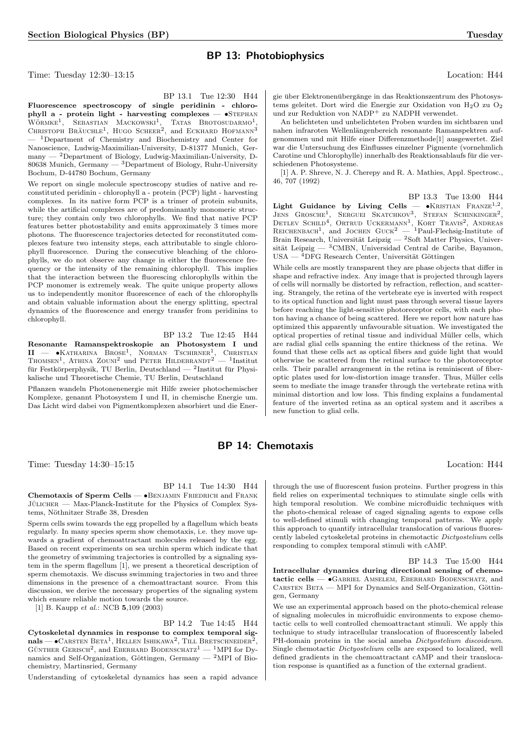# BP 13: Photobiophysics

Time: Tuesday  $12:30-13:15$  Location: H44

BP 13.1 Tue 12:30 H44

Fluorescence spectroscopy of single peridinin - chlorophyll a - protein light - harvesting complexes  $\bullet$ STEPHAN WÖRMKE<sup>1</sup>, SEBASTIAN MACKOWSKI<sup>1</sup>, TATAS BROTOSUDARMO<sup>1</sup>, CHRISTOPH BRÄUCHLE<sup>1</sup>, HUGO SCHEER<sup>2</sup>, and ECKHARD HOFMANN<sup>3</sup> <sup>1</sup>Department of Chemistry and Biochemistry and Center for Nanoscience, Ludwig-Maximilian-University, D-81377 Munich, Germany — <sup>2</sup>Department of Biology, Ludwig-Maximilian-University, D-80638 Munich, Germany  $-$  <sup>3</sup>Department of Biology, Ruhr-University Bochum, D-44780 Bochum, Germany

We report on single molecule spectroscopy studies of native and reconstituted peridinin - chlorophyll a - protein (PCP) light - harvesting complexes. In its native form PCP is a trimer of protein subunits, while the artificial complexes are of predominantly monomeric structure; they contain only two chlorophylls. We find that native PCP features better photostability and emits approximately 3 times more photons. The fluorescence trajectories detected for reconstituted complexes feature two intensity steps, each attributable to single chlorophyll fluorescence. During the consecutive bleaching of the chlorophylls, we do not observe any change in either the fluorescence frequency or the intensity of the remaining chlorophyll. This implies that the interaction between the fluorescing chlorophylls within the PCP monomer is extremely weak. The quite unique property allows us to independently monitor fluorescence of each of the chlorophylls and obtain valuable information about the energy splitting, spectral dynamics of the fluorescence and energy transfer from peridinins to chlorophyll.

BP 13.2 Tue 12:45 H44 Resonante Ramanspektroskopie an Photosystem I und II — •Katharina Brose<sup>1</sup> , Norman Tschirner<sup>1</sup> , Christian THOMSEN<sup>1</sup>, ATHINA ZOUNI<sup>2</sup> und PETER HILDEBRANDT<sup>2</sup> — <sup>1</sup>Institut für Festkörperphysik, TU Berlin, Deutschland —  $^2$ Institut für Physikalische und Theoretische Chemie, TU Berlin, Deutschland

Pflanzen wandeln Photonenenergie mit Hilfe zweier photochemischer Komplexe, genannt Photosystem I und II, in chemische Energie um. Das Licht wird dabei von Pigmentkomplexen absorbiert und die Ener-

gie über Elektronen übergänge in das Reaktionszentrum des Photosystems geleitet. Dort wird die Energie zur Oxidation von H2O zu O<sup>2</sup> und zur Reduktion von NADP<sup>+</sup> zu NADPH verwendet.

An belichteten und unbelichteten Proben wurden im sichtbaren und nahen infraroten Wellenlängenbereich resonante Ramanspektren aufgenommen und mit Hilfe einer Differenzmethode[1] ausgewertet. Ziel war die Untersuchung des Einflusses einzelner Pigmente (vornehmlich Carotine und Chlorophylle) innerhalb des Reaktionsablaufs für die verschiedenen Photosysteme.

[1] A. P. Shreve, N. J. Cherepy and R. A. Mathies, Appl. Spectrosc., 46, 707 (1992)

BP 13.3 Tue 13:00 H44 Light Guidance by Living Cells - $\bullet$  Kristian Franze<sup>1,2</sup> JENS GROSCHE<sup>1</sup>, SERGUEI SKATCHKOV<sup>3</sup>, STEFAN SCHINKINGER<sup>2</sup>, DETLEV SCHILD<sup>4</sup>, ORTRUD UCKERMANN<sup>1</sup>, KORT TRAVIS<sup>2</sup>, ANDREAS<br>REICHENBACH<sup>1</sup>, and JOCHEN GUCK<sup>2</sup> — <sup>1</sup>Paul-Flechsig-Institute of Brain Research, Universität Leipzig — <sup>2</sup>Soft Matter Physics, Universität Leipzig —  ${}^{3}$ CMBN, Universidad Central de Caribe, Bayamon,  $USA - 4$ DFG Research Center, Universität Göttingen

While cells are mostly transparent they are phase objects that differ in shape and refractive index. Any image that is projected through layers of cells will normally be distorted by refraction, reflection, and scattering. Strangely, the retina of the vertebrate eye is inverted with respect to its optical function and light must pass through several tissue layers before reaching the light-sensitive photoreceptor cells, with each photon having a chance of being scattered. Here we report how nature has optimized this apparently unfavourable situation. We investigated the optical properties of retinal tissue and individual Müller cells, which are radial glial cells spanning the entire thickness of the retina. We found that these cells act as optical fibers and guide light that would otherwise be scattered from the retinal surface to the photoreceptor cells. Their parallel arrangement in the retina is reminiscent of fiberoptic plates used for low-distortion image transfer. Thus, Müller cells seem to mediate the image transfer through the vertebrate retina with minimal distortion and low loss. This finding explains a fundamental feature of the inverted retina as an optical system and it ascribes a new function to glial cells.

# BP 14: Chemotaxis

Time: Tuesday  $14:30-15:15$  Location: H44

# BP 14.1 Tue 14:30 H44

Chemotaxis of Sperm Cells —  $\bullet$ BENJAMIN FRIEDRICH and FRANK JÜLICHER — Max-Planck-Institute for the Physics of Complex Systems, Nöthnitzer Straße 38, Dresden

Sperm cells swim towards the egg propelled by a flagellum which beats regularly. In many species sperm show chemotaxis, i.e. they move upwards a gradient of chemoattractant molecules released by the egg. Based on recent experiments on sea urchin sperm which indicate that the geometry of swimming trajectories is controlled by a signaling system in the sperm flagellum [1], we present a theoretical description of sperm chemotaxis. We discuss swimming trajectories in two and three dimensions in the presence of a chemoattractant source. From this discussion, we derive the necessary properties of the signaling system which ensure reliable motion towards the source.

[1] B. Kaupp et al.: NCB 5,109 (2003)

BP 14.2 Tue 14:45 H44

Cytoskeletal dynamics in response to complex temporal sig- $\mathbf{mals} \longrightarrow \mathbf{C}$ arsten Beta<sup>1</sup>, Hellen Ishikawa<sup>2</sup>, Till Bretschneider<sup>2</sup>, GÜNTHER GERISCH<sup>2</sup>, and EBERHARD BODENSCHATZ<sup>1</sup> — <sup>1</sup>MPI for Dynamics and Self-Organization, Göttingen, Germany  $-$  <sup>2</sup>MPI of Biochemistry, Martinsried, Germany

Understanding of cytoskeletal dynamics has seen a rapid advance

through the use of fluorescent fusion proteins. Further progress in this field relies on experimental techniques to stimulate single cells with high temporal resolution. We combine microfluidic techniques with the photo-chemical release of caged signaling agents to expose cells to well-defined stimuli with changing temporal patterns. We apply this approach to quantify intracellular translocation of various fluorescently labeled cytoskeletal proteins in chemotactic Dictyostelium cells responding to complex temporal stimuli with cAMP.

BP 14.3 Tue 15:00 H44

Intracellular dynamics during directional sensing of chemotactic cells —  $\bullet$ GABRIEL AMSELEM, EBERHARD BODENSCHATZ, and CARSTEN BETA — MPI for Dynamics and Self-Organization, Göttingen, Germany

We use an experimental approach based on the photo-chemical release of signaling molecules in microfluidic environments to expose chemotactic cells to well controlled chemoattractant stimuli. We apply this technique to study intracellular translocation of fluorescently labeled PH-domain proteins in the social ameba Dictyostelium discoideum. Single chemotactic Dictyostelium cells are exposed to localized, well defined gradients in the chemoattractant cAMP and their translocation response is quantified as a function of the external gradient.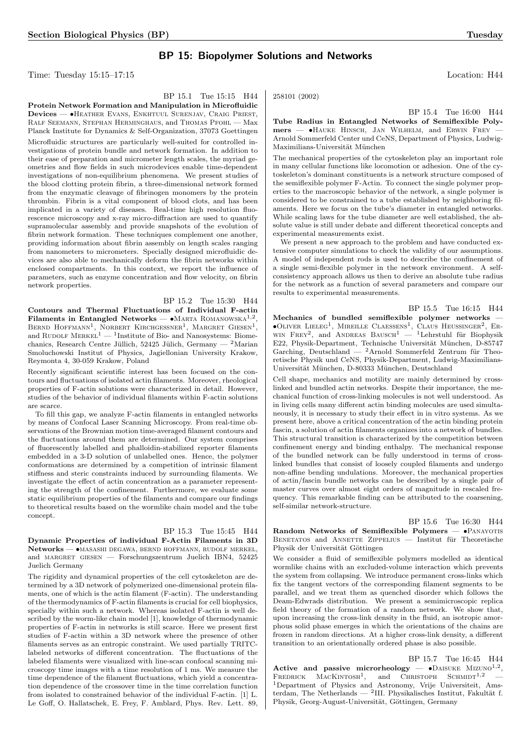# BP 15: Biopolymer Solutions and Networks

Time: Tuesday 15:15–17:15 Location: H44

# BP 15.1 Tue 15:15 H44

Protein Network Formation and Manipulation in Microfluidic Devices — •Heather Evans, Enkhtuul Surenjav, Craig Priest, Ralf Seemann, Stephan Herminghaus, and Thomas Pfohl — Max Planck Institute for Dynamics & Self-Organization, 37073 Goettingen Microfluidic structures are particularly well-suited for controlled investigations of protein bundle and network formation. In addition to their ease of preparation and micrometer length scales, the myriad geometries and flow fields in such microdevices enable time-dependent investigations of non-equilibrium phenomena. We present studies of the blood clotting protein fibrin, a three-dimensional network formed from the enzymatic cleavage of fibrinogen monomers by the protein thrombin. Fibrin is a vital component of blood clots, and has been implicated in a variety of diseases. Real-time high resolution fluorescence microscopy and x-ray micro-diffraction are used to quantify supramolecular assembly and provide snapshots of the evolution of fibrin network formation. These techniques complement one another, providing information about fibrin assembly on length scales ranging from nanometers to micrometers. Specially designed microfluidic devices are also able to mechanically deform the fibrin networks within enclosed compartments. In this context, we report the influence of parameters, such as enzyme concentration and flow velocity, on fibrin network properties.

BP 15.2 Tue 15:30 H44 Contours and Thermal Fluctuations of Individual F-actin Filaments in Entangled Networks —  $\bullet$ MARTA ROMANOWSKA<sup>1,2</sup>, BERND HOFFMANN<sup>1</sup>, NORBERT KIRCHGESSNER<sup>1</sup>, MARGRET GIESEN<sup>1</sup>, and RUDOLF  $MERKEL^1$  — <sup>1</sup>Institute of Bio- and Nanosystems: Biomechanics, Research Centre Jüllich, 52425 Jülich, Germany —  $^2$  Marian Smoluchowski Institut of Physics, Jagiellonian University Krakow, Reymonta 4, 30-059 Krakow, Poland

Recently significant scientific interest has been focused on the contours and fluctuations of isolated actin filaments. Moreover, rheological properties of F-actin solutions were characterized in detail. However, studies of the behavior of individual filaments within F-actin solutions are scarce.

To fill this gap, we analyze F-actin filaments in entangled networks by means of Confocal Laser Scanning Microscopy. From real-time observations of the Brownian motion time-averaged filament contours and the fluctuations around them are determined. Our system comprises of fluorescently labelled and phalloidin-stabilized reporter filaments embedded in a 3-D solution of unlabelled ones. Hence, the polymer conformations are determined by a competition of intrinsic filament stiffness and steric constraints induced by surrounding filaments. We investigate the effect of actin concentration as a parameter representing the strength of the confinement. Furthermore, we evaluate some static equilibrium properties of the filaments and compare our findings to theoretical results based on the wormlike chain model and the tube concept.

# BP 15.3 Tue 15:45 H44

Dynamic Properties of individual F-Actin Filaments in 3D Networks — •masashi degawa, bernd hoffmann, rudolf merkel, and MARGRET GIESEN - Forschungszentrum Juelich IBN4, 52425 Juelich Germany

The rigidity and dynamical properties of the cell cytoskeleton are determined by a 3D network of polymerized one-dimensional protein filaments, one of which is the actin filament (F-actin). The understanding of the thermodynamics of F-actin filaments is crucial for cell biophysics, specially within such a network. Whereas isolated F-actin is well described by the worm-like chain model [1], knowledge of thermodynamic properties of F-actin in networks is still scarce. Here we present first studies of F-actin within a 3D network where the presence of other filaments serves as an entropic constraint. We used partially TRITClabeled networks of different concentration. The fluctuations of the labeled filaments were visualized with line-scan confocal scanning microscopy time images with a time resolution of 1 ms. We measure the time dependence of the filament fluctuations, which yield a concentration dependence of the crossover time in the time correlation function from isolated to constrained behavior of the individual F-actin. [1] L. Le Goff, O. Hallatschek, E. Frey, F. Amblard, Phys. Rev. Lett. 89,

258101 (2002)

BP 15.4 Tue 16:00 H44

Tube Radius in Entangled Networks of Semiflexible Poly $mers$   $\bullet$ Hauke Hinsch, Jan Wilhelm, and Erwin Frey Arnold Sommerfeld Center und CeNS, Department of Physics, Ludwig-Maximilians-Universität München

The mechanical properties of the cytoskeleton play an important role in many cellular functions like locomotion or adhesion. One of the cytoskeleton's dominant constituents is a network structure composed of the semiflexible polymer F-Actin. To connect the single polymer properties to the macroscopic behavior of the network, a single polymer is considered to be constrained to a tube established by neighboring filaments. Here we focus on the tube's diameter in entangled networks. While scaling laws for the tube diameter are well established, the absolute value is still under debate and different theoretical concepts and experimental measurements exist.

We present a new approach to the problem and have conducted extensive computer simulations to check the validity of our assumptions. A model of independent rods is used to describe the confinement of a single semi-flexible polymer in the network environment. A selfconsistency approach allows us then to derive an absolute tube radius for the network as a function of several parameters and compare our results to experimental measurements.

BP 15.5 Tue 16:15 H44 Mechanics of bundled semiflexible polymer networks —  $\bullet$ OLIVER LIELEG<sup>1</sup>, MIREILLE CLAESSENS<sup>1</sup>, CLAUS HEUSSINGER<sup>2</sup>, ERWIN FREY<sup>2</sup>, and ANDREAS BAUSCH<sup>1</sup> — <sup>1</sup>Lehrstuhl für Biophysik E22, Physik-Department, Technische Universität München, D-85747 Garching, Deutschland —  ${}^{2}$ Arnold Sommerfeld Zentrum für Theoretische Physik und CeNS, Physik-Department, Ludwig-Maximilians-Universität München, D-80333 München, Deutschland

Cell shape, mechanics and motility are mainly determined by crosslinked and bundled actin networks. Despite their importance, the mechanical function of cross-linking molecules is not well understood. As in living cells many different actin binding molecules are used simultaneously, it is necessary to study their effect in in vitro systems. As we present here, above a critical concentration of the actin binding protein fascin, a solution of actin filaments organizes into a network of bundles. This structural transition is characterized by the competition between confinement energy and binding enthalpy. The mechanical response of the bundled network can be fully understood in terms of crosslinked bundles that consist of loosely coupled filaments and undergo non-affine bending undulations. Moreover, the mechanical properties of actin/fascin bundle networks can be described by a single pair of master curves over almost eight orders of magnitude in rescaled frequency. This remarkable finding can be attributed to the coarsening, self-similar network-structure.

BP 15.6 Tue 16:30 H44 Random Networks of Semiflexible Polymers — • PANAYOTIS BENETATOS and ANNETTE ZIPPELIUS — Institut für Theoretische Physik der Universität Göttingen

We consider a fluid of semiflexible polymers modelled as identical wormlike chains with an excluded-volume interaction which prevents the system from collapsing. We introduce permanent cross-links which fix the tangent vectors of the corresponding filament segments to be parallel, and we treat them as quenched disorder which follows the Deam-Edwrads distribution. We present a semimicroscopic replica field theory of the formation of a random network. We show that, upon increasing the cross-link density in the fluid, an isotropic amorphous solid phase emerges in which the orientations of the chains are frozen in random directions. At a higher cross-link density, a different transition to an orientationally ordered phase is also possible.

BP 15.7 Tue 16:45 H44 Active and passive microrheology —  $\bullet$ DAISUKE MIZUNO<sup>1,2</sup>, FREDRICK  $MACKINTOSH<sup>1</sup>$ , and CHRISTOPH SCHMIDT<sup>1,2</sup> – <sup>1</sup>Department of Physics and Astronomy, Vrije Universiteit, Amsterdam, The Netherlands —  $^2$ III. Physikalisches Institut, Fakultät f. Physik, Georg-August-Universität, Göttingen, Germany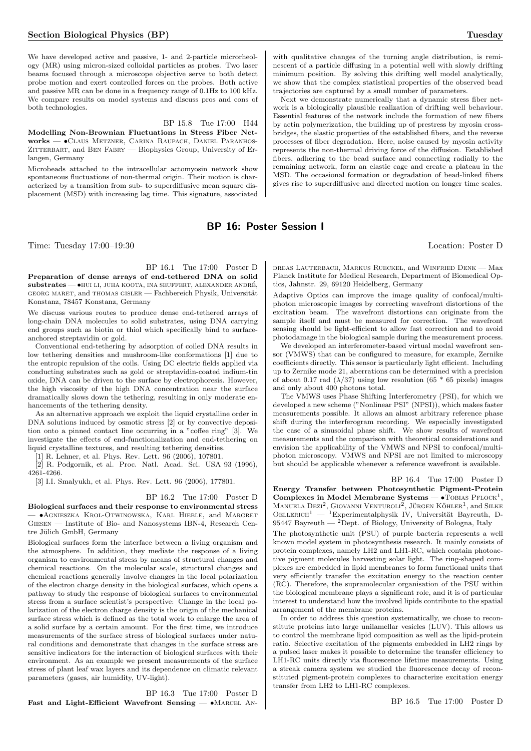We have developed active and passive, 1- and 2-particle microrheology (MR) using micron-sized colloidal particles as probes. Two laser beams focused through a microscope objective serve to both detect probe motion and exert controlled forces on the probes. Both active and passive MR can be done in a frequency range of 0.1Hz to 100 kHz. We compare results on model systems and discuss pros and cons of both technologies.

BP 15.8 Tue 17:00 H44

Modelling Non-Brownian Fluctuations in Stress Fiber Networks — •Claus Metzner, Carina Raupach, Daniel Paranhos-ZITTERBART, and BEN FABRY — Biophysics Group, University of Erlangen, Germany

Microbeads attached to the intracellular actomyosin network show spontaneous fluctuations of non-thermal origin. Their motion is characterized by a transition from sub- to superdiffusive mean square displacement (MSD) with increasing lag time. This signature, associated

# BP 16: Poster Session I

BP 16.1 Tue 17:00 Poster D Preparation of dense arrays of end-tethered DNA on solid substrates - • HUI LI, JUHA KOOTA, INA SEUFFERT, ALEXANDER ANDRÉ,  $GEORG$  MARET, and THOMAS  $GISER$  — Fachbereich Physik, Universität Konstanz, 78457 Konstanz, Germany

We discuss various routes to produce dense end-tethered arrays of long-chain DNA molecules to solid substrates, using DNA carrying end groups such as biotin or thiol which specifically bind to surfaceanchored streptavidin or gold.

Conventional end-tethering by adsorption of coiled DNA results in low tethering densities and mushroom-like conformations [1] due to the entropic repulsion of the coils. Using DC electric fields applied via conducting substrates such as gold or streptavidin-coated indium-tin oxide, DNA can be driven to the surface by electrophoresis. However, the high viscosity of the high DNA concentration near the surface dramatically slows down the tethering, resulting in only moderate enhancements of the tethering density.

As an alternative approach we exploit the liquid crystalline order in DNA solutions induced by osmotic stress [2] or by convective deposition onto a pinned contact line occurring in a "coffee ring" [3]. We investigate the effects of end-functionalization and end-tethering on liquid crystalline textures, and resulting tethering densities.

[1] R. Lehner, et al. Phys. Rev. Lett. 96 (2006), 107801.

[2] R. Podgornik, et al. Proc. Natl. Acad. Sci. USA 93 (1996), 4261-4266.

[3] I.I. Smalyukh, et al. Phys. Rev. Lett. 96 (2006), 177801.

#### BP 16.2 Tue 17:00 Poster D

Biological surfaces and their response to environmental stress — •Agnieszka Krol-Otwinowska, Karl Hieble, and Margret Giesen — Institute of Bio- and Nanosystems IBN-4, Research Centre Jülich GmbH, Germany

Biological surfaces form the interface between a living organism and the atmosphere. In addition, they mediate the response of a living organism to environmental stress by means of structural changes and chemical reactions. On the molecular scale, structural changes and chemical reactions generally involve changes in the local polarization of the electron charge density in the biological surfaces, which opens a pathway to study the response of biological surfaces to environmental stress from a surface scientist's perspective: Change in the local polarization of the electron charge density is the origin of the mechanical surface stress which is defined as the total work to enlarge the area of a solid surface by a certain amount. For the first time, we introduce measurements of the surface stress of biological surfaces under natural conditions and demonstrate that changes in the surface stress are sensitive indicators for the interaction of biological surfaces with their environment. As an example we present measurements of the surface stress of plant leaf wax layers and its dependence on climatic relevant parameters (gases, air humidity, UV-light).

## BP 16.3 Tue 17:00 Poster D

Fast and Light-Efficient Wavefront Sensing — •Marcel An-

with qualitative changes of the turning angle distribution, is reminescent of a particle diffusing in a potential well with slowly drifting minimum position. By solving this drifting well model analytically, we show that the complex statistical properties of the observed bead trajectories are captured by a small number of parameters.

Next we demonstrate numerically that a dynamic stress fiber network is a biologically plausible realization of drifting well behaviour. Essential features of the network include the formation of new fibers by actin polymerization, the building up of prestress by myosin crossbridges, the elastic properties of the established fibers, and the reverse processes of fiber degradation. Here, noise caused by myosin activity represents the non-thermal driving force of the diffusion. Established fibers, adhering to the bead surface and connecting radially to the remaining network, form an elastic cage and create a plateau in the MSD. The occasional formation or degradation of bead-linked fibers gives rise to superdiffusive and directed motion on longer time scales.

Time: Tuesday 17:00–19:30 Location: Poster D

dreas Lauterbach, Markus Rueckel, and Winfried Denk — Max Planck Institute for Medical Research, Department of Biomedical Optics, Jahnstr. 29, 69120 Heidelberg, Germany

Adaptive Optics can improve the image quality of confocal/multiphoton microscopic images by correcting wavefront distortions of the excitation beam. The wavefront distortions can originate from the sample itself and must be measured for correction. The wavefront sensing should be light-efficient to allow fast correction and to avoid photodamage in the biological sample during the measurement process.

We developed an interferometer-based virtual modal wavefront sensor (VMWS) that can be configured to measure, for example, Zernike coefficients directly. This sensor is particularly light efficient. Including up to Zernike mode 21, aberrations can be determined with a precision of about 0.17 rad  $(\lambda/37)$  using low resolution (65  $*$  65 pixels) images and only about 400 photons total.

The VMWS uses Phase Shifting Interferometry (PSI), for which we developed a new scheme ("Nonlinear PSI" (NPSI)), which makes faster measurements possible. It allows an almost arbitrary reference phase shift during the interferogram recording. We especially investigated the case of a sinusoidal phase shift. We show results of wavefront measurements and the comparison with theoretical considerations and envision the applicability of the VMWS and NPSI to confocal/multiphoton microscopy. VMWS and NPSI are not limited to microscopy but should be applicable whenever a reference wavefront is available.

BP 16.4 Tue 17:00 Poster D

Energy Transfer between Photosynthetic Pigment-Protein Complexes in Model Membrane Systems  $\rightarrow$  Tobias Pflock<sup>1</sup>, Manuela Dezi<sup>2</sup>, Giovanni Venturoli<sup>2</sup>, Jürgen Köhler<sup>1</sup>, and Silke OELLERICH<sup>1</sup> — <sup>1</sup>Experimentalphysik IV, Universität Bayreuth, D-95447 Bayreuth —  $^2$ Dept. of Biology, University of Bologna, Italy

The photosynthetic unit (PSU) of purple bacteria represents a well known model system in photosynthesis research. It mainly consists of protein complexes, namely LH2 and LH1-RC, which contain photoactive pigment molecules harvesting solar light. The ring-shaped complexes are embedded in lipid membranes to form functional units that very efficiently transfer the excitation energy to the reaction center (RC). Therefore, the supramolecular organisation of the PSU within the biological membrane plays a significant role, and it is of particular interest to understand how the involved lipids contribute to the spatial arrangement of the membrane proteins.

In order to address this question systematically, we chose to reconstitute proteins into large unilamellar vesicles (LUV). This allows us to control the membrane lipid composition as well as the lipid-protein ratio. Selective excitation of the pigments embedded in LH2 rings by a pulsed laser makes it possible to determine the transfer efficiency to LH1-RC units directly via fluorescence lifetime measurements. Using a streak camera system we studied the fluorescence decay of reconstituted pigment-protein complexes to characterize excitation energy transfer from LH2 to LH1-RC complexes.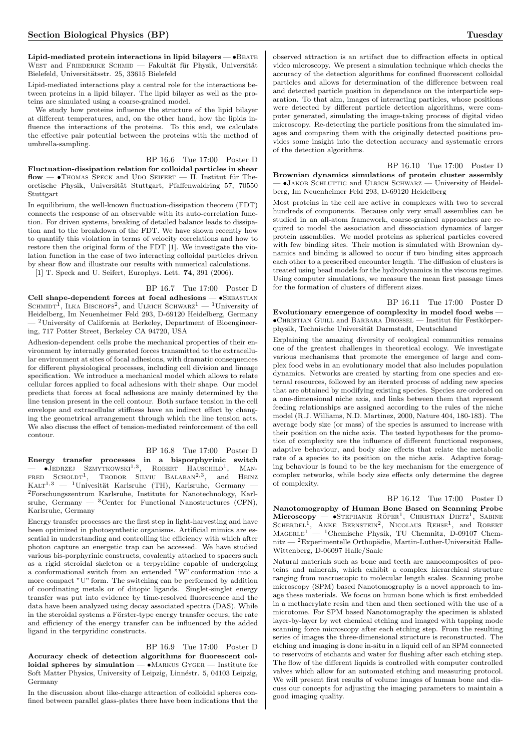Lipid-mediated protein interactions in lipid bilayers — • BEATE WEST and FRIEDERIKE SCHMID — Fakultät für Physik, Universität Bielefeld, Universitätsstr. 25, 33615 Bielefeld

Lipid-mediated interactions play a central role for the interactions between proteins in a lipid bilayer. The lipid bilayer as well as the proteins are simulated using a coarse-grained model.

We study how proteins influence the structure of the lipid bilayer at different temperatures, and, on the other hand, how the lipids influence the interactions of the proteins. To this end, we calculate the effective pair potential between the proteins with the method of umbrella-sampling.

# BP 16.6 Tue 17:00 Poster D

Fluctuation-dissipation relation for colloidal particles in shear  $flow - \bullet$ Thomas Speck and Udo Seifert — II. Institut für Theoretische Physik, Universität Stuttgart, Pfaffenwaldring 57, 70550 **Stuttgart** 

In equilibrium, the well-known fluctuation-dissipation theorem (FDT) connects the response of an observable with its auto-correlation function. For driven systems, breaking of detailed balance leads to dissipation and to the breakdown of the FDT. We have shown recently how to quantify this violation in terms of velocity correlations and how to restore then the original form of the FDT [1]. We investigate the violation function in the case of two interacting colloidal particles driven by shear flow and illustrate our results with numerical calculations.

[1] T. Speck and U. Seifert, Europhys. Lett. 74, 391 (2006).

#### BP 16.7 Tue 17:00 Poster D

Cell shape-dependent forces at focal adhesions -  $\bullet$ SEBASTIAN SCHMIDT<sup>1</sup>, ILKA BISCHOFS<sup>2</sup>, and ULRICH SCHWARZ<sup>1</sup> — <sup>1</sup>University of Heidelberg, Im Neuenheimer Feld 293, D-69120 Heidelberg, Germany — <sup>2</sup>University of California at Berkeley, Department of Bioengineering, 717 Potter Street, Berkeley CA 94720, USA

Adhesion-dependent cells probe the mechanical properties of their environment by internally generated forces transmitted to the extracellular environment at sites of focal adhesions, with dramatic consequences for different physiological processes, including cell division and lineage specification. We introduce a mechanical model which allows to relate cellular forces applied to focal adhesions with their shape. Our model predicts that forces at focal adhesions are mainly determined by the line tension present in the cell contour. Both surface tension in the cell envelope and extracellular stiffness have an indirect effect by changing the geometrical arrangement through which the line tension acts. We also discuss the effect of tension-mediated reinforcement of the cell contour.

#### BP 16.8 Tue 17:00 Poster D

Energy transfer processes in a bisporphyrinic switch  $-$  •Jedrzej Szmytkowski<sup>1,3</sup>, Robert Hauschild<sup>1</sup>  $MAN-$ FRED SCHOLDT<sup>1</sup>, TEODOR SILVIU BALABAN<sup>2,3</sup> , and Heinz  $KALT^{1,3}$  — <sup>1</sup>Univesität Karlsruhe (TH), Karlsruhe, Germany – <sup>2</sup>Forschungszentrum Karlsruhe, Institute for Nanotechnology, Karlsruhe, Germany  $-$  <sup>3</sup>Center for Functional Nanostructures (CFN), Karlsruhe, Germany

Energy transfer processes are the first step in light-harvesting and have been optimized in photosynthetic organisms. Artificial mimics are essential in understanding and controlling the efficiency with which after photon capture an energetic trap can be accessed. We have studied various bis-porphyrinic constructs, covalently attached to spacers such as a rigid steroidal skeleton or a terpyridine capable of undergoing a conformational switch from an extended "W" conformation into a more compact "U" form. The switching can be performed by addition of coordinating metals or of ditopic ligands. Singlet-singlet energy transfer was put into evidence by time-resolved fluorescence and the data have been analyzed using decay associated spectra (DAS). While in the steroidal systems a Förster-type energy transfer occurs, the rate and efficiency of the energy transfer can be influenced by the added ligand in the terpyridinc constructs.

BP 16.9 Tue 17:00 Poster D Accuracy check of detection algorithms for fluorescent colloidal spheres by simulation — •Markus Gyger — Institute for Soft Matter Physics, University of Leipzig, Linnéstr. 5, 04103 Leipzig, Germany

In the discussion about like-charge attraction of colloidal spheres confined between parallel glass-plates there have been indications that the observed attraction is an artifact due to diffraction effects in optical video microscopy. We present a simulation technique which checks the accuracy of the detection algorithms for confined fluorescent colloidal particles and allows for determination of the difference between real and detected particle position in dependance on the interparticle separation. To that aim, images of interacting particles, whose positions were detected by different particle detection algorithms, were computer generated, simulating the image-taking process of digital video microscopy. Re-detecting the particle positions from the simulated images and comparing them with the originally detected positions provides some insight into the detection accuracy and systematic errors of the detection algorithms.

BP 16.10 Tue 17:00 Poster D Brownian dynamics simulations of protein cluster assembly — •Jakob Schluttig and Ulrich Schwarz — University of Heidelberg, Im Neuenheimer Feld 293, D-69120 Heidelberg

Most proteins in the cell are active in complexes with two to several hundreds of components. Because only very small assemblies can be studied in an all-atom framework, coarse-grained approaches are required to model the association and dissociation dynamics of larger protein assemblies. We model proteins as spherical particles covered with few binding sites. Their motion is simulated with Brownian dynamics and binding is allowed to occur if two binding sites approach each other to a prescribed encounter length. The diffusion of clusters is treated using bead models for the hydrodynamics in the viscous regime. Using computer simulations, we measure the mean first passage times for the formation of clusters of different sizes.

BP 16.11 Tue 17:00 Poster D Evolutionary emergence of complexity in model food webs —  $\bullet$ CHRISTIAN GUILL and BARBARA DROSSEL — Institut für Festkörperphysik, Technische Universität Darmstadt, Deutschland

Explaining the amazing diversity of ecological communities remains one of the greatest challenges in theoretical ecology. We investigate various mechanisms that promote the emergence of large and complex food webs in an evolutionary model that also includes population dynamics. Networks are created by starting from one species and external resources, followed by an iterated process of adding new species that are obtained by modifying existing species. Species are ordered on a one-dimensional niche axis, and links between them that represent feeding relationships are assigned according to the rules of the niche model (R.J. Williams, N.D. Martinez, 2000, Nature 404, 180-183). The average body size (or mass) of the species is assumed to increase with their position on the niche axis. The tested hypotheses for the promotion of complexity are the influence of different functional responses, adaptive behaviour, and body size effects that relate the metabolic rate of a species to its position on the niche axis. Adaptive foraging behaviour is found to be the key mechanism for the emergence of complex networks, while body size effects only determine the degree of complexity.

BP 16.12 Tue 17:00 Poster D Nanotomography of Human Bone Based on Scanning Probe  $Microscopy - STEPHANIE RÖPER<sup>1</sup>, ChRISTIAN DIETZ<sup>1</sup>, SABINE$ SCHERDEL<sup>1</sup> , ANKE BERNSTEIN<sup>2</sup>, NICOLAUS REHSE<sup>1</sup>, and ROBERT  $M$ AGERLE<sup>1</sup> — <sup>1</sup>Chemische Physik, TU Chemnitz, D-09107 Chemnitz —  ${}^{2}$ Experimentelle Orthopädie, Martin-Luther-Universität Halle-Wittenberg, D-06097 Halle/Saale

Natural materials such as bone and teeth are nanocomposites of proteins and minerals, which exhibit a complex hierarchical structure ranging from macroscopic to molecular length scales. Scanning probe microscopy (SPM) based Nanotomography is a novel approach to image these materials. We focus on human bone which is first embedded in a methacrylate resin and then and then sectioned with the use of a microtome. For SPM based Nanotomography the specimen is ablated layer-by-layer by wet chemical etching and imaged with tapping mode scanning force microscopy after each etching step. From the resulting series of images the three-dimensional structure is reconstructed. The etching and imaging is done in-situ in a liquid cell of an SPM connected to reservoirs of etchants and water for flushing after each etching step. The flow of the different liquids is controlled with computer controlled valves which allow for an automated etching and measuring protocol. We will present first results of volume images of human bone and discuss our concepts for adjusting the imaging parameters to maintain a good imaging quality.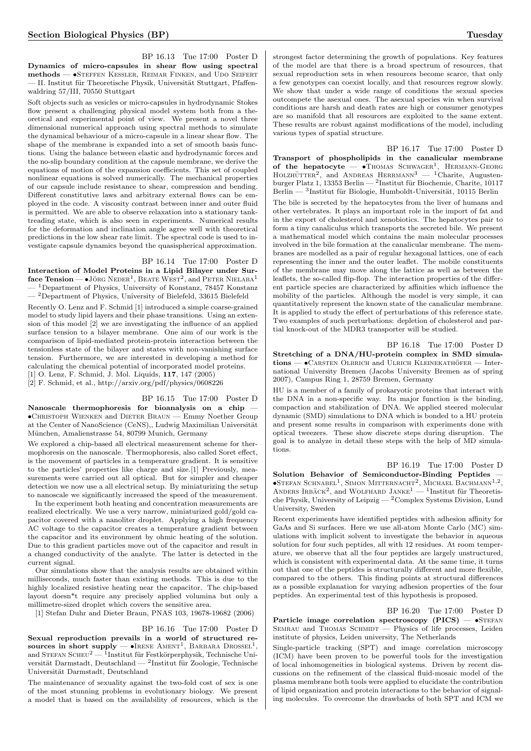BP 16.13 Tue 17:00 Poster D Dynamics of micro-capsules in shear flow using spectral methods — •Steffen Kessler, Reimar Finken, and Udo Seifert — II. Institut für Theoretische Physik, Universität Stuttgart, Pfaffenwaldring 57/III, 70550 Stuttgart

Soft objects such as vesicles or micro-capsules in hydrodynamic Stokes flow present a challenging physical model system both from a theoretical and experimental point of view. We present a novel three dimensional numerical approach using spectral methods to simulate the dynamical behaviour of a micro-capsule in a linear shear flow. The shape of the membrane is expanded into a set of smooth basis functions. Using the balance between elastic and hydrodynamic forces and the no-slip boundary condition at the capsule membrane, we derive the equations of motion of the expansion coefficients. This set of coupled nonlinear equations is solved numerically. The mechanical properties of our capsule include resistance to shear, compression and bending. Different constitutive laws and arbitrary external flows can be employed in the code. A viscosity contrast between inner and outer fluid is permitted. We are able to observe relaxation into a stationary tanktreading state, which is also seen in experiments. Numerical results for the deformation and inclination angle agree well with theoretical predictions in the low shear rate limit. The spectral code is used to investigate capsule dynamics beyond the quasispherical approximation.

#### BP 16.14 Tue 17:00 Poster D

Interaction of Model Proteins in a Lipid Bilayer under Sur- $\mathbf{face~Tension} \longrightarrow J\ddot{\circ} \text{RG~} \text{NEDER}^1, \text{BEATE~} \text{WEST}^2, \text{and~} \text{PETER~} \text{NIELABA}^1$ <sup>1</sup>Department of Physics, University of Konstanz, 78457 Konstanz  $-$ <sup>2</sup>Department of Physics, University of Bielefeld, 33615 Bielefeld

Recently O. Lenz and F. Schmid [1] introduced a simple coarse-grained model to study lipid layers and their phase transitions. Using an extension of this model [2] we are investigating the influence of an applied surface tension to a bilayer membrane. One aim of our work is the comparison of lipid-mediated protein-protein interaction between the tensionless state of the bilayer and states with non-vanishing surface tension. Furthermore, we are interested in developing a method for calculating the chemical potential of incorporated model proteins. [1] O. Lenz, F. Schmid, J. Mol. Liquids, 117, 147 (2005)

[2] F. Schmid, et al., http://arxiv.org/pdf/physics/0608226

#### BP 16.15 Tue 17:00 Poster D

Nanoscale thermophoresis for bioanalysis on a chip — •Christoph Wienken and Dieter Braun — Emmy Noether Group at the Center of NanoScience (CeNS),, Ludwig Maximilian Universität München, Amalienstrasse 54, 80799 Munich, Germany

We explored a chip-based all electrical measurement scheme for thermophoresis on the nanoscale. Thermophoresis, also called Soret effect, is the movement of particles in a temperature gradient. It is sensitive to the particles' properties like charge and size.[1] Previously, measurements were carried out all optical. But for simpler and cheaper detection we now use a all electrical setup. By miniaturizing the setup to nanoscale we significantly increased the speed of the measurement.

In the experiment both heating and concentration measurements are realized electrically. We use a very narrow, miniaturized gold/gold capacitor covered with a nanoliter droplet. Applying a high frequency AC voltage to the capacitor creates a temperature gradient between the capacitor and its environment by ohmic heating of the solution. Due to this gradient particles move out of the capacitor and result in a changed conductivity of the analyte. The latter is detected in the current signal.

Our simulations show that the analysis results are obtained within milliseconds, much faster than existing methods. This is due to the highly localized resistive heating near the capacitor. The chip-based layout doesn\*t require any precisely applied volumina but only a millimetre-sized droplet which covers the sensitive area.

[1] Stefan Duhr and Dieter Braun, PNAS 103, 19678-19682 (2006)

# BP 16.16 Tue 17:00 Poster D

Sexual reproduction prevails in a world of structured resources in short supply  $\bullet$ Irene Ament<sup>1</sup>, Barbara Drossel<sup>1</sup>, and STEFAN SCHEU<sup>2</sup> — <sup>1</sup>Institut für Festkörperphysik, Technische Universität Darmstadt, Deutschland — <sup>2</sup>Institut für Zoologie, Technische Universität Darmstadt, Deutschland

The maintenance of sexuality against the two-fold cost of sex is one of the most stunning problems in evolutionary biology. We present a model that is based on the availability of resources, which is the

strongest factor determining the growth of populations. Key features of the model are that there is a broad spectrum of resources, that sexual reproduction sets in when resources become scarce, that only a few genotypes can coexist locally, and that resources regrow slowly. We show that under a wide range of conditions the sexual species outcompete the asexual ones. The asexual species win when survival conditions are harsh and death rates are high or consumer genotypes are so manifold that all resources are exploited to the same extent. These results are robust against modifications of the model, including various types of spatial structure.

BP 16.17 Tue 17:00 Poster D Transport of phospholipids in the canalicular membrane of the hepatocyte - THOMAS SCHWAGER<sup>1</sup>, HERMANN-GEORG HOLZHÜTTER<sup>2</sup>, and ANDREAS HERRMANN<sup>3</sup> - <sup>1</sup>Charite, Augustenburger Platz 1, 13353 Berlin — <sup>2</sup>Institut für Biochemie, Charite, 10117 Berlin —  $3$ Institut für Biologie, Humboldt-Universität, 10115 Berlin

The bile is secreted by the hepatocytes from the liver of humans and other vertebrates. It plays an important role in the import of fat and in the export of cholesterol and xenobiotics. The hepatocytes pair to form a tiny canaliculus which transports the secreted bile. We present a mathematical model which contains the main molecular processes involved in the bile formation at the canalicular membrane. The membranes are modelled as a pair of regular hexagonal lattices, one of each representing the inner and the outer leaflet. The mobile constituents of the membrane may move along the lattice as well as between the leaflets, the so-called flip-flop. The interaction properties of the different particle species are characterized by affinities which influence the mobility of the particles. Although the model is very simple, it can quantitatively represent the known state of the canalicular membrane. It is applied to study the effect of perturbations of this reference state. Two examples of such perturbations: depletion of cholesterol and partial knock-out of the MDR3 transporter will be studied.

BP 16.18 Tue 17:00 Poster D Stretching of a DNA/HU-protein complex in SMD simula $tions - \bullet$ CARSTEN OLBRICH and ULRICH KLEINEKATHÖFER — International University Bremen (Jacobs University Bremen as of spring 2007), Campus Ring 1, 28759 Bremen, Germany

HU is a member of a family of prokaryotic proteins that interact with the DNA in a non-specific way. Its major function is the binding, compaction and stabilization of DNA. We applied steered molecular dynamic (SMD) simulations to DNA which is bonded to a HU protein and present some results in comparison with experiments done with optical tweezers. These show discrete steps during disruption. The goal is to analyze in detail these steps with the help of MD simulations.

BP 16.19 Tue 17:00 Poster D Solution Behavior of Semiconductor-Binding Peptides —  $\bullet$ Stefan Schnabel<sup>1</sup>, Simon Mitternacht<sup>2</sup>, Michael Bachmann<sup>1,2</sup>, ANDERS IRBACK<sup>2</sup>, and WOLFHARD JANKE<sup>1</sup> — <sup>1</sup>Institut für Theoretische Physik, University of Leipzig — $^2 \mathrm{Complex}$  Systems Division, Lund University, Sweden

Recent experiments have identified peptides with adhesion affinity for GaAs and Si surfaces. Here we use all-atom Monte Carlo (MC) simulations with implicit solvent to investigate the behavior in aqueous solution for four such peptides, all with 12 residues. At room temperature, we observe that all the four peptides are largely unstructured, which is consistent with experimental data. At the same time, it turns out that one of the peptides is structurally different and more flexible, compared to the others. This finding points at structural differences as a possible explanation for varying adhesion properties of the four peptides. An experimental test of this hypothesis is proposed.

BP 16.20 Tue 17:00 Poster D Particle image correlation spectroscopy  $(PICS)$   $-$  •STEFAN SEMRAU and THOMAS SCHMIDT — Physics of life processes, Leiden institute of physics, Leiden university, The Netherlands

Single-particle tracking (SPT) and image correlation microscopy (ICM) have been proven to be powerful tools for the investigation of local inhomogeneities in biological systems. Driven by recent discussions on the refinement of the classical fluid-mosaic model of the plasma membrane both tools were applied to elucidate the contribution of lipid organization and protein interactions to the behavior of signaling molecules. To overcome the drawbacks of both SPT and ICM we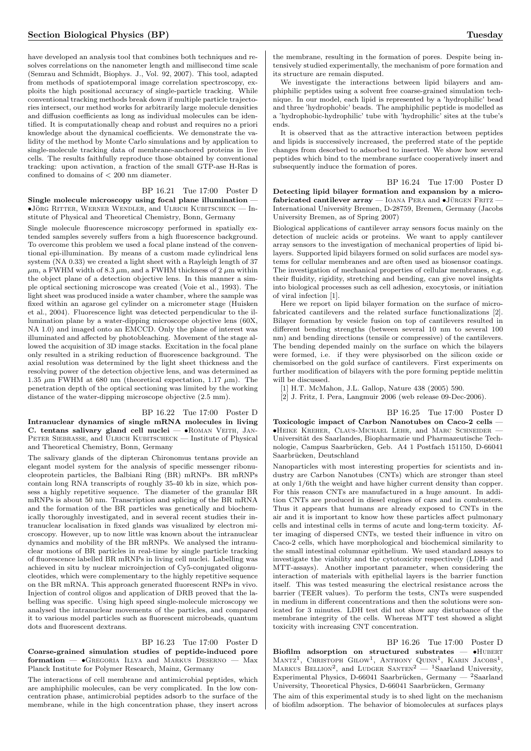have developed an analysis tool that combines both techniques and resolves correlations on the nanometer length and millisecond time scale (Semrau and Schmidt, Biophys. J., Vol. 92, 2007). This tool, adapted from methods of spatiotemporal image correlation spectroscopy, exploits the high positional accuracy of single-particle tracking. While conventional tracking methods break down if multiple particle trajectories intersect, our method works for arbitrarily large molecule densities and diffusion coefficients as long as individual molecules can be identified. It is computationally cheap and robust and requires no a priori knowledge about the dynamical coefficients. We demonstrate the validity of the method by Monte Carlo simulations and by application to single-molecule tracking data of membrane-anchored proteins in live cells. The results faithfully reproduce those obtained by conventional tracking: upon activation, a fraction of the small GTP-ase H-Ras is confined to domains of < 200 nm diameter.

# BP 16.21 Tue 17:00 Poster D

Single molecule microscopy using focal plane illumination - $\bullet$ JÖRG RITTER, WERNER WENDLER, and ULRICH KUBITSCHECK — Institute of Physical and Theoretical Chemistry, Bonn, Germany

Single molecule fluorescence microscopy performed in spatially extended samples severely suffers from a high fluorescence background. To overcome this problem we used a focal plane instead of the conventional epi-illumination. By means of a custom made cylindrical lens system (NA 0.33) we created a light sheet with a Rayleigh length of 37  $\mu$ m, a FWHM width of 8.3  $\mu$ m, and a FWHM thickness of 2  $\mu$ m within the object plane of a detection objective lens. In this manner a simple optical sectioning microscope was created (Voie et al., 1993). The light sheet was produced inside a water chamber, where the sample was fixed within an agarose gel cylinder on a micrometer stage (Huisken et al., 2004). Fluorescence light was detected perpendicular to the illumination plane by a water-dipping microscope objective lens (60X, NA 1.0) and imaged onto an EMCCD. Only the plane of interest was illuminated and affected by photobleaching. Movement of the stage allowed the acquisition of 3D image stacks. Excitation in the focal plane only resulted in a striking reduction of fluorescence background. The axial resolution was determined by the light sheet thickness and the resolving power of the detection objective lens, and was determined as 1.35  $\mu$ m FWHM at 680 nm (theoretical expectation, 1.17  $\mu$ m). The penetration depth of the optical sectioning was limited by the working distance of the water-dipping microscope objective (2.5 mm).

# BP 16.22 Tue 17:00 Poster D

Intranuclear dynamics of single mRNA molecules in living C. tentans salivary gland cell nuclei — •Roman Veith, Jan-PETER SIEBRASSE, and ULRICH KUBITSCHECK — Institute of Physical and Theoretical Chemistry, Bonn, Germany

The salivary glands of the dipteran Chironomus tentans provide an elegant model system for the analysis of specific messenger ribonucleoprotein particles, the Balbiani Ring (BR) mRNPs. BR mRNPs contain long RNA transcripts of roughly 35-40 kb in size, which possess a highly repetitive sequence. The diameter of the granular BR mRNPs is about 50 nm. Transcription and splicing of the BR mRNA and the formation of the BR particles was genetically and biochemically thoroughly investigated, and in several recent studies their intranuclear localisation in fixed glands was visualized by electron microscopy. However, up to now little was known about the intranuclear dynamics and mobility of the BR mRNPs. We analysed the intranuclear motions of BR particles in real-time by single particle tracking of fluorescence labelled BR mRNPs in living cell nuclei. Labelling was achieved in situ by nuclear microinjection of Cy5-conjugated oligonucleotides, which were complementary to the highly repetitive sequence on the BR mRNA. This approach generated fluorescent RNPs in vivo. Injection of control oligos and application of DRB proved that the labelling was specific. Using high speed single-molecule microscopy we analysed the intranuclear movements of the particles, and compared it to various model particles such as fluorescent microbeads, quantum dots and fluorescent dextrans.

#### BP 16.23 Tue 17:00 Poster D Coarse-grained simulation studies of peptide-induced pore formation — •Gregoria Illya and Markus Deserno — Max Planck Institute for Polymer Research, Mainz, Germany

The interactions of cell membrane and antimicrobial peptides, which are amphiphilic molecules, can be very complicated. In the low concentration phase, antimicrobial peptides adsorb to the surface of the membrane, while in the high concentration phase, they insert across

the membrane, resulting in the formation of pores. Despite being intensively studied experimentally, the mechanism of pore formation and its structure are remain disputed.

We investigate the interactions between lipid bilayers and amphiphilic peptides using a solvent free coarse-grained simulation technique. In our model, each lipid is represented by a 'hydrophilic' bead and three 'hydrophobic' beads. The amphiphilic peptide is modelled as a 'hydrophobic-hydrophilic' tube with 'hydrophilic' sites at the tube's ends.

It is observed that as the attractive interaction between peptides and lipids is successively increased, the preferred state of the peptide changes from desorbed to adsorbed to inserted. We show how several peptides which bind to the membrane surface cooperatively insert and subsequently induce the formation of pores.

BP 16.24 Tue 17:00 Poster D Detecting lipid bilayer formation and expansion by a microfabricated cantilever array — IOANA PERA and  $\bullet$ JÜRGEN FRITZ -International University Bremen, D-28759, Bremen, Germany (Jacobs University Bremen, as of Spring 2007)

Biological applications of cantilever array sensors focus mainly on the detection of nucleic acids or proteins. We want to apply cantilever array sensors to the investigation of mechanical properties of lipid bilayers. Supported lipid bilayers formed on solid surfaces are model systems for cellular membranes and are often used as biosensor coatings. The investigation of mechanical properties of cellular membranes, e.g. their fluidity, rigidity, stretching and bending, can give novel insights into biological processes such as cell adhesion, exocytosis, or initiation of viral infection [1].

Here we report on lipid bilayer formation on the surface of microfabricated cantilevers and the related surface functionalizations [2]. Bilayer formation by vesicle fusion on top of cantilevers resulted in different bending strengths (between several 10 nm to several 100 nm) and bending directions (tensile or compressive) of the cantilevers. The bending depended mainly on the surface on which the bilayers were formed, i.e. if they were physisorbed on the silicon oxide or chemisorbed on the gold surface of cantilevers. First experiments on further modification of bilayers with the pore forming peptide melittin will be discussed.

[1] H.T. McMahon, J.L. Gallop, Nature 438 (2005) 590.

[2] J. Fritz, I. Pera, Langmuir 2006 (web release 09-Dec-2006).

BP 16.25 Tue 17:00 Poster D Toxicologic impact of Carbon Nanotubes on Caco-2 cells — •Heike Kreher, Claus-Michael Lehr, and Marc Schneider — Universität des Saarlandes, Biopharmazie und Pharmazeutische Technologie, Campus Saarbrücken, Geb. A4 1 Postfach 151150, D-66041 Saarbrücken, Deutschland

Nanoparticles with most interesting properties for scientists and industry are Carbon Nanotubes (CNTs) which are stronger than steel at only 1/6th the weight and have higher current density than copper. For this reason CNTs are manufactured in a huge amount. In addition CNTs are produced in diesel engines of cars and in combusters. Thus it appears that humans are already exposed to CNTs in the air and it is important to know how these particles affect pulmonary cells and intestinal cells in terms of acute and long-term toxicity. After imaging of dispersed CNTs, we tested their influence in vitro on Caco-2 cells, which have morphological and biochemical similarity to the small intestinal columnar epithelium. We used standard assays to investigate the viability and the cytotoxicity respectively (LDH- and MTT-assays). Another important parameter, when considering the interaction of materials with epithelial layers is the barrier function itself. This was tested measuring the electrical resistance across the barrier (TEER values). To perform the tests, CNTs were suspended in medium in different concentrations and then the solutions were sonicated for 3 minutes. LDH test did not show any disturbance of the membrane integrity of the cells. Whereas MTT test showed a slight toxicity with increasing CNT concentration.

BP 16.26 Tue 17:00 Poster D Biofilm adsorption on structured substrates -  $\bullet$ HUBERT MANTZ<sup>1</sup>, CHRISTOPH GILOW<sup>1</sup>, ANTHONY QUINN<sup>1</sup>, KARIN JACOBS<sup>1</sup>, MARKUS BELLION<sup>2</sup>, and LUDGER SANTEN<sup>2</sup> - <sup>1</sup>Saarland University, Experimental Physics, D-66041 Saarbrücken, Germany —  $^2$ Saarland University, Theoretical Physics, D-66041 Saarbrücken, Germany

The aim of this experimental study is to shed light on the mechanism of biofilm adsorption. The behavior of biomolecules at surfaces plays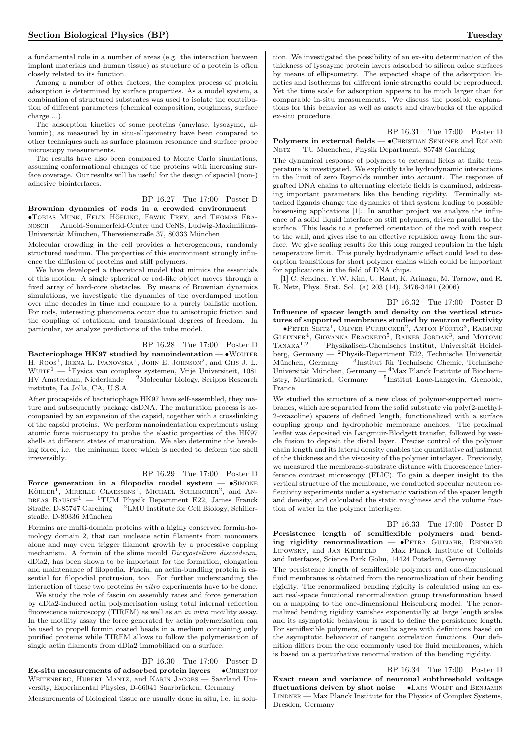a fundamental role in a number of areas (e.g. the interaction between implant materials and human tissue) as structure of a protein is often closely related to its function.

Among a number of other factors, the complex process of protein adsorption is determined by surface properties. As a model system, a combination of structured substrates was used to isolate the contribution of different parameters (chemical composition, roughness, surface charge ...).

The adsorption kinetics of some proteins (amylase, lysozyme, albumin), as measured by in situ-ellipsometry have been compared to other techniques such as surface plasmon resonance and surface probe microscopy measurements.

The results have also been compared to Monte Carlo simulations, assuming conformational changes of the proteins with increasing surface coverage. Our results will be useful for the design of special (non-) adhesive biointerfaces.

BP 16.27 Tue 17:00 Poster D

Brownian dynamics of rods in a crowded environment — •TOBIAS MUNK, FELIX HÖFLING, ERWIN FREY, and THOMAS FRAnosch — Arnold-Sommerfeld-Center und CeNS, Ludwig-Maximilians-Universität München, Theresienstraße 37, 80333 München

Molecular crowding in the cell provides a heterogeneous, randomly structured medium. The properties of this environment strongly influence the diffusion of proteins and stiff polymers.

We have developed a theoretical model that mimics the essentials of this motion: A single spherical or rod-like object moves through a fixed array of hard-core obstacles. By means of Brownian dynamics simulations, we investigate the dynamics of the overdamped motion over nine decades in time and compare to a purely ballistic motion. For rods, interesting phenomena occur due to anisotropic friction and the coupling of rotational and translational degrees of freedom. In particular, we analyze predictions of the tube model.

BP 16.28 Tue 17:00 Poster D

Bacteriophage HK97 studied by nanoindentation  $- \cdot$  WOUTER H. ROOS<sup>1</sup>, IRENA L. IVANOVSKA<sup>1</sup>, JOHN E. JOHNSON<sup>2</sup>, and GIJS J. L.  $\rm{W} \rm{U} \rm{T} \rm{E} ^{1}$  —  $\rm{^{1}F} \rm{y} \rm{s}$ ica van complexe systemen, Vrije Universiteit, 1081 HV Amsterdam, Niederlande — <sup>2</sup>Molecular biology, Scripps Research institute, La Jolla, CA, U.S.A.

After procapsids of bacteriophage HK97 have self-assembled, they mature and subsequently package dsDNA. The maturation process is accompanied by an expansion of the capsid, together with a crosslinking of the capsid proteins. We perform nanoindentation experiments using atomic force microscopy to probe the elastic properties of the HK97 shells at different states of maturation. We also determine the breaking force, i.e. the minimum force which is needed to deform the shell irreversibly.

BP 16.29 Tue 17:00 Poster D

Force generation in a filopodia model system  $-$  •SIMONE KÖHLER<sup>I</sup>, MIREILLE CLAESSENS<sup>1</sup>, MICHAEL SCHLEICHER<sup>2</sup>, and AN-DREAS  $B$ AUSCH<sup>1</sup> — <sup>1</sup>TUM Physik Department E22, James Franck Straße, D-85747 Garching —  $^2$ LMU Institute for Cell Biology, Schillerstraße, D-80336 München

Formins are multi-domain proteins with a highly conserved formin-homology domain 2, that can nucleate actin filaments from monomers alone and may even trigger filament growth by a processive capping mechanism. A formin of the slime mould Dictyostelium discoideum, dDia2, has been shown to be important for the formation, elongation and maintenance of filopodia. Fascin, an actin-bundling protein is essential for filopodial protrusion, too. For further understanding the interaction of these two proteins in vitro experiments have to be done.

We study the role of fascin on assembly rates and force generation by dDia2-induced actin polymerisation using total internal reflection fluorescence microscopy (TIRFM) as well as an in vitro motility assay. In the motility assay the force generated by actin polymerisation can be used to propell formin coated beads in a medium containing only purified proteins while TIRFM allows to follow the polymerisation of single actin filaments from dDia2 immobilized on a surface.

# BP 16.30 Tue 17:00 Poster D

Ex-situ measurements of adsorbed protein layers  $\bullet$  CHRISTOF WEITENBERG, HUBERT MANTZ, and KARIN JACOBS — Saarland University, Experimental Physics, D-66041 Saarbrücken, Germany Measurements of biological tissue are usually done in situ, i.e. in solu-

tion. We investigated the possibility of an ex-situ determination of the thickness of lysozyme protein layers adsorbed to silicon oxide surfaces by means of ellipsometry. The expected shape of the adsorption kinetics and isotherms for different ionic strengths could be reproduced. Yet the time scale for adsorption appears to be much larger than for comparable in-situ measurements. We discuss the possible explanations for this behavior as well as assets and drawbacks of the applied ex-situ procedure.

BP 16.31 Tue 17:00 Poster D Polymers in external fields  $\bullet$ CHRISTIAN SENDNER and ROLAND Netz — TU Muenchen, Physik Department, 85748 Garching

The dynamical response of polymers to external fields at finite temperature is investigated. We explicitly take hydrodynamic interactions in the limit of zero Reynolds number into account. The response of grafted DNA chains to alternating electric fields is examined, addressing important parameters like the bending rigidity. Terminally attached ligands change the dynamics of that system leading to possible biosensing applications [1]. In another project we analyze the influence of a solid–liquid interface on stiff polymers, driven parallel to the surface. This leads to a preferred orientation of the rod with respect to the wall, and gives rise to an effective repulsion away from the surface. We give scaling results for this long ranged repulsion in the high temperature limit. This purely hydrodynamic effect could lead to desorption transitions for short polymer chains which could be important for applications in the field of DNA chips.

[1] C. Sendner, Y.W. Kim, U. Rant, K. Arinaga, M. Tornow, and R. R. Netz, Phys. Stat. Sol. (a) 203 (14), 3476-3491 (2006)

BP 16.32 Tue 17:00 Poster D Influence of spacer length and density on the vertical structures of supported membranes studied by neutron reflectivity — •PETER SEITZ<sup>1</sup>, OLIVER PURRUCKER<sup>2</sup>, ANTON FÖRTIG<sup>3</sup>, RAIMUND GLEIXNER<sup>4</sup>, GIOVANNA FRAGNETO<sup>5</sup>, RAINER JORDAN<sup>3</sup>, and MOTOMU  $TANAKA<sup>1,2</sup>$  — <sup>1</sup>Physikalisch-Chemisches Institut, Universität Heidelberg, Germany — <sup>2</sup>Physik-Department E22, Technische Universität München, Germany —  $3$ Institut für Technische Chemie, Technische Universität München, Germany —  $4$ Max Planck Institute of Biochemistry, Martinsried, Germany — <sup>5</sup> Institut Laue-Langevin, Grenoble, France

We studied the structure of a new class of polymer-supported membranes, which are separated from the solid substrate via poly(2-methyl-2-oxazoline) spacers of defined length, functionalized with a surface coupling group and hydrophobic membrane anchors. The proximal leaflet was deposited via Langmuir-Blodgett transfer, followed by vesicle fusion to deposit the distal layer. Precise control of the polymer chain length and its lateral density enables the quantitative adjustment of the thickness and the viscosity of the polymer interlayer. Previously, we measured the membrane-substrate distance with fluorescence interference contrast microscopy (FLIC). To gain a deeper insight to the vertical structure of the membrane, we conducted specular neutron reflectivity experiments under a systematic variation of the spacer length and density, and calculated the static roughness and the volume fraction of water in the polymer interlayer.

BP 16.33 Tue 17:00 Poster D Persistence length of semiflexible polymers and bending rigidity renormalization  $\bullet$ PETRA GUTJAHR, REINHARD LIPOWSKY, and JAN KIERFELD — Max Planck Institute of Colloids and Interfaces, Science Park Golm, 14424 Potsdam, Germany

The persistence length of semiflexible polymers and one-dimensional fluid membranes is obtained from the renormalization of their bending rigidity. The renormalized bending rigidity is calculated using an exact real-space functional renormalization group transformation based on a mapping to the one-dimensional Heisenberg model. The renormalized bending rigidity vanishes exponentially at large length scales and its asymptotic behaviour is used to define the persistence length. For semiflexible polymers, our results agree with definitions based on the asymptotic behaviour of tangent correlation functions. Our definition differs from the one commonly used for fluid membranes, which is based on a perturbative renormalization of the bending rigidity.

BP 16.34 Tue 17:00 Poster D Exact mean and variance of neuronal subthreshold voltage fluctuations driven by shot noise - •LARS WOLFF and BENJAMIN LINDNER — Max Planck Institute for the Physics of Complex Systems, Dresden, Germany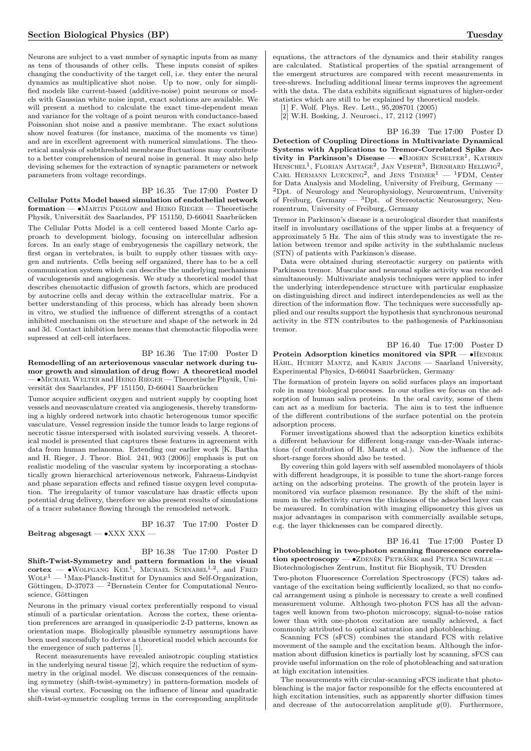Neurons are subject to a vast number of synaptic inputs from as many as tens of thousands of other cells. These inputs consist of spikes changing the conductivity of the target cell, i.e. they enter the neural dynamics as multiplicative shot noise. Up to now, only for simplified models like current-based (additive-noise) point neurons or models with Gaussian white noise input, exact solutions are available. We will present a method to calculate the exact time-dependent mean and variance for the voltage of a point neuron with conductance-based Poissonian shot noise and a passive membrane. The exact solutions show novel features (for instance, maxima of the moments vs time) and are in excellent agreement with numerical simulations. The theoretical analysis of subthreshold membrane fluctuations may contribute to a better comprehension of neural noise in general. It may also help devising schemes for the extraction of synaptic parameters or network parameters from voltage recordings.

# BP 16.35 Tue 17:00 Poster D

Cellular Potts Model based simulation of endothelial network formation — •Martin Peglow and Heiko Rieger — Theoretische Physik, Universität des Saarlandes, PF 151150, D-66041 Saarbrücken

The Cellular Potts Model is a cell centered based Monte Carlo approach to development biology, focusing on intercellular adhesion forces. In an early stage of embryogenesis the capillary network, the first organ in vertebrates, is built to supply other tissues with oxygen and nutrients. Cells beeing self organized, there has to be a cell communication system which can describe the underlying mechanisms of vaculogenesis and angiogenesis. We study a theoretical model that describes chemotactic diffusion of growth factors, which are produced by autocrine cells and decay within the extracellular matrix. For a better understanding of this process, which has already been shown in vitro, we studied the influence of different strengths of a contact inhibited mechanism on the structure and shape of the network in 2d and 3d. Contact inhibition here means that chemotactic filopodia were supressed at cell-cell interfaces.

#### BP 16.36 Tue 17:00 Poster D

Remodelling of an arteriovenous vascular network during tumor growth and simulation of drug flow: A theoretical model — •Michael Welter and Heiko Rieger — Theoretische Physik, Universität des Saarlandes, PF 151150, D-66041 Saarbrücken

Tumor acquire sufficient oxygen and nutrient supply by coopting host vessels and neovasculature created via angiogenesis, thereby transforming a highly ordered network into chaotic heterogenous tumor specific vasculature. Vessel regression inside the tumor leads to large regions of necrotic tissue interspersed with isolated surviving vessels. A theoretical model is presented that captures these features in agreement with data from human melanoma. Extending our earlier work [K. Bartha and H. Rieger, J. Theor. Biol. 241, 903 (2006)] emphasis is put on realistic modeling of the vascular system by incorporating a stochastically grown hierarchical arteriovenous network, Fahraeus-Lindqvist and phase separation effects and refined tissue oxygen level computation. The irregularity of tumor vasculature has drastic effects upon potential drug delivery, therefore we also present results of simulations of a tracer substance flowing through the remodeled network.

BP 16.37 Tue 17:00 Poster D Beitrag abgesagt —  $\bullet$ XXX XXX —

# BP 16.38 Tue 17:00 Poster D

Shift-Twist-Symmetry and pattern formation in the visual cortex  $-$  •Wolfgang KEL<sup>1</sup>, MICHAEL SCHNABEL<sup>1,2</sup>, and FRED  $WOLF<sup>1</sup>$  — <sup>1</sup>Max-Planck-Institut for Dynamics and Self-Organization, Göttingen, D-37073 — <sup>2</sup>Bernstein Center for Computational Neuroscience, Göttingen

Neurons in the primary visual cortex preferentially respond to visual stimuli of a particular orientation. Across the cortex, these orientation preferences are arranged in quasiperiodic 2-D patterns, known as orientation maps. Biologically plausible symmetry assumptions have been used successfully to derive a theoretical model which accounts for the emergence of such patterns [1].

Recent measurements have revealed anisotropic coupling statistics in the underlying neural tissue [2], which require the reduction of symmetry in the original model. We discuss consequences of the remaining symmetry (shift-twist-symmetry) in pattern-formation models of the visual cortex. Focussing on the influence of linear and quadratic shift-twist-symmetric coupling terms in the corresponding amplitude

equations, the attractors of the dynamics and their stability ranges are calculated. Statistical properties of the spatial arrangement of the emergent structures are compared with recent measurements in tree-shrews. Including additional linear terms improves the agreement with the data. The data exhibits significant signatures of higher-order statistics which are still to be explained by theoretical models.

[1] F. Wolf. Phys. Rev. Lett., 95,208701 (2005)

[2] W.H. Bosking, J. Neurosci., 17, 2112 (1997)

BP 16.39 Tue 17:00 Poster D

Detection of Coupling Directions in Multivariate Dynamical Systems with Applications to Tremor-Correlated Spike Activity in Parkinson's Disease  $\bullet$ BJOERN SCHELTER<sup>1</sup>, KATHRIN HENSCHEL<sup>1</sup>, FLORIAN AMTAGE<sup>2</sup>, JAN VESPER<sup>3</sup>, BERNHARD HELLWIG<sup>2</sup>, CARL HERMANN LUECKING<sup>2</sup>, and JENS TIMMER<sup>1</sup> - <sup>1</sup>FDM, Center for Data Analysis and Modeling, University of Freiburg, Germany — <sup>2</sup>Dpt. of Neurology and Neurophysiology, Neurozentrum, University of Freiburg, Germany  $-$  3Dpt. of Stereotactic Neurosurgery, Neurozentrum, University of Freiburg, Germany

Tremor in Parkinson's disease is a neurological disorder that manifests itself in involuntary oscillations of the upper limbs at a frequency of approximately 5 Hz. The aim of this study was to investigate the relation between tremor and spike activity in the subthalamic nucleus (STN) of patients with Parkinson's disease.

Data were obtained during stereotactic surgery on patients with Parkinson tremor. Muscular and neuronal spike activity was recorded simultaneously. Multivariate analysis techniques were applied to infer the underlying interdependence structure with particular emphasize on distinguishing direct and indirect interdependencies as well as the direction of the information flow. The techniques were successfully applied and our results support the hypothesis that synchronous neuronal activity in the STN contributes to the pathogenesis of Parkinsonian tremor.

BP 16.40 Tue 17:00 Poster D Protein Adsorption kinetics monitored via SPR — •HENDRIK HÄHL, HUBERT MANTZ, and KARIN JACOBS - Saarland University, Experimental Physics, D-66041 Saarbrücken, Germany

The formation of protein layers on solid surfaces plays an important role in many biological processes. In our studies we focus on the adsorption of human saliva proteins. In the oral cavity, some of them can act as a medium for bacteria. The aim is to test the influence of the different contributions of the surface potential on the protein adsorption process.

Former investigations showed that the adsorption kinetics exhibits a different behaviour for different long-range van-der-Waals interactions (cf contribution of H. Mantz et al.). Now the influence of the short-range forces should also be tested.

By covering thin gold layers with self assembled monolayers of thiols with different headgroups, it is possible to tune the short-range forces acting on the adsorbing proteins. The growth of the protein layer is monitored via surface plasmon resonance. By the shift of the minimum in the reflectivity curves the thickness of the adsorbed layer can be measured. In combination with imaging ellipsometry this gives us major advantages in comparison with commercially available setups, e.g. the layer thicknesses can be compared directly.

BP 16.41 Tue 17:00 Poster D Photobleaching in two-photon scanning fluorescence correlation spectroscopy —  $\bullet$ ZDENEK PETRÁŠEK and PETRA SCHWILLE – Biotechnologisches Zentrum, Institut für Biophysik, TU Dresden

Two-photon Fluorescence Correlation Spectroscopy (FCS) takes advantage of the excitation being sufficiently localized, so that no confocal arrangement using a pinhole is necessary to create a well confined measurement volume. Although two-photon FCS has all the advantages well known from two-photon microscopy, signal-to-noise ratios lower than with one-photon excitation are usually achieved, a fact commonly attributed to optical saturation and photobleaching.

Scanning FCS (sFCS) combines the standard FCS with relative movement of the sample and the excitation beam. Although the information about diffusion kinetics is partially lost by scanning, sFCS can provide useful information on the role of photobleaching and saturation at high excitation intensities.

The measurements with circular-scanning sFCS indicate that photobleaching is the major factor responsible for the effects encountered at high excitation intensities, such as apparently shorter diffusion times and decrease of the autocorrelation amplitude  $g(0)$ . Furthermore,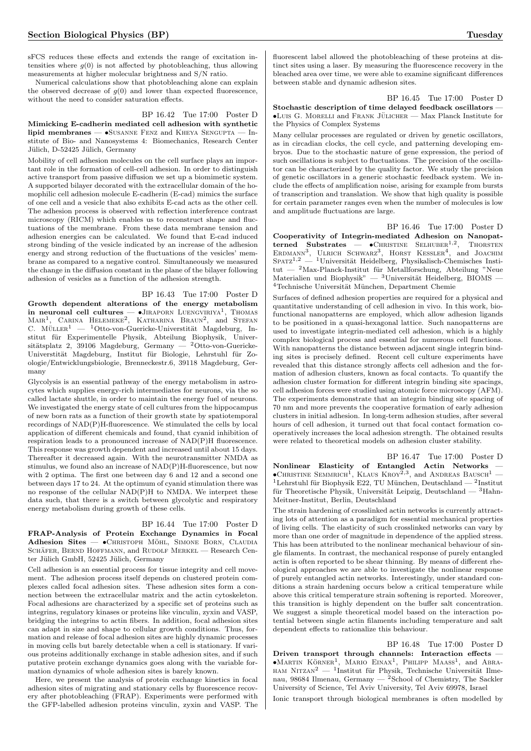sFCS reduces these effects and extends the range of excitation intensities where  $q(0)$  is not affected by photobleaching, thus allowing measurements at higher molecular brightness and S/N ratio.

Numerical calculations show that photobleaching alone can explain the observed decrease of  $q(0)$  and lower than expected fluorescence, without the need to consider saturation effects.

# BP 16.42 Tue 17:00 Poster D

Mimicking E-cadherin mediated cell adhesion with synthetic lipid membranes — •Susanne Fenz and Kheya Sengupta — Institute of Bio- and Nanosystems 4: Biomechanics, Research Center Jülich, D-52425 Jülich, Germany

Mobility of cell adhesion molecules on the cell surface plays an important role in the formation of cell-cell adhesion. In order to distinguish active transport from passive diffusion we set up a biomimetic system. A supported bilayer decorated with the extracellular domain of the homophilic cell adhesion molecule E-cadherin (E-cad) mimics the surface of one cell and a vesicle that also exhibits E-cad acts as the other cell. The adhesion process is observed with reflection interference contrast microscopy (RICM) which enables us to reconstruct shape and fluctuations of the membrane. From these data membrane tension and adhesion energies can be calculated. We found that E-cad induced strong binding of the vesicle indicated by an increase of the adhesion energy and strong reduction of the fluctuations of the vesicles' membrane as compared to a negative control. Simultaneously we measured the change in the diffusion constant in the plane of the bilayer following adhesion of vesicles as a function of the adhesion strength.

#### BP 16.43 Tue 17:00 Poster D

Growth dependent alterations of the energy metabolism in neuronal cell cultures  $\bullet$  Jiraporn Luengviriya<sup>1</sup>, Thomas MAIR<sup>1</sup>, CARINA HELEMEKE<sup>2</sup>, KATHARINA BRAUN<sup>2</sup>, and STEFAN C.  $MüLER<sup>1</sup> = <sup>1</sup>Otto-von-Guericke-Universität Magdeburg, In$ stitut für Experimentelle Physik, Abteilung Biophysik, Universitätsplatz 2, 39106 Magdeburg, Germany —  $2$ Otto-von-Guericke-Universtität Magdeburg, Institut für Biologie, Lehrstuhl für Zoologie/Entwicklungsbiologie, Brenneckestr.6, 39118 Magdeburg, Germany

Glycolysis is an essential pathway of the energy metabolism in astrocytes which supplies energy-rich intermediates for neurons, via the so called lactate shuttle, in order to maintain the energy fuel of neurons. We investigated the energy state of cell cultures from the hippocampus of new born rats as a function of their growth state by spatiotemporal recordings of NAD(P)H-fluorescence. We stimulated the cells by local application of different chemicals and found, that cyanid inhibition of respiration leads to a pronounced increase of NAD(P)H fluorescence. This response was growth dependent and increased until about 15 days. Thereafter it decreased again. With the neurotransmitter NMDA as stimulus, we found also an increase of NAD(P)H-fluorescence, but now with 2 optima. The first one between day 6 and 12 and a second one between days 17 to 24. At the optimum of cyanid stimulation there was no response of the cellular NAD(P)H to NMDA. We interpret these data such, that there is a switch between glycolytic and respiratory energy metabolism during growth of these cells.

# BP 16.44 Tue 17:00 Poster D FRAP-Analysis of Protein Exchange Dynamics in Focal Adhesion Sites — · CHRISTOPH MÖHL, SIMONE BORN, CLAUDIA SCHÄFER, BERND HOFFMANN, and RUDOLF MERKEL — Research Center Jülich GmbH, 52425 Jülich, Germany

Cell adhesion is an essential process for tissue integrity and cell movement. The adhesion process itself depends on clustered protein complexes called focal adhesion sites. These adhesion sites form a connection between the extracellular matrix and the actin cytoskeleton. Focal adhesions are characterized by a specific set of proteins such as integrins, regulatory kinases or proteins like vinculin, zyxin and VASP, bridging the integrins to actin fibers. In addition, focal adhesion sites can adapt in size and shape to cellular growth conditions. Thus, formation and release of focal adhesion sites are highly dynamic processes in moving cells but barely detectable when a cell is stationary. If various proteins additionally exchange in stable adhesion sites, and if such putative protein exchange dynamics goes along with the variable formation dynamics of whole adhesion sites is barely known.

Here, we present the analysis of protein exchange kinetics in focal adhesion sites of migrating and stationary cells by fluorescence recovery after photobleaching (FRAP). Experiments were performed with the GFP-labelled adhesion proteins vinculin, zyxin and VASP. The

BP 16.45 Tue 17:00 Poster D Stochastic description of time delayed feedback oscillators - $\bullet$ Luis G. Morelli and Frank Jülicher — Max Planck Institute for the Physics of Complex Systems

Many cellular processes are regulated or driven by genetic oscillators, as in circadian clocks, the cell cycle, and patterning developing embryos. Due to the stochastic nature of gene expression, the period of such oscillations is subject to fluctuations. The precision of the oscillator can be characterized by the quality factor. We study the precision of genetic oscillators in a generic stochastic feedback system. We include the effects of amplification noise, arising for example from bursts of transcription and translation. We show that high quality is possible for certain parameter ranges even when the number of molecules is low and amplitude fluctuations are large.

BP 16.46 Tue 17:00 Poster D Cooperativity of Integrin-mediated Adhesion on Nanopatterned Substrates  $-$  •CHRISTINE SELHUBER<sup>1,2</sup>, THORSTEN ERDMANN<sup>3</sup>, ULRICH SCHWARZ<sup>3</sup>, HORST KESSLER<sup>4</sup>, and JOACHIM  $SPTZ^{1,2}$  — <sup>1</sup>Universität Heidelberg, Physikalisch-Chemisches Insti $t$ ut —  $^2$ Max-Planck-Institut für Metallforschung, Abteilung "Neue Materialien und Biophysik" — 3Universität Heidelberg, BIOMS - ${}^4\mathrm{Technische}\ U\mathrm{niversität}\ M\mathrm{ünchen},$  Department Chemie

Surfaces of defined adhesion properties are required for a physical and quantitative understanding of cell adhesion in vivo. In this work, biofunctional nanopatterns are employed, which allow adhesion ligands to be positioned in a quasi-hexagonal lattice. Such nanopatterns are used to investigate integrin-mediated cell adhesion, which is a highly complex biological process and essential for numerous cell functions. With nanopatterns the distance between adjacent single integrin binding sites is precisely defined. Recent cell culture experiments have revealed that this distance strongly affects cell adhesion and the formation of adhesion clusters, known as focal contacts. To quantify the adhesion cluster formation for different integrin binding site spacings, cell adhesion forces were studied using atomic force microscopy (AFM). The experiments demonstrate that an integrin binding site spacing of 70 nm and more prevents the cooperative formation of early adhesion clusters in initial adhesion. In long-term adhesion studies, after several hours of cell adhesion, it turned out that focal contact formation cooperatively increases the local adhesion strength. The obtained results were related to theoretical models on adhesion cluster stability.

BP 16.47 Tue 17:00 Poster D **Nonlinear Elasticity of Entangled Actin Networks —** CHRISTINE SEMMRICH<sup>1</sup>, KLAUS KROY<sup>2,3</sup>, and ANDREAS BAUSCH<sup>1</sup> <sup>1</sup> Lehrstuhl für Biophysik E22, TU München, Deutschland — <sup>2</sup>Institut für Theoretische Physik, Universität Leipzig, Deutschland —  ${}^{3}$ Hahn-Meitner-Institut, Berlin, Deutschland

The strain hardening of crosslinked actin networks is currently attracting lots of attention as a paradigm for essential mechanical properties of living cells. The elasticity of such crosslinked networks can vary by more than one order of magnitude in dependence of the applied stress. This has been attributed to the nonlinear mechanical behaviour of single filaments. In contrast, the mechanical response of purely entangled actin is often reported to be shear thinning. By means of different rheological approaches we are able to investigate the nonlinear response of purely entangled actin networks. Interestingly, under standard conditions a strain hardening occurs below a critical temperature while above this critical temperature strain softening is reported. Moreover, this transition is highly dependent on the buffer salt concentration. We suggest a simple theoretical model based on the interaction potential between single actin filaments including temperature and salt dependent effects to rationalize this behaviour.

BP 16.48 Tue 17:00 Poster D Driven transport through channels: Interaction effects —  $\bullet$ Martin Körner<sup>1</sup>, Mario Einax<sup>1</sup>, Philipp Maass<sup>1</sup>, and Abra- $HAM NITZAN<sup>2</sup>$  — <sup>1</sup>Institut für Physik, Technische Universität Ilmenau, 98684 Ilmenau, Germany —  $2$ School of Chemistry, The Sackler University of Science, Tel Aviv University, Tel Aviv 69978, Israel Ionic transport through biological membranes is often modelled by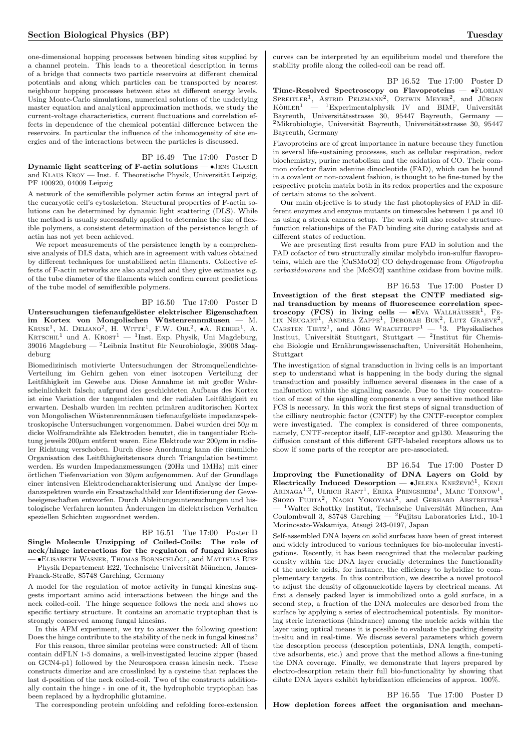one-dimensional hopping processes between binding sites supplied by a channel protein. This leads to a theoretical description in terms of a bridge that connects two particle reservoirs at different chemical potentials and along which particles can be transported by nearest neighbour hopping processes between sites at different energy levels. Using Monte-Carlo simulations, numerical solutions of the underlying master equation and analytical approximation methods, we study the current-voltage characteristics, current fluctuations and correlation effects in dependence of the chemical potential difference between the reservoirs. In particular the influence of the inhomogeneity of site energies and of the interactions between the particles is discussed.

BP 16.49 Tue 17:00 Poster D Dynamic light scattering of F-actin solutions — •JENS GLASER and KLAUS KROY — Inst. f. Theoretische Physik, Universität Leipzig, PF 100920, 04009 Leipzig

A network of the semiflexible polymer actin forms an integral part of the eucaryotic cell's cytoskeleton. Structural properties of F-actin solutions can be determined by dynamic light scattering (DLS). While the method is usually successfully applied to determine the size of flexible polymers, a consistent determination of the persistence length of actin has not yet been achieved.

We report measurements of the persistence length by a comprehensive analysis of DLS data, which are in agreement with values obtained by different techniques for unstabilized actin filaments. Collective effects of F-actin networks are also analyzed and they give estimates e.g. of the tube diameter of the filaments which confirm current predictions of the tube model of semiflexible polymers.

BP 16.50 Tue 17:00 Poster D Untersuchungen tiefenaufgelöster elektrischer Eigenschaften im Kortex von Mongolischen Wüstenrennmäusen — M. KRUSE<sup>1</sup>, M. DELIANO<sup>2</sup>, H. WITTE<sup>1</sup>, F.W. OHL<sup>2</sup>,  $\bullet$ A. REIHER<sup>1</sup>, A. KRTSCHIL<sup>1</sup> und A. KROST<sup>1</sup> — <sup>1</sup>Inst. Exp. Physik, Uni Magdeburg, 39016 Magdeburg — <sup>2</sup>Leibniz Institut für Neurobiologie, 39008 Magdeburg

Biomedizinisch motivierte Untersuchungen der Stromquellendichte-Verteilung im Gehirn gehen von einer isotropen Verteilung der Leitfähigkeit im Gewebe aus. Diese Annahme ist mit großer Wahrscheinlichkeit falsch; aufgrund des geschichteten Aufbaus des Kortex ist eine Variation der tangentialen und der radialen Leitfähigkeit zu erwarten. Deshalb wurden im rechten primären auditorischen Kortex von Mongolischen Wüstenrennmäusen tiefenaufgelöste impedanzspektroskopische Untersuchungen vorgenommen. Dabei wurden drei $50\mu$  m dicke Wolframdrähte als Elektroden benutzt, die in tangentialer Richtung jeweils  $200\mu$ m entfernt waren. Eine Elektrode war  $200\mu$ m in radialer Richtung verschoben. Durch diese Anordnung kann die räumliche Organisation des Leitfähigkeitstensors durch Triangulation bestimmt werden. Es wurden Impedanzmessungen (20Hz und 1MHz) mit einer örtlichen Tiefenvariation von  $30\mu$ m aufgenommen. Auf der Grundlage einer intensiven Elektrodencharakterisierung und Analyse der Impedanzspektren wurde ein Ersatzschaltbild zur Identifizierung der Gewebeeigenschaften entworfen. Durch Ableitungsuntersuchungen und histologische Verfahren konnten Anderungen im dielektrischen Verhalten ¨ speziellen Schichten zugeordnet werden.

BP 16.51 Tue 17:00 Poster D Single Molecule Unzipping of Coiled-Coils: The role of neck/hinge interactions for the regulaton of fungal kinesins — •Elisabeth Wasner, Thomas Bornschlogl ¨ , and Matthias Rief — Physik Departement E22, Technische Universität München, James-Franck-Straße, 85748 Garching, Germany

A model for the regulation of motor activity in fungal kinesins suggests important amino acid interactions between the hinge and the neck coiled-coil. The hinge sequence follows the neck and shows no specific tertiary structure. It contains an aromatic tryptophan that is strongly conserved among fungal kinesins.

In this AFM experiment, we try to answer the following question: Does the hinge contribute to the stability of the neck in fungal kinesins?

For this reason, three similar proteins were constructed: All of them contain ddFLN 1-5 domains, a well-investigated leucine zipper (based on GCN4-p1) followed by the Neurospora crassa kinesin neck. These constructs dimerize and are crosslinked by a cysteine that replaces the last d-position of the neck coiled-coil. Two of the constructs additionally contain the hinge - in one of it, the hydrophobic tryptophan has been replaced by a hydrophilic glutamine.

The corresponding protein unfolding and refolding force-extension

curves can be interpreted by an equilibrium model und therefore the stability profile along the coiled-coil can be read off.

BP 16.52 Tue 17:00 Poster D **Time-Resolved Spectroscopy on Flavoproteins — •FLORIAN** SPREITLER<sup>1</sup>, ASTRID PELZMANN<sup>2</sup>, ORTWIN MEYER<sup>2</sup>, and JÜRGEN  $K\ddot{\text{o}}$ HLER<sup>1</sup> — <sup>1</sup>Experimentalphysik IV and BIMF, Universität Bayreuth, Universitätsstrasse 30, 95447 Bayreuth, Germany - $2$ Mikrobiologie, Universität Bayreuth, Universitätsstrasse 30, 95447 Bayreuth, Germany

Flavoproteins are of great importance in nature because they function in several life-sustaining processes, such as cellular respiration, redox biochemistry, purine metabolism and the oxidation of CO. Their common cofactor flavin adenine dinocleotide (FAD), which can be bound in a covalent or non-covalent fashion, is thought to be fine-tuned by the respective protein matrix both in its redox properties and the exposure of certain atoms to the solvent.

Our main objective is to study the fast photophysics of FAD in different enzymes and enzyme mutants on timescales between 1 ps and 10 ns using a streak camera setup. The work will also resolve structurefunction relationships of the FAD binding site during catalysis and at different states of reduction.

We are presenting first results from pure FAD in solution and the FAD cofactor of two structurally similar molybdo iron-sulfur flavoproteins, which are the [CuSMoO2] CO dehydrogenase from Oligotropha carboxidovorans and the [MoSO2] xanthine oxidase from bovine milk.

BP 16.53 Tue 17:00 Poster D

Investigtion of the first stepsat the CNTF mediated signal transduction by means of fluorescence correlation spectroscopy (FCS) in living cells —  $\bullet$ EVA WALLHÄUSSER<sup>1</sup>, FE-LIX NEUGART<sup>1</sup>, ANDREA ZAPPE<sup>1</sup>, DEBORAH BUK<sup>2</sup>, LUTZ GRAEVE<sup>2</sup>, CARSTEN TIETZ<sup>1</sup>, and JÖRG WRACHTRUPP<sup>1</sup> - <sup>1</sup>3. Physikalisches Institut, Universität Stuttgart, Stuttgart — <sup>2</sup>Institut für Chemische Biologie und Ernährungswissenschaften, Universität Hohenheim, Stuttgart

The investigation of signal transduction in living cells is an important step to understand what is happening in the body during the signal transduction and possibly influence several diseases in the case of a malfunction within the signalling cascade. Due to the tiny concentration of most of the signalling components a very sensitive method like FCS is necessary. In this work the first steps of signal transduction of the cilliary neutrophic factor (CNTF) by the CNTF-receptor complex were investigated. The complex is considered of three components, namely, CNTF-receptor itself, LIF-receptor and gp130. Measuring the diffusion constant of this different GFP-labeled receptors allows us to show if some parts of the receptor are pre-associated.

BP 16.54 Tue 17:00 Poster D Improving the Functionality of DNA Layers on Gold by Electrically Induced Desorption - JELENA KNEŽEVIĆ<sup>1</sup>, KENJI ARINAGA<sup>1,2</sup>, ULRICH RANT<sup>1</sup>, ERIKA PRINGSHEIM<sup>1</sup>, MARC TORNOW<sup>1</sup>, SHOZO FUJITA<sup>2</sup>, NAOKI YOKOYAMA<sup>2</sup>, and GERHARD ABSTREITER<sup>1</sup> <sup>1</sup>Walter Schottky Institut, Technische Universität München, Am Coulombwall 3, 85748 Garching — <sup>2</sup>Fujitsu Laboratories Ltd., 10-1 Morinosato-Wakamiya, Atsugi 243-0197, Japan

Self-assembled DNA layers on solid surfaces have been of great interest and widely introduced to various techniques for bio-molecular investigations. Recently, it has been recognized that the molecular packing density within the DNA layer crucially determines the functionality of the nucleic acids, for instance, the efficiency to hybridize to complementary targets. In this contribution, we describe a novel protocol to adjust the density of oligonucleotide layers by electrical means. At first a densely packed layer is immobilized onto a gold surface, in a second step, a fraction of the DNA molecules are desorbed from the surface by applying a series of electrochemical potentials. By monitoring steric interactions (hindrance) among the nucleic acids within the layer using optical means it is possible to evaluate the packing density in-situ and in real-time. We discuss several parameters which govern the desorption process (desorption potentials, DNA length, competitive adsorbents, etc.) and prove that the method allows a fine-tuning the DNA coverage. Finally, we demonstrate that layers prepared by electro-desorption retain their full bio-functionality by showing that dilute DNA layers exhibit hybridization efficiencies of approx. 100%.

BP 16.55 Tue 17:00 Poster D How depletion forces affect the organisation and mechan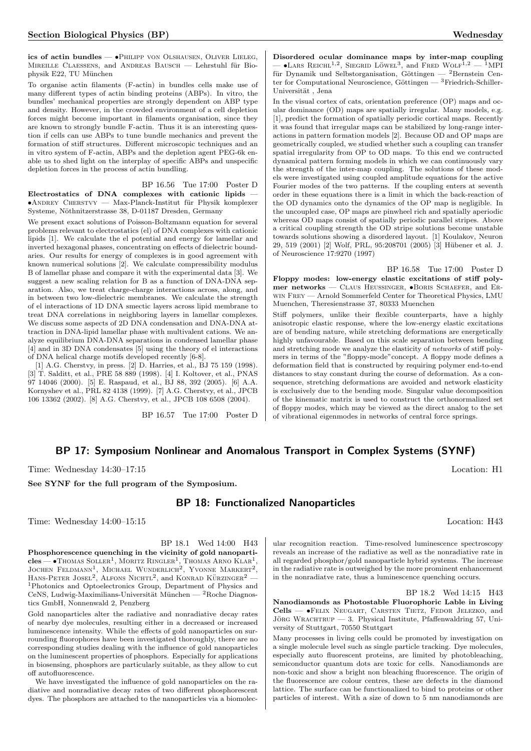ics of actin bundles —  $\bullet$ Philipp von Olshausen, Oliver Lieleg, MIREILLE CLAESSENS, and ANDREAS BAUSCH — Lehrstuhl für Biophysik E22, TU München

To organise actin filaments (F-actin) in bundles cells make use of many different types of actin binding proteins (ABPs). In vitro, the bundles' mechanical properties are strongly dependent on ABP type and density. However, in the crowded environment of a cell depletion forces might become important in filaments organisation, since they are known to strongly bundle F-actin. Thus it is an interesting question if cells can use ABPs to tune bundle mechanics and prevent the formation of stiff structures. Different microscopic techniques and an in vitro system of F-actin, ABPs and the depletion agent PEG-6k enable us to shed light on the interplay of specific ABPs and unspecific depletion forces in the process of actin bundling.

BP 16.56 Tue 17:00 Poster D Electrostatics of DNA complexes with cationic lipids —  $\bullet$ ANDREY CHERSTVY — Max-Planck-Institut für Physik komplexer Systeme, Nöthnitzerstrasse 38, D-01187 Dresden, Germany

We present exact solutions of Poisson-Boltzmann equation for several problems relevant to electrostatics (el) of DNA complexes with cationic lipids [1]. We calculate the el potential and energy for lamellar and inverted hexagonal phases, concentrating on effects of dielectric boundaries. Our results for energy of complexes is in good agreement with known numerical solutions [2]. We calculate compressibility modulus B of lamellar phase and compare it with the experimental data [3]. We suggest a new scaling relation for B as a function of DNA-DNA separation. Also, we treat charge-charge interactions across, along, and in between two low-dielectric membranes. We calculate the strength of el interactions of 1D DNA smectic layers across lipid membrane to treat DNA correlations in neighboring layers in lamellar complexes. We discuss some aspects of 2D DNA condensation and DNA-DNA attraction in DNA-lipid lamellar phase with multivalent cations. We analyze equilibrium DNA-DNA separations in condensed lamellar phase [4] and in 3D DNA condensates [5] using the theory of el interactions of DNA helical charge motifs developed recently [6-8].

[1] A.G. Cherstvy, in press. [2] D. Harries, et al., BJ 75 159 (1998). [3] T. Salditt, et al., PRE 58 889 (1998). [4] I. Koltover, et al., PNAS 97 14046 (2000). [5] E. Raspaud, et al., BJ 88, 392 (2005). [6] A.A. Kornyshev et al., PRL 82 4138 (1999). [7] A.G. Cherstvy, et al., JPCB 106 13362 (2002). [8] A.G. Cherstvy, et al., JPCB 108 6508 (2004).

BP 16.57 Tue 17:00 Poster D

Disordered ocular dominance maps by inter-map coupling  $-$  •Lars Reichl<sup>1,2</sup>, Siegrid Löwel<sup>3</sup>, and Fred Wolf<sup>1,2</sup>  $-$ <sup>1</sup>MPI für Dynamik und Selbstorganisation, Göttingen — <sup>2</sup>Bernstein Center for Computational Neuroscience, Göttingen — <sup>3</sup>Friedrich-Schiller-Universität Jena

In the visual cortex of cats, orientation preference (OP) maps and ocular dominance (OD) maps are spatially irregular. Many models, e.g. [1], predict the formation of spatially periodic cortical maps. Recently it was found that irregular maps can be stabilized by long-range interactions in pattern formation models [2]. Because OD and OP maps are geometrically coupled, we studied whether such a coupling can transfer spatial irregularity from OP to OD maps. To this end we contructed dynamical pattern forming models in which we can continuously vary the strength of the inter-map coupling. The solutions of these models were investigated using coupled amplitude equations for the active Fourier modes of the two patterns. If the coupling enters at seventh order in these equations there is a limit in which the back-reaction of the OD dynamics onto the dynamics of the OP map is negligible. In the uncoupled case, OP maps are pinwheel rich and spatially aperiodic whereas OD maps consist of spatially periodic parallel stripes. Above a critical coupling strength the OD stripe solutions become unstable towards solutions showing a disordered layout. [1] Koulakov, Neuron 29, 519 (2001) [2] Wolf, PRL, 95:208701 (2005) [3] Hübener et al. J. of Neuroscience 17:9270 (1997)

BP 16.58 Tue 17:00 Poster D Floppy modes: low-energy elastic excitations of stiff polymer networks — Claus Heussinger, •Boris Schaefer, and Erwin Frey — Arnold Sommerfeld Center for Theoretical Physics, LMU Muenchen, Theresienstrasse 37, 80333 Muenchen

Stiff polymers, unlike their flexible counterparts, have a highly anisotropic elastic response, where the low-energy elastic excitations are of bending nature, while stretching deformations are energetically highly unfavourable. Based on this scale separation between bending and stretching mode we analyze the elasticity of networks of stiff polymers in terms of the "floppy-mode"concept. A floppy mode defines a deformation field that is constructed by requiring polymer end-to-end distances to stay constant during the course of deformation. As a consequence, stretching deformations are avoided and network elasticity is exclusively due to the bending mode. Singular value decomposition of the kinematic matrix is used to construct the orthonormalized set of floppy modes, which may be viewed as the direct analog to the set of vibrational eigenmodes in networks of central force springs.

# BP 17: Symposium Nonlinear and Anomalous Transport in Complex Systems (SYNF)

Time: Wednesday 14:30–17:15 Location: H1

See SYNF for the full program of the Symposium.

# BP 18: Functionalized Nanoparticles

Time: Wednesday 14:00–15:15 Location: H43

# BP 18.1 Wed 14:00 H43

Phosphorescence quenching in the vicinity of gold nanoparticles — •Thomas Soller<sup>1</sup>, Moritz Ringler<sup>1</sup>, Thomas Arno Klar<sup>1</sup>, Jochen Feldmann<sup>1</sup>, Michael Wunderlich<sup>2</sup>, Yvonne Markert<sup>2</sup>, HANS-PETER JOSEL<sup>2</sup>, ALFONS NICHTL<sup>2</sup>, and KONRAD KÜRZINGER<sup>2</sup> — <sup>1</sup>Photonics and Optoelectronics Group, Department of Physics and CeNS, Ludwig-Maximilians-Universität München — <sup>2</sup>Roche Diagnostics GmbH, Nonnenwald 2, Penzberg

Gold nanoparticles alter the radiative and nonradiative decay rates of nearby dye molecules, resulting either in a decreased or increased luminescence intensity. While the effects of gold nanoparticles on surrounding fluorophores have been investigated thoroughly, there are no corresponding studies dealing with the influence of gold nanoparticles on the luminescent properties of phosphors. Especially for applications in biosensing, phosphors are particularly suitable, as they allow to cut off autofluorescence.

We have investigated the influence of gold nanoparticles on the radiative and nonradiative decay rates of two different phosphorescent dyes. The phosphors are attached to the nanoparticles via a biomolecular recognition reaction. Time-resolved luminescence spectroscopy reveals an increase of the radiative as well as the nonradiative rate in all regarded phosphor/gold nanoparticle hybrid systems. The increase in the radiative rate is outweighed by the more prominent enhancement in the nonradiatve rate, thus a luminescence quenching occurs.

BP 18.2 Wed 14:15 H43

Nanodiamonds as Photostable Fluorophoric Lable in Living Cells — •Felix Neugart, Carsten Tietz, Fedor Jelezko, and JÖRG WRACHTRUP — 3. Physical Institute, Pfaffenwaldring 57, University of Stuttgart, 70550 Stuttgart

Many processes in living cells could be promoted by investigation on a single molecule level such as single particle tracking. Dye molecules, especially auto fluorescent proteins, are limited by photobleaching, semiconductor quantum dots are toxic for cells. Nanodiamonds are non-toxic and show a bright non bleaching fluorescence. The origin of the fluorescence are colour centres, these are defects in the diamond lattice. The surface can be functionalized to bind to proteins or other particles of interest. With a size of down to 5 nm nanodiamonds are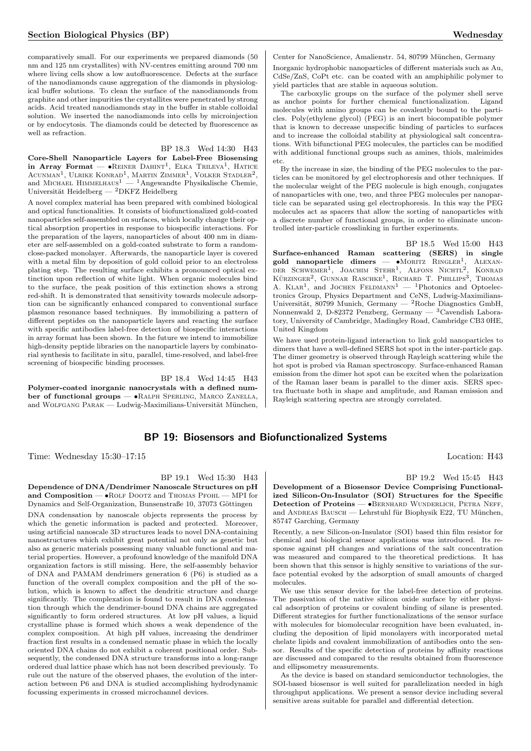comparatively small. For our experiments we prepared diamonds (50 nm and 125 nm crystallites) with NV-centres emitting around 700 nm where living cells show a low autofluorescence. Defects at the surface of the nanodiamonds cause aggregation of the diamonds in physiological buffer solutions. To clean the surface of the nanodiamonds from graphite and other impurities the crystallites were penetrated by strong acids. Acid treated nanodiamonds stay in the buffer in stable colloidal solution. We inserted the nanodiamonds into cells by microinjection or by endocytosis. The diamonds could be detected by fluorescence as well as refraction.

## BP 18.3 Wed 14:30 H43

Core-Shell Nanoparticle Layers for Label-Free Biosensing in Array Format —  $\bullet$ REINER DAHINT<sup>1</sup>, ELKA TRILEVA<sup>1</sup>, HATICE  $\Lambda$ cunman<sup>1</sup>, Ulrike Konrad<sup>1</sup>, Martin Zimmer<sup>1</sup>, Volker Stadler<sup>2</sup>, and MICHAEL HIMMELHAUS<sup>1</sup> — <sup>1</sup>Angewandte Physikalische Chemie, Universität Heidelberg — <sup>2</sup>DKFZ Heidelberg

A novel complex material has been prepared with combined biological and optical functionalities. It consists of biofunctionalized gold-coated nanoparticles self-assembled on surfaces, which locally change their optical absorption properties in response to biospecific interactions. For the preparation of the layers, nanoparticles of about 400 nm in diameter are self-assembled on a gold-coated substrate to form a randomclose-packed monolayer. Afterwards, the nanoparticle layer is covered with a metal film by deposition of gold colloid prior to an electroless plating step. The resulting surface exhibits a pronounced optical extinction upon reflection of white light. When organic molecules bind to the surface, the peak position of this extinction shows a strong red-shift. It is demonstrated that sensitivity towards molecule adsorption can be significantly enhanced compared to conventional surface plasmon resonance based techniques. By immobilizing a pattern of different peptides on the nanoparticle layers and reacting the surface with specific antibodies label-free detection of biospecific interactions in array format has been shown. In the future we intend to immobilize high-density peptide libraries on the nanoparticle layers by combinatorial synthesis to facilitate in situ, parallel, time-resolved, and label-free screening of biospecific binding processes.

# BP 18.4 Wed 14:45 H43

Polymer-coated inorganic nanocrystals with a defined number of functional groups — •RALPH SPERLING, MARCO ZANELLA, and WOLFGANG PARAK — Ludwig-Maximilians-Universität München,

# BP 19: Biosensors and Biofunctionalized Systems

Time: Wednesday 15:30–17:15 Location: H43

#### BP 19.1 Wed 15:30 H43

Dependence of DNA/Dendrimer Nanoscale Structures on pH and Composition —  $\bullet$  ROLF DOOTZ and THOMAS PFOHL — MPI for Dynamics and Self-Organization, Bunsenstraße 10, 37073 Göttingen

DNA condensation by nanoscale objects represents the process by which the genetic information is packed and protected. Moreover, using artificial nanoscale 3D structures leads to novel DNA-containing nanostructures which exhibit great potential not only as genetic but also as generic materials possessing many valuable functional and material properties. However, a profound knowledge of the manifold DNA organization factors is still missing. Here, the self-assembly behavior of DNA and PAMAM dendrimers generation 6 (P6) is studied as a function of the overall complex composition and the pH of the solution, which is known to affect the dendritic structure and charge significantly. The complexation is found to result in DNA condensation through which the dendrimer-bound DNA chains are aggregated significantly to form ordered structures. At low pH values, a liquid crystalline phase is formed which shows a weak dependence of the complex composition. At high pH values, increasing the dendrimer fraction first results in a condensed nematic phase in which the locally oriented DNA chains do not exhibit a coherent positional order. Subsequently, the condensed DNA structure transforms into a long-range ordered dual lattice phase which has not been described previously. To rule out the nature of the observed phases, the evolution of the interaction between P6 and DNA is studied accomplishing hydrodynamic focussing experiments in crossed microchannel devices.

Center for NanoScience, Amalienstr. 54, 80799 München, Germany

Inorganic hydrophobic nanoparticles of different materials such as Au, CdSe/ZnS, CoPt etc. can be coated with an amphiphilic polymer to yield particles that are stable in aqueous solution.

The carboxylic groups on the surface of the polymer shell serve as anchor points for further chemical functionalization. Ligand molecules with amino groups can be covalently bound to the particles. Poly(ethylene glycol) (PEG) is an inert biocompatible polymer that is known to decrease unspecific binding of particles to surfaces and to increase the colloidal stability at physiological salt concentrations. With bifunctional PEG molecules, the particles can be modified with additional functional groups such as amines, thiols, maleimides etc.

By the increase in size, the binding of the PEG molecules to the particles can be monitored by gel electrophoresis and other techniques. If the molecular weight of the PEG molecule is high enough, conjugates of nanoparticles with one, two, and three PEG molecules per nanoparticle can be separated using gel electrophoresis. In this way the PEG molecules act as spacers that allow the sorting of nanoparticles with a discrete number of functional groups, in order to eliminate uncontrolled inter-particle crosslinking in further experiments.

BP 18.5 Wed 15:00 H43 Surface-enhanced Raman scattering (SERS) in single gold nanoparticle dimers — MORITZ RINGLER<sup>1</sup>, ALEXAN-<br>DER SCHWEMER<sup>1</sup>, JOACHIM STEHR<sup>1</sup>, ALFONS NICHTL<sup>2</sup>, KONRAD KÜRZINGER<sup>2</sup>, GUNNAR RASCHKE<sup>1</sup>, RICHARD T. PHILLIPS<sup>3</sup>, THOMAS A. KLAR<sup>1</sup>, and JOCHEN FELDMANN<sup>1</sup> - <sup>1</sup>Photonics and Optoelectronics Group, Physics Department and CeNS, Ludwig-Maximilians-Universität, 80799 Munich, Germany —  ${}^{2}$ Roche Diagnostics GmbH, Nonnenwald 2, D-82372 Penzberg, Germany — <sup>3</sup>Cavendish Laboratory, University of Cambridge, Madingley Road, Cambridge CB3 0HE, United Kingdom

We have used protein-ligand interaction to link gold nanoparticles to dimers that have a well-defined SERS hot spot in the inter-particle gap. The dimer geometry is observed through Rayleigh scattering while the hot spot is probed via Raman spectroscopy. Surface-enhanced Raman emission from the dimer hot spot can be excited when the polarization of the Raman laser beam is parallel to the dimer axis. SERS spectra fluctuate both in shape and amplitude, and Raman emission and Rayleigh scattering spectra are strongly correlated.

BP 19.2 Wed 15:45 H43

Development of a Biosensor Device Comprising Functionalized Silicon-On-Insulator (SOI) Structures for the Specific Detection of Proteins — •BERNHARD WUNDERLICH, PETRA NEFF, and ANDREAS BAUSCH — Lehrstuhl für Biophysik E22, TU München, 85747 Garching, Germany

Recently, a new Silicon-on-Insulator (SOI) based thin film resistor for chemical and biological sensor applications was introduced. Its response against pH changes and variations of the salt concentration was measured and compared to the theoretical predictions. It has been shown that this sensor is highly sensitive to variations of the surface potential evoked by the adsorption of small amounts of charged molecules.

We use this sensor device for the label-free detection of proteins. The passivation of the native silicon oxide surface by either physical adsorption of proteins or covalent binding of silane is presented. Different strategies for further functionalizations of the sensor surface with molecules for biomolecular recognition have been evaluated, including the deposition of lipid monolayers with incorporated metal chelate lipids and covalent immobilization of antibodies onto the sensor. Results of the specific detection of proteins by affinity reactions are discussed and compared to the results obtained from fluorescence and ellipsometry measurements.

As the device is based on standard semiconductor technologies, the SOI-based biosensor is well suited for parallelization needed in high throughput applications. We present a sensor device including several sensitive areas suitable for parallel and differential detection.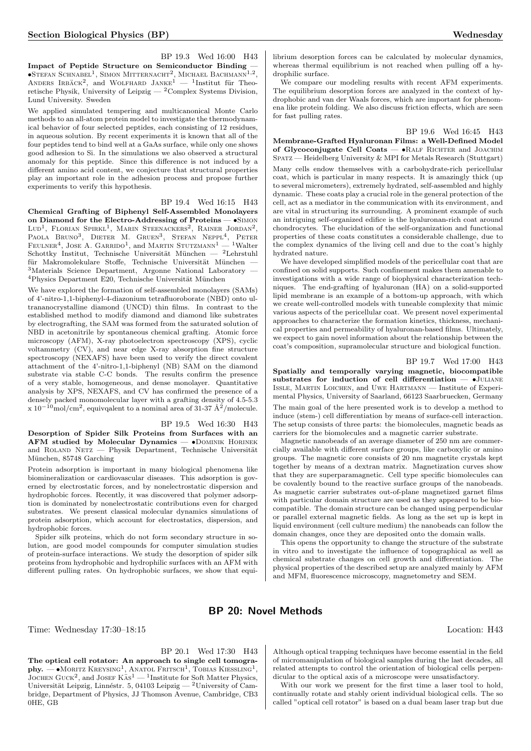BP 19.3 Wed 16:00 H43 Impact of Peptide Structure on Semiconductor Binding —  $\bullet$ Stefan Schnabel<sup>1</sup>, Simon Mitternacht<sup>2</sup>, Michael Bachmann<sup>1,2</sup>, ANDERS IRBÄCK<sup>2</sup>, and WOLFHARD JANKE<sup>1</sup> - <sup>1</sup>Institut für Theoretische Physik, University of Leipzig — <sup>2</sup>Complex Systems Division, Lund University. Sweden

We applied simulated tempering and multicanonical Monte Carlo methods to an all-atom protein model to investigate the thermodynamical behavior of four selected peptides, each consisting of 12 residues, in aqueous solution. By recent experiments it is known that all of the four peptides tend to bind well at a GaAs surface, while only one shows good adhesion to Si. In the simulations we also observed a structural anomaly for this peptide. Since this difference is not induced by a different amino acid content, we conjecture that structural properties play an important role in the adhesion process and propose further experiments to verify this hypothesis.

BP 19.4 Wed 16:15 H43 Chemical Grafting of Biphenyl Self-Assembled Monolayers on Diamond for the Electro-Addressing of Proteins — •Simon LUD<sup>1</sup>, FLORIAN SPIRKL<sup>1</sup>, MARIN STEENACKERS<sup>2</sup>, RAINER JORDAN<sup>2</sup> LUD<sup>1</sup>, FLORIAN SPIRKL<sup>1</sup>, MARIN STEENACKERS<sup>2</sup>, RAINER JORDAN<sup>2</sup>,<br>PAOLA BRUNO<sup>3</sup>, DIETER M. GRUEN<sup>3</sup>, STEFAN NEPPL<sup>4</sup>, PETER<br>FEULNER<sup>4</sup>, JOSE A. GARRIDO<sup>1</sup>, and MARTIN STUTZMANN<sup>1</sup> — <sup>1</sup>Walter  ${\rm Feulner}^4,$  Jose A.  ${\rm GARRDO^1},$  and MARTIN  ${\rm STLITZMANN^1}$  – Schottky Institut, Technische Universität München — <sup>2</sup>Lehrstuhl für Makromolekulare Stoffe, Technische Universität München -<sup>3</sup>Materials Science Department, Argonne National Laboratory —  ${}^4\mathrm{Physics}$  Department E20, Technische Universität München

We have explored the formation of self-assembled monolayers (SAMs) of 4'-nitro-1,1-biphenyl-4-diazonium tetrafluoroborate (NBD) onto ultrananocrystalline diamond (UNCD) thin films. In contrast to the established method to modify diamond and diamond like substrates by electrografting, the SAM was formed from the saturated solution of NBD in acetonitrile by spontaneous chemical grafting. Atomic force microscopy (AFM), X-ray photoelectron spectroscopy (XPS), cyclic voltammetry (CV), and near edge X-ray absorption fine structure spectroscopy (NEXAFS) have been used to verify the direct covalent attachment of the 4'-nitro-1,1-biphenyl (NB) SAM on the diamond substrate via stable C-C bonds. The results confirm the presence of a very stable, homogeneous, and dense monolayer. Quantitative analysis by XPS, NEXAFS, and CV has confirmed the presence of a densely packed monomolecular layer with a grafting density of 4.5-5.3  $\propto 10^{-10}$ mol/cm<sup>2</sup>, equivqalent to a nominal area of 31-37 Å<sup>2</sup>/molecule.

BP 19.5 Wed 16:30 H43 Desorption of Spider Silk Proteins from Surfaces with an AFM studied by Molecular Dynamics — •Dominik Horinek and ROLAND NETZ — Physik Department, Technische Universität München, 85748 Garching

Protein adsorption is important in many biological phenomena like biomineralization or cardiovascular diseases. This adsorption is governed by electrostatic forces, and by nonelectrostatic dispersion and hydrophobic forces. Recently, it was discovered that polymer adsorption is dominated by nonelectrostatic contributions even for charged substrates. We present classical molecular dynamics simulations of protein adsorption, which account for electrostatics, dispersion, and hydrophobic forces.

Spider silk proteins, which do not form secondary structure in solution, are good model compounds for computer simulation studies of protein-surface interactions. We study the desorption of spider silk proteins from hydrophobic and hydrophilic surfaces with an AFM with different pulling rates. On hydrophobic surfaces, we show that equilibrium desorption forces can be calculated by molecular dynamics, whereas thermal equilibrium is not reached when pulling off a hydrophilic surface.

We compare our modeling results with recent AFM experiments. The equilibrium desorption forces are analyzed in the context of hydrophobic and van der Waals forces, which are important for phenomena like protein folding. We also discuss friction effects, which are seen for fast pulling rates.

BP 19.6 Wed 16:45 H43

Membrane-Grafted Hyaluronan Films: a Well-Defined Model of Glycoconjugate Cell Coats -  $\bullet$ RALF RICHTER and JOACHIM Spatz — Heidelberg University & MPI for Metals Research (Stuttgart) Many cells endow themselves with a carbohydrate-rich pericellular coat, which is particular in many respects. It is amazingly thick (up to several micrometers), extremely hydrated, self-assembled and highly dynamic. These coats play a crucial role in the general protection of the cell, act as a mediator in the communication with its environment, and are vital in structuring its surrounding. A prominent example of such an intriguing self-organized edifice is the hyaluronan-rich coat around chondrocytes. The elucidation of the self-organization and functional properties of these coats constitutes a considerable challenge, due to the complex dynamics of the living cell and due to the coat's highly hydrated nature.

We have developed simplified models of the pericellular coat that are confined on solid supports. Such confinement makes them amenable to investigations with a wide range of biophysical characterization techniques. The end-grafting of hyaluronan (HA) on a solid-supported lipid membrane is an example of a bottom-up approach, with which we create well-controlled models with tuneable complexity that mimic various aspects of the pericellular coat. We present novel experimental approaches to characterize the formation kinetics, thickness, mechanical properties and permeability of hyaluronan-based films. Ultimately, we expect to gain novel information about the relationship between the coat's composition, supramolecular structure and biological function.

# BP 19.7 Wed 17:00 H43

Spatially and temporally varying magnetic, biocompatible substrates for induction of cell differentiation  $\bullet$  JULIANE Issle, Martin Loichen, and Uwe Hartmann — Institute of Experimental Physics, University of Saarland, 66123 Saarbruecken, Germany The main goal of the here presented work is to develop a method to

induce (stem-) cell differentiation by means of surface-cell interaction. The setup consists of three parts: the biomolecules, magnetic beads as carriers for the biomolecules and a magnetic carrier substrate.

Magnetic nanobeads of an average diameter of 250 nm are commercially available with different surface groups, like carboxylic or amino groups. The magnetic core consists of 20 nm magnetite crystals kept together by means of a dextran matrix. Magnetization curves show that they are superparamagnetic. Cell type specific biomolecules can be covalently bound to the reactive surface groups of the nanobeads. As magnetic carrier substrates out-of-plane magnetized garnet films with particular domain structure are used as they appeared to be biocompatible. The domain structure can be changed using perpendicular or parallel external magnetic fields. As long as the set up is kept in liquid environment (cell culture medium) the nanobeads can follow the domain changes, once they are deposited onto the domain walls.

This opens the opportunity to change the structure of the substrate in vitro and to investigate the influence of topographical as well as chemical substrate changes on cell growth and differentiation. The physical properties of the described setup are analyzed mainly by AFM and MFM, fluorescence microscopy, magnetometry and SEM.

# BP 20: Novel Methods

Time: Wednesday 17:30–18:15 Location: H43

BP 20.1 Wed 17:30 H43 The optical cell rotator: An approach to single cell tomogra- $\mathbf{phy.} \longrightarrow \mathbf{M}$ ORITZ KREYSING<sup>1</sup>, ANATOL FRITSCH<sup>1</sup>, TOBIAS KIESSLING<sup>1</sup>, JOCHEN GUCK<sup>2</sup>, and JOSEF KAS<sup>1</sup> — <sup>1</sup>Institute for Soft Matter Physics, Universität Leipzig, Linnéstr. 5, 04103 Leipzig — <sup>2</sup>University of Cambridge, Department of Physics, JJ Thomson Avenue, Cambridge, CB3 0HE, GB

Although optical trapping techniques have become essential in the field of micromanipulation of biological samples during the last decades, all related attempts to control the orientation of biological cells perpendicular to the optical axis of a microscope were unsatisfactory.

With our work we present for the first time a laser tool to hold, continually rotate and stably orient individual biological cells. The so called "optical cell rotator" is based on a dual beam laser trap but due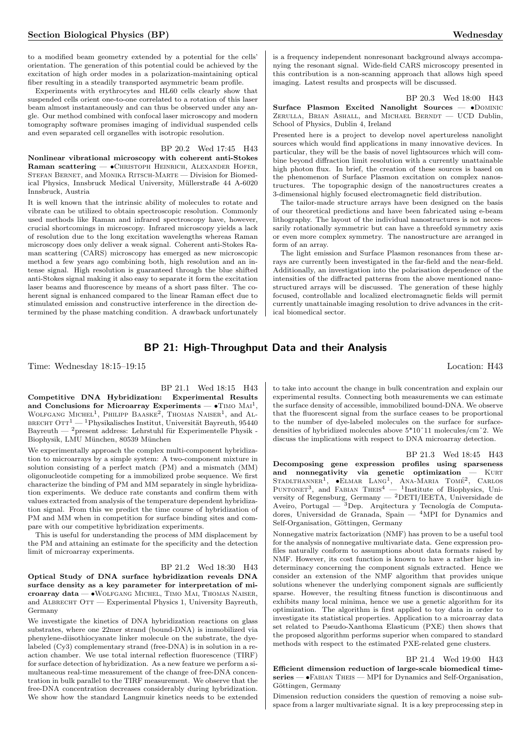to a modified beam geometry extended by a potential for the cells' orientation. The generation of this potential could be achieved by the excitation of high order modes in a polarization-maintaining optical fiber resulting in a steadily transported asymmetric beam profile.

Experiments with erythrocytes and HL60 cells clearly show that suspended cells orient one-to-one correlated to a rotation of this laser beam almost instantaneously and can thus be observed under any angle. Our method combined with confocal laser microscopy and modern tomography software promises imaging of individual suspended cells and even separated cell organelles with isotropic resolution.

#### BP 20.2 Wed 17:45 H43

Nonlinear vibrational microscopy with coherent anti-Stokes Raman scattering - **•**CHRISTOPH HEINRICH, ALEXANDER HOFER, STEFAN BERNET, and MONIKA RITSCH-MARTE — Division for Biomedical Physics, Innsbruck Medical University, Müllerstraße 44 A-6020 Innsbruck, Austria

It is well known that the intrinsic ability of molecules to rotate and vibrate can be utilized to obtain spectroscopic resolution. Commonly used methods like Raman and infrared spectroscopy have, however, crucial shortcomings in microscopy. Infrared microscopy yields a lack of resolution due to the long excitation wavelengths whereas Raman microscopy does only deliver a weak signal. Coherent anti-Stokes Raman scattering (CARS) microscopy has emerged as new microscopic method a few years ago combining both, high resolution and an intense signal. High resolution is guaranteed through the blue shifted anti-Stokes signal making it also easy to separate it form the excitation laser beams and fluorescence by means of a short pass filter. The coherent signal is enhanced compared to the linear Raman effect due to stimulated emission and constructive interference in the direction determined by the phase matching condition. A drawback unfortunately

is a frequency independent nonresonant background always accompanying the resonant signal. Wide-field CARS microscopy presented in this contribution is a non-scanning approach that allows high speed imaging. Latest results and prospects will be discussed.

BP 20.3 Wed 18:00 H43

Surface Plasmon Excited Nanolight Sources — •Dominic Zerulla, Brian Ashall, and Michael Berndt — UCD Dublin, School of Physics, Dublin 4, Ireland

Presented here is a project to develop novel apertureless nanolight sources which would find applications in many innovative devices. In particular, they will be the basis of novel lightsources which will combine beyond diffraction limit resolution with a currently unattainable high photon flux. In brief, the creation of these sources is based on the phenomenon of Surface Plasmon excitation on complex nanostructures. The topographic design of the nanostructures creates a 3-dimensional highly focused electromagnetic field distribution.

The tailor-made structure arrays have been designed on the basis of our theoretical predictions and have been fabricated using e-beam lithography. The layout of the individual nanostructures is not necessarily rotationally symmetric but can have a threefold symmetry axis or even more complex symmetry. The nanostructure are arranged in form of an array.

The light emission and Surface Plasmon resonances from these arrays are currently been investigated in the far-field and the near-field. Additionally, an investigation into the polarisation dependence of the intensities of the diffracted patterns from the above mentioned nanostructured arrays will be discussed. The generation of these highly focused, controllable and localized electromagnetic fields will permit currently unattainable imaging resolution to drive advances in the critical biomedical sector.

# BP 21: High-Throughput Data and their Analysis

Time: Wednesday  $18:15-19:15$  Location: H43

# BP 21.1 Wed 18:15 H43

Competitive DNA Hybridization: Experimental Results and Conclusions for Microarray Experiments  $- \cdot$  TIMO  $\text{MAI}^1$ , WOLFGANG MICHEL<sup>1</sup>, PHILIPP BAASKE<sup>2</sup>, THOMAS NAISER<sup>1</sup>, and AL-BRECHT OTT<sup>1</sup> — <sup>1</sup>Physikalisches Institut, Universität Bayreuth, 95440 Bayreuth —  $^{2}$ present address: Lehrstuhl für Experimentelle Physik -Biophysik, LMU München, 80539 München

We experimentally approach the complex multi-component hybridization to microarrays by a simple system: A two-component mixture in solution consisting of a perfect match (PM) and a mismatch (MM) oligonucleotide competing for a immobilized probe sequence. We first characterize the binding of PM and MM separately in single hybridization experiments. We deduce rate constants and confirm them with values extracted from analysis of the temperature dependent hybridization signal. From this we predict the time course of hybridization of PM and MM when in competition for surface binding sites and compare with our competitive hybridization experiments.

This is useful for understanding the process of MM displacement by the PM and attaining an estimate for the specificity and the detection limit of microarray experiments.

#### BP 21.2 Wed 18:30 H43

Optical Study of DNA surface hybridization reveals DNA surface density as a key parameter for interpretation of microarray data — •Wolfgang Michel, Timo Mai, Thomas Naiser, and ALBRECHT OTT — Experimental Physics 1, University Bayreuth, Germany

We investigate the kinetics of DNA hybridization reactions on glass substrates, where one 22mer strand (bound-DNA) is immobilized via phenylene-diisothiocyanate linker molecule on the substrate, the dyelabeled (Cy3) complementary strand (free-DNA) is in solution in a reaction chamber. We use total internal reflection fluorescence (TIRF) for surface detection of hybridization. As a new feature we perform a simultaneous real-time measurement of the change of free-DNA concentration in bulk parallel to the TIRF measurement. We observe that the free-DNA concentration decreases considerably during hybridization. We show how the standard Langmuir kinetics needs to be extended to take into account the change in bulk concentration and explain our experimental results. Connecting both measurements we can estimate the surface density of accessible, immobilized bound-DNA. We observe that the fluorescent signal from the surface ceases to be proportional to the number of dye-labeled molecules on the surface for surfacedensities of hybridized molecules above 5\*10ˆ11 molecules/cmˆ2. We discuss the implications with respect to DNA microarray detection.

BP 21.3 Wed 18:45 H43 Decomposing gene expression profiles using sparseness and nonnegativity via genetic optimization - KURT STADLTHANNER<sup>1</sup>,  $\bullet$ ELMAR LANG<sup>1</sup>, ANA-MARIA TOMÉ<sup>2</sup>, CARLOS<br>PUNTONET<sup>3</sup>, and FABIAN THEIS<sup>4</sup> — <sup>1</sup>Institute of Biophysics, University of Regensburg, Germany — <sup>2</sup>DETI/IEETA, Universidade de Aveiro, Portugal —  ${}^{3}$ Dep. Arqitectura y Tecnología de Computadores, Universidad de Granada, Spain — <sup>4</sup>MPI for Dynamics and Self-Organisation, Göttingen, Germany

Nonnegative matrix factorization (NMF) has proven to be a useful tool for the analysis of nonnegative multivariate data. Gene expression profiles naturally conform to assumptions about data formats raised by NMF. However, its cost function is known to have a rather high indeterminacy concerning the component signals extracted. Hence we consider an extension of the NMF algorithm that provides unique solutions whenever the underlying component signals are sufficiently sparse. However, the resulting fitness function is discontinuous and exhibits many local minima, hence we use a genetic algorithm for its optimization. The algorithm is first applied to toy data in order to investigate its statistical properties. Application to a microarray data set related to Pseudo-Xanthoma Elasticum (PXE) then shows that the proposed algorithm performs superior when compared to standard methods with respect to the estimated PXE-related gene clusters.

#### BP 21.4 Wed 19:00 H43 Efficient dimension reduction of large-scale biomedical timeseries — •Fabian Theis — MPI for Dynamics and Self-Organisation, Göttingen, Germany

Dimension reduction considers the question of removing a noise subspace from a larger multivariate signal. It is a key preprocessing step in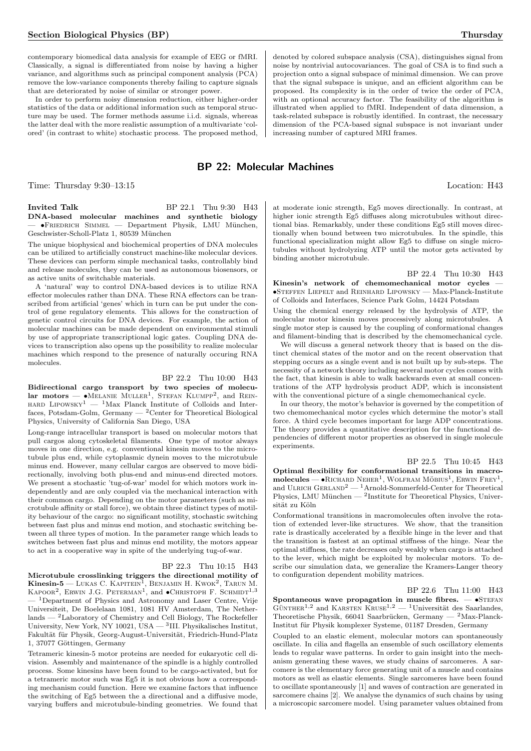contemporary biomedical data analysis for example of EEG or fMRI. Classically, a signal is differentiated from noise by having a higher variance, and algorithms such as principal component analysis (PCA) remove the low-variance components thereby failing to capture signals that are deteriorated by noise of similar or stronger power.

In order to perform noisy dimension reduction, either higher-order statistics of the data or additional information such as temporal structure may be used. The former methods assume i.i.d. signals, whereas the latter deal with the more realistic assumption of a multivariate 'colored' (in contrast to white) stochastic process. The proposed method,

# BP 22: Molecular Machines

Time: Thursday 9:30–13:15 Location: H43

**Invited Talk** BP 22.1 Thu 9:30 H43 DNA-based molecular machines and synthetic biology — •Friedrich Simmel — Department Physik, LMU M¨unchen, Geschwister-Scholl-Platz 1, 80539 München

The unique biophysical and biochemical properties of DNA molecules can be utilized to artificially construct machine-like molecular devices. These devices can perform simple mechanical tasks, controllably bind and release molecules, they can be used as autonomous biosensors, or as active units of switchable materials.

A 'natural' way to control DNA-based devices is to utilize RNA effector molecules rather than DNA. These RNA effectors can be transcribed from artificial 'genes' which in turn can be put under the control of gene regulatory elements. This allows for the construction of genetic control circuits for DNA devices. For example, the action of molecular machines can be made dependent on environmental stimuli by use of appropriate transcriptional logic gates. Coupling DNA devices to transcription also opens up the possibility to realize molecular machines which respond to the presence of naturally occuring RNA molecules.

# BP 22.2 Thu 10:00 H43

Bidirectional cargo transport by two species of molecular motors —  $\bullet$ Melanie Muller<sup>1</sup>, Stefan Klumpp<sup>2</sup>, and Rein- $H$ ARD LIPOWSKY<sup>1</sup> — <sup>1</sup>Max Planck Institute of Colloids and Interfaces, Potsdam-Golm, Germany  $-$  <sup>2</sup>Center for Theoretical Biological Physics, University of California San Diego, USA

Long-range intracellular transport is based on molecular motors that pull cargos along cytoskeletal filaments. One type of motor always moves in one direction, e.g. conventional kinesin moves to the microtubule plus end, while cytoplasmic dynein moves to the microtubule minus end. However, many cellular cargos are observed to move bidirectionally, involving both plus-end and minus-end directed motors. We present a stochastic 'tug-of-war' model for which motors work independently and are only coupled via the mechanical interaction with their common cargo. Depending on the motor parameters (such as microtubule affinity or stall force), we obtain three distinct types of motility behaviour of the cargo: no significant motility, stochastic switching between fast plus and minus end motion, and stochastic switching between all three types of motion. In the parameter range which leads to switches between fast plus and minus end motility, the motors appear to act in a cooperative way in spite of the underlying tug-of-war.

# BP 22.3 Thu 10:15 H43

Microtubule crosslinking triggers the directional motility of  $\mathbf{K}$ inesin-5 — Lukas C. Kapitein<sup>1</sup>, Benjamin H. Kwok<sup>2</sup>, Tarun M. KAPOOR<sup>2</sup>, ERWIN J.G. PETERMAN<sup>1</sup>, and  $\bullet$ CHRISTOPH F. SCHMIDT<sup>1,3</sup> <sup>1</sup>Department of Physics and Astronomy and Laser Centre, Vrije Universiteit, De Boelelaan 1081, 1081 HV Amsterdam, The Netherlands — <sup>2</sup>Laboratory of Chemistry and Cell Biology, The Rockefeller University, New York, NY 10021, USA  $-$  <sup>3</sup>III. Physikalisches Institut, Fakultät für Physik, Georg-August-Universität, Friedrich-Hund-Platz 1, 37077 Göttingen, Germany

Tetrameric kinesin-5 motor proteins are needed for eukaryotic cell division. Assembly and maintenance of the spindle is a highly controlled process. Some kinesins have been found to be cargo-activated, but for a tetrameric motor such was Eg5 it is not obvious how a corresponding mechanism could function. Here we examine factors that influence the switching of Eg5 between the a directional and a diffusive mode, varying buffers and microtubule-binding geometries. We found that

denoted by colored subspace analysis (CSA), distinguishes signal from noise by nontrivial autocovariances. The goal of CSA is to find such a projection onto a signal subspace of minimal dimension. We can prove that the signal subspace is unique, and an efficient algorithm can be proposed. Its complexity is in the order of twice the order of PCA, with an optional accuracy factor. The feasibility of the algorithm is illustrated when applied to fMRI. Independent of data dimension, a task-related subspace is robustly identified. In contrast, the necessary dimension of the PCA-based signal subspace is not invariant under increasing number of captured MRI frames.

at moderate ionic strength, Eg5 moves directionally. In contrast, at higher ionic strength Eg5 diffuses along microtubules without directional bias. Remarkably, under these conditions Eg5 still moves directionally when bound between two microtubules. In the spindle, this functional specialization might allow Eg5 to diffuse on single microtubules without hydrolyzing ATP until the motor gets activated by

binding another microtubule.

BP 22.4 Thu 10:30 H43 Kinesin's network of chemomechanical motor cycles —  $\bullet$ STEFFEN LIEPELT and REINHARD LIPOWSKY — Max-Planck-Institute of Colloids and Interfaces, Science Park Golm, 14424 Potsdam

Using the chemical energy released by the hydrolysis of ATP, the molecular motor kinesin moves processively along microtubules. A single motor step is caused by the coupling of conformational changes and filament-binding that is described by the chemomechanical cycle.

We will discuss a general network theory that is based on the distinct chemical states of the motor and on the recent observation that stepping occurs as a single event and is not built up by sub-steps. The necessity of a network theory including several motor cycles comes with the fact, that kinesin is able to walk backwards even at small concentrations of the ATP hydrolysis product ADP, which is inconsistent with the conventional picture of a single chemomechanical cycle.

In our theory, the motor's behavior is governed by the competition of two chemomechanical motor cycles which determine the motor's stall force. A third cycle becomes important for large ADP concentrations. The theory provides a quantitative description for the functional dependencies of different motor properties as observed in single molecule experiments.

BP 22.5 Thu 10:45 H43 Optimal flexibility for conformational transitions in macro- $\textbf{molecules} \longrightarrow \textbf{RICHARD NEHER}^1$ , WOLFRAM MÖBIUS<sup>1</sup>, ERWIN FREY<sup>1</sup>, and ULRICH GERLAND<sup>2</sup> — <sup>1</sup>Arnold-Sommerfeld-Center for Theoretical Physics, LMU München  $-$  <sup>2</sup>Institute for Theoretical Physics, Universität zu Köln

Conformational transitions in macromolecules often involve the rotation of extended lever-like structures. We show, that the transition rate is drastically accelerated by a flexible hinge in the lever and that the transition is fastest at an optimal stiffness of the hinge. Near the optimal stiffness, the rate decreases only weakly when cargo is attached to the lever, which might be exploited by molecular motors. To describe our simulation data, we generalize the Kramers-Langer theory to configuration dependent mobility matrices.

BP 22.6 Thu 11:00 H43 Spontaneous wave propagation in muscle fibres.  $\bullet$ STEFAN  $\widetilde{\text{GUNTHER}}^{1,2}$  and KARSTEN KRUSE<sup>1,2</sup> — <sup>1</sup>Universität des Saarlandes, Theoretische Physik, 66041 Saarbrücken, Germany — <sup>2</sup>Max-Planck-Institut für Physik komplexer Systeme, 01187 Dresden, Germany

Coupled to an elastic element, molecular motors can spontaneously oscillate. In cilia and flagella an ensemble of such oscillatory elements leads to regular wave patterns. In order to gain insight into the mechanism generating these waves, we study chains of sarcomeres. A sarcomere is the elementary force generating unit of a muscle and contains motors as well as elastic elements. Single sarcomeres have been found to oscillate spontaneously [1] and waves of contraction are generated in sarcomere chains [2]. We analyse the dynamics of such chains by using a microscopic sarcomere model. Using parameter values obtained from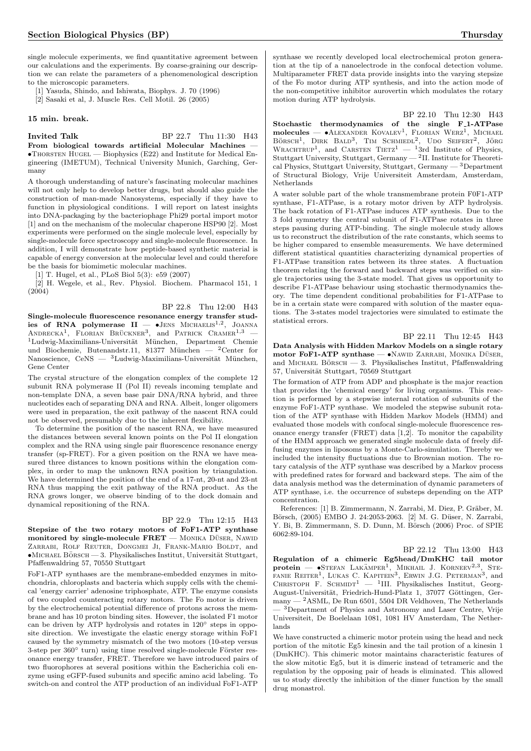single molecule experiments, we find quantitative agreement between our calculations and the experiments. By coarse-graining our description we can relate the parameters of a phenomenological description to the microscopic parameters.

[1] Yasuda, Shindo, and Ishiwata, Biophys. J. 70 (1996)

[2] Sasaki et al, J. Muscle Res. Cell Motil. 26 (2005)

#### 15 min. break.

**Invited Talk** BP 22.7 Thu 11:30 H43 From biological towards artificial Molecular Machines —  $\bullet$ Thorsten Hugel — Biophysics (E22) and Institute for Medical Engineering (IMETUM), Technical University Munich, Garching, Germany

A thorough understanding of nature's fascinating molecular machines will not only help to develop better drugs, but should also guide the construction of man-made Nanosystems, especially if they have to function in physiological conditions. I will report on latest insights into DNA-packaging by the bacteriophage Phi29 portal import motor [1] and on the mechanism of the molecular chaperone HSP90 [2]. Most experiments were performed on the single molecule level, especially by single-molecule force spectroscopy and single-molecule fluorescence. In addition, I will demonstrate how peptide-based synthetic material is capable of energy conversion at the molecular level and could therefore be the basis for biomimetic molecular machines.

[1] T. Hugel, et al., PLoS Biol 5(3): e59 (2007)

[2] H. Wegele, et al., Rev. Physiol. Biochem. Pharmacol 151, 1  $(2004)$ 

BP 22.8 Thu 12:00 H43 Single-molecule fluorescence resonance energy transfer studies of RNA polymerase  $II$   $\bullet$ Jens Michaelis<sup>1,2</sup>, Joanna Andrecka<sup>1</sup>, Florian Brückner<sup>3</sup>, and Patrick Cramer<sup>1,3</sup>  $^1$ Ludwig-Maximilians-Universität München, Department Chemie und Biochemie, Butenandstr.11, 81377 München — <sup>2</sup>Center for Nanoscience,  $CeNS - {^{3}L}$ udwig-Maximilians-Universität München, Gene Center

The crystal structure of the elongation complex of the complete 12 subunit RNA polymerase II (Pol II) reveals incoming template and non-template DNA, a seven base pair DNA/RNA hybrid, and three nucleotides each of separating DNA and RNA. Albeit, longer oligomers were used in preparation, the exit pathway of the nascent RNA could not be observed, presumably due to the inherent flexibility.

To determine the position of the nascent RNA, we have measured the distances between several known points on the Pol II elongation complex and the RNA using single pair fluorescence resonance energy transfer (sp-FRET). For a given position on the RNA we have measured three distances to known positions within the elongation complex, in order to map the unknown RNA position by triangulation. We have determined the position of the end of a 17-nt, 20-nt and 23-nt RNA thus mapping the exit pathway of the RNA product. As the RNA grows longer, we observe binding of to the dock domain and dynamical repositioning of the RNA.

BP 22.9 Thu 12:15 H43 Stepsize of the two rotary motors of FoF1-ATP synthase monitored by single-molecule  $\texttt{FRET}$  — MONIKA DÜSER, NAWID Zarrabi, Rolf Reuter, Dongmei Ji, Frank-Mario Boldt, and  $\bullet$ MICHAEL BÖRSCH  $-3$ . Physikalisches Institut, Universität Stuttgart, Pfaffenwaldring 57, 70550 Stuttgart

FoF1-ATP synthases are the membrane-embedded enzymes in mitochondria, chloroplasts and bacteria which supply cells with the chemical 'energy carrier' adenosine triphosphate, ATP. The enzyme consists of two coupled counteracting rotary motors. The Fo motor is driven by the electrochemical potential difference of protons across the membrane and has 10 proton binding sites. However, the isolated F1 motor can be driven by ATP hydrolysis and rotates in 120◦ steps in opposite direction. We investigate the elastic energy storage within FoF1 caused by the symmetry mismatch of the two motors (10-step versus  $3$ -step per  $360°$  turn) using time resolved single-molecule Förster resonance energy transfer, FRET. Therefore we have introduced pairs of two fluorophores at several positions within the Escherichia coli enzyme using eGFP-fused subunits and specific amino acid labeling. To switch-on and control the ATP production of an individual FoF1-ATP

synthase we recently developed local electrochemical proton generation at the tip of a nanoelectrode in the confocal detection volume. Multiparameter FRET data provide insights into the varying stepsize of the Fo motor during ATP synthesis, and into the action mode of the non-competitive inhibitor aurovertin which modulates the rotary motion during ATP hydrolysis.

BP 22.10 Thu 12:30 H43 Stochastic thermodynamics of the single F 1-ATPase molecules —  $\bullet$ ALEXANDER KOVALEV<sup>1</sup>, FLORIAN WERZ<sup>1</sup>, MICHAEL BÖRSCH<sup>1</sup>, DIRK BALD<sup>3</sup>, TIM SCHMIEDL<sup>2</sup>, UDO SEIFERT<sup>2</sup>, JÖRG WRACHTRUP<sup>1</sup>, and CARSTEN TIETZ<sup>1</sup> - <sup>1</sup>3rd Institute of Physics, Stuttgart University, Stuttgart, Germany  $-2$ II. Institute for Theoretical Physics, Stuttgart University, Stuttgart, Germany — <sup>3</sup>Department of Structural Biology, Vrije Universiteit Amsterdam, Amsterdam, Netherlands

A water soluble part of the whole transmembrane protein F0F1-ATP synthase, F1-ATPase, is a rotary motor driven by ATP hydrolysis. The back rotation of F1-ATPase induces ATP synthesis. Due to the 3 fold symmetry the central subunit of F1-ATPase rotates in three steps pausing during ATP-binding. The single molecule study allows us to reconstruct the distribution of the rate constants, which seems to be higher compared to ensemble measurements. We have determined different statistical quantities characterizing dynamical properties of F1-ATPase transition rates between its three states. A fluctuation theorem relating the forward and backward steps was verified on single trajectories using the 3-state model. That gives us opportunity to describe F1-ATPase behaviour using stochastic thermodynamics theory. The time dependent conditional probabilities for F1-ATPase to be in a certain state were compared with solution of the master equations. The 3-states model trajectories were simulated to estimate the statistical errors.

#### BP 22.11 Thu 12:45 H43

Data Analysis with Hidden Markov Models on a single rotary motor FoF1-ATP synthase —  $\bullet$ Nawid Zarrabi, Monika Düser, and MICHAEL BÖRSCH  $-$  3. Physikalisches Institut, Pfaffenwaldring 57, Universität Stuttgart, 70569 Stuttgart

The formation of ATP from ADP and phosphate is the major reaction that provides the 'chemical energy' for living organisms. This reaction is performed by a stepwise internal rotation of subunits of the enzyme FoF1-ATP synthase. We modeled the stepwise subunit rotation of the ATP synthase with Hidden Markov Models (HMM) and evaluated those models with confocal single-molecule fluorescence resonance energy transfer (FRET) data [1,2]. To monitor the capability of the HMM approach we generated single molecule data of freely diffusing enzymes in liposoms by a Monte-Carlo-simulation. Thereby we included the intensity fluctuations due to Brownian motion. The rotary catalysis of the ATP synthase was described by a Markov process with predefined rates for forward and backward steps. The aim of the data analysis method was the determination of dynamic parameters of ATP synthase, i.e. the occurrence of substeps depending on the ATP concentration.

References: [1] B. Zimmermann, N. Zarrabi, M. Diez, P. Gräber, M. Börsch, (2005) EMBO J. 24:2053-2063. [2] M. G. Düser, N. Zarrabi, Y. Bi, B. Zimmermann, S. D. Dunn, M. Börsch (2006) Proc. of SPIE 6062:89-104.

BP 22.12 Thu 13:00 H43 Regulation of a chimeric Eg5head/DmKHC tail motor protein - STEFAN LAKÄMPER<sup>1</sup>, MIKHAIL J. KORNEEV<sup>2,3</sup>, STE-FANIE REITER<sup>1</sup>, LUKAS C. KAPITEIN<sup>3</sup>, ERWIN J.G. PETERMAN<sup>3</sup>, and CHRISTOPH F. SCHMIDT<sup>1</sup> — <sup>1</sup>III. Physikalisches Institut, Georg-August-Universität, Friedrich-Hund-Platz 1, 37077 Göttingen, Germany — <sup>2</sup>ASML, De Run 6501, 5504 DR Veldhoven, The Netherlands — <sup>3</sup>Department of Physics and Astronomy and Laser Centre, Vrije Universiteit, De Boelelaan 1081, 1081 HV Amsterdam, The Netherlands

We have constructed a chimeric motor protein using the head and neck portion of the mitotic Eg5 kinesin and the tail protion of a kinesin 1 (DmKHC). This chimeric motor maintains characteristic features of the slow mitotic Eg5, but it is dimeric instead of tetrameric and the regulation by the opposing pair of heads is eliminated. This allowed us to study directly the inhibition of the dimer function by the small drug monastrol.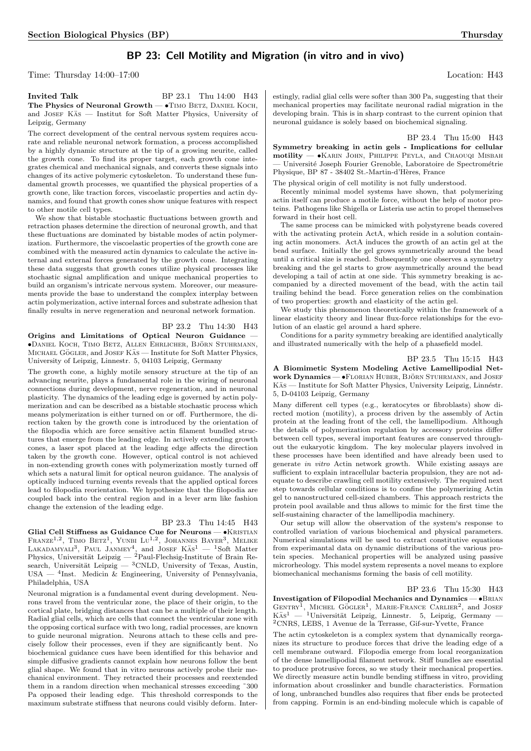# BP 23: Cell Motility and Migration (in vitro and in vivo)

Time: Thursday  $14:00-17:00$  Location: H43

**Invited Talk** BP 23.1 Thu 14:00 H43 The Physics of Neuronal Growth — •TIMO BETZ, DANIEL KOCH, and JOSEF KAS — Institut for Soft Matter Physics, University of Leipzig, Germany

The correct development of the central nervous system requires accurate and reliable neuronal network formation, a process accomplished by a highly dynamic structure at the tip of a growing neurite, called the growth cone. To find its proper target, each growth cone integrates chemical and mechanical signals, and converts these signals into changes of its active polymeric cytoskeleton. To understand these fundamental growth processes, we quantified the physical properties of a growth cone, like traction forces, viscoelastic properties and actin dynamics, and found that growth cones show unique features with respect to other motile cell types.

We show that bistable stochastic fluctuations between growth and retraction phases determine the direction of neuronal growth, and that these fluctuations are dominated by bistable modes of actin polymerization. Furthermore, the viscoelastic properties of the growth cone are combined with the measured actin dynamics to calculate the active internal and external forces generated by the growth cone. Integrating these data suggests that growth cones utilize physical processes like stochastic signal amplification and unique mechanical properties to build an organism's intricate nervous system. Moreover, our measurements provide the base to understand the complex interplay between actin polymerization, active internal forces and substrate adhesion that finally results in nerve regeneration and neuronal network formation.

#### BP 23.2 Thu 14:30 H43

Origins and Limitations of Optical Neuron Guidance — •Daniel Koch, Timo Betz, Allen Ehrlicher, Bjorn Stuhrmann ¨ , MICHAEL GÖGLER, and JOSEF KÄS — Institute for Soft Matter Physics, University of Leipzig, Linnestr. 5, 04103 Leipzig, Germany

The growth cone, a highly motile sensory structure at the tip of an advancing neurite, plays a fundamental role in the wiring of neuronal connections during development, nerve regeneration, and in neuronal plasticity. The dynamics of the leading edge is governed by actin polymerization and can be described as a bistable stochastic process which means polymerization is either turned on or off. Furthermore, the direction taken by the growth cone is introduced by the orientation of the filopodia which are force sensitive actin filament bundled structures that emerge from the leading edge. In actively extending growth cones, a laser spot placed at the leading edge affects the direction taken by the growth cone. However, optical control is not achieved in non-extending growth cones with polymerization mostly turned off which sets a natural limit for optical neuron guidance. The analysis of optically induced turning events reveals that the applied optical forces lead to filopodia reorientation. We hypothesize that the filopodia are coupled back into the central region and in a lever arm like fashion change the extension of the leading edge.

# BP 23.3 Thu 14:45 H43

Glial Cell Stiffness as Guidance Cue for Neurons —  $\bullet$ KRISTIAN FRANZE<sup>1,2</sup>, TIMO BETZ<sup>1</sup>, YUNBI LU<sup>1,2</sup>, JOHANNES BAYER<sup>3</sup>, MELIKE LAKADAMYALI<sup>3</sup>, PAUL JANMEY<sup>4</sup>, and JOSEF KAS<sup>1</sup> - <sup>1</sup>Soft Matter Physics, Universität Leipzig —  ${}^{2}$ Paul-Flechsig-Institute of Brain Research, Universität Leipzig —  ${}^{3}$ CNLD, University of Texas, Austin, USA — <sup>4</sup> Inst. Medicin & Engineering, University of Pennsylvania, Philadelphia, USA

Neuronal migration is a fundamental event during development. Neurons travel from the ventricular zone, the place of their origin, to the cortical plate, bridging distances that can be a multiple of their length. Radial glial cells, which are cells that connect the ventricular zone with the opposing cortical surface with two long, radial processes, are known to guide neuronal migration. Neurons attach to these cells and precisely follow their processes, even if they are significantly bent. No biochemical guidance cues have been identified for this behavior and simple diffusive gradients cannot explain how neurons follow the bent glial shape. We found that in vitro neurons actively probe their mechanical environment. They retracted their processes and reextended them in a random direction when mechanical stresses exceeding ˜300 Pa opposed their leading edge. This threshold corresponds to the maximum substrate stiffness that neurons could visibly deform. Interestingly, radial glial cells were softer than 300 Pa, suggesting that their mechanical properties may facilitate neuronal radial migration in the developing brain. This is in sharp contrast to the current opinion that neuronal guidance is solely based on biochemical signaling.

BP 23.4 Thu 15:00 H43

Symmetry breaking in actin gels - Implications for cellular motility — •Karin John, Philippe Peyla, and Chaouqi Misbah – Université Joseph Fourier Grenoble, Laboratoire de Spectrométrie Physique, BP 87 - 38402 St.-Martin-d'Hères, France

The physical origin of cell motility is not fully understood.

Recently minimal model systems have shown, that polymerizing actin itself can produce a motile force, without the help of motor proteins. Pathogens like Shigella or Listeria use actin to propel themselves forward in their host cell.

The same process can be mimicked with polystyrene beads covered with the activating protein ActA, which reside in a solution containing actin monomers. ActA induces the growth of an actin gel at the bead surface. Initially the gel grows symmetrically around the bead until a critical size is reached. Subsequently one observes a symmetry breaking and the gel starts to grow asymmetrically around the bead developing a tail of actin at one side. This symmetry breaking is accompanied by a directed movement of the bead, with the actin tail trailing behind the bead. Force generation relies on the combination of two properties: growth and elasticity of the actin gel.

We study this phenomenon theoretically within the framework of a linear elasticity theory and linear flux-force relationships for the evolution of an elastic gel around a hard sphere.

Conditions for a parity symmetry breaking are identified analytically and illustrated numerically with the help of a phasefield model.

#### BP 23.5 Thu 15:15 H43

A Biomimetic System Modeling Active Lamellipodial Network Dynamics — •FLORIAN HUBER, BJÖRN STUHRMANN, and JOSEF KÄS — Institute for Soft Matter Physics, University Leipzig, Linnéstr. 5, D-04103 Leipzig, Germany

Many different cell types (e.g., keratocytes or fibroblasts) show directed motion (motility), a process driven by the assembly of Actin protein at the leading front of the cell, the lamellipodium. Although the details of polymerization regulation by accessory proteins differ between cell types, several important features are conserved throughout the eukaryotic kingdom. The key molecular players involved in these processes have been identified and have already been used to generate in vitro Actin network growth. While existing assays are sufficient to explain intracellular bacteria propulsion, they are not adequate to describe crawling cell motility extensively. The required next step towards cellular conditions is to confine the polymerizing Actin gel to nanostructured cell-sized chambers. This approach restricts the protein pool available and thus allows to mimic for the first time the self-sustaining character of the lamellipodia machinery.

Our setup will allow the observation of the system's response to controlled variation of various biochemical and physical parameters. Numerical simulations will be used to extract constitutive equations from experimantal data on dynamic distributions of the various protein species. Mechanical properties will be analyzed using passive microrheology. This model system represents a novel means to explore biomechanical mechanisms forming the basis of cell motility.

BP 23.6 Thu 15:30 H43

Investigation of Filopodial Mechanics and Dynamics — •Brian  $GENTRY<sup>1</sup>$ , MICHEL  $GÖGLER<sup>1</sup>$ , MARIE-FRANCE CARLIER<sup>2</sup>, and JOSEF  $KAS<sup>1</sup>$  — <sup>1</sup>Universität Leipzig, Linnestr. 5, Leipzig, Germany — <sup>2</sup>CNRS, LEBS, 1 Avenue de la Terrasse, Gif-sur-Yvette, France

The actin cytoskeleton is a complex system that dynamically reorganizes its structure to produce forces that drive the leading edge of a cell membrane outward. Filopodia emerge from local reorganization of the dense lamellipodial filament network. Stiff bundles are essential to produce protrusive forces, so we study their mechanical properties. We directly measure actin bundle bending stiffness in vitro, providing information about crosslinker and bundle characteristics. Formation of long, unbranched bundles also requires that fiber ends be protected from capping. Formin is an end-binding molecule which is capable of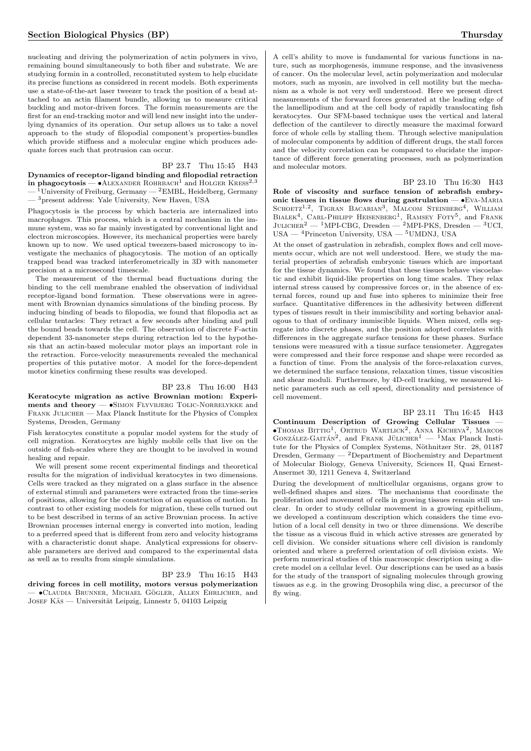nucleating and driving the polymerization of actin polymers in vivo, remaining bound simultaneously to both fiber and substrate. We are studying formin in a controlled, reconstituted system to help elucidate its precise functions as considered in recent models. Both experiments use a state-of-the-art laser tweezer to track the position of a bead attached to an actin filament bundle, allowing us to measure critical buckling and motor-driven forces. The formin measurements are the first for an end-tracking motor and will lend new insight into the underlying dynamics of its operation. Our setup allows us to take a novel approach to the study of filopodial component's properties-bundles which provide stiffness and a molecular engine which produces adequate forces such that protrusion can occur.

BP 23.7 Thu 15:45 H43 Dynamics of receptor-ligand binding and filopodial retraction in phagocytosis —  $\bullet$ ALEXANDER ROHRBACH<sup>1</sup> and HOLGER KRESS<sup>2,3</sup>  $\frac{1}{2}$ University of Freiburg, Germany —  $\frac{2}{2}$ EMBL, Heidelberg, Germany  $-$ <sup>3</sup> present address: Yale University, New Haven, USA

Phagocytosis is the process by which bacteria are internalized into macrophages. This process, which is a central mechanism in the immune system, was so far mainly investigated by conventional light and electron microscopies. However, its mechanical properties were barely known up to now. We used optical tweezers-based microscopy to investigate the mechanics of phagocytosis. The motion of an optically trapped bead was tracked interferometrically in 3D with nanometer precision at a microsecond timescale.

The measurement of the thermal bead fluctuations during the binding to the cell membrane enabled the observation of individual receptor-ligand bond formation. These observations were in agreement with Brownian dynamics simulations of the binding process. By inducing binding of beads to filopodia, we found that filopodia act as cellular tentacles: They retract a few seconds after binding and pull the bound beads towards the cell. The observation of discrete F-actin dependent 33-nanometer steps during retraction led to the hypothesis that an actin-based molecular motor plays an important role in the retraction. Force-velocity measurements revealed the mechanical properties of this putative motor. A model for the force-dependent motor kinetics confirming these results was developed.

BP 23.8 Thu 16:00 H43

Keratocyte migration as active Brownian motion: Experiments and theory — •Simon Flyvbjerg Tolic-Norrelykke and FRANK JULICHER — Max Planck Institute for the Physics of Complex Systems, Dresden, Germany

Fish keratocytes constitute a popular model system for the study of cell migration. Keratocytes are highly mobile cells that live on the outside of fish-scales where they are thought to be involved in wound healing and repair.

We will present some recent experimental findings and theoretical results for the migration of individual keratocytes in two dimensions. Cells were tracked as they migrated on a glass surface in the absence of external stimuli and parameters were extracted from the time-series of positions, allowing for the construction of an equation of motion. In contrast to other existing models for migration, these cells turned out to be best described in terms of an active Brownian process. In active Brownian processes internal energy is converted into motion, leading to a preferred speed that is different from zero and velocity histograms with a characteristic donut shape. Analytical expressions for observable parameters are derived and compared to the experimental data as well as to results from simple simulations.

BP 23.9 Thu 16:15 H43 driving forces in cell motility, motors versus polymerization — •Claudia Brunner, Michael Gogler ¨ , Allen Ehrlicher, and JOSEF KÄS — Universität Leipzig, Linnestr 5, 04103 Leipzig

A cell's ability to move is fundamental for various functions in nature, such as morphogenesis, immune response, and the invasiveness of cancer. On the molecular level, actin polymerization and molecular motors, such as myosin, are involved in cell motility but the mechanism as a whole is not very well understood. Here we present direct measurements of the forward forces generated at the leading edge of the lamellipodium and at the cell body of rapidly translocating fish keratocytes. Our SFM-based technique uses the vertical and lateral deflection of the cantilever to directly measure the maximal forward force of whole cells by stalling them. Through selective manipulation of molecular components by addition of different drugs, the stall forces and the velocity correlation can be compared to elucidate the importance of different force generating processes, such as polymerization and molecular motors.

BP 23.10 Thu 16:30 H43 Role of viscosity and surface tension of zebrafish embryonic tissues in tissue flows during gastrulation  $\bullet$  EVA-MARIA SCHOETZ<sup>1,2</sup>, TIGRAN BACARIAN<sup>3</sup>, MALCOM STEINBERG<sup>4</sup>, WILLIAM BIALEK<sup>4</sup>, CARL-PHILIPP HEISENBERG<sup>1</sup>, RAMSEY FOTY<sup>5</sup>, and FRANK JULICHER<sup>2</sup> — <sup>1</sup>MPI-CBG, Dresden — <sup>2</sup>MPI-PKS, Dresden — <sup>3</sup>UCI, USA — <sup>4</sup>Princeton University, USA — <sup>5</sup>UMDNJ, USA

At the onset of gastrulation in zebrafish, complex flows and cell movements occur, which are not well understood. Here, we study the material properties of zebrafish embryonic tissues which are important for the tissue dynamics. We found that these tissues behave viscoelastic and exhibit liquid-like properties on long time scales. They relax internal stress caused by compressive forces or, in the absence of external forces, round up and fuse into spheres to minimize their free surface. Quantitative differences in the adhesivity between different types of tissues result in their immiscibility and sorting behavior analogous to that of ordinary immiscible liquids. When mixed, cells segregate into discrete phases, and the position adopted correlates with differences in the aggregate surface tensions for these phases. Surface tensions were measured with a tissue surface tensiometer. Aggregates were compressed and their force response and shape were recorded as a function of time. From the analysis of the force-relaxation curves, we determined the surface tensions, relaxation times, tissue viscosities and shear moduli. Furthermore, by 4D-cell tracking, we measured kinetic parameters such as cell speed, directionality and persistence of cell movement.

#### BP 23.11 Thu 16:45 H43

Continuum Description of Growing Cellular Tissues —  $\bullet$ Thomas Bittig<sup>1</sup>, Ortrud Wartlick<sup>2</sup>, Anna Kicheva<sup>2</sup>, Marcos González-Gaitán<sup>2</sup>, and Frank Jülicher<sup>1</sup> — <sup>1</sup>Max Planck Institute for the Physics of Complex Systems, Nöthnitzer Str. 28, 01187 Dresden, Germany  $-$  <sup>2</sup>Department of Biochemistry and Department of Molecular Biology, Geneva University, Sciences II, Quai Ernest-Ansermet 30, 1211 Geneva 4, Switzerland

During the development of multicellular organisms, organs grow to well-defined shapes and sizes. The mechanisms that coordinate the proliferation and movement of cells in growing tissues remain still unclear. In order to study cellular movement in a growing epithelium, we developed a continuum description which considers the time evolution of a local cell density in two or three dimensions. We describe the tissue as a viscous fluid in which active stresses are generated by cell division. We consider situations where cell division is randomly oriented and where a preferred orientation of cell division exists. We perform numerical studies of this macroscopic description using a discrete model on a cellular level. Our descriptions can be used as a basis for the study of the transport of signaling molecules through growing tissues as e.g. in the growing Drosophila wing disc, a precursor of the fly wing.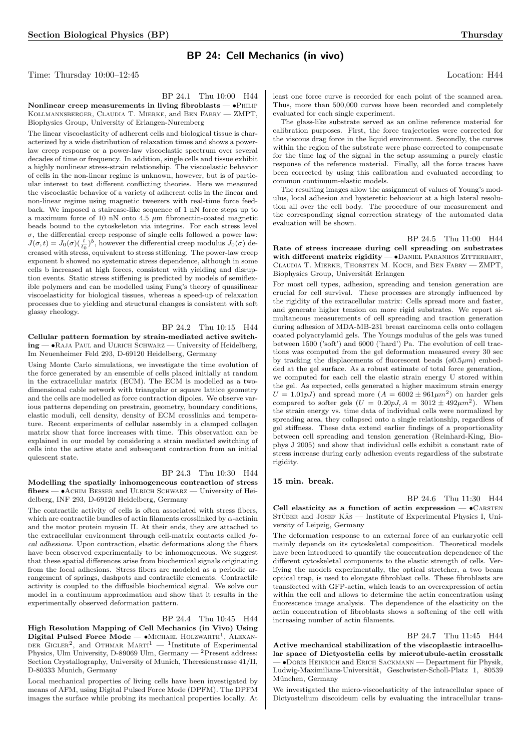# BP 24: Cell Mechanics (in vivo)

Time: Thursday  $10:00-12:45$  Location: H44

# Nonlinear creep measurements in living fibroblasts  $\bullet$ PHILIP Kollmannsberger, Claudia T. Mierke, and Ben Fabry — ZMPT, Biophysics Group, University of Erlangen-Nuremberg

The linear viscoelasticity of adherent cells and biological tissue is characterized by a wide distribution of relaxation times and shows a powerlaw creep response or a power-law viscoelastic spectrum over several decades of time or frequency. In addition, single cells and tissue exhibit a highly nonlinear stress-strain relationship. The viscoelastic behavior of cells in the non-linear regime is unknown, however, but is of particular interest to test different conflicting theories. Here we measured the viscoelastic behavior of a variety of adherent cells in the linear and non-linear regime using magnetic tweezers with real-time force feedback. We imposed a staircase-like sequence of 1 nN force steps up to a maximum force of 10 nN onto 4.5  $\mu$ m fibronectin-coated magnetic beads bound to the cytoskeleton via integrins. For each stress level  $\sigma$ , the differential creep response of single cells followed a power law:  $J(\sigma, t) = J_0(\sigma) (\frac{t}{t_0})^b$ , however the differential creep modulus  $J_0(\sigma)$  decreased with stress, equivalent to stress stiffening. The power-law creep exponent b showed no systematic stress dependence, although in some cells b increased at high forces, consistent with yielding and disruption events. Static stress stiffening is predicted by models of semiflexible polymers and can be modelled using Fung's theory of quasilinear viscoelasticity for biological tissues, whereas a speed-up of relaxation processes due to yielding and structural changes is consistent with soft glassy rheology.

BP 24.2 Thu 10:15 H44 Cellular pattern formation by strain-mediated active switching — •Raja Paul and Ulrich Schwarz — University of Heidelberg, Im Neuenheimer Feld 293, D-69120 Heidelberg, Germany

Using Monte Carlo simulations, we investigate the time evolution of the force generated by an ensemble of cells placed initially at random in the extracellular matrix (ECM). The ECM is modelled as a twodimensional cable network with triangular or square lattice geometry and the cells are modelled as force contraction dipoles. We observe various patterns depending on prestrain, geometry, boundary conditions, elastic moduli, cell density, density of ECM crosslinks and temperature. Recent experiments of cellular assembly in a clamped collagen matrix show that force increases with time. This observation can be explained in our model by considering a strain mediated switching of cells into the active state and subsequent contraction from an initial quiescent state.

BP 24.3 Thu 10:30 H44 Modelling the spatially inhomogeneous contraction of stress fibers — •Achim Besser and Ulrich Schwarz — University of Heidelberg, INF 293, D-69120 Heidelberg, Germany

The contractile activity of cells is often associated with stress fibers, which are contractile bundles of actin filaments crosslinked by  $\alpha$ -actinin and the motor protein myosin II. At their ends, they are attached to the extracellular environment through cell-matrix contacts called focal adhesions. Upon contraction, elastic deformations along the fibers have been observed experimentally to be inhomogeneous. We suggest that these spatial differences arise from biochemical signals originating from the focal adhesions. Stress fibers are modeled as a periodic arrangement of springs, dashpots and contractile elements. Contractile activity is coupled to the diffusible biochemical signal. We solve our model in a continuum approximation and show that it results in the experimentally observed deformation pattern.

BP 24.4 Thu 10:45 H44

High Resolution Mapping of Cell Mechanics (in Vivo) Using Digital Pulsed Force Mode - MICHAEL HOLZWARTH<sup>1</sup>, ALEXAN-DER GIGLER<sup>2</sup>, and OTHMAR MARTI<sup>1</sup> — <sup>1</sup>Institute of Experimental Physics, Ulm University, D-89069 Ulm, Germany — <sup>2</sup>Present address: Section Crystallography, University of Munich, Theresienstrasse 41/II, D-80333 Munich, Germany

Local mechanical properties of living cells have been investigated by means of AFM, using Digital Pulsed Force Mode (DPFM). The DPFM images the surface while probing its mechanical properties locally. At least one force curve is recorded for each point of the scanned area. Thus, more than 500,000 curves have been recorded and completely evaluated for each single experiment.

The glass-like substrate served as an online reference material for calibration purposes. First, the force trajectories were corrected for the viscous drag force in the liquid environment. Secondly, the curves within the region of the substrate were phase corrected to compensate for the time lag of the signal in the setup assuming a purely elastic response of the reference material. Finally, all the force traces have been corrected by using this calibration and evaluated according to common continuum-elastic models.

The resulting images allow the assignment of values of Young's modulus, local adhesion and hysteretic behaviour at a high lateral resolution all over the cell body. The procedure of our measurement and the corresponding signal correction strategy of the automated data evaluation will be shown.

BP 24.5 Thu 11:00 H44 Rate of stress increase during cell spreading on substrates with different matrix rigidity  $\bullet$  Daniel Paranhos Zitterbart, Claudia T. Mierke, Thorsten M. Koch, and Ben Fabry — ZMPT, Biophysics Group, Universität Erlangen

For most cell types, adhesion, spreading and tension generation are crucial for cell survival. These processes are strongly influenced by the rigidity of the extracellular matrix: Cells spread more and faster, and generate higher tension on more rigid substrates. We report simultaneous measurements of cell spreading and traction generation during adhesion of MDA-MB-231 breast carcinoma cells onto collagen coated polyacrylamid gels. The Youngs modulus of the gels was tuned between 1500 ('soft') and 6000 ('hard') Pa. The evolution of cell tractions was computed from the gel deformation measured every 30 sec by tracking the displacements of fluorescent beads  $(\phi 0.5 \mu m)$  embedded at the gel surface. As a robust estimate of total force generation, we computed for each cell the elastic strain energy U stored within the gel. As expected, cells generated a higher maximum strain energy  $U = 1.01 pJ$  and spread more  $(A = 6002 \pm 961 \mu m^2)$  on harder gels compared to softer gels  $(U = 0.20pJ, A = 3012 \pm 492 \mu m^2)$ . When the strain energy vs. time data of individual cells were normalized by spreading area, they collapsed onto a single relationship, regardless of gel stiffness. These data extend earlier findings of a proportionality between cell spreading and tension generation (Reinhard-King, Biophys J 2005) and show that individual cells exhibit a constant rate of stress increase during early adhesion events regardless of the substrate rigidity.

# 15 min. break.

BP 24.6 Thu 11:30 H44 Cell elasticity as a function of actin expression  $\bullet$  CARSTEN STÜBER and JOSEF KÄS — Institute of Experimental Physics I, University of Leipzig, Germany

The deformation response to an external force of an eurkaryotic cell mainly depends on its cytoskeletal composition. Theoretical models have been introduced to quantify the concentration dependence of the different cytoskeletal components to the elastic strength of cells. Verifying the models experimentally, the optical stretcher, a two beam optical trap, is used to elongate fibroblast cells. These fibroblasts are transfected with GFP-actin, which leads to an overexpression of actin within the cell and allows to determine the actin concentration using fluorescence image analysis. The dependence of the elasticity on the actin concentration of fibroblasts shows a softening of the cell with increasing number of actin filaments.

BP 24.7 Thu 11:45 H44

Active mechanical stabilization of the viscoplastic intracellular space of Dictyostelia cells by microtubule-actin crosstalk · • DORIS HEINRICH and ERICH SACKMANN — Department für Physik, Ludwig-Maximilians-Universität, Geschwister-Scholl-Platz 1, 80539 München, Germany

We investigated the micro-viscoelasticity of the intracellular space of Dictyostelium discoideum cells by evaluating the intracellular trans-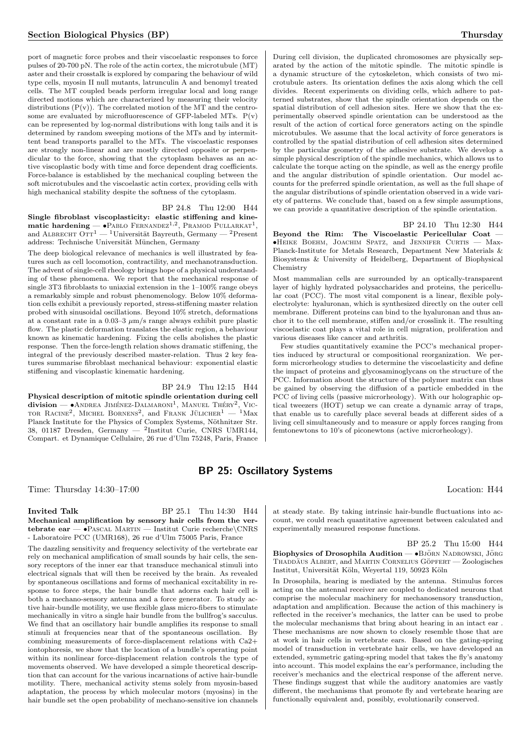port of magnetic force probes and their viscoelastic responses to force pulses of 20-700 pN. The role of the actin cortex, the microtubule (MT) aster and their crosstalk is explored by comparing the behaviour of wild type cells, myosin II null mutants, latrunculin A and benomyl treated cells. The MT coupled beads perform irregular local and long range directed motions which are characterized by measuring their velocity distributions  $(P(v))$ . The correlated motion of the MT and the centrosome are evaluated by microfluorescence of GFP-labeled MTs. P(v) can be represented by log-normal distributions with long tails and it is determined by random sweeping motions of the MTs and by intermittent bead transports parallel to the MTs. The viscoelastic responses are strongly non-linear and are mostly directed opposite or perpendicular to the force, showing that the cytoplasm behaves as an active viscoplastic body with time and force dependent drag coefficients. Force-balance is established by the mechanical coupling between the soft microtubules and the viscoelastic actin cortex, providing cells with high mechanical stability despite the softness of the cytoplasm.

#### BP 24.8 Thu 12:00 H44

Single fibroblast viscoplasticity: elastic stiffening and kine- $\text{matic}$  hardening —  $\bullet$  Pablo Fernandez<sup>1,2</sup>, Pramod Pullarkat<sup>1</sup> **matic hardening** —  $\bullet$ PABLO FERNANDEZ<sup>1,2</sup>, PRAMOD PULLARKAT<sup>1</sup>,<br>and ALBRECHT OTT<sup>1</sup> — <sup>1</sup>Universität Bayreuth, Germany — <sup>2</sup>Present address: Technische Universität München, Germany

The deep biological relevance of mechanics is well illustrated by features such as cell locomotion, contractility, and mechanotransduction. The advent of single-cell rheology brings hope of a physical understanding of these phenomena. We report that the mechanical response of single 3T3 fibroblasts to uniaxial extension in the 1–100% range obeys a remarkably simple and robust phenomenology. Below 10% deformation cells exhibit a previously reported, stress-stiffening master relation probed with sinusoidal oscillations. Beyond 10% stretch, deformations at a constant rate in a  $0.03-3 \mu m/s$  range always exhibit pure plastic flow. The plastic deformation translates the elastic region, a behaviour known as kinematic hardening. Fixing the cells abolishes the plastic response. Then the force-length relation shows dramatic stiffening, the integral of the previously described master-relation. Thus 2 key features summarise fibroblast mechanical behaviour: exponential elastic stiffening and viscoplastic kinematic hardening.

BP 24.9 Thu 12:15 H44

Physical description of mitotic spindle orientation during cell  $\operatorname{division} - \bullet$ ANDREA JIMÉNEZ-DALMARONI<sup>1</sup>, MANUEL THÉRY<sup>2</sup> , Vic-TOR RACINE<sup>2</sup>, MICHEL BORNENS<sup>2</sup>, and FRANK JÜLICHER<sup>1</sup> - <sup>1</sup>Max Planck Institute for the Physics of Complex Systems, Nöthnitzer Str. 38, 01187 Dresden, Germany — <sup>2</sup> Institut Curie, CNRS UMR144, Compart. et Dynamique Cellulaire, 26 rue d'Ulm 75248, Paris, France

During cell division, the duplicated chromosomes are physically separated by the action of the mitotic spindle. The mitotic spindle is a dynamic structure of the cytoskeleton, which consists of two microtubule asters. Its orientation defines the axis along which the cell divides. Recent experiments on dividing cells, which adhere to patterned substrates, show that the spindle orientation depends on the spatial distribution of cell adhesion sites. Here we show that the experimentally observed spindle orientation can be understood as the result of the action of cortical force generators acting on the spindle microtubules. We assume that the local activity of force generators is controlled by the spatial distribution of cell adhesion sites determined by the particular geometry of the adhesive substrate. We develop a simple physical description of the spindle mechanics, which allows us to calculate the torque acting on the spindle, as well as the energy profile and the angular distribution of spindle orientation. Our model accounts for the preferred spindle orientation, as well as the full shape of the angular distributions of spindle orientation observed in a wide variety of patterns. We conclude that, based on a few simple assumptions, we can provide a quantitative description of the spindle orientation.

BP 24.10 Thu 12:30 H44

Beyond the Rim: The Viscoelastic Pericellular Coat — •Heike Boehm, Joachim Spatz, and Jennifer Curtis — Max-Planck-Institute for Metals Research, Department New Materials & Biosystems & University of Heidelberg, Department of Biophysical Chemistry

Most mammalian cells are surrounded by an optically-transparent layer of highly hydrated polysaccharides and proteins, the pericellular coat (PCC). The most vital component is a linear, flexible polyelectrolyte: hyaluronan, which is synthesized directly on the outer cell membrane. Different proteins can bind to the hyaluronan and thus anchor it to the cell membrane, stiffen and/or crosslink it. The resulting viscoelastic coat plays a vital role in cell migration, proliferation and various diseases like cancer and arthritis.

Few studies quantitatively examine the PCC's mechanical properties induced by structural or compositional reorganization. We perform microrheology studies to determine the viscoelasticity and define the impact of proteins and glycosaminoglycans on the structure of the PCC. Information about the structure of the polymer matrix can thus be gained by observing the diffusion of a particle embedded in the PCC of living cells (passive microrheology). With our holographic optical tweezers (HOT) setup we can create a dynamic array of traps, that enable us to carefully place several beads at different sides of a living cell simultaneously and to measure or apply forces ranging from femtonewtons to 10's of piconewtons (active microrheology).

# BP 25: Oscillatory Systems

Time: Thursday  $14:30-17:00$  Location: H44

#### **Invited Talk** BP 25.1 Thu 14:30 H44 Mechanical amplification by sensory hair cells from the vertebrate ear — •Pascal Martin — Institut Curie recherche\CNRS - Laboratoire PCC (UMR168), 26 rue d'Ulm 75005 Paris, France

The dazzling sensitivity and frequency selectivity of the vertebrate ear rely on mechanical amplification of small sounds by hair cells, the sensory receptors of the inner ear that transduce mechanical stimuli into electrical signals that will then be received by the brain. As revealed by spontaneous oscillations and forms of mechanical excitability in response to force steps, the hair bundle that adorns each hair cell is both a mechano-sensory antenna and a force generator. To study active hair-bundle motility, we use flexible glass micro-fibers to stimulate mechanically in vitro a single hair bundle from the bullfrog's sacculus. We find that an oscillatory hair bundle amplifies its response to small stimuli at frequencies near that of the spontaneous oscillation. By combining measurements of force-displacement relations with Ca2+ iontophoresis, we show that the location of a bundle's operating point within its nonlinear force-displacement relation controls the type of movements observed. We have developed a simple theoretical description that can account for the various incarnations of active hair-bundle motility. There, mechanical activity stems solely from myosin-based adaptation, the process by which molecular motors (myosins) in the hair bundle set the open probability of mechano-sensitive ion channels

at steady state. By taking intrinsic hair-bundle fluctuations into account, we could reach quantitative agreement between calculated and experimentally measured response functions.

BP 25.2 Thu 15:00 H44 Biophysics of Drosophila Audition — • BJÖRN NADROWSKI, JÖRG THADDÄUS ALBERT, and MARTIN CORNELIUS GÖPFERT — Zoologisches Institut, Universität Köln, Weyertal 119, 50923 Köln

In Drosophila, hearing is mediated by the antenna. Stimulus forces acting on the antennal receiver are coupled to dedicated neurons that comprise the molecular machinery for mechanosensory transduction, adaptation and amplification. Because the action of this machinery is reflected in the receiver's mechanics, the latter can be used to probe the molecular mechanisms that bring about hearing in an intact ear . These mechanisms are now shown to closely resemble those that are at work in hair cells in vertebrate ears. Based on the gating-spring model of transduction in vertebrate hair cells, we have developed an extended, symmetric gating-spring model that takes the fly's anatomy into account. This model explains the ear's performance, including the receiver's mechanics and the electrical response of the afferent nerve. These findings suggest that while the auditory anatomies are vastly different, the mechanisms that promote fly and vertebrate hearing are functionally equivalent and, possibly, evolutionarily conserved.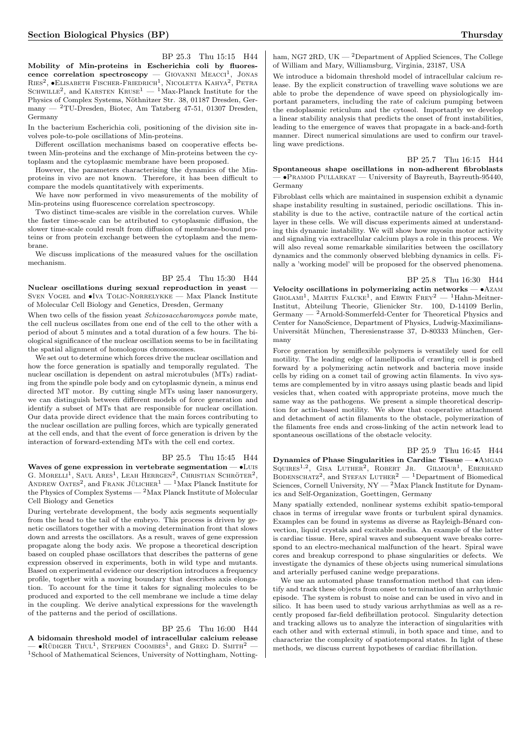BP 25.3 Thu 15:15 H44 Mobility of Min-proteins in Escherichia coli by fluorescence correlation spectroscopy —  $G$ IOVANNI  $MEACCI<sup>1</sup>$ , JONAS RIES<sup>2</sup>,  $\bullet$ Elisabeth Fischer-Friedrich<sup>1</sup>, Nicoletta Kahya<sup>2</sup>, Petra SCHWILLE<sup>2</sup>, and KARSTEN  $\text{KRUSE}^{1}$  — <sup>1</sup>Max-Planck Institute for the Physics of Complex Systems, Nöthnitzer Str. 38, 01187 Dresden, Germany — <sup>2</sup>TU-Dresden, Biotec, Am Tatzberg 47-51, 01307 Dresden, Germany

In the bacterium Escherichia coli, positioning of the division site involves pole-to-pole oscillations of Min-proteins.

Different oscillation mechanisms based on cooperative effects between Min-proteins and the exchange of Min-proteins between the cytoplasm and the cytoplasmic membrane have been proposed.

However, the parameters characterising the dynamics of the Minproteins in vivo are not known. Therefore, it has been difficult to compare the models quantitatively with experiments.

We have now performed in vivo measurements of the mobility of Min-proteins using fluorescence correlation spectroscopy.

Two distinct time-scales are visible in the correlation curves. While the faster time-scale can be attributed to cytoplasmic diffusion, the slower time-scale could result from diffusion of membrane-bound proteins or from protein exchange between the cytoplasm and the membrane.

We discuss implications of the measured values for the oscillation mechanism.

BP 25.4 Thu 15:30 H44

Nuclear oscillations during sexual reproduction in yeast — Sven Vogel and •Iva Tolic-Norrelykke — Max Planck Institute of Molecular Cell Biology and Genetics, Dresden, Germany

When two cells of the fission yeast Schizosaccharomyces pombe mate, the cell nucleus oscillates from one end of the cell to the other with a period of about 5 minutes and a total duration of a few hours. The biological significance of the nuclear oscillation seems to be in facilitating the spatial alignment of homologous chromosomes.

We set out to determine which forces drive the nuclear oscillation and how the force generation is spatially and temporally regulated. The nuclear oscillation is dependent on astral microtubules (MTs) radiating from the spindle pole body and on cytoplasmic dynein, a minus end directed MT motor. By cutting single MTs using laser nanosurgery, we can distinguish between different models of force generation and identify a subset of MTs that are responsible for nuclear oscillation. Our data provide direct evidence that the main forces contributing to the nuclear oscillation are pulling forces, which are typically generated at the cell ends, and that the event of force generation is driven by the interaction of forward-extending MTs with the cell end cortex.

#### BP 25.5 Thu 15:45 H44

Waves of gene expression in vertebrate segmentation  $\bullet$  Luis G. MORELLI<sup>1</sup>, SAUL ARES<sup>1</sup>, LEAH HERRGEN<sup>2</sup>, CHRISTIAN SCHRÖTER<sup>2</sup>, ANDREW OATES<sup>2</sup>, and FRANK JÜLICHER<sup>1</sup> — <sup>1</sup>Max Planck Institute for the Physics of Complex Systems — <sup>2</sup>Max Planck Institute of Molecular Cell Biology and Genetics

During vertebrate development, the body axis segments sequentially from the head to the tail of the embryo. This process is driven by genetic oscillators together with a moving determination front that slows down and arrests the oscillators. As a result, waves of gene expression propagate along the body axis. We propose a theoretical description based on coupled phase oscillators that describes the patterns of gene expression observed in experiments, both in wild type and mutants. Based on experimental evidence our description introduces a frequency profile, together with a moving boundary that describes axis elongation. To account for the time it takes for signaling molecules to be produced and exported to the cell membrane we include a time delay in the coupling. We derive analytical expressions for the wavelength of the patterns and the period of oscillations.

# BP 25.6 Thu 16:00 H44

A bidomain threshold model of intracellular calcium release  $-$  •RÜDIGER THUL<sup>1</sup>, STEPHEN COOMBES<sup>1</sup>, and GREG D. SMITH<sup>2</sup> – <sup>1</sup>School of Mathematical Sciences, University of Nottingham, Nottingham, NG7 2RD, UK  $-$  <sup>2</sup>Department of Applied Sciences, The College of William and Mary, Williamsburg, Virginia, 23187, USA

We introduce a bidomain threshold model of intracellular calcium release. By the explicit construction of travelling wave solutions we are able to probe the dependence of wave speed on physiologically important parameters, including the rate of calcium pumping between the endoplasmic reticulum and the cytosol. Importantly we develop a linear stability analysis that predicts the onset of front instabilities, leading to the emergence of waves that propagate in a back-and-forth manner. Direct numerical simulations are used to confirm our travelling wave predictions.

#### BP 25.7 Thu 16:15 H44 Spontaneous shape oscillations in non-adherent fibroblasts — •Pramod Pullarkat — University of Bayreuth, Bayreuth-95440, Germany

Fibroblast cells which are maintained in suspension exhibit a dynamic shape instability resulting in sustained, periodic oscillations. This instability is due to the active, contractile nature of the cortical actin layer in these cells. We will discuss experiments aimed at understanding this dynamic instability. We will show how myosin motor activity and signaling via extracellular calcium plays a role in this process. We will also reveal some remarkable similarities between the oscillatory dynamics and the commonly observed blebbing dynamics in cells. Finally a 'working model' will be proposed for the observed phenomena.

#### BP 25.8 Thu 16:30 H44

Velocity oscillations in polymerizing actin networks — •Azam GHOLAMI<sup>1</sup>, MARTIN FALCKE<sup>1</sup>, and ERWIN FREY<sup>2</sup> - <sup>1</sup>Hahn-Meitner-Institut, Abteilung Theorie, Glienicker Str. 100, D-14109 Berlin, Germany — <sup>2</sup>Arnold-Sommerfeld-Center for Theoretical Physics and Center for NanoScience, Department of Physics, Ludwig-Maximilians-Universität München, Theresienstrasse 37, D-80333 München, Germany

Force generation by semiflexible polymers is versatilely used for cell motility. The leading edge of lamellipodia of crawling cell is pushed forward by a polymerizing actin network and bacteria move inside cells by riding on a comet tail of growing actin filaments. In vivo systems are complemented by in vitro assays using plastic beads and lipid vesicles that, when coated with appropriate proteins, move much the same way as the pathogens. We present a simple theoretical description for actin-based motility. We show that cooperative attachment and detachment of actin filaments to the obstacle, polymerization of the filaments free ends and cross-linking of the actin network lead to spontaneous oscillations of the obstacle velocity.

BP 25.9 Thu 16:45 H44

Dynamics of Phase Singularities in Cardiac Tissue —  $\bullet$ AMGAD SQUIRES<sup>1,2</sup>, GISA LUTHER<sup>2</sup>, ROBERT JR. GILMOUR<sup>1</sup>, EBERHARD BODENSCHATZ<sup>2</sup>, and STEFAN LUTHER<sup>2</sup> — <sup>1</sup>Department of Biomedical Sciences, Cornell University,  $NY - 2$ Max Planck Institute for Dynamics and Self-Organization, Goettingen, Germany

Many spatially extended, nonlinear systems exhibit spatio-temporal chaos in terms of irregular wave fronts or turbulent spiral dynamics. Examples can be found in systems as diverse as Rayleigh-Bénard convection, liquid crystals and excitable media. An example of the latter is cardiac tissue. Here, spiral waves and subsequent wave breaks correspond to an electro-mechanical malfunction of the heart. Spiral wave cores and breakup correspond to phase singularities or defects. We investigate the dynamics of these objects using numerical simulations and arterially perfused canine wedge preparations.

We use an automated phase transformation method that can identify and track these objects from onset to termination of an arrhythmic episode. The system is robust to noise and can be used in vivo and in silico. It has been used to study various arrhythmias as well as a recently proposed far-field defibrillation protocol. Singularity detection and tracking allows us to analyze the interaction of singularities with each other and with external stimuli, in both space and time, and to characterize the complexity of spatiotemporal states. In light of these methods, we discuss current hypotheses of cardiac fibrillation.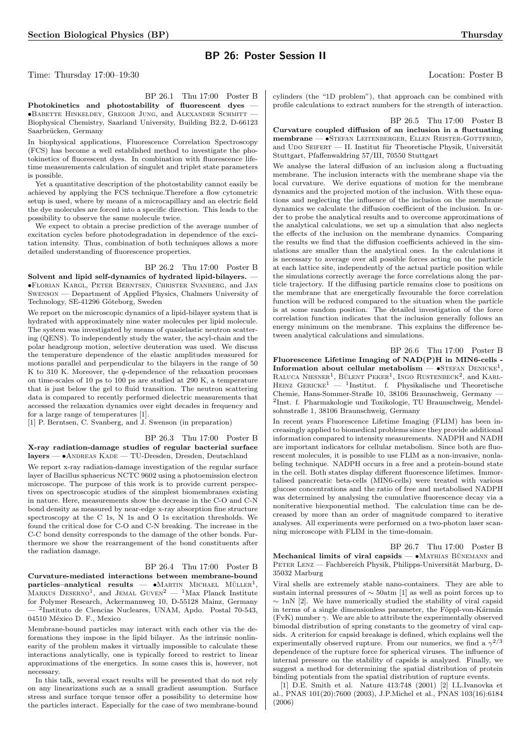# BP 26: Poster Session II

Time: Thursday 17:00–19:30 Location: Poster B

BP 26.1 Thu 17:00 Poster B

Photokinetics and photostability of fluorescent dyes — •Babette Hinkeldey, Gregor Jung, and Alexander Schmitt — Biophysical Chemistry, Saarland University, Building B2.2, D-66123 Saarbrücken, Germany

In biophysical applications, Fluorescence Correlation Spectroscopy (FCS) has become a well established method to investigate the photokinetics of fluorescent dyes. In combination with fluorescence lifetime measurements calculation of singulet and triplet state parameters is possible.

Yet a quantitative description of the photostability cannot easily be achieved by applying the FCS technique.Therefore a flow cytometric setup is used, where by means of a microcapillary and an electric field the dye molecules are forced into a specific direction. This leads to the possibility to observe the same molecule twice.

We expect to obtain a precise prediction of the average number of excitation cycles before photodegradation in dependence of the excitation intensity. Thus, combination of both techniques allows a more detailed understanding of fluorescence properties.

BP 26.2 Thu 17:00 Poster B

Solvent and lipid self-dynamics of hydrated lipid-bilayers. — •Florian Kargl, Peter Berntsen, Christer Svanberg, and Jan Swenson — Department of Applied Physics, Chalmers University of Technology, SE-41296 Göteborg, Sweden

We report on the microscopic dynamics of a lipid-bilayer system that is hydrated with approximately nine water molecules per lipid molecule. The system was investigated by means of quasielastic neutron scattering (QENS). To independently study the water, the acyl-chain and the polar headgroup motion, selective deuteration was used. We discuss the temperature dependence of the elastic amplitudes measured for motions parallel and perpendicular to the bilayers in the range of 50 K to 310 K. Moreover, the q-dependence of the relaxation processes on time-scales of 10 ps to 100 ps are studied at 290 K, a temperature that is just below the gel to fluid transition. The neutron scattering data is compared to recently performed dielectric measurements that accessed the relaxation dynamics over eight decades in frequency and for a large range of temperatures [1].

[1] P. Berntsen, C. Svanberg, and J. Swenson (in preparation)

BP 26.3 Thu 17:00 Poster B X-ray radiation-damage studies of regular bacterial surface layers — •Andreas Kade — TU-Dresden, Dresden, Deutschland

We report x-ray radiation-damage investigation of the regular surface layer of Bacillus sphaericus NCTC 9602 using a photoemission electron microscope. The purpose of this work is to provide current perspectives on spectroscopic studies of the simplest biomembranes existing in nature. Here, measurements show the decrease in the C-O and C-N bond density as measured by near-edge x-ray absorption fine structure spectroscopy at the C 1s, N 1s and O 1s excitation thresholds. We found the critical dose for C-O and C-N breaking. The increase in the C-C bond density corresponds to the damage of the other bonds. Furthermore we show the rearrangement of the bond constituents after the radiation damage.

BP 26.4 Thu 17:00 Poster B

Curvature-mediated interactions between membrane-bound  ${\tt particles–analytical}$  results  $\bullet$  MARTIN MICHAEL MÜLLER<sup>1</sup>, MARKUS DESERNO<sup>1</sup>, and JEMAL GUVEN<sup>2</sup> - <sup>1</sup>Max Planck Institute for Polymer Research, Ackermannweg 10, D-55128 Mainz, Germany — <sup>2</sup> Instituto de Ciencias Nucleares, UNAM, Apdo. Postal 70-543, 04510 México D. F., Mexico

Membrane-bound particles may interact with each other via the deformations they impose in the lipid bilayer. As the intrinsic nonlinearity of the problem makes it virtually impossible to calculate these interactions analytically, one is typically forced to restrict to linear approximations of the energetics. In some cases this is, however, not necessary.

In this talk, several exact results will be presented that do not rely on any linearizations such as a small gradient assumption. Surface stress and surface torque tensor offer a possibility to determine how the particles interact. Especially for the case of two membrane-bound cylinders (the "1D problem"), that approach can be combined with profile calculations to extract numbers for the strength of interaction.

BP 26.5 Thu 17:00 Poster B

Curvature coupled diffusion of an inclusion in a fluctuating membrane — •Stefan Leitenberger, Ellen Reister-Gottfried, and UDO SEIFERT — II. Institut für Theoretische Physik, Universität Stuttgart, Pfaffenwaldring 57/III, 70550 Stuttgart

We analyse the lateral diffusion of an inclusion along a fluctuating membrane. The inclusion interacts with the membrane shape via the local curvature. We derive equations of motion for the membrane dynamics and the projected motion of the inclusion. With these equations and neglecting the influence of the inclusion on the membrane dynamics we calculate the diffusion coefficient of the inclusion. In order to probe the analytical results and to overcome approximations of the analytical calculations, we set up a simulation that also neglects the effects of the inclusion on the membrane dynamics. Comparing the results we find that the diffusion coefficients achieved in the simulations are smaller than the analytical ones. In the calculations it is necessary to average over all possible forces acting on the particle at each lattice site, independently of the actual particle position while the simulations correctly average the force correlations along the particle trajectory. If the diffusing particle remains close to positions on the membrane that are energetically favourable the force correlation function will be reduced compared to the situation when the particle is at some random position. The detailed investigation of the force correlation function indicates that the inclusion generally follows an energy minimum on the membrane. This explains the difference between analytical calculations and simulations.

BP 26.6 Thu 17:00 Poster B

Fluorescence Lifetime Imaging of NAD(P)H in MIN6-cells - Information about cellular metabolism  $-$  •STEFAN DENICKE<sup>1</sup>, RALUCA NIESNER<sup>1</sup>, BÜLENT PEKER<sup>1</sup>, INGO RUSTENBECK<sup>2</sup>, and KARL-HEINZ GERICKE<sup>1</sup> — <sup>1</sup>Institut. f. Physikalische und Theoretische Chemie, Hans-Sommer-Straße 10, 38106 Braunschweig, Germany — 2 Inst. f. Pharmakologie und Toxikologie, TU Braunschweig, Mendelsohnstraße 1, 38106 Braunschweig, Germany

In recent years Fluorescence Lifetime Imaging (FLIM) has been increasingly applied to biomedical problems since they provide additional information compared to intensity measurements. NADPH and NADH are important indicators for cellular metabolism. Since both are fluorescent molecules, it is possible to use FLIM as a non-invasive, nonlabeling technique. NADPH occurs in a free and a protein-bound state in the cell. Both states display different fluorescence lifetimes. Immortalised pancreatic beta-cells (MIN6-cells) were treated with various glucose concentrations and the ratio of free and metabolised NADPH was determined by analysing the cumulative fluorescence decay via a noniterative biexponential method. The calculation time can be decreased by more than an order of magnitude compared to iterative analyses. All experiments were performed on a two-photon laser scanning microscope with FLIM in the time-domain.

BP 26.7 Thu 17:00 Poster B Mechanical limits of viral capsids  $- \cdot$  MATHIAS BÜNEMANN and PETER LENZ — Fachbereich Physik, Philipps-Universität Marburg, D-35032 Marburg

Viral shells are extremely stable nano-containers. They are able to sustain internal pressures of ∼ 50atm [1] as well as point forces up to  $\sim 1$ nN [2]. We have numerically studied the stability of viral capsid in terms of a single dimensionless parameter, the Föppl-von-Kármán (FvK) number  $\gamma$ . We are able to attribute the experimentally observed bimodal distribution of spring constants to the geometry of viral capsids. A criterion for capsid breakage is defined, which explains well the experimentally observed rupture. From our numerics, we find a  $\gamma^{2/3}$ dependence of the rupture force for spherical viruses. The influence of internal pressure on the stability of capsids is analyzed. Finally, we suggest a method for determining the spatial distribution of protein binding potentials from the spatial distribution of rupture events.

[1] D.E. Smith et al. Nature 413:748 (2001) [2] I.L.Ivanovka et al., PNAS 101(20):7600 (2003), J.P.Michel et al., PNAS 103(16):6184 (2006)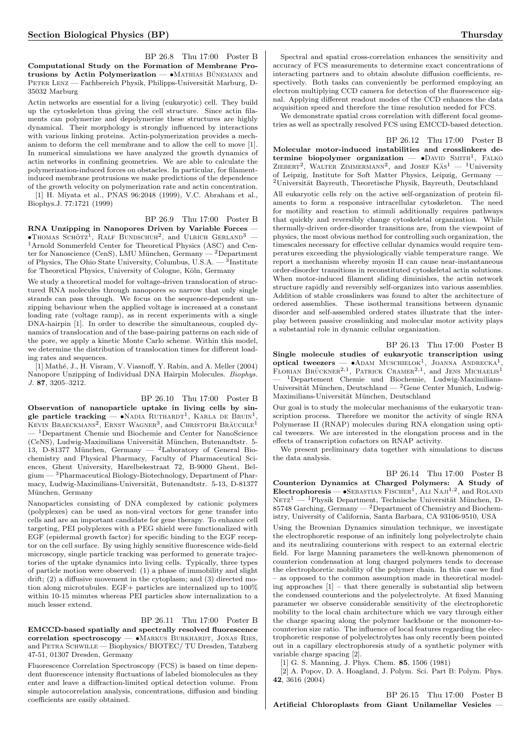BP 26.8 Thu 17:00 Poster B Computational Study on the Formation of Membrane Protrusions by Actin Polymerization  $- \cdot$ Mathias Bünemann and PETER LENZ — Fachbereich Physik, Philipps-Universität Marburg, D-35032 Marburg

Actin networks are essential for a living (eukaryotic) cell. They build up the cytoskeleton thus giving the cell structure. Since actin filaments can polymerize and depolymerize these structures are highly dynamical. Their morphology is strongly influenced by interactions with various linking proteins. Actin-polymerization provides a mechanism to deform the cell membrane and to allow the cell to move [1]. In numerical simulations we have analyzed the growth dynamics of actin networks in confining geometries. We are able to calculate the polymerization-induced forces on obstacles. In particular, for filamentinduced membrane protrusions we make predictions of the dependence of the growth velocity on polymerization rate and actin concentration.

[1] H. Miyata et al., PNAS 96:2048 (1999), V.C. Abraham et al., Biophys.J. 77:1721 (1999)

# BP 26.9 Thu 17:00 Poster B

RNA Unzipping in Nanopores Driven by Variable Forces —  $\bullet$ Thomas Schötz<sup>1</sup>, Ralf Bundschuh<sup>2</sup>, and Ulrich Gerland<sup>3</sup> – <sup>1</sup>Arnold Sommerfeld Center for Theoretical Physics (ASC) and Center for Nanoscience (CenS), LMU München, Germany — <sup>2</sup>Department of Physics, The Ohio State University, Columbus, U.S.A. — <sup>3</sup>Institute for Theoretical Physics, University of Cologne, Köln, Germany

We study a theoretical model for voltage-driven translocation of structured RNA molecules through nanopores so narrow that only single strands can pass through. We focus on the sequence-dependent unzipping behaviour when the applied voltage is increased at a constant loading rate (voltage ramp), as in recent experiments with a single DNA-hairpin [1]. In order to describe the simultaneous, coupled dynamics of translocation and of the base-pairing patterns on each side of the pore, we apply a kinetic Monte Carlo scheme. Within this model, we determine the distribution of translocation times for different loading rates and sequences.

[1] Math´e, J., H. Visram, V. Viasnoff, Y. Rabin, and A. Meller (2004) Nanopore Unzipping of Individual DNA Hairpin Molecules. Biophys. J. 87, 3205–3212.

#### BP 26.10 Thu 17:00 Poster B

Observation of nanoparticle uptake in living cells by single particle tracking —  $\bullet$ NADIA RUTHARDT<sup>1</sup>, KARLA DE BRUIN<sup>1</sup>, KEVIN BRAECKMANS<sup>2</sup>, ERNST WAGNER<sup>3</sup>, and CHRISTOPH BRAUCHLE<sup>1</sup>  $-$ <sup>1</sup>Department Chemie und Biochemie and Center for NanoScience (CeNS), Ludwig-Maximilians Universität München, Butenandtstr. 5-13, D-81377 München, Germany — <sup>2</sup>Laboratory of General Biochemistry and Physical Pharmacy, Faculty of Pharmaceutical Sciences, Ghent University, Harelbekestraat 72, B-9000 Ghent, Bel $gium - <sup>3</sup>Pharmacutical Biology-Biotechnology, Department of Phar$ macy, Ludwig-Maximilians-Universität, Butenandtstr. 5-13, D-81377 München, Germany

Nanoparticles consisting of DNA complexed by cationic polymers (polyplexes) can be used as non-viral vectors for gene transfer into cells and are an important candidate for gene therapy. To enhance cell targeting, PEI polyplexes with a PEG shield were functionalized with EGF (epidermal growth factor) for specific binding to the EGF receptor on the cell surface. By using highly sensitive fluorescence wide-field microscopy, single particle tracking was performed to generate trajectories of the uptake dynamics into living cells. Typically, three types of particle motion were observed: (1) a phase of immobility and slight drift; (2) a diffusive movement in the cytoplasm; and (3) directed motion along microtubules. EGF+ particles are internalized up to 100% within 10-15 minutes whereas PEI particles show internalization to a much lesser extend.

#### BP 26.11 Thu 17:00 Poster B

EMCCD-based spatially and spectrally resolved fluorescence correlation spectroscopy -  $\bullet$ Markus Burkhardt, Jonas Ries, and PETRA SCHWILLE — Biophysics/ BIOTEC/ TU Dresden, Tatzberg 47-51, 01307 Dresden, Germany

Fluorescence Correlation Spectroscopy (FCS) is based on time dependent fluorescence intensity fluctuations of labeled biomolecules as they enter and leave a diffraction-limited optical detection volume. From simple autocorrelation analysis, concentrations, diffusion and binding coefficients are easily obtained.

Spectral and spatial cross-correlation enhances the sensitivity and accuracy of FCS measurements to determine exact concentrations of interacting partners and to obtain absolute diffusion coefficients, respectively. Both tasks can conveniently be performed employing an electron multiplying CCD camera for detection of the fluorescence signal. Applying different readout modes of the CCD enhances the data acquisition speed and therefore the time resolution needed for FCS.

We demonstrate spatial cross correlation with different focal geometries as well as spectrally resolved FCS using EMCCD-based detection.

BP 26.12 Thu 17:00 Poster B Molecular motor-induced instabilities and crosslinkers determine biopolymer organization  $\bullet$ DAVID SMITH<sup>1</sup>, FALKO ZIEBERT<sup>2</sup>, WALTER ZIMMERMANN<sup>2</sup>, and JOSEF KAS<sup>1</sup> - <sup>1</sup>University of Leipzig, Institute for Soft Matter Physics, Leipzig, Germany —  $^2$ Universität Bayreuth, Theoretische Physik, Bayreuth, Deutschland

All eukaryotic cells rely on the active self-organization of protein filaments to form a responsive intracellular cytoskeleton. The need for motility and reaction to stimuli additionally requires pathways that quickly and reversibly change cytoskeletal organization. While thermally-driven order-disorder transitions are, from the viewpoint of physics, the most obvious method for controlling such organization, the timescales necessary for effective cellular dynamics would require temperatures exceeding the physiologically viable temperature range. We report a mechanism whereby myosin II can cause near-instantaneous order-disorder transitions in reconstituted cytoskeletal actin solutions. When motor-induced filament sliding diminishes, the actin network structure rapidly and reversibly self-organizes into various assemblies. Addition of stable crosslinkers was found to alter the architecture of ordered assemblies. These isothermal transitions between dynamic disorder and self-assembled ordered states illustrate that the interplay between passive crosslinking and molecular motor activity plays a substantial role in dynamic cellular organization.

BP 26.13 Thu 17:00 Poster B Single molecule studies of eukaryotic transcription using optical tweezers -  $\bullet$ ADAM MUSCHIELOK<sup>1</sup>, JOANNA ANDRECKA<sup>1</sup> **optical tweezers** —  $\bullet$  ADAM MUSCHIELOK<sup>1</sup>, JOANNA ANDRECKA<sup>1</sup>, FLORIAN BRÜCKNER<sup>2,1</sup>, PATRICK CRAMER<sup>2,1</sup>, and JENS MICHAELIS<sup>1</sup> <sup>1</sup>Departement Chemie und Biochemie, Ludwig-Maximilians-Universität München, Deutschland — <sup>2</sup>Gene Center Munich, Ludwig-Maximilians-Universität München, Deutschland

Our goal is to study the molecular mechanisms of the eukaryotic transcription process. Therefore we monitor the activity of single RNA Polymerase II (RNAP) molecules during RNA elongation using optical tweezers. We are interested in the elongation process and in the effects of transcription cofactors on RNAP activity.

We present preliminary data together with simulations to discuss the data analysis.

BP 26.14 Thu 17:00 Poster B Counterion Dynamics at Charged Polymers: A Study of Electrophoresis —  $\bullet$ SEBASTIAN FISCHER<sup>1</sup>, ALI NAJI<sup>1,2</sup>, and ROLAND  $NETZ<sup>1</sup>$  — <sup>1</sup>Physik Department, Technische Universität München, D-85748 Garching, Germany  $-2$  Department of Chemistry and Biochemistry, University of California, Santa Barbara, CA 93106-9510, USA

Using the Brownian Dynamics simulation technique, we investigate the electrophoretic response of an infinitely long polyelectrolyte chain and its neutralizing counterions with respect to an external electric field. For large Manning parameters the well-known phenomenon of counterion condensation at long charged polymers tends to decrease the electrophoretic mobility of the polymer chain. In this case we find – as opposed to the common assumption made in theoretical modeling approaches  $[1]$  – that there generally is substantial slip between the condensed counterions and the polyelectrolyte. At fixed Manning parameter we observe considerable sensitivity of the electrophoretic mobility to the local chain architecture which we vary through either the charge spacing along the polymer backbone or the monomer-tocounterion size ratio. The influence of local features regarding the electrophoretic response of polyelectrolytes has only recently been pointed out in a capillary electrophoresis study of a synthetic polymer with variable charge spacing [2].

[1] G. S. Manning, J. Phys. Chem. 85, 1506 (1981)

[2] A. Popov, D. A. Hoagland, J. Polym. Sci. Part B: Polym. Phys. 42, 3616 (2004)

BP 26.15 Thu 17:00 Poster B Artificial Chloroplasts from Giant Unilamellar Vesicles —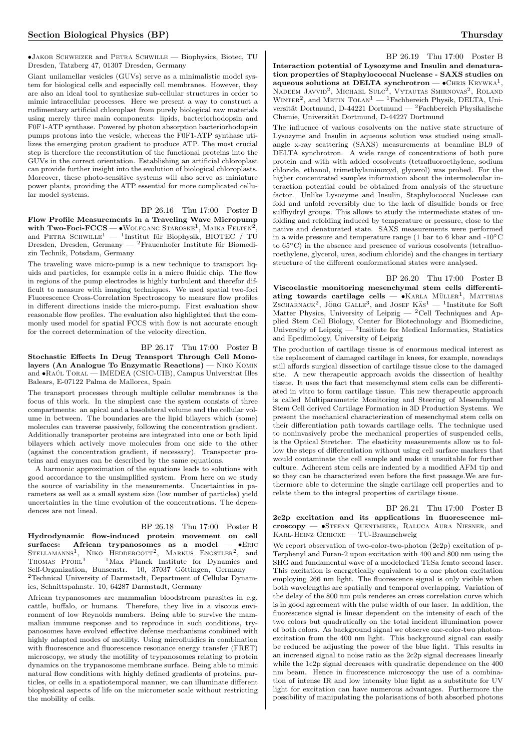•Jakob Schweizer and Petra Schwille — Biophysics, Biotec, TU Dresden, Tatzberg 47, 01307 Dresden, Germany

Giant unilamellar vesicles (GUVs) serve as a minimalistic model system for biological cells and especially cell membranes. However, they are also an ideal tool to synthesize sub-cellular structures in order to mimic intracellular processes. Here we present a way to construct a rudimentary artificial chloroplast from purely biological raw materials using merely three main components: lipids, bacteriorhodopsin and F0F1-ATP synthase. Powered by photon absorption bacteriorhodopsin pumps protons into the vesicle, whereas the F0F1-ATP synthase utilizes the emerging proton gradient to produce ATP. The most crucial step is therefore the reconstitution of the functional proteins into the GUVs in the correct orientation. Establishing an artificial chloroplast can provide further insight into the evolution of biological chloroplasts. Moreover, these photo-sensitive systems will also serve as miniature power plants, providing the ATP essential for more complicated cellular model systems.

BP 26.16 Thu 17:00 Poster B

Flow Profile Measurements in a Traveling Wave Micropump with Two-Foci-FCCS —  $\bullet$  Wolfgang Staroske<sup>1</sup>, Maika Felten<sup>2</sup> with Two-Foci-FCCS —  $\bullet$ WOLFGANG STAROSKE<sup>1</sup>, MAIKA FELTEN<sup>2</sup>, and PETRA SCHWILLE<sup>1</sup> — <sup>1</sup>Institut für Biophysik, BIOTEC / TU Dresden, Dresden, Germany — <sup>2</sup>Frauenhofer Institute für Biomedizin Technik, Potsdam, Germany

The traveling wave micro-pump is a new technique to transport liquids and particles, for example cells in a micro fluidic chip. The flow in regions of the pump electrodes is highly turbulent and therefor difficult to measure with imaging techniques. We used spatial two-foci Fluorescence Cross-Correlation Spectroscopy to measure flow profiles in different directions inside the micro-pump. First evaluation show reasonable flow profiles. The evaluation also highlighted that the commonly used model for spatial FCCS with flow is not accurate enough for the correct determination of the velocity direction.

# BP 26.17 Thu 17:00 Poster B

Stochastic Effects In Drug Transport Through Cell Monolayers (An Analogue To Enzymatic Reactions) — Niko Komin and  $\bullet$ RAÚL TORAL — IMEDEA (CSIC-UIB), Campus Universitat Illes Balears, E-07122 Palma de Mallorca, Spain

The transport processes through multiple cellular membranes is the focus of this work. In the simplest case the system consists of three compartments: an apical and a basolateral volume and the cellular volume in between. The boundaries are the lipid bilayers which (some) molecules can traverse passively, following the concentration gradient. Additionally transporter proteins are integrated into one or both lipid bilayers which actively move molecules from one side to the other (against the concentration gradient, if necessary). Transporter proteins and enzymes can be described by the same equations.

A harmonic approximation of the equations leads to solutions with good accordance to the unsimplified system. From here on we study the source of variability in the measurements. Uncertainties in parameters as well as a small system size (low number of particles) yield uncertainties in the time evolution of the concentrations. The dependences are not lineal.

BP 26.18 Thu 17:00 Poster B Hydrodynamic flow-induced protein movement on cell surfaces: African trypanosomes as a model  $-$  •ERIC STELLAMANNS<sup>1</sup>, NIKO HEDDERGOTT<sup>2</sup>, MARKUS ENGSTLER<sup>2</sup>, and THOMAS  $P$ FOHL<sup>1</sup> — <sup>1</sup>Max PIanck Institute for Dynamics and Self-Organization, Bunsenstr. 10, 37037 Göttingen, Germany <sup>2</sup>Technical University of Darmstadt, Department of Cellular Dynamics, Schnittspahnstr. 10, 64287 Darmstadt, Germany

African trypanosomes are mammalian bloodstream parasites in e.g. cattle, buffalo, or humans. Therefore, they live in a viscous environment of low Reynolds numbers. Being able to survive the mammalian immune response and to reproduce in such conditions, trypanosomes have evolved effective defense mechanisms combined with highly adapted modes of motility. Using microfluidics in combination with fluorescence and fluorescence resonance energy transfer (FRET) microscopy, we study the motility of trypanosomes relating to protein dynamics on the trypanosome membrane surface. Being able to mimic natural flow conditions with highly defined gradients of proteins, particles, or cells in a spatiotemporal manner, we can illuminate different biophysical aspects of life on the micrometer scale without restricting the mobility of cells.

BP 26.19 Thu 17:00 Poster B Interaction potential of Lysozyme and Insulin and denaturation properties of Staphylococcal Nuclease - SAXS studies on aqueous solutions at DELTA synchrotron  $\bullet$ CHRIS KRYWKA<sup>1</sup>, NADEEM JAVVID<sup>2</sup>, MICHAEL SULC<sup>2</sup>, VYTAUTAS SMIRNOVAS<sup>2</sup>, ROLAND WINTER<sup>2</sup>, and METIN TOLAN<sup>1</sup> — <sup>1</sup>Fachbereich Physik, DELTA, Universität Dortmund, D-44221 Dortmund — <sup>2</sup>Fachbereich Physikalische Chemie, Universität Dortmund, D-44227 Dortmund

The influence of various cosolvents on the native state structure of Lysozyme and Insulin in aqueous solution was studied using smallangle x-ray scattering (SAXS) measurements at beamline BL9 of DELTA synchrotron. A wide range of concentrations of both pure protein and with with added cosolvents (tetrafluoroethylene, sodium chloride, ethanol, trimethylaminoxyd, glycerol) was probed. For the higher concentrated samples information about the intermolecular interaction potential could be obtained from analysis of the structure factor. Unlike Lysozyme and Insulin, Staphylococcal Nuclease can fold and unfold reversibly due to the lack of disulfide bonds or free sulfhydryl groups. This allows to study the intermediate states of unfolding and refolding induced by temperature or pressure, close to the native and denaturated state. SAXS measurements were performed in a wide pressure and temperature range (1 bar to 6 kbar and -10◦C to 65◦C) in the absence and presence of various cosolvents (tetrafluoroethylene, glycerol, urea, sodium chloride) and the changes in tertiary structure of the different conformational states were analysed.

BP 26.20 Thu 17:00 Poster B Viscoelastic monitoring mesenchymal stem cells differentiating towards cartilage cells  $-$  •KARLA MÜLLER<sup>1</sup>, MATTHIAS ZSCHARNACK<sup>2</sup>, JÖRG GALLE<sup>3</sup>, and JOSEF KÄS<sup>1</sup> — <sup>1</sup>Institute for Soft Matter Physics, University of Leipzig —  $^2$ Cell Techniques and Applied Stem Cell Biology, Center for Biotechnology and Biomedicine, University of Leipzig  $-$  <sup>3</sup>Insitiute for Medical Informatics, Statistics and Epedimology, University of Leipzig

The production of cartilage tissue is of enormous medical interest as the replacement of damaged cartilage in knees, for example, nowadays still affords surgical dissection of cartilage tissue close to the damaged site. A new therapeutic approach avoids the dissection of healthy tissue. It uses the fact that mesenchymal stem cells can be differentiated in vitro to form cartilage tissue. This new therapeutic approach is called Multiparametric Monitoring and Steering of Mesenchymal Stem Cell derived Cartilage Formation in 3D Production Systems. We present the mechanical characterization of mesenchymal stem cells on their differentiation path towards cartilage cells. The technique used to noninvasively probe the mechanical properties of suspended cells, is the Optical Stretcher. The elasticity measurements allow us to follow the steps of differentiation without using cell surface markers that would contaminate the cell sample and make it unsuitable for further culture. Adherent stem cells are indented by a modified AFM tip and so they can be characterized even before the first passage.We are furthermore able to determine the single cartilage cell properties and to relate them to the integral properties of cartilage tissue.

BP 26.21 Thu 17:00 Poster B 2c2p excitation and its applications in fluorescence microscopy — •Stefan Quentmeier, Raluca Aura Niesner, and Karl-Heinz Gericke — TU-Braunschweig

We report observation of two-color-two-photon (2c2p) excitation of p-Terphenyl and Furan-2 upon excitation with 400 and 800 nm using the SHG and fundamental wave of a modelocked Ti:Sa femto second laser. This excitation is energetically equivalent to a one photon excitation employing 266 nm light. The fluorescence signal is only visible when both wavelengths are spatially and temporal overlapping. Variation of the delay of the 800 nm puls renderes an cross correlation curve which is in good agreement with the pulse width of our laser. In addition, the fluorescence signal is linear dependent on the intensity of each of the two colors but quadratically on the total incident illumination power of both colors. As background signal we observe one-color-two photonexcitation from the 400 nm light. This background signal can easily be reduced be adjusting the power of the blue light. This results in an increased signal to noise ratio as the 2c2p signal decreases linearly while the 1c2p signal decreases with quadratic dependence on the 400 nm beam. Hence in fluorescence microscopy the use of a combination of intense IR and low intensity blue light as a substitute for UV light for excitation can have numerous advantages. Furthermore the possibility of manipulating the polarisations of both absorbed photons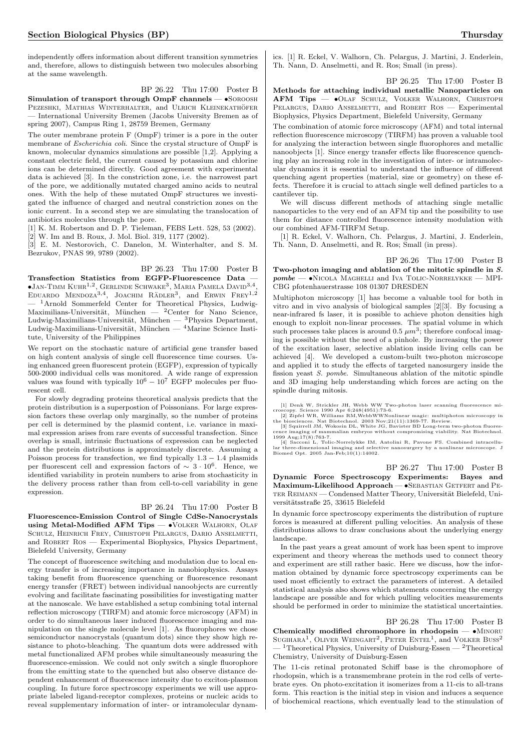independently offers information about different transition symmetries and, therefore, allows to distinguish between two molecules absorbing at the same wavelength.

BP 26.22 Thu 17:00 Poster B Simulation of transport through OmpF channels — •SOROOSH PEZESHKI, MATHIAS WINTERHALTER, and ULRICH KLEINEKATHÖFER — International University Bremen (Jacobs University Bremen as of spring 2007), Campus Ring 1, 28759 Bremen, Germany

The outer membrane protein F (OmpF) trimer is a pore in the outer membrane of *Escherichia coli.* Since the crystal structure of OmpF is known, molecular dynamics simulations are possible [1,2]. Applying a constant electric field, the current caused by potassium and chlorine ions can be determined directly. Good agreement with experimental data is achieved [3]. In the constriction zone, i.e. the narrowest part of the pore, we additionally mutated charged amino acids to neutral ones. With the help of these mutated OmpF structures we investigated the influence of charged and neutral constriction zones on the ionic current. In a second step we are simulating the translocation of antibiotics molecules through the pore.

[1] K. M. Robertson and D. P. Tieleman, FEBS Lett. 528, 53 (2002).

[2] W. Im and B. Roux, J. Mol. Biol. 319, 1177 (2002). [3] E. M. Nestorovich, C. Danelon, M. Winterhalter, and S. M. Bezrukov, PNAS 99, 9789 (2002).

BP 26.23 Thu 17:00 Poster B Transfection Statistics from EGFP-Fluorescence Data —  $\bullet$ Jan-Timm Kuhr<sup>1,2</sup>, Gerlinde Schwake<sup>3</sup>, Maria Pamela David<sup>3,4</sup>, EDUARDO MENDOZA<sup>3,4</sup>, JOACHIM RÄDLER<sup>3</sup>, and ERWIN FREY<sup>1,2</sup> — <sup>1</sup>Arnold Sommerfeld Center for Theoretical Physics, Ludwig-Maximilians-Universität, München —  ${}^{2}$ Center for Nano Science, Ludwig-Maximilians-Universität, München —  $^3\!{\rm Physics}$  Department, Ludwig-Maximilians-Universität, München —  $4$ Marine Science Institute, University of the Philippines

We report on the stochastic nature of artificial gene transfer based on high content analysis of single cell fluorescence time courses. Using enhanced green fluorescent protein (EGFP), expression of typically 500-2000 individual cells was monitored. A wide range of expression values was found with typically  $10^6 - 10^7$  EGFP molecules per fluorescent cell.

For slowly degrading proteins theoretical analysis predicts that the protein distribution is a superpostion of Poissonians. For large expression factors these overlap only marginally, so the number of proteins per cell is determined by the plasmid content, i.e. variance in maximal expression arises from rare events of successful transfection. Since overlap is small, intrinsic fluctuations of expression can be neglected and the protein distributions is approximately discrete. Assuming a Poisson process for transfection, we find typically  $1.3 - 1.4$  plasmids per fluorescent cell and expression factors of  $\sim 3 \cdot 10^6$ . Hence, we identified variability in protein numbers to arise from stochasticity in the delivery process rather than from cell-to-cell variability in gene expression.

#### BP 26.24 Thu 17:00 Poster B

Fluorescence-Emission Control of Single CdSe-Nanocrystals using Metal-Modified AFM Tips - • VOLKER WALHORN, OLAF SCHULZ, HEINRICH FREY, CHRISTOPH PELARGUS, DARIO ANSELMETTI, and ROBERT ROS — Experimental Biophysics, Physics Department, Bielefeld University, Germany

The concept of fluorescence switching and modulation due to local energy transfer is of increasing importance in nanobiophysics. Assays taking benefit from fluorescence quenching or fluorescence resonant energy transfer (FRET) between individual nanoobjects are currently evolving and facilitate fascinating possibilities for investigating matter at the nanoscale. We have established a setup combining total internal reflection microscopy (TIRFM) and atomic force microscopy (AFM) in order to do simultaneous laser induced fluorescence imaging and manipulation on the single molecule level [1]. As fluorophores we chose semiconductor nanocrystals (quantum dots) since they show high resistance to photo-bleaching. The quantum dots were addressed with metal functionalized AFM probes while simultaneously measuring the fluorescence-emission. We could not only switch a single fluorophore from the emitting state to the quenched but also observe distance dependent enhancement of fluorescence intensity due to exciton-plasmon coupling. In future force spectroscopy experiments we will use appropriate labeled ligand-receptor complexes, proteins or nucleic acids to reveal supplementary information of inter- or intramolecular dynamics. [1] R. Eckel, V. Walhorn, Ch. Pelargus, J. Martini, J. Enderlein, Th. Nann, D. Anselmetti, and R. Ros; Small (in press).

BP 26.25 Thu 17:00 Poster B Methods for attaching individual metallic Nanoparticles on AFM Tips — •Olaf Schulz, Volker Walhorn, Christoph PELARGUS, DARIO ANSELMETTI, and ROBERT ROS - Experimental Biophysics, Physics Department, Bielefeld University, Germany

The combination of atomic force microscopy (AFM) and total internal reflection fluorescence microscopy (TIRFM) has proven a valuable tool for analyzing the interaction between single fluorophores and metallic nanoobjects [1]. Since energy transfer effects like fluorescence quenching play an increasing role in the investigation of inter- or intramolecular dynamics it is essential to understand the influence of different quenching agent properties (material, size or geometry) on these effects. Therefore it is crucial to attach single well defined particles to a cantilever tip.

We will discuss different methods of attaching single metallic nanoparticles to the very end of an AFM tip and the possibility to use them for distance controlled fluorescence intensity modulation with our combined AFM-TIRFM Setup.

[1] R. Eckel, V. Walhorn, Ch. Pelargus, J. Martini, J. Enderlein, Th. Nann, D. Anselmetti, and R. Ros; Small (in press).

BP 26.26 Thu 17:00 Poster B Two-photon imaging and ablation of the mitotic spindle in S.  $\textit{pombe} \hspace{1.5pt} \bullet$ Nicola Maghelli and Iva Tolic-Norrelykke — MPI-CBG pfotenhauerstrasse 108 01307 DRESDEN

Multiphoton microscopy [1] has become a valuable tool for both in vitro and in vivo analysis of biological samples [2][3]. By focusing a near-infrared fs laser, it is possible to achieve photon densities high enough to exploit non-linear processes. The spatial volume in which such processes take places is around 0.5  $\mu$ m<sup>3</sup>; therefore confocal imaging is possible without the need of a pinhole. By increasing the power of the excitation laser, selective ablation inside living cells can be achieved [4]. We developed a custom-built two-photon microscope and applied it to study the effects of targeted nanosurgery inside the fission yeast S. pombe. Simultaneous ablation of the mitotic spindle and 3D imaging help understanding which forces are acting on the spindle during mitosis.

[1] Denk W, Strickler JH, Webb WW Two-photon laser scanning fluorescence microscopy. Science 1990 Apr 6;248(4951):73-6.<br>
croscopy. Science 1990 Apr 6;248(4951):73-6.<br>
[2] Zipfel WR, Williams RM,WebbWWNonlinear magic: multi

cence imaging of mammalian embryos without compromising viability. Nat Biotechnol.<br>
1999 Aug;17(8):763-7.<br>
[4] Sacconi L, Tolic-Norrelykke IM, Antolini R, Pavone FS. Combined intracellu-<br>
lar three-dimensional imaging and

BP 26.27 Thu 17:00 Poster B Dynamic Force Spectroscopy Experiments: Bayes and Maximum-Likelihood Approach — • SEBASTIAN GETFERT and PE-TER REIMANN — Condensed Matter Theory, Universität Bielefeld, Universitätsstraße 25, 33615 Bielefeld

In dynamic force spectroscopy experiments the distribution of rupture forces is measured at different pulling velocities. An analysis of these distributions allows to draw conclusions about the underlying energy landscape.

In the past years a great amount of work has been spent to improve experiment and theory whereas the methods used to connect theory and experiment are still rather basic. Here we discuss, how the information obtained by dynamic force spectroscopy experiments can be used most efficiently to extract the parameters of interest. A detailed statistical analysis also shows which statements concerning the energy landscape are possible and for which pulling velocities measurements should be performed in order to minimize the statistical uncertainties.

BP 26.28 Thu 17:00 Poster B Chemically modified chromophore in rhodopsin  $- \cdot MINORU$ SUGIHARA<sup>1</sup>, OLIVER WEINGART<sup>2</sup>, PETER ENTEL<sup>1</sup>, and VOLKER BUSS<sup>2</sup>  $^{-1}$ Theoretical Physics, University of Duisburg-Essen — <sup>2</sup>Theoretical Chemistry, University of Duisburg-Essen

The 11-cis retinal protonated Schiff base is the chromophore of rhodopsin, which is a transmembrane protein in the rod cells of vertebrate eyes. On photo-excitation it isomerizes from a 11-cis to all-trans form. This reaction is the initial step in vision and induces a sequence of biochemical reactions, which eventually lead to the stimulation of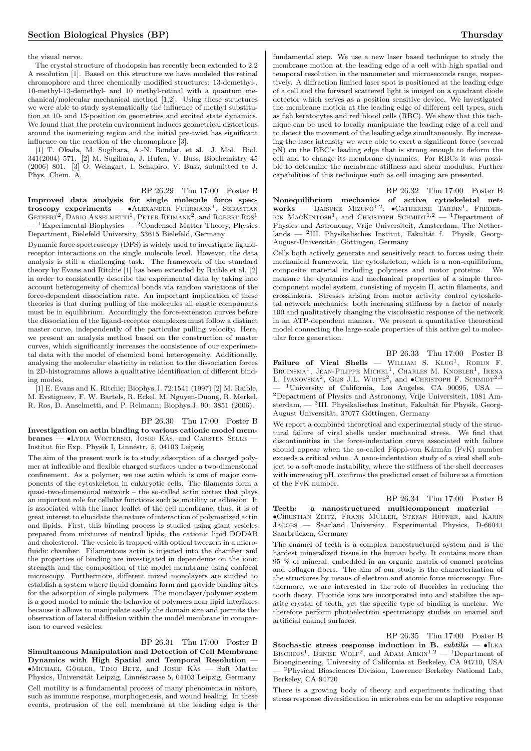the visual nerve.

The crystal structure of rhodopsin has recently been extended to 2.2 A resolution [1]. Based on this structure we have modeled the retinal chromophore and three chemically modified structures: 13-demethyl-, 10-methyl-13-demethyl- and 10 methyl-retinal with a quantum mechanical/molecular mechanical method [1,2]. Using these structures we were able to study systematically the influence of methyl substitution at 10- and 13-position on geometries and excited state dynamics. We found that the protein environment induces geometrical distortions around the isomerizing region and the initial pre-twist has significant influence on the reaction of the chromophore [3].

[1] T. Okada, M. Sugihara, A.-N. Bondar, et al. J. Mol. Biol. 341(2004) 571. [2] M. Sugihara, J. Hufen, V. Buss, Biochemistry 45 (2006) 801. [3] O. Weingart, I. Schapiro, V. Buss, submitted to J. Phys. Chem. A.

BP 26.29 Thu 17:00 Poster B

Improved data analysis for single molecule force spectroscopy experiments —  $\bullet$ ALEXANDER FUHRMANN<sup>1</sup>, SEBASTIAN GETFERT<sup>2</sup>, DARIO ANSELMETTI<sup>1</sup>, PETER REIMANN<sup>2</sup>, and ROBERT ROS<sup>1</sup>  $-$  <sup>1</sup>Experimental Biophysics  $-$  <sup>2</sup>Condensed Matter Theory, Physics Department, Bielefeld University, 33615 Bielefeld, Germany

Dynamic force spectroscopy (DFS) is widely used to investigate ligandreceptor interactions on the single molecule level. However, the data analysis is still a challenging task. The framework of the standard theory by Evans and Ritchie [1] has been extended by Raible et al. [2] in order to consistently describe the experimental data by taking into account heterogeneity of chemical bonds via random variations of the force-dependent dissociation rate. An important implication of these theories is that during pulling of the molecules all elastic components must be in equilibrium. Accordingly the force-extension curves before the dissociation of the ligand-receptor complexes must follow a distinct master curve, independently of the particular pulling velocity. Here, we present an analysis method based on the construction of master curves, which significantly increases the consistence of our experimental data with the model of chemical bond heterogeneity. Additionally, analysing the molecular elasticity in relation to the dissociation forces in 2D-histogramms allows a qualitative identification of different binding modes.

[1] E. Evans and K. Ritchie; Biophys.J. 72:1541 (1997) [2] M. Raible, M. Evstigneev, F. W. Bartels, R. Eckel, M. Nguyen-Duong, R. Merkel, R. Ros, D. Anselmetti, and P. Reimann; Biophys.J. 90: 3851 (2006).

BP 26.30 Thu 17:00 Poster B

Investigation on actin binding to various cationic model mem $branes$   $\longrightarrow$  Lydia Woiterski, Josef KAs, and Carsten Selle – Institut für Exp. Physik I, Linnéstr. 5, 04103 Leipzig

The aim of the present work is to study adsorption of a charged polymer at inflexible and flexible charged surfaces under a two-dimensional confinement. As a polymer, we use actin which is one of major components of the cytoskeleton in eukaryotic cells. The filaments form a quasi-two-dimensional network – the so-called actin cortex that plays an important role for cellular functions such as motility or adhesion. It is associated with the inner leaflet of the cell membrane, thus, it is of great interest to elucidate the nature of interaction of polymerized actin and lipids. First, this binding process is studied using giant vesicles prepared from mixtures of neutral lipids, the cationic lipid DODAB and cholesterol. The vesicle is trapped with optical tweezers in a microfluidic chamber. Filamentous actin is injected into the chamber and the properties of binding are investigated in dependence on the ionic strength and the composition of the model membrane using confocal microscopy. Furthermore, different mixed monolayers are studied to establish a system where liquid domains form and provide binding sites for the adsorption of single polymers. The monolayer/polymer system is a good model to mimic the behavior of polymers near lipid interfaces because it allows to manipulate easily the domain size and permits the observation of lateral diffusion within the model membrane in comparison to curved vesicles.

BP 26.31 Thu 17:00 Poster B Simultaneous Manipulation and Detection of Cell Membrane Dynamics with High Spatial and Temporal Resolution —  $\bullet$ MICHAEL GÖGLER, TIMO BETZ, and JOSEF KAS — Soft Matter Physics, Universität Leipzig, Linnéstrasse 5, 04103 Leipzig, Germany Cell motility is a fundamental process of many phenomena in nature, such as immune response, morphogenesis, and wound healing. In these events, protrusion of the cell membrane at the leading edge is the

fundamental step. We use a new laser based technique to study the membrane motion at the leading edge of a cell with high spatial and temporal resolution in the nanometer and microseconds range, respectively. A diffraction limited laser spot is positioned at the leading edge of a cell and the forward scattered light is imaged on a quadrant diode detector which serves as a position sensitive device. We investigated the membrane motion at the leading edge of different cell types, such as fish keratocytes and red blood cells (RBC). We show that this technique can be used to locally manipulate the leading edge of a cell and to detect the movement of the leading edge simultaneously. By increasing the laser intensity we were able to exert a significant force (several pN) on the RBC's leading edge that is strong enough to deform the cell and to change its membrane dynamics. For RBCs it was possible to determine the membrane stiffness and shear modulus. Further capabilities of this technique such as cell imaging are presented.

BP 26.32 Thu 17:00 Poster B Nonequilibrium mechanics of active cytoskeletal networks — DAISUKE MIZUNO<sup>1,2</sup>,  $\bullet$ CATHERINE TARDIN<sup>1</sup>, FREDER-ICK MACKINTOSH<sup>1</sup>, and CHRISTOPH SCHMIDT<sup>1,2</sup> - <sup>1</sup>Department of Physics and Astronomy, Vrije Universiteit, Amsterdam, The Netherlands  $-$  <sup>2</sup>III. Physikalisches Institut, Fakultät f. Physik, Georg-August-Universität, Göttingen, Germany

Cells both actively generate and sensitively react to forces using their mechanical framework, the cytoskeleton, which is a non-equilibrium, composite material including polymers and motor proteins. measure the dynamics and mechanical properties of a simple threecomponent model system, consisting of myosin II, actin filaments, and crosslinkers. Stresses arising from motor activity control cytoskeletal network mechanics: both increasing stiffness by a factor of nearly 100 and qualitatively changing the viscoleastic response of the network in an ATP-dependent manner. We present a quantitative theoretical model connecting the large-scale properties of this active gel to molecular force generation.

BP 26.33 Thu 17:00 Poster B Failure of Viral Shells — WILLIAM S.  $KLUG<sup>1</sup>$ , ROBIJN F. BRUINSMA<sup>1</sup>, JEAN-PILIPPE MICHEL<sup>1</sup>, CHARLES M. KNOBLER<sup>1</sup>, IRENA<br>L. IVANOVSKA<sup>2</sup>, GIJS J.L. WUITE<sup>2</sup>, and  $\bullet$ CHRISTOPH F. SCHMIDT<sup>2,3</sup> <sup>1</sup>University of California, Los Angeles, CA 90095, USA  $-$ <sup>2</sup>Department of Physics and Astronomy, Vrije Universiteit, 1081 Amsterdam,  $-$ <sup>3</sup>III. Physikalisches Institut, Fakultät für Physik, Georg-August Universität, 37077 Göttingen, Germany

We report a combined theoretical and experimental study of the structural failure of viral shells under mechanical stress. We find that discontinuities in the force-indentation curve associated with failure should appear when the so-called Föppl-von Kármán (FvK) number exceeds a critical value. A nano-indentation study of a viral shell subject to a soft-mode instability, where the stiffness of the shell decreases with increasing pH, confirms the predicted onset of failure as a function of the FvK number.

BP 26.34 Thu 17:00 Poster B Teeth: a nanostructured multicomponent material — •Christian Zeitz, Frank Muller ¨ , Stefan Hufner ¨ , and Karin Jacobs — Saarland University, Experimental Physics, D-66041 Saarbrücken, Germany

The enamel of teeth is a complex nanostructured system and is the hardest mineralized tissue in the human body. It contains more than 95 % of mineral, embedded in an organic matrix of enamel proteins and collagen fibers. The aim of our study is the characterization of the structures by means of electron and atomic force microscopy. Furthermore, we are interested in the role of fluorides in reducing the tooth decay. Fluoride ions are incorporated into and stabilize the apatite crystal of teeth, yet the specific type of binding is unclear. We therefore perform photoelectron spectroscopy studies on enamel and artificial enamel surfaces.

BP 26.35 Thu 17:00 Poster B Stochastic stress response induction in B.  $subtils$   $\rightarrow$  ILKA BISCHOFS<sup>1</sup>, DENISE WOLF<sup>2</sup>, and ADAM ARKIN<sup>1,2</sup> — <sup>1</sup>Department of Bioengineering, University of California at Berkeley, CA 94710, USA — <sup>2</sup>Physical Biosciences Division, Lawrence Berkeley National Lab, Berkeley, CA 94720

There is a growing body of theory and experiments indicating that stress response diversification in microbes can be an adaptive response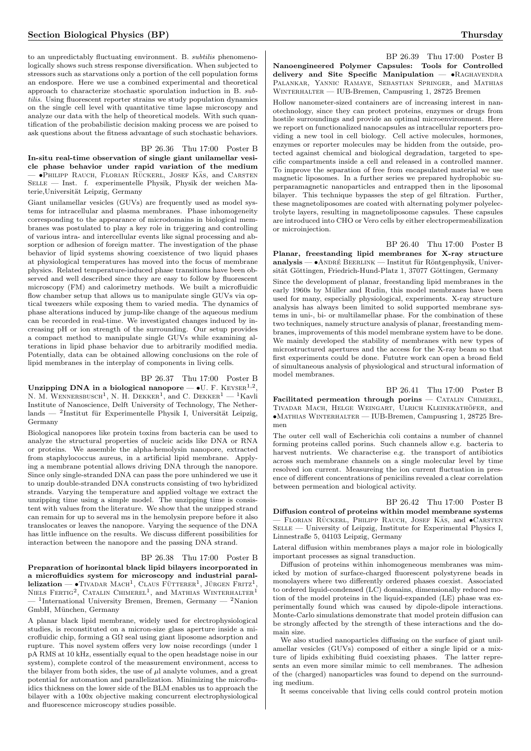to an unpredictably fluctuating environment. B. subtilis phenomenologically shows such stress response diversification. When subjected to stressors such as starvations only a portion of the cell population forms an endospore. Here we use a combined experimental and theoretical approach to characterize stochastic sporulation induction in B. subtilis. Using fluorescent reporter strains we study population dynamics on the single cell level with quantitative time lapse microscopy and analyze our data with the help of theoretical models. With such quantification of the probabilistic decision making process we are poised to ask questions about the fitness advantage of such stochastic behaviors.

#### BP 26.36 Thu 17:00 Poster B

In-situ real-time observation of single giant unilamellar vesicle phase behavior under rapid variation of the medium – •PHILIPP RAUCH, FLORIAN RÜCKERL, JOSEF KÄS, and CARSTEN Selle — Inst. f. experimentelle Physik, Physik der weichen Materie,Universität Leipzig, Germany

Giant unilamellar vesicles (GUVs) are frequently used as model systems for intracellular and plasma membranes. Phase inhomogeneity corresponding to the appearance of microdomains in biological membranes was postulated to play a key role in triggering and controlling of various intra- and intercellular events like signal processing and absorption or adhesion of foreign matter. The investigation of the phase behavior of lipid systems showing coexistence of two liquid phases at physiological temperatures has moved into the focus of membrane physics. Related temperature-induced phase transitions have been observed and well described since they are easy to follow by fluorescent microscopy (FM) and calorimetry methods. We built a microfluidic flow chamber setup that allows us to manipulate single GUVs via optical tweezers while exposing them to varied media. The dynamics of phase alterations induced by jump-like change of the aqueous medium can be recorded in real-time. We investigated changes induced by increasing pH or ion strength of the surrounding. Our setup provides a compact method to manipulate single GUVs while examining alterations in lipid phase behavior due to arbitrarily modified media. Potentially, data can be obtained allowing conclusions on the role of lipid membranes in the interplay of components in living cells.

# BP 26.37 Thu 17:00 Poster B

Unzipping DNA in a biological nanopore  $- \bullet$  U. F. KEYSER<sup>1,2</sup>, N. M. WENNERSBUSCH<sup>1</sup>, N. H. DEKKER<sup>1</sup>, and C. DEKKER<sup>1</sup> — <sup>1</sup>Kavli Institute of Nanoscience, Delft University of Technology, The Netherlands — <sup>2</sup>Institut für Experimentelle Physik I, Universität Leipzig, Germany

Biological nanopores like protein toxins from bacteria can be used to analyze the structural properties of nucleic acids like DNA or RNA or proteins. We assemble the alpha-hemolysin nanopore, extracted from staphylococcus aureus, in a artificial lipid membrane. Applying a membrane potential allows driving DNA through the nanopore. Since only single-stranded DNA can pass the pore unhindered we use it to unzip double-stranded DNA constructs consisting of two hybridized strands. Varying the temperature and applied voltage we extract the unzipping time using a simple model. The unzipping time is consistent with values from the literature. We show that the unzipped strand can remain for up to several ms in the hemolysin prepore before it also translocates or leaves the nanopore. Varying the sequence of the DNA has little influence on the results. We discuss different possibilities for interaction between the nanopore and the passing DNA strand.

#### BP 26.38 Thu 17:00 Poster B

Preparation of horizontal black lipid bilayers incorporated in a microfluidics system for microscopy and industrial parallelization —  $\bullet$ Tivadar Mach<sup>1</sup>, Claus Fütterer<sup>1</sup>, Jürgen Fritz<sup>1</sup>, NIELS FERTIG<sup>2</sup>, CATALIN CHIMEREL<sup>1</sup>, and MATHIAS WINTERHALTER<sup>1</sup>  $-$  <sup>1</sup>International University Bremen, Bremen, Germany  $-$  <sup>2</sup>Nanion GmbH, München, Germany

A planar black lipid membrane, widely used for electrophysiological studies, is reconstituted on a micron-size glass aperture inside a microfluidic chip, forming a  $G\Omega$  seal using giant liposome adsorption and rupture. This novel system offers very low noise recordings (under 1 pA RMS at 10 kHz, essentially equal to the open headstage noise in our system), complete control of the measurement environment, access to the bilayer from both sides, the use of  $\mu$ l analyte volumes, and a great potential for automation and parallelization. Minimizing the microfluidics thickness on the lower side of the BLM enables us to approach the bilayer with a 100x objective making concurrent electrophysiological and fluorescence microscopy studies possible.

BP 26.39 Thu 17:00 Poster B Nanoengineered Polymer Capsules: Tools for Controlled delivery and Site Specific Manipulation  $\bullet$ RAGHAVENDRA Palankar, Yannic Ramaye, Sebastian Springer, and Mathias Winterhalter — IUB-Bremen, Campusring 1, 28725 Bremen

Hollow nanometer-sized containers are of increasing interest in nanotechnology, since they can protect proteins, enzymes or drugs from hostile surroundings and provide an optimal microenvironment. Here we report on functionalized nanocapsules as intracellular reporters providing a new tool in cell biology. Cell active molecules, hormones, enzymes or reporter molecules may be hidden from the outside, protected against chemical and biological degradation, targeted to specific compartments inside a cell and released in a controlled manner. To improve the separation of free from encapsulated material we use magnetic liposomes. In a further series we prepared hydrophobic superparamagnetic nanoparticles and entrapped then in the liposomal bilayer. This technique bypasses the step of gel filtration. Further, these magnetoliposomes are coated with alternating polymer polyelectrolyte layers, resulting in magnetoliposome capsules. These capsules are introduced into CHO or Vero cells by either electropermeabilization or microinjection.

BP 26.40 Thu 17:00 Poster B Planar, freestanding lipid membranes for X-ray structure  $analysis$  —  $\bullet$  ANDRÉ BEERLINK — Institut für Röntgenphysik, Universität Göttingen, Friedrich-Hund-Platz 1, 37077 Göttingen, Germany

Since the development of planar, freestanding lipid membranes in the early 1960s by Müller and Rudin, this model membranes have been used for many, especially physiological, experiments. X-ray structure analysis has always been limited to solid supported membrane systems in uni-, bi- or multilamellar phase. For the combination of these two techniques, namely structure analysis of planar, freestanding membranes, improvements of this model membrane system have to be done. We mainly developed the stability of membranes with new types of microstructured apertures and the access for the X-ray beam so that first experiments could be done. Fututre work can open a broad field of simultaneous analysis of physiological and structural information of model membranes.

BP 26.41 Thu 17:00 Poster B  $Facilitated$  permeation through porins  $-$  CATALIN CHIMEREL, TIVADAR MACH, HELGE WEINGART, ULRICH KLEINEKATHÖFER, and •Mathias Winterhalter — IUB-Bremen, Campusring 1, 28725 Bremen

The outer cell wall of Escherichia coli contains a number of channel forming proteins called porins. Such channels allow e.g. bacteria to harvest nutrients. We characterise e.g. the transport of antibiotics across such membrane channels on a single molecular level by time resolved ion current. Measureing the ion current fluctuation in presence of different concentrations of penicilins revealed a clear correlation between permeation and biological activity.

BP 26.42 Thu 17:00 Poster B Diffusion control of proteins within model membrane systems  $-$  FLORIAN RÜCKERL, PHILIPP RAUCH, JOSEF KÄS, and  $\bullet$ CARSTEN SELLE — University of Leipzig, Institute for Experimental Physics I, Linnestraße 5, 04103 Leipzig, Germany

Lateral diffusion within membranes plays a major role in biologically important processes as signal transduction.

Diffusion of proteins within inhomogeneous membranes was mimicked by motion of surface-charged fluorescent polystyrene beads in monolayers where two differently ordered phases coexist. Associated to ordered liquid-condensed (LC) domains, dimensionally reduced motion of the model proteins in the liquid-expanded (LE) phase was experimentally found which was caused by dipole-dipole interactions. Monte-Carlo simulations demonstrate that model protein diffusion can be strongly affected by the strength of these interactions and the domain size.

We also studied nanoparticles diffusing on the surface of giant unilamellar vesicles (GUVs) composed of either a single lipid or a mixture of lipids exhibiting fluid coexisting phases. The latter represents an even more similar mimic to cell membranes. The adhesion of the (charged) nanoparticles was found to depend on the surrounding medium.

It seems conceivable that living cells could control protein motion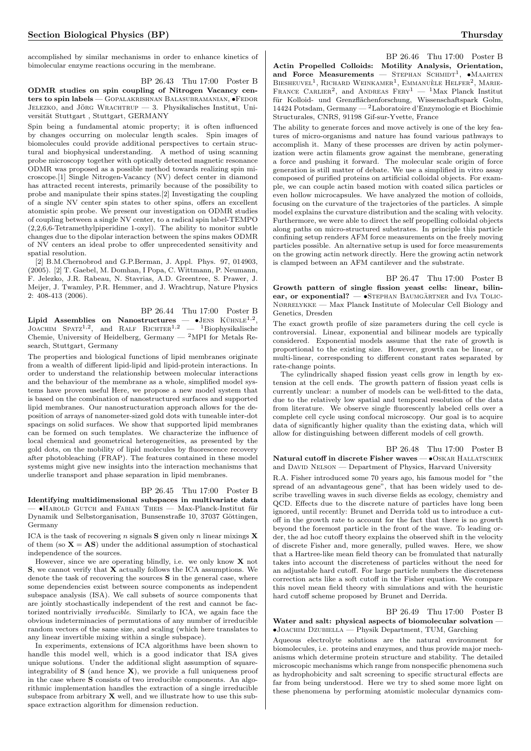accomplished by similar mechanisms in order to enhance kinetics of bimolecular enzyme reactions occuring in the membrane.

BP 26.43 Thu 17:00 Poster B ODMR studies on spin coupling of Nitrogen Vacancy centers to spin labels — GOPALAKRISHNAN BALASUBRAMANIAN, •FEDOR JELEZKO, and JÖRG WRACHTRUP — 3. Physikalisches Institut, Universität Stuttgart, Stuttgart, GERMANY

Spin being a fundamental atomic property; it is often influenced by changes occurring on molecular length scales. Spin images of biomolecules could provide additional perspectives to certain structural and biophysical understanding. A method of using scanning probe microscopy together with optically detected magnetic resonance ODMR was proposed as a possible method towards realizing spin microscope.[1] Single Nitrogen-Vacancy (NV) defect center in diamond has attracted recent interests, primarily because of the possibility to probe and manipulate their spins states.[2] Investigating the coupling of a single NV center spin states to other spins, offers an excellent atomistic spin probe. We present our investigation on ODMR studies of coupling between a single NV center, to a radical spin label-TEMPO (2,2,6,6-Tetramethylpiperidine 1-oxyl). The ability to monitor subtle changes due to the dipolar interaction between the spins makes ODMR of NV centers an ideal probe to offer unprecedented sensitivity and spatial resolution.

[2] B.M.Chernobrod and G.P.Berman, J. Appl. Phys. 97, 014903, (2005). [2] T. Gaebel, M. Domhan, I Popa, C. Wittmann, P. Neumann, F. Jelezko, J.R. Rabeau, N. Stavrias, A.D. Greentree, S. Prawer, J. Meijer, J. Twamley, P.R. Hemmer, and J. Wrachtrup, Nature Physics 2: 408-413 (2006).

BP 26.44 Thu 17:00 Poster B Lipid Assemblies on Nanostructures  $\bullet$ JENS KÜHNLE<sup>1,2</sup>, JOACHIM SPATZ<sup>1,2</sup>, and RALF RICHTER<sup>1,2</sup> - <sup>1</sup>Biophysikalische Chemie, University of Heidelberg, Germany — <sup>2</sup>MPI for Metals Research, Stuttgart, Germany

The properties and biological functions of lipid membranes originate from a wealth of different lipid-lipid and lipid-protein interactions. In order to understand the relationship between molecular interactions and the behaviour of the membrane as a whole, simplified model systems have proven useful Here, we propose a new model system that is based on the combination of nanostructured surfaces and supported lipid membranes. Our nanostructuration approach allows for the deposition of arrays of nanometer-sized gold dots with tuneable inter-dot spacings on solid surfaces. We show that supported lipid membranes can be formed on such templates. We characterize the influence of local chemical and geometrical heterogeneities, as presented by the gold dots, on the mobility of lipid molecules by fluorescence recovery after photobleaching (FRAP). The features contained in these model systems might give new insights into the interaction mechanisms that underlie transport and phase separation in lipid membranes.

# BP 26.45 Thu 17:00 Poster B

Identifying multidimensional subspaces in multivariate data  $\bullet$ HAROLD GUTCH and FABIAN THEIS  $-$  Max-Planck-Institut für Dynamik und Selbstorganisation, Bunsenstraße 10, 37037 Göttingen, Germany

ICA is the task of recovering n signals  $S$  given only n linear mixings  $X$ of them (so  $X = AS$ ) under the additional assumption of stochastical independence of the sources.

However, since we are operating blindly, i.e. we only know  $X$  not  $S$ , we cannot verify that  $X$  actually follows the ICA assumptions. We denote the task of recovering the sources  $S$  in the general case, where some dependencies exist between source components as independent subspace analysis (ISA). We call subsets of source components that are jointly stochastically independent of the rest and cannot be factorized nontrivially *irreducible*. Similarly to ICA, we again face the obvious indeterminacies of permutations of any number of irreducible random vectors of the same size, and scaling (which here translates to any linear invertible mixing within a single subspace).

In experiments, extensions of ICA algorithms have been shown to handle this model well, which is a good indicator that ISA gives unique solutions. Under the additional slight assumption of squareintegrability of  $S$  (and hence  $X$ ), we provide a full uniqueness proof in the case where S consists of two irreducible components. An algorithmic implementation handles the extraction of a single irreducible subspace from arbitrary  $X$  well, and we illustrate how to use this subspace extraction algorithm for dimension reduction.

BP 26.46 Thu 17:00 Poster B Actin Propelled Colloids: Motility Analysis, Orientation, and Force Measurements — STEPHAN SCHMIDT<sup>1</sup>,  $\bullet$ MAARTEN BIESHEUVEL<sup>1</sup>, RICHARD WEINKAMER<sup>1</sup>, EMMANUÈLE HELFER<sup>2</sup>, MARIE-FRANCE CARLIER<sup>2</sup>, and ANDREAS FERY<sup>1</sup> - <sup>1</sup>Max Planck Institut für Kolloid- und Grenzflächenforschung, Wissenschaftspark Golm, 14424 Potsdam, Germany — <sup>2</sup>Laboratoire d'Enzymologie et Biochimie Structurales, CNRS, 91198 Gif-sur-Yvette, France

The ability to generate forces and move actively is one of the key features of micro-organisms and nature has found various pathways to accomplish it. Many of these processes are driven by actin polymerization were actin filaments grow against the membrane, generating a force and pushing it forward. The molecular scale origin of force generation is still matter of debate. We use a simplified in vitro assay composed of purified proteins on artificial colloidal objects. For example, we can couple actin based motion with coated silica particles or even hollow microcapsules. We have analyzed the motion of colloids, focusing on the curvature of the trajectories of the particles. A simple model explains the curvature distribution and the scaling with velocity. Furthermore, we were able to direct the self propelling colloidal objects along paths on micro-structured substrates. In principle this particle confining setup renders AFM force measurements on the freely moving particles possible. An alternative setup is used for force measurements on the growing actin network directly. Here the growing actin network is clamped between an AFM cantilever and the substrate.

BP 26.47 Thu 17:00 Poster B Growth pattern of single fission yeast cells: linear, bilinear, or exponential?  $-$  •STEPHAN BAUMGARTNER and IVA TOLIC-NØRRELYKKE — Max Planck Institute of Molecular Cell Biology and Genetics, Dresden

The exact growth profile of size parameters during the cell cycle is controversial. Linear, exponential and bilinear models are typically considered. Exponential models assume that the rate of growth is proportional to the existing size. However, growth can be linear, or multi-linear, corresponding to different constant rates separated by rate-change points.

The cylindrically shaped fission yeast cells grow in length by extension at the cell ends. The growth pattern of fission yeast cells is currently unclear: a number of models can be well-fitted to the data, due to the relatively low spatial and temporal resolution of the data from literature. We observe single fluorescently labeled cells over a complete cell cycle using confocal microscopy. Our goal is to acquire data of significantly higher quality than the existing data, which will allow for distinguishing between different models of cell growth.

BP 26.48 Thu 17:00 Poster B Natural cutoff in discrete Fisher waves —  $\bullet$ OSKAR HALLATSCHEK and DAVID NELSON — Department of Physics, Harvard University

R.A. Fisher introduced some 70 years ago, his famous model for "the spread of an advantageous gene", that has been widely used to describe travelling waves in such diverse fields as ecology, chemistry and QCD. Effects due to the discrete nature of particles have long been ignored, until recently: Brunet and Derrida told us to introduce a cutoff in the growth rate to account for the fact that there is no growth beyond the foremost particle in the front of the wave. To leading order, the ad hoc cutoff theory explains the observed shift in the velocity of discrete Fisher and, more generally, pulled waves. Here, we show that a Hartree-like mean field theory can be fromulated that naturally takes into account the discreteness of particles without the need for an adjustable hard cutoff. For large particle numbers the discreteness correction acts like a soft cutoff in the Fisher equation. We compare this novel mean field theory with simulations and with the heuristic hard cutoff scheme proposed by Brunet and Derrida.

BP 26.49 Thu 17:00 Poster B Water and salt: physical aspects of biomolecular solvation – •Joachim Dzubiella — Physik Department, TUM, Garching

Aqueous electrolyte solutions are the natural environment for biomolecules, i.e. proteins and enzymes, and thus provide major mechanisms which determine protein structure and stability. The detailed microscopic mechanisms which range from nonspecific phenomena such as hydrophobicity and salt screening to specific structural effects are far from being understood. Here we try to shed some more light on these phenomena by performing atomistic molecular dynamics com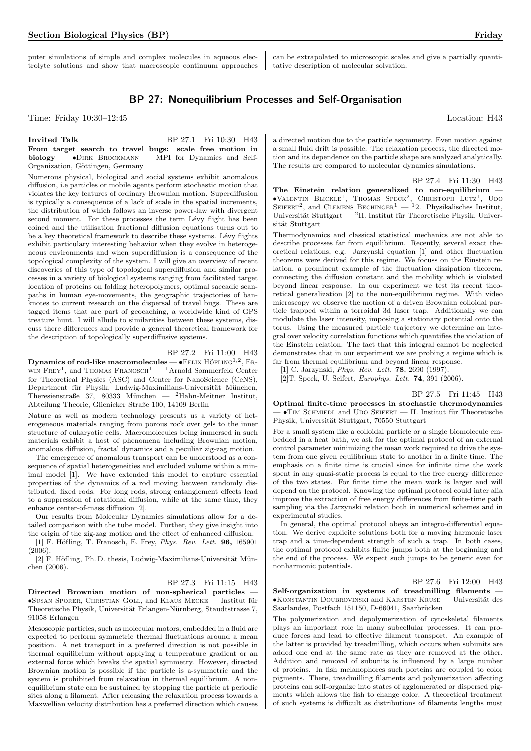puter simulations of simple and complex molecules in aqueous electrolyte solutions and show that macroscopic continuum approaches can be extrapolated to microscopic scales and give a partially quantitative description of molecular solvation.

# BP 27: Nonequilibrium Processes and Self-Organisation

Time: Friday 10:30–12:45 Location: H43

#### **Invited Talk** BP 27.1 Fri 10:30 H43 From target search to travel bugs: scale free motion in biology —  $\bullet$ DIRK BROCKMANN — MPI for Dynamics and Self-Organization, Göttingen, Germany

Numerous physical, biological and social systems exhibit anomalous diffusion, i.e particles or mobile agents perform stochastic motion that violates the key features of ordinary Brownian motion. Superdiffusion is typically a consequence of a lack of scale in the spatial increments, the distribution of which follows an inverse power-law with divergent second moment. For these processes the term Lévy flight has been coined and the utilisation fractional diffusion equations turns out to be a key theoretical framework to describe these systems. Lévy flights exhibit particulary interesting behavior when they evolve in heterogeneous environments and when superdiffusion is a consequence of the topological complexity of the system. I will give an overview of recent discoveries of this type of topological superdiffusion and similar processes in a variety of biological systems ranging from facilitated target location of proteins on folding heteropolymers, optimal saccadic scanpaths in human eye-movements, the geographic trajectories of banknotes to current research on the dispersal of travel bugs. These are tagged items that are part of geocaching, a worldwide kind of GPS treature hunt. I will allude to similarities between these systems, discuss there differences and provide a general theoretical framework for the description of topologically superdiffusive systems.

#### BP 27.2 Fri 11:00 H43

 ${\bf Dynamics~of~rod\text{-like macromolecules}}$   $\bf{-e}$ FELIX  ${\rm H\ddot{o}}$ FLING $^{1,2},\,$ ER-WIN FREY<sup>1</sup>, and THOMAS FRANOSCH<sup>1</sup> — <sup>1</sup>Arnold Sommerfeld Center for Theoretical Physics (ASC) and Center for NanoScience (CeNS), Department für Physik, Ludwig-Maximilians-Universität München, Theresienstraße 37, 80333 München — <sup>2</sup>Hahn-Meitner Institut, Abteilung Theorie, Glienicker Straße 100, 14109 Berlin

Nature as well as modern technology presents us a variety of heterogeneous materials ranging from porous rock over gels to the inner structure of eukaryotic cells. Macromolecules being immersed in such materials exhibit a host of phenomena including Brownian motion, anomalous diffusion, fractal dynamics and a peculiar zig-zag motion.

The emergence of anomalous transport can be understood as a consequence of spatial heterogeneities and excluded volume within a minimal model [1]. We have extended this model to capture essential properties of the dynamics of a rod moving between randomly distributed, fixed rods. For long rods, strong entanglement effects lead to a suppression of rotational diffusion, while at the same time, they enhance center-of-mass diffusion [2].

Our results from Molecular Dynamics simulations allow for a detailed comparison with the tube model. Further, they give insight into the origin of the zig-zag motion and the effect of enhanced diffusion.

[1] F. Höfling, T. Franosch, E. Frey, Phys. Rev. Lett. 96, 165901  $(2006)$ .

 $[2]$  F. Höfling, Ph. D. thesis, Ludwig-Maximilians-Universität München (2006).

# BP 27.3 Fri 11:15 H43

Directed Brownian motion of non-spherical particles —  $\bullet$ Susan Sporer, Christian Goll, and Klaus Mecke — Institut für Theoretische Physik, Universität Erlangen-Nürnberg, Staudtstrasse 7, 91058 Erlangen

Mesoscopic particles, such as molecular motors, embedded in a fluid are expected to perform symmetric thermal fluctuations around a mean position. A net transport in a preferred direction is not possible in thermal equilibrium without applying a temperature gradient or an external force which breaks the spatial symmetry. However, directed Brownian motion is possible if the particle is a-symmetric and the system is prohibited from relaxation in thermal equilibrium. A nonequilibrium state can be sustained by stopping the particle at periodic sites along a filament. After releasing the relaxation process towards a Maxwellian velocity distribution has a preferred direction which causes

a directed motion due to the particle asymmetry. Even motion against a small fluid drift is possible. The relaxation process, the directed motion and its dependence on the particle shape are analyzed analytically. The results are compared to molecular dynamics simulations.

BP 27.4 Fri 11:30 H43 The Einstein relation generalized to non-equilibrium •VALENTIN BLICKLE<sup>1</sup>, THOMAS SPECK<sup>2</sup>, CHRISTOPH LUTZ<sup>1</sup>, UDO<br>SEIFERT<sup>2</sup>, and CLEMENS BECHINGER<sup>1</sup> — <sup>1</sup>2. Physikalisches Institut, Universität Stuttgart —  $^2$ II. Institut für Theoretische Physik, Universität Stuttgart

Thermodynamics and classical statistical mechanics are not able to describe processes far from equilibrium. Recently, several exact theoretical relations, e.g. Jarzynski equation [1] and other fluctuation theorems were derived for this regime. We focuss on the Einstein relation, a prominent example of the fluctuation dissipation theorem, connecting the diffusion constant and the mobility which is violated beyond linear response. In our experiment we test its recent theoretical generalization [2] to the non-equilibrium regime. With video microscopy we observe the motion of a driven Brownian colloidal particle trapped within a torroidal 3d laser trap. Additionally we can modulate the laser intensity, imposing a stationary potential onto the torus. Using the measured particle trajectory we determine an integral over velocity correlation functions which quantifies the violation of the Einstein relation. The fact that this integral cannot be neglected demonstrates that in our experiment we are probing a regime which is far from thermal equilibrium and beyond linear response.

[1] C. Jarzynski, *Phys. Rev. Lett.* **78**, 2690 (1997).

[2]T. Speck, U. Seifert, Europhys. Lett. 74, 391 (2006).

#### BP 27.5 Fri 11:45 H43

Optimal finite-time processes in stochastic thermodynamics  $\bullet$  TIM SCHMIEDL and UDO SEIFERT — II. Institut für Theoretische Physik, Universität Stuttgart, 70550 Stuttgart

For a small system like a colloidal particle or a single biomolecule embedded in a heat bath, we ask for the optimal protocol of an external control parameter minimizing the mean work required to drive the system from one given equilibrium state to another in a finite time. The emphasis on a finite time is crucial since for infinite time the work spent in any quasi-static process is equal to the free energy difference of the two states. For finite time the mean work is larger and will depend on the protocol. Knowing the optimal protocol could inter alia improve the extraction of free energy differences from finite-time path sampling via the Jarzynski relation both in numerical schemes and in experimental studies.

In general, the optimal protocol obeys an integro-differential equation. We derive explicite solutions both for a moving harmonic laser trap and a time-dependent strength of such a trap. In both cases, the optimal protocol exhibits finite jumps both at the beginning and the end of the process. We expect such jumps to be generic even for nonharmonic potentials.

#### BP 27.6 Fri 12:00 H43

Self-organization in systems of treadmilling filaments  $\bullet$ KONSTANTIN DOUBROVINSKI and KARSTEN KRUSE — Universität des Saarlandes, Postfach 151150, D-66041, Saarbrücken

The polymerization and depolymerization of cytoskeletal filaments plays an important role in many subcellular processes. It can produce forces and lead to effective filament transport. An example of the latter is provided by treadmilling, which occurs when subunits are added one end at the same rate as they are removed at the other. Addition and removal of subunits is influenced by a large number of proteins. In fish melanophores such porteins are coupled to color pigments. There, treadmilling filaments and polymerization affecting proteins can self-organize into states of agglomerated or dispersed pigments which allows the fish to change color. A theoretical treatment of such systems is difficult as distributions of filaments lengths must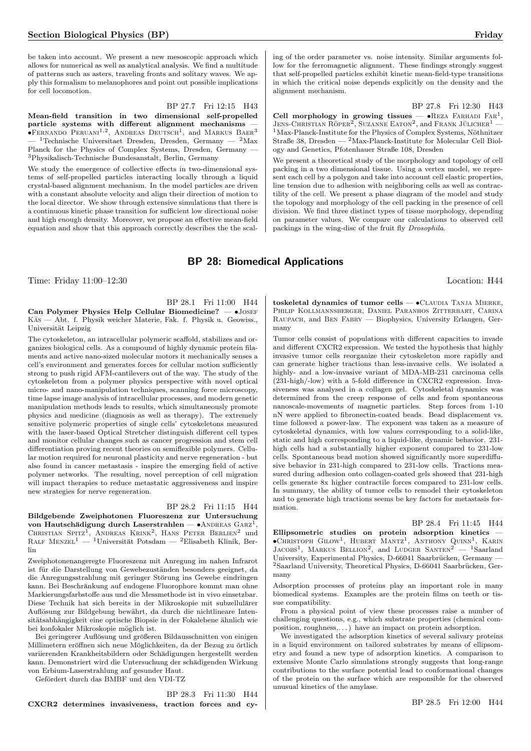be taken into account. We present a new mesoscopic approach which allows for numerical as well as analytical analysis. We find a multitude of patterns such as asters, traveling fronts and solitary waves. We apply this formalism to melanophores and point out possible implications for cell locomotion.

# BP 27.7 Fri 12:15 H43

Mean-field transition in two dimensional self-propelled particle systems with different alignment mechanisms —  $\bullet$ FERNANDO PERUANI<sup>1,2</sup>, ANDREAS DEUTSCH<sup>1</sup>, and MARKUS BAER<sup>3</sup>  $^{-1}$ Technische Universitaet Dresden, Dresden, Germany — <sup>2</sup>Max Planck for the Physics of Complex Systems, Dresden, Germany — <sup>3</sup>Physikalisch-Technische Bundesanstalt, Berlin, Germany

We study the emergence of collective effects in two-dimensional systems of self-propelled particles interacting locally through a liquid crystal-based alignment mechanism. In the model particles are driven with a constant absolute velocity and align their direction of motion to the local director. We show through extensive simulations that there is a continuous kinetic phase transition for sufficient low directional noise and high enough density. Moreover, we propose an effective mean-field equation and show that this approach correctly describes the the scal-

ing of the order parameter vs. noise intensity. Similar arguments follow for the ferromagnetic alignment. These findings strongly suggest that self-propelled particles exhibit kinetic mean-field-type transitions in which the critical noise depends explicitly on the density and the alignment mechanism.

## BP 27.8 Fri 12:30 H43

**Cell morphology in growing tissues** —  $\bullet$ REZA FARHADI FAR<sup>1</sup>, JENS-CHRISTIAN RÖPER<sup>2</sup>, SUZANNE EATON<sup>2</sup>, and FRANK JÜLICHER<sup>1</sup> —  $1$ Max-Planck-Institute for the Physics of Complex Systems, Nöthnitzer Straße 38, Dresden — <sup>2</sup>Max-Planck-Institute for Molecular Cell Biology and Genetics, Pfotenhauer Straße 108, Dresden

We present a theoretical study of the morphology and topology of cell packing in a two dimensional tissue. Using a vertex model, we represent each cell by a polygon and take into account cell elastic properties, line tension due to adhesion with neighboring cells as well as contractility of the cell. We present a phase diagram of the model and study the topology and morphology of the cell packing in the presence of cell division. We find three distinct types of tissue morphology, depending on parameter values. We compare our calculations to observed cell packings in the wing-disc of the fruit fly Drosophila.

# BP 28: Biomedical Applications

Time: Friday 11:00–12:30 Location: H44

BP 28.1 Fri 11:00 H44 Can Polymer Physics Help Cellular Biomedicine? — •Josef KÄS — Abt. f. Physik weicher Materie, Fak. f. Physik u. Geowiss., Universität Leipzig

The cytoskeleton, an intracellular polymeric scaffold, stabilizes and organizes biological cells. As a compound of highly dynamic protein filaments and active nano-sized molecular motors it mechanically senses a cell's environment and generates forces for cellular motion sufficiently strong to push rigid AFM-cantilevers out of the way. The study of the cytoskeleton from a polymer physics perspective with novel optical micro- and nano-manipulation techniques, scanning force microscopy, time lapse image analysis of intracellular processes, and modern genetic manipulation methods leads to results, which simultaneously promote physics and medicine (diagnosis as well as therapy). The extremely sensitive polymeric properties of single cells' cytoskeletons measured with the laser-based Optical Stretcher distinguish different cell types and monitor cellular changes such as cancer progression and stem cell differentiation proving recent theories on semiflexible polymers. Cellular motion required for neuronal plasticity and nerve regeneration - but also found in cancer metastasis - inspire the emerging field of active polymer networks. The resulting, novel perception of cell migration will impact therapies to reduce metastatic aggressiveness and inspire new strategies for nerve regeneration.

#### BP 28.2 Fri 11:15 H44

Bildgebende Zweiphotonen Fluoreszenz zur Untersuchung von Hautschädigung durch Laserstrahlen —  $\bullet$ ANDREAS GARZ<sup>1</sup> von Hautschädigung durch Laserstrahlen — •ANDREAS GARZ<sup>1</sup>,<br>Christian Spitz<sup>1</sup>, ANDREAS KRINK<sup>2</sup>, HANS PETER BERLIEN<sup>2</sup> und RALF MENZEL<sup>1</sup> — <sup>1</sup>Universität Potsdam — <sup>2</sup>Elisabeth Klinik, Berlin

Zweiphotonenangeregte Fluoreszenz mit Anregung im nahen Infrarot ist für die Darstellung von Gewebezuständen besonders geeignet, da die Anregungsstrahlung mit geringer Störung ins Gewebe eindringen kann. Bei Beschränkung auf endogene Fluorophore kommt man ohne Markierungsfarbstoffe aus und die Messmethode ist in vivo einsetzbar. Diese Technik hat sich bereits in der Mikroskopie mit subzellulärer Auflösung zur Bildgebung bewährt, da durch die nichtlineare Intensitätsabhängigkeit eine optische Biopsie in der Fokalebene ähnlich wie bei konfokaler Mikroskopie möglich ist.

Bei geringerer Auflösung und größeren Bildausschnitten von einigen Millimetern eröffnen sich neue Möglichkeiten, da der Bezug zu örtlich variierenden Krankheitsbildern oder Schädigungen hergestellt werden kann. Demonstriert wird die Untersuchung der schädigenden Wirkung von Erbium-Laserstrahlung auf gesunder Haut.

Gefördert durch das BMBF und den VDI-TZ

BP 28.3 Fri 11:30 H44 CXCR2 determines invasiveness, traction forces and cytoskeletal dynamics of tumor cells  $\bullet$ CLAUDIA TANJA MIERKE, Philip Kollmannsberger, Daniel Paranhos Zitterbart, Carina Raupach, and Ben Fabry — Biophysics, University Erlangen, Germany

Tumor cells consist of populations with different capacities to invade and different CXCR2 expression. We tested the hypothesis that highly invasive tumor cells reorganize their cytoskeleton more rapidly and can generate higher tractions than less-invasive cells. We isolated a highly- and a low-invasive variant of MDA-MB-231 carcinoma cells (231-high/-low) with a 5-fold difference in CXCR2 expression. Invasiveness was analysed in a collagen gel. Cytoskeletal dynamics was determined from the creep response of cells and from spontaneous nanoscale-movements of magnetic particles. Step forces from 1-10 nN were applied to fibronectin-coated beads. Bead displacement vs. time followed a power-law. The exponent was taken as a measure of cytoskeletal dynamics, with low values corresponding to a solid-like, static and high corresponding to a liquid-like, dynamic behavior. 231 high cells had a substantially higher exponent compared to 231-low cells. Spontaneous bead motion showed significantly more superdiffusive behavior in 231-high compared to 231-low cells. Tractions measured during adhesion onto collagen-coated gels showed that 231-high cells generate 8x higher contractile forces compared to 231-low cells. In summary, the ability of tumor cells to remodel their cytoskeleton and to generate high tractions seems be key factors for metastasis formation.

# BP 28.4 Fri 11:45 H44

Ellipsometric studies on protein adsorption kinetics —  $\bullet$ CHRISTOPH GILOW<sup>1</sup>, HUBERT MANTZ<sup>1</sup>, ANTHONY QUINN<sup>1</sup>, KARIN JACOBS<sup>1</sup>, MARKUS BELLION<sup>2</sup>, and LUDGER SANTEN<sup>2</sup> - <sup>1</sup>Saarland University, Experimental Physics, D-66041 Saarbrücken, Germany -<sup>2</sup>Saarland University, Theoretical Physics, D-66041 Saarbrücken, Germany

Adsorption processes of proteins play an important role in many biomedical systems. Examples are the protein films on teeth or tissue compatibility.

From a physical point of view these processes raise a number of challenging questions, e.g., which substrate properties (chemical composition, roughness,. . . ) have an impact on protein adsorption.

We investigated the adsorption kinetics of several salivary proteins in a liquid environment on tailored substrates by means of ellipsometry and found a new type of adsorption kinetics. A comparison to extensive Monte Carlo simulations strongly suggests that long-range contributions to the surface potential lead to conformational changes of the protein on the surface which are responsible for the observed unusual kinetics of the amylase.